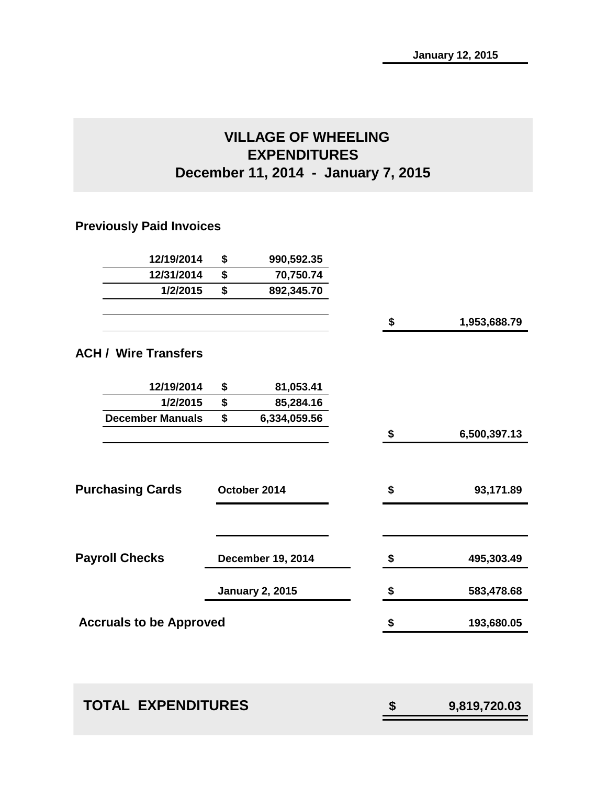# **VILLAGE OF WHEELING EXPENDITURES December 11, 2014 - January 7, 2015**

# **Previously Paid Invoices**

| 12/19/2014                     | \$<br>990,592.35         |                    |
|--------------------------------|--------------------------|--------------------|
| 12/31/2014                     | \$<br>70,750.74          |                    |
| 1/2/2015                       | \$<br>892,345.70         |                    |
|                                |                          | \$<br>1,953,688.79 |
| <b>ACH / Wire Transfers</b>    |                          |                    |
| 12/19/2014                     | \$<br>81,053.41          |                    |
| 1/2/2015                       | \$<br>85,284.16          |                    |
| <b>December Manuals</b>        | \$<br>6,334,059.56       |                    |
|                                |                          | \$<br>6,500,397.13 |
| <b>Purchasing Cards</b>        | October 2014             | \$<br>93,171.89    |
| <b>Payroll Checks</b>          | <b>December 19, 2014</b> | \$<br>495,303.49   |
|                                | <b>January 2, 2015</b>   | \$<br>583,478.68   |
| <b>Accruals to be Approved</b> |                          | \$<br>193,680.05   |
|                                |                          |                    |

| <b>TOTAL EXPENDITURES</b> | 9,819,720.03 |
|---------------------------|--------------|
|                           |              |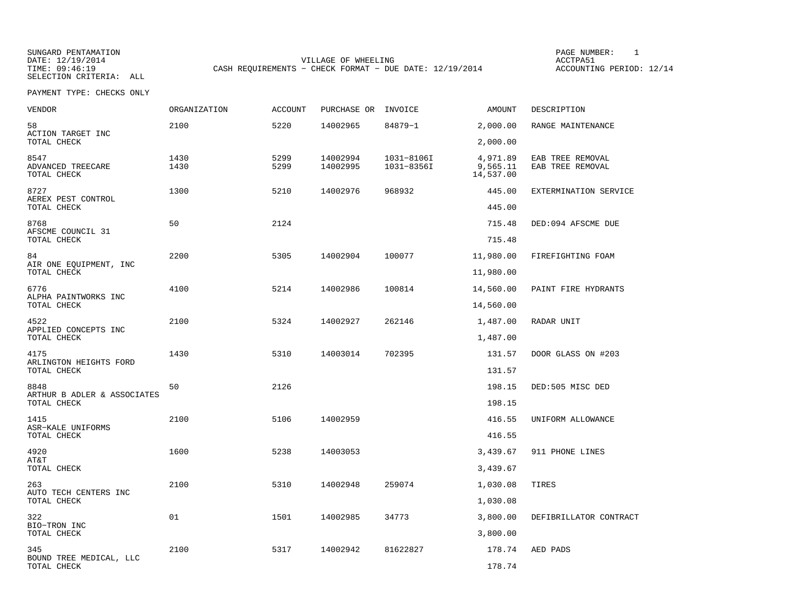SUNGARD PENTAMATION SUNGARD PENTAMATION SUNG PAGE NUMBER: 1 SUNGARD PENTAMATION SUNG PAGE NUMBER: 1 SUNG PAGE NUMBER: 1 SUNG PAGE NUMBER: 1 SUNG PAGE NUMBER: 1 SUNG PAGE NUMBER: 1 SUNG PAGE NUMBER: 1 SUNG PAGE NUMBER: 1 SU DATE: 12/19/2014 VILLAGE OF WHEELING ACCTPA51CASH REQUIREMENTS - CHECK FORMAT - DUE DATE: 12/19/2014

ACCOUNTING PERIOD: 12/14

| <b>VENDOR</b>                              | <b>ORGANIZATION</b> | <b>ACCOUNT</b> | PURCHASE OR INVOICE  |                          | AMOUNT                            | DESCRIPTION                          |
|--------------------------------------------|---------------------|----------------|----------------------|--------------------------|-----------------------------------|--------------------------------------|
| 58<br>ACTION TARGET INC                    | 2100                | 5220           | 14002965             | 84879-1                  | 2,000.00                          | RANGE MAINTENANCE                    |
| TOTAL CHECK                                |                     |                |                      |                          | 2,000.00                          |                                      |
| 8547<br>ADVANCED TREECARE<br>TOTAL CHECK   | 1430<br>1430        | 5299<br>5299   | 14002994<br>14002995 | 1031-8106I<br>1031-8356I | 4,971.89<br>9,565.11<br>14,537.00 | EAB TREE REMOVAL<br>EAB TREE REMOVAL |
| 8727<br>AEREX PEST CONTROL<br>TOTAL CHECK  | 1300                | 5210           | 14002976             | 968932                   | 445.00<br>445.00                  | EXTERMINATION SERVICE                |
|                                            |                     | 2124           |                      |                          |                                   |                                      |
| 8768<br>AFSCME COUNCIL 31<br>TOTAL CHECK   | 50                  |                |                      |                          | 715.48<br>715.48                  | DED:094 AFSCME DUE                   |
| 84                                         | 2200                | 5305           | 14002904             | 100077                   | 11,980.00                         | FIREFIGHTING FOAM                    |
| AIR ONE EQUIPMENT, INC<br>TOTAL CHECK      |                     |                |                      |                          | 11,980.00                         |                                      |
| 6776                                       | 4100                | 5214           | 14002986             | 100814                   | 14,560.00                         | PAINT FIRE HYDRANTS                  |
| ALPHA PAINTWORKS INC<br>TOTAL CHECK        |                     |                |                      |                          | 14,560.00                         |                                      |
| 4522                                       | 2100                | 5324           | 14002927             | 262146                   | 1,487.00                          | RADAR UNIT                           |
| APPLIED CONCEPTS INC<br>TOTAL CHECK        |                     |                |                      |                          | 1,487.00                          |                                      |
| 4175                                       | 1430                | 5310           | 14003014             | 702395                   | 131.57                            | DOOR GLASS ON #203                   |
| ARLINGTON HEIGHTS FORD<br>TOTAL CHECK      |                     |                |                      |                          | 131.57                            |                                      |
| 8848                                       | 50                  | 2126           |                      |                          | 198.15                            | DED:505 MISC DED                     |
| ARTHUR B ADLER & ASSOCIATES<br>TOTAL CHECK |                     |                |                      |                          | 198.15                            |                                      |
| 1415                                       | 2100                | 5106           | 14002959             |                          | 416.55                            | UNIFORM ALLOWANCE                    |
| ASR-KALE UNIFORMS<br>TOTAL CHECK           |                     |                |                      |                          | 416.55                            |                                      |
| 4920                                       | 1600                | 5238           | 14003053             |                          | 3,439.67                          | 911 PHONE LINES                      |
| AT&T<br>TOTAL CHECK                        |                     |                |                      |                          | 3,439.67                          |                                      |
| 263                                        | 2100                | 5310           | 14002948             | 259074                   | 1,030.08                          | TIRES                                |
| AUTO TECH CENTERS INC<br>TOTAL CHECK       |                     |                |                      |                          | 1,030.08                          |                                      |
| 322                                        | 01                  | 1501           | 14002985             | 34773                    | 3,800.00                          | DEFIBRILLATOR CONTRACT               |
| BIO-TRON INC<br>TOTAL CHECK                |                     |                |                      |                          | 3,800.00                          |                                      |
| 345<br>BOUND TREE MEDICAL, LLC             | 2100                | 5317           | 14002942             | 81622827                 | 178.74                            | AED PADS                             |
| TOTAL CHECK                                |                     |                |                      |                          | 178.74                            |                                      |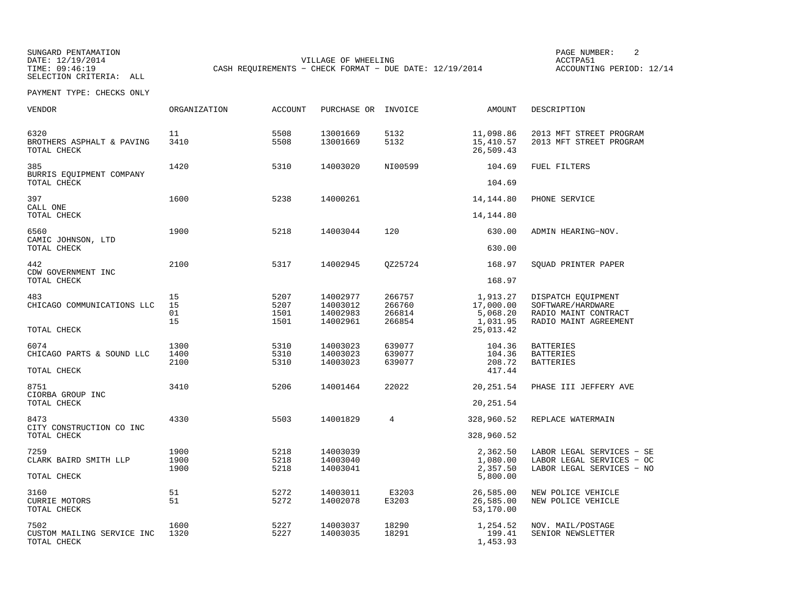SUNGARD PENTAMATION<br>
DATE: 12/19/2014 PAGE NUMBER: 2 SELECTION CRITERIA: ALL

DATE: 12/19/2014 VILLAGE OF WHEELING ACCTPA51

TIME: 09:46:19 CASH REQUIREMENTS − CHECK FORMAT − DUE DATE: 12/19/2014 ACCOUNTING PERIOD: 12/14

| <b>VENDOR</b>                                     | <b>ORGANIZATION</b>  | <b>ACCOUNT</b>               | PURCHASE OR                                  | INVOICE                              | AMOUNT                                        | DESCRIPTION                                                                              |
|---------------------------------------------------|----------------------|------------------------------|----------------------------------------------|--------------------------------------|-----------------------------------------------|------------------------------------------------------------------------------------------|
| 6320<br>BROTHERS ASPHALT & PAVING<br>TOTAL CHECK  | 11<br>3410           | 5508<br>5508                 | 13001669<br>13001669                         | 5132<br>5132                         | 11,098.86<br>15,410.57<br>26,509.43           | 2013 MFT STREET PROGRAM<br>2013 MFT STREET PROGRAM                                       |
| 385<br>BURRIS EQUIPMENT COMPANY                   | 1420                 | 5310                         | 14003020                                     | NI00599                              | 104.69                                        | FUEL FILTERS                                                                             |
| TOTAL CHECK                                       |                      |                              |                                              |                                      | 104.69                                        |                                                                                          |
| 397<br>CALL ONE<br>TOTAL CHECK                    | 1600                 | 5238                         | 14000261                                     |                                      | 14, 144.80<br>14, 144.80                      | PHONE SERVICE                                                                            |
| 6560                                              | 1900                 | 5218                         | 14003044                                     | 120                                  | 630.00                                        | ADMIN HEARING-NOV.                                                                       |
| CAMIC JOHNSON, LTD<br>TOTAL CHECK                 |                      |                              |                                              |                                      | 630.00                                        |                                                                                          |
| 442<br>CDW GOVERNMENT INC                         | 2100                 | 5317                         | 14002945                                     | OZ25724                              | 168.97                                        | SOUAD PRINTER PAPER                                                                      |
| TOTAL CHECK                                       |                      |                              |                                              |                                      | 168.97                                        |                                                                                          |
| 483<br>CHICAGO COMMUNICATIONS LLC                 | 15<br>15<br>01<br>15 | 5207<br>5207<br>1501<br>1501 | 14002977<br>14003012<br>14002983<br>14002961 | 266757<br>266760<br>266814<br>266854 | 1,913.27<br>17,000.00<br>5,068.20<br>1,031.95 | DISPATCH EQUIPMENT<br>SOFTWARE/HARDWARE<br>RADIO MAINT CONTRACT<br>RADIO MAINT AGREEMENT |
| TOTAL CHECK                                       |                      |                              |                                              |                                      | 25,013.42                                     |                                                                                          |
| 6074<br>CHICAGO PARTS & SOUND LLC<br>TOTAL CHECK  | 1300<br>1400<br>2100 | 5310<br>5310<br>5310         | 14003023<br>14003023<br>14003023             | 639077<br>639077<br>639077           | 104.36<br>104.36<br>208.72<br>417.44          | <b>BATTERIES</b><br><b>BATTERIES</b><br><b>BATTERIES</b>                                 |
| 8751<br>CIORBA GROUP INC<br>TOTAL CHECK           | 3410                 | 5206                         | 14001464                                     | 22022                                | 20, 251.54<br>20, 251.54                      | PHASE III JEFFERY AVE                                                                    |
| 8473                                              | 4330                 | 5503                         | 14001829                                     | 4                                    | 328,960.52                                    | REPLACE WATERMAIN                                                                        |
| CITY CONSTRUCTION CO INC<br>TOTAL CHECK           |                      |                              |                                              |                                      | 328,960.52                                    |                                                                                          |
| 7259<br>CLARK BAIRD SMITH LLP                     | 1900<br>1900<br>1900 | 5218<br>5218<br>5218         | 14003039<br>14003040<br>14003041             |                                      | 2,362.50<br>1,080.00<br>2,357.50              | LABOR LEGAL SERVICES - SE<br>LABOR LEGAL SERVICES - OC<br>LABOR LEGAL SERVICES - NO      |
| TOTAL CHECK                                       |                      |                              |                                              |                                      | 5,800.00                                      |                                                                                          |
| 3160<br><b>CURRIE MOTORS</b><br>TOTAL CHECK       | 51<br>51             | 5272<br>5272                 | 14003011<br>14002078                         | E3203<br>E3203                       | 26,585.00<br>26,585.00<br>53,170.00           | NEW POLICE VEHICLE<br>NEW POLICE VEHICLE                                                 |
| 7502<br>CUSTOM MAILING SERVICE INC<br>TOTAL CHECK | 1600<br>1320         | 5227<br>5227                 | 14003037<br>14003035                         | 18290<br>18291                       | 1,254.52<br>199.41<br>1,453.93                | NOV. MAIL/POSTAGE<br>SENIOR NEWSLETTER                                                   |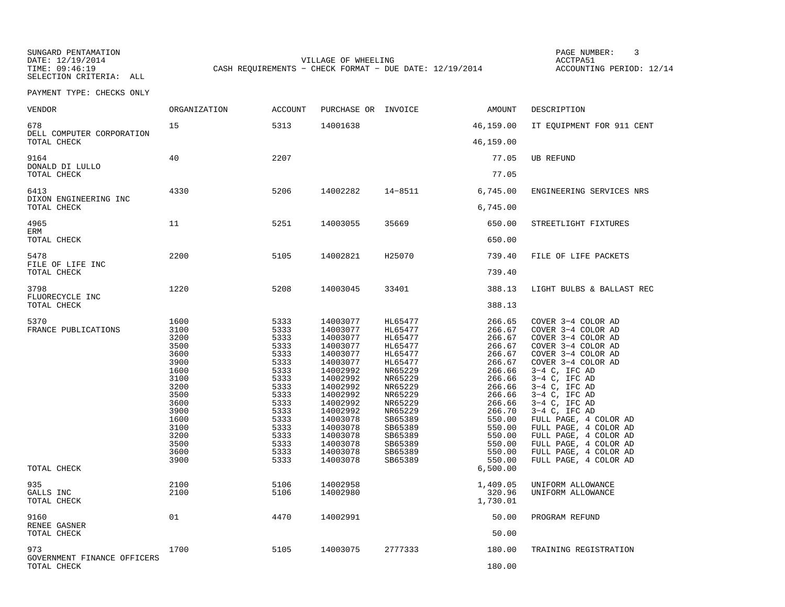SUNGARD PENTAMATION SUNGARD PENTAMATION SUNG PAGE NUMBER: 3<br>
PAGE PENTAMATION SUNG PAGE ANG PAGE ANG PAGE ANG PAGE ANG PAGE ANG PAGE ANG PAGE ANG PAGE ANG PAGE ANG PAGE A SELECTION CRITERIA: ALL

DATE: 12/19/2014 VILLAGE OF WHEELING ACCTPA51CASH REQUIREMENTS - CHECK FORMAT - DUE DATE: 12/19/2014

ACCOUNTING PERIOD: 12/14

| VENDOR                                            | ORGANIZATION                                                                                                                                 | <b>ACCOUNT</b>                                                                                                                               | PURCHASE OR INVOICE                                                                                                                                                                                                  |                                                                                                                                                                                                    | AMOUNT                                                                                                                                                                                       | DESCRIPTION                                                                                                                                                                                                                                                                                                                                                                                              |
|---------------------------------------------------|----------------------------------------------------------------------------------------------------------------------------------------------|----------------------------------------------------------------------------------------------------------------------------------------------|----------------------------------------------------------------------------------------------------------------------------------------------------------------------------------------------------------------------|----------------------------------------------------------------------------------------------------------------------------------------------------------------------------------------------------|----------------------------------------------------------------------------------------------------------------------------------------------------------------------------------------------|----------------------------------------------------------------------------------------------------------------------------------------------------------------------------------------------------------------------------------------------------------------------------------------------------------------------------------------------------------------------------------------------------------|
| 678<br>DELL COMPUTER CORPORATION                  | 15                                                                                                                                           | 5313                                                                                                                                         | 14001638                                                                                                                                                                                                             |                                                                                                                                                                                                    | 46,159.00                                                                                                                                                                                    | IT EQUIPMENT FOR 911 CENT                                                                                                                                                                                                                                                                                                                                                                                |
| TOTAL CHECK                                       |                                                                                                                                              |                                                                                                                                              |                                                                                                                                                                                                                      |                                                                                                                                                                                                    | 46,159.00                                                                                                                                                                                    |                                                                                                                                                                                                                                                                                                                                                                                                          |
| 9164<br>DONALD DI LULLO                           | 40                                                                                                                                           | 2207                                                                                                                                         |                                                                                                                                                                                                                      |                                                                                                                                                                                                    | 77.05                                                                                                                                                                                        | <b>UB REFUND</b>                                                                                                                                                                                                                                                                                                                                                                                         |
| TOTAL CHECK                                       |                                                                                                                                              |                                                                                                                                              |                                                                                                                                                                                                                      |                                                                                                                                                                                                    | 77.05                                                                                                                                                                                        |                                                                                                                                                                                                                                                                                                                                                                                                          |
| 6413<br>DIXON ENGINEERING INC                     | 4330                                                                                                                                         | 5206                                                                                                                                         | 14002282                                                                                                                                                                                                             | $14 - 8511$                                                                                                                                                                                        | 6,745.00                                                                                                                                                                                     | ENGINEERING SERVICES NRS                                                                                                                                                                                                                                                                                                                                                                                 |
| TOTAL CHECK                                       |                                                                                                                                              |                                                                                                                                              |                                                                                                                                                                                                                      |                                                                                                                                                                                                    | 6,745.00                                                                                                                                                                                     |                                                                                                                                                                                                                                                                                                                                                                                                          |
| 4965<br>ERM                                       | 11                                                                                                                                           | 5251                                                                                                                                         | 14003055                                                                                                                                                                                                             | 35669                                                                                                                                                                                              | 650.00                                                                                                                                                                                       | STREETLIGHT FIXTURES                                                                                                                                                                                                                                                                                                                                                                                     |
| TOTAL CHECK                                       |                                                                                                                                              |                                                                                                                                              |                                                                                                                                                                                                                      |                                                                                                                                                                                                    | 650.00                                                                                                                                                                                       |                                                                                                                                                                                                                                                                                                                                                                                                          |
| 5478<br>FILE OF LIFE INC                          | 2200                                                                                                                                         | 5105                                                                                                                                         | 14002821                                                                                                                                                                                                             | H25070                                                                                                                                                                                             | 739.40                                                                                                                                                                                       | FILE OF LIFE PACKETS                                                                                                                                                                                                                                                                                                                                                                                     |
| TOTAL CHECK                                       |                                                                                                                                              |                                                                                                                                              |                                                                                                                                                                                                                      |                                                                                                                                                                                                    | 739.40                                                                                                                                                                                       |                                                                                                                                                                                                                                                                                                                                                                                                          |
| 3798<br>FLUORECYCLE INC                           | 1220                                                                                                                                         | 5208                                                                                                                                         | 14003045                                                                                                                                                                                                             | 33401                                                                                                                                                                                              | 388.13                                                                                                                                                                                       | LIGHT BULBS & BALLAST REC                                                                                                                                                                                                                                                                                                                                                                                |
| TOTAL CHECK                                       |                                                                                                                                              |                                                                                                                                              |                                                                                                                                                                                                                      |                                                                                                                                                                                                    | 388.13                                                                                                                                                                                       |                                                                                                                                                                                                                                                                                                                                                                                                          |
| 5370<br>FRANCE PUBLICATIONS<br>TOTAL CHECK        | 1600<br>3100<br>3200<br>3500<br>3600<br>3900<br>1600<br>3100<br>3200<br>3500<br>3600<br>3900<br>1600<br>3100<br>3200<br>3500<br>3600<br>3900 | 5333<br>5333<br>5333<br>5333<br>5333<br>5333<br>5333<br>5333<br>5333<br>5333<br>5333<br>5333<br>5333<br>5333<br>5333<br>5333<br>5333<br>5333 | 14003077<br>14003077<br>14003077<br>14003077<br>14003077<br>14003077<br>14002992<br>14002992<br>14002992<br>14002992<br>14002992<br>14002992<br>14003078<br>14003078<br>14003078<br>14003078<br>14003078<br>14003078 | HL65477<br>HL65477<br>HL65477<br>HL65477<br>HL65477<br>HL65477<br>NR65229<br>NR65229<br>NR65229<br>NR65229<br>NR65229<br>NR65229<br>SB65389<br>SB65389<br>SB65389<br>SB65389<br>SB65389<br>SB65389 | 266.65<br>266.67<br>266.67<br>266.67<br>266.67<br>266.67<br>266.66<br>266.66<br>266.66<br>266.66<br>266.66<br>266.70<br>550.00<br>550.00<br>550.00<br>550.00<br>550.00<br>550.00<br>6,500.00 | COVER 3-4 COLOR AD<br>COVER 3-4 COLOR AD<br>COVER 3-4 COLOR AD<br>COVER 3-4 COLOR AD<br>COVER 3-4 COLOR AD<br>COVER 3-4 COLOR AD<br>$3-4$ C, IFC AD<br>$3-4$ C, IFC AD<br>$3-4$ C, IFC AD<br>$3-4$ C, IFC AD<br>$3-4$ C, IFC AD<br>$3-4$ C, IFC AD<br>FULL PAGE, 4 COLOR AD<br>FULL PAGE, 4 COLOR AD<br>FULL PAGE, 4 COLOR AD<br>FULL PAGE, 4 COLOR AD<br>FULL PAGE, 4 COLOR AD<br>FULL PAGE, 4 COLOR AD |
| 935                                               | 2100                                                                                                                                         | 5106                                                                                                                                         | 14002958                                                                                                                                                                                                             |                                                                                                                                                                                                    | 1,409.05                                                                                                                                                                                     | UNIFORM ALLOWANCE                                                                                                                                                                                                                                                                                                                                                                                        |
| GALLS INC<br>TOTAL CHECK                          | 2100                                                                                                                                         | 5106                                                                                                                                         | 14002980                                                                                                                                                                                                             |                                                                                                                                                                                                    | 320.96<br>1,730.01                                                                                                                                                                           | UNIFORM ALLOWANCE                                                                                                                                                                                                                                                                                                                                                                                        |
| 9160<br>RENEE GASNER                              | 01                                                                                                                                           | 4470                                                                                                                                         | 14002991                                                                                                                                                                                                             |                                                                                                                                                                                                    | 50.00                                                                                                                                                                                        | PROGRAM REFUND                                                                                                                                                                                                                                                                                                                                                                                           |
| TOTAL CHECK                                       |                                                                                                                                              |                                                                                                                                              |                                                                                                                                                                                                                      |                                                                                                                                                                                                    | 50.00                                                                                                                                                                                        |                                                                                                                                                                                                                                                                                                                                                                                                          |
| 973<br>GOVERNMENT FINANCE OFFICERS<br>TOTAL CHECK | 1700                                                                                                                                         | 5105                                                                                                                                         | 14003075                                                                                                                                                                                                             | 2777333                                                                                                                                                                                            | 180.00<br>180.00                                                                                                                                                                             | TRAINING REGISTRATION                                                                                                                                                                                                                                                                                                                                                                                    |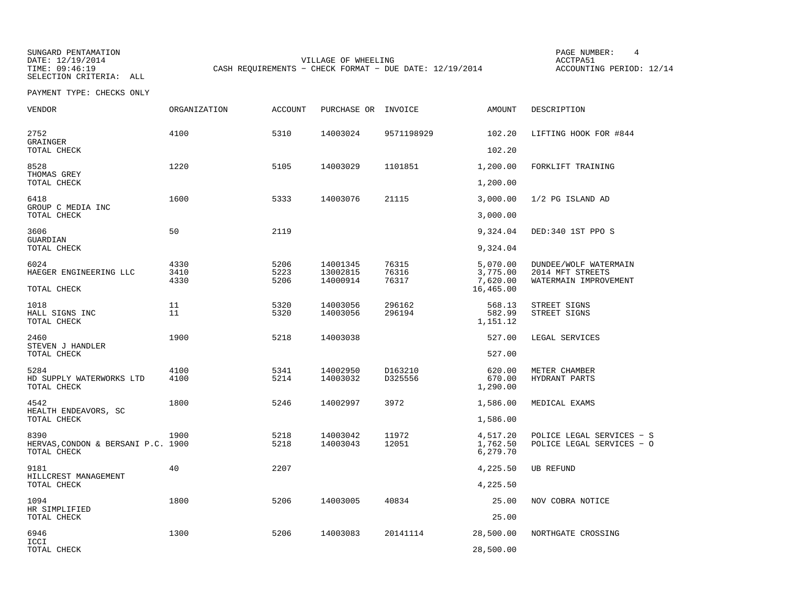SUNGARD PENTAMATION SUNGARD PENTAMATION SUNG PAGE NUMBER: 4 SELECTION CRITERIA: ALL

DATE: 12/19/2014 VILLAGE OF WHEELING ACCTPA51CASH REQUIREMENTS - CHECK FORMAT - DUE DATE: 12/19/2014

ACCOUNTING PERIOD: 12/14

| VENDOR                                                    | ORGANIZATION         | <b>ACCOUNT</b>       | PURCHASE OR                      | INVOICE                 | AMOUNT                                        | DESCRIPTION                                                        |
|-----------------------------------------------------------|----------------------|----------------------|----------------------------------|-------------------------|-----------------------------------------------|--------------------------------------------------------------------|
| 2752<br>GRAINGER                                          | 4100                 | 5310                 | 14003024                         | 9571198929              | 102.20                                        | LIFTING HOOK FOR #844                                              |
| TOTAL CHECK                                               |                      |                      |                                  |                         | 102.20                                        |                                                                    |
| 8528<br>THOMAS GREY<br>TOTAL CHECK                        | 1220                 | 5105                 | 14003029                         | 1101851                 | 1,200.00<br>1,200.00                          | FORKLIFT TRAINING                                                  |
| 6418<br>GROUP C MEDIA INC                                 | 1600                 | 5333                 | 14003076                         | 21115                   | 3,000.00                                      | 1/2 PG ISLAND AD                                                   |
| TOTAL CHECK                                               |                      |                      |                                  |                         | 3,000.00                                      |                                                                    |
| 3606<br>GUARDIAN                                          | 50                   | 2119                 |                                  |                         | 9,324.04                                      | DED:340 1ST PPO S                                                  |
| TOTAL CHECK                                               |                      |                      |                                  |                         | 9,324.04                                      |                                                                    |
| 6024<br>HAEGER ENGINEERING LLC<br>TOTAL CHECK             | 4330<br>3410<br>4330 | 5206<br>5223<br>5206 | 14001345<br>13002815<br>14000914 | 76315<br>76316<br>76317 | 5,070.00<br>3,775.00<br>7,620.00<br>16,465.00 | DUNDEE/WOLF WATERMAIN<br>2014 MFT STREETS<br>WATERMAIN IMPROVEMENT |
| 1018                                                      | 11                   | 5320                 | 14003056                         | 296162                  | 568.13                                        | STREET SIGNS                                                       |
| HALL SIGNS INC<br>TOTAL CHECK                             | 11                   | 5320                 | 14003056                         | 296194                  | 582.99<br>1,151.12                            | STREET SIGNS                                                       |
| 2460<br>STEVEN J HANDLER                                  | 1900                 | 5218                 | 14003038                         |                         | 527.00                                        | LEGAL SERVICES                                                     |
| TOTAL CHECK                                               |                      |                      |                                  |                         | 527.00                                        |                                                                    |
| 5284<br>HD SUPPLY WATERWORKS LTD<br>TOTAL CHECK           | 4100<br>4100         | 5341<br>5214         | 14002950<br>14003032             | D163210<br>D325556      | 620.00<br>670.00<br>1,290.00                  | METER CHAMBER<br>HYDRANT PARTS                                     |
| 4542                                                      | 1800                 | 5246                 | 14002997                         | 3972                    | 1,586.00                                      | MEDICAL EXAMS                                                      |
| HEALTH ENDEAVORS, SC<br>TOTAL CHECK                       |                      |                      |                                  |                         | 1,586.00                                      |                                                                    |
| 8390<br>HERVAS, CONDON & BERSANI P.C. 1900<br>TOTAL CHECK | 1900                 | 5218<br>5218         | 14003042<br>14003043             | 11972<br>12051          | 4,517.20<br>1,762.50<br>6,279.70              | POLICE LEGAL SERVICES - S<br>POLICE LEGAL SERVICES - C             |
| 9181<br>HILLCREST MANAGEMENT                              | 40                   | 2207                 |                                  |                         | 4,225.50                                      | <b>UB REFUND</b>                                                   |
| TOTAL CHECK                                               |                      |                      |                                  |                         | 4,225.50                                      |                                                                    |
| 1094<br>HR SIMPLIFIED                                     | 1800                 | 5206                 | 14003005                         | 40834                   | 25.00                                         | NOV COBRA NOTICE                                                   |
| TOTAL CHECK                                               |                      |                      |                                  |                         | 25.00                                         |                                                                    |
| 6946<br>ICCI                                              | 1300                 | 5206                 | 14003083                         | 20141114                | 28,500.00                                     | NORTHGATE CROSSING                                                 |
| TOTAL CHECK                                               |                      |                      |                                  |                         | 28,500.00                                     |                                                                    |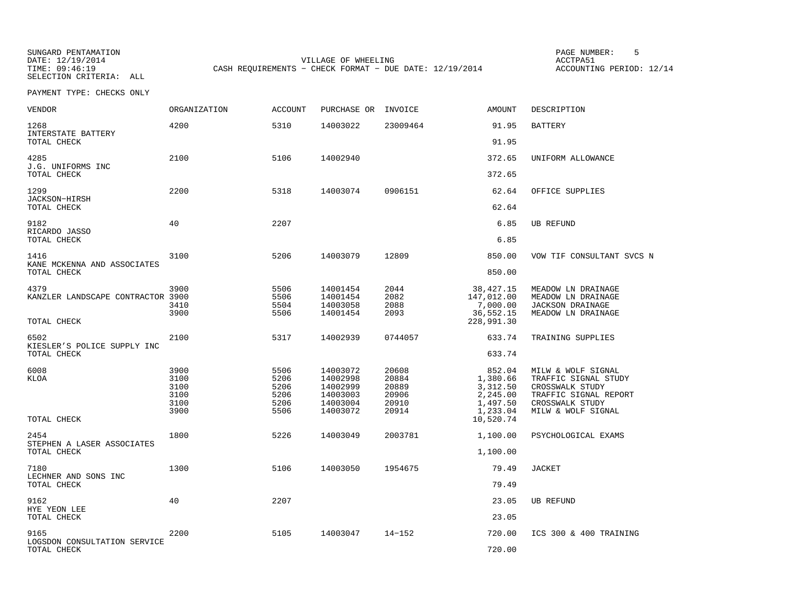SUNGARD PENTAMATION PAGE NUMBER: 5SELECTION CRITERIA: ALL

DATE: 12/19/2014 VILLAGE OF WHEELING ACCTPA51CASH REQUIREMENTS - CHECK FORMAT - DUE DATE: 12/19/2014

ACCOUNTING PERIOD: 12/14

| VENDOR                                      | <b>ORGANIZATION</b>                          | <b>ACCOUNT</b>                               | PURCHASE OR                                                          | INVOICE                                            | AMOUNT                                                             | DESCRIPTION                                                                                                                     |
|---------------------------------------------|----------------------------------------------|----------------------------------------------|----------------------------------------------------------------------|----------------------------------------------------|--------------------------------------------------------------------|---------------------------------------------------------------------------------------------------------------------------------|
| 1268<br>INTERSTATE BATTERY                  | 4200                                         | 5310                                         | 14003022                                                             | 23009464                                           | 91.95                                                              | <b>BATTERY</b>                                                                                                                  |
| TOTAL CHECK                                 |                                              |                                              |                                                                      |                                                    | 91.95                                                              |                                                                                                                                 |
| 4285<br>J.G. UNIFORMS INC                   | 2100                                         | 5106                                         | 14002940                                                             |                                                    | 372.65                                                             | UNIFORM ALLOWANCE                                                                                                               |
| TOTAL CHECK                                 |                                              |                                              |                                                                      |                                                    | 372.65                                                             |                                                                                                                                 |
| 1299<br>JACKSON-HIRSH                       | 2200                                         | 5318                                         | 14003074                                                             | 0906151                                            | 62.64                                                              | OFFICE SUPPLIES                                                                                                                 |
| TOTAL CHECK                                 |                                              |                                              |                                                                      |                                                    | 62.64                                                              |                                                                                                                                 |
| 9182<br>RICARDO JASSO                       | 40                                           | 2207                                         |                                                                      |                                                    | 6.85                                                               | UB REFUND                                                                                                                       |
| TOTAL CHECK                                 |                                              |                                              |                                                                      |                                                    | 6.85                                                               |                                                                                                                                 |
| 1416<br>KANE MCKENNA AND ASSOCIATES         | 3100                                         | 5206                                         | 14003079                                                             | 12809                                              | 850.00                                                             | VOW TIF CONSULTANT SVCS N                                                                                                       |
| TOTAL CHECK                                 |                                              |                                              |                                                                      |                                                    | 850.00                                                             |                                                                                                                                 |
| 4379<br>KANZLER LANDSCAPE CONTRACTOR 3900   | 3900<br>3410<br>3900                         | 5506<br>5506<br>5504<br>5506                 | 14001454<br>14001454<br>14003058<br>14001454                         | 2044<br>2082<br>2088<br>2093                       | 38,427.15<br>147,012.00<br>7,000.00<br>36,552.15                   | MEADOW LN DRAINAGE<br>MEADOW LN DRAINAGE<br><b>JACKSON DRAINAGE</b><br>MEADOW LN DRAINAGE                                       |
| TOTAL CHECK                                 |                                              |                                              |                                                                      |                                                    | 228,991.30                                                         |                                                                                                                                 |
| 6502<br>KIESLER'S POLICE SUPPLY INC         | 2100                                         | 5317                                         | 14002939                                                             | 0744057                                            | 633.74                                                             | TRAINING SUPPLIES                                                                                                               |
| TOTAL CHECK                                 |                                              |                                              |                                                                      |                                                    | 633.74                                                             |                                                                                                                                 |
| 6008<br><b>KLOA</b>                         | 3900<br>3100<br>3100<br>3100<br>3100<br>3900 | 5506<br>5206<br>5206<br>5206<br>5206<br>5506 | 14003072<br>14002998<br>14002999<br>14003003<br>14003004<br>14003072 | 20608<br>20884<br>20889<br>20906<br>20910<br>20914 | 852.04<br>1,380.66<br>3,312.50<br>2,245.00<br>1,497.50<br>1,233.04 | MILW & WOLF SIGNAL<br>TRAFFIC SIGNAL STUDY<br>CROSSWALK STUDY<br>TRAFFIC SIGNAL REPORT<br>CROSSWALK STUDY<br>MILW & WOLF SIGNAL |
| TOTAL CHECK                                 |                                              |                                              |                                                                      |                                                    | 10,520.74                                                          |                                                                                                                                 |
| 2454<br>STEPHEN A LASER ASSOCIATES          | 1800                                         | 5226                                         | 14003049                                                             | 2003781                                            | 1,100.00                                                           | PSYCHOLOGICAL EXAMS                                                                                                             |
| TOTAL CHECK                                 |                                              |                                              |                                                                      |                                                    | 1,100.00                                                           |                                                                                                                                 |
| 7180<br>LECHNER AND SONS INC<br>TOTAL CHECK | 1300                                         | 5106                                         | 14003050                                                             | 1954675                                            | 79.49<br>79.49                                                     | <b>JACKET</b>                                                                                                                   |
|                                             |                                              |                                              |                                                                      |                                                    |                                                                    |                                                                                                                                 |
| 9162<br>HYE YEON LEE                        | 40                                           | 2207                                         |                                                                      |                                                    | 23.05                                                              | <b>UB REFUND</b>                                                                                                                |
| TOTAL CHECK                                 |                                              |                                              |                                                                      |                                                    | 23.05                                                              |                                                                                                                                 |
| 9165                                        | 2200                                         | 5105                                         | 14003047                                                             | $14 - 152$                                         | 720.00                                                             | ICS 300 & 400 TRAINING                                                                                                          |
| LOGSDON CONSULTATION SERVICE<br>TOTAL CHECK |                                              |                                              |                                                                      |                                                    | 720.00                                                             |                                                                                                                                 |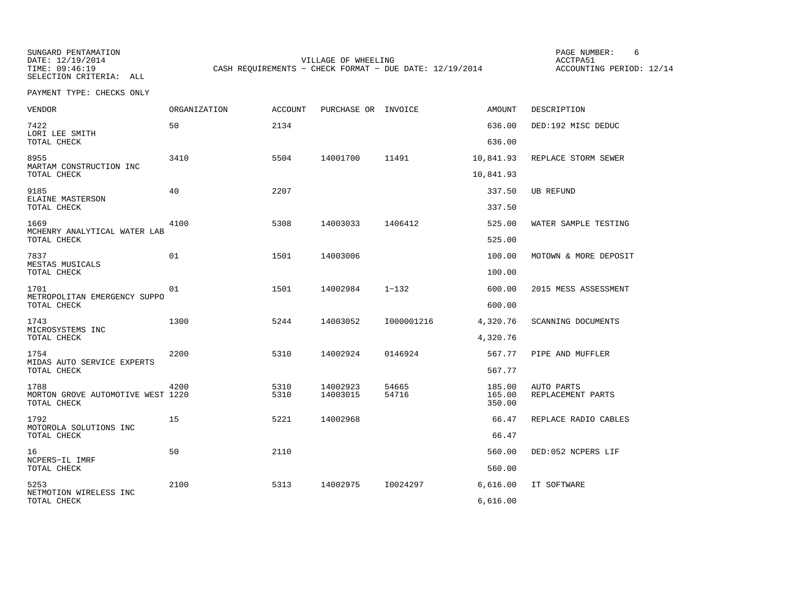SUNGARD PENTAMATION PAGE NUMBER: 6SELECTION CRITERIA: ALL

DATE: 12/19/2014 VILLAGE OF WHEELING ACCTPA51CASH REQUIREMENTS - CHECK FORMAT - DUE DATE: 12/19/2014

ACCOUNTING PERIOD: 12/14

| VENDOR                                                   | ORGANIZATION | <b>ACCOUNT</b> | PURCHASE OR INVOICE  |                | <b>AMOUNT</b>              | DESCRIPTION                     |
|----------------------------------------------------------|--------------|----------------|----------------------|----------------|----------------------------|---------------------------------|
| 7422<br>LORI LEE SMITH                                   | 50           | 2134           |                      |                | 636.00                     | DED:192 MISC DEDUC              |
| TOTAL CHECK                                              |              |                |                      |                | 636.00                     |                                 |
| 8955<br>MARTAM CONSTRUCTION INC<br>TOTAL CHECK           | 3410         | 5504           | 14001700             | 11491          | 10,841.93<br>10,841.93     | REPLACE STORM SEWER             |
|                                                          |              |                |                      |                |                            |                                 |
| 9185<br>ELAINE MASTERSON<br>TOTAL CHECK                  | 40           | 2207           |                      |                | 337.50<br>337.50           | <b>UB REFUND</b>                |
| 1669<br>MCHENRY ANALYTICAL WATER LAB                     | 4100         | 5308           | 14003033             | 1406412        | 525.00                     | WATER SAMPLE TESTING            |
| TOTAL CHECK                                              |              |                |                      |                | 525.00                     |                                 |
| 7837<br>MESTAS MUSICALS                                  | 01           | 1501           | 14003006             |                | 100.00                     | MOTOWN & MORE DEPOSIT           |
| TOTAL CHECK                                              |              |                |                      |                | 100.00                     |                                 |
| 1701<br>METROPOLITAN EMERGENCY SUPPO                     | 01           | 1501           | 14002984             | $1 - 132$      | 600.00                     | 2015 MESS ASSESSMENT            |
| TOTAL CHECK                                              |              |                |                      |                | 600.00                     |                                 |
| 1743<br>MICROSYSTEMS INC                                 | 1300         | 5244           | 14003052             | I000001216     | 4,320.76                   | SCANNING DOCUMENTS              |
| TOTAL CHECK                                              |              |                |                      |                | 4,320.76                   |                                 |
| 1754<br>MIDAS AUTO SERVICE EXPERTS                       | 2200         | 5310           | 14002924             | 0146924        | 567.77                     | PIPE AND MUFFLER                |
| TOTAL CHECK                                              |              |                |                      |                | 567.77                     |                                 |
| 1788<br>MORTON GROVE AUTOMOTIVE WEST 1220<br>TOTAL CHECK | 4200         | 5310<br>5310   | 14002923<br>14003015 | 54665<br>54716 | 185.00<br>165.00<br>350.00 | AUTO PARTS<br>REPLACEMENT PARTS |
| 1792<br>MOTOROLA SOLUTIONS INC                           | 15           | 5221           | 14002968             |                | 66.47                      | REPLACE RADIO CABLES            |
| TOTAL CHECK                                              |              |                |                      |                | 66.47                      |                                 |
| 16<br>NCPERS-IL IMRF                                     | 50           | 2110           |                      |                | 560.00                     | DED:052 NCPERS LIF              |
| TOTAL CHECK                                              |              |                |                      |                | 560.00                     |                                 |
| 5253<br>NETMOTION WIRELESS INC                           | 2100         | 5313           | 14002975             | I0024297       | 6,616.00                   | IT SOFTWARE                     |
| TOTAL CHECK                                              |              |                |                      |                | 6,616.00                   |                                 |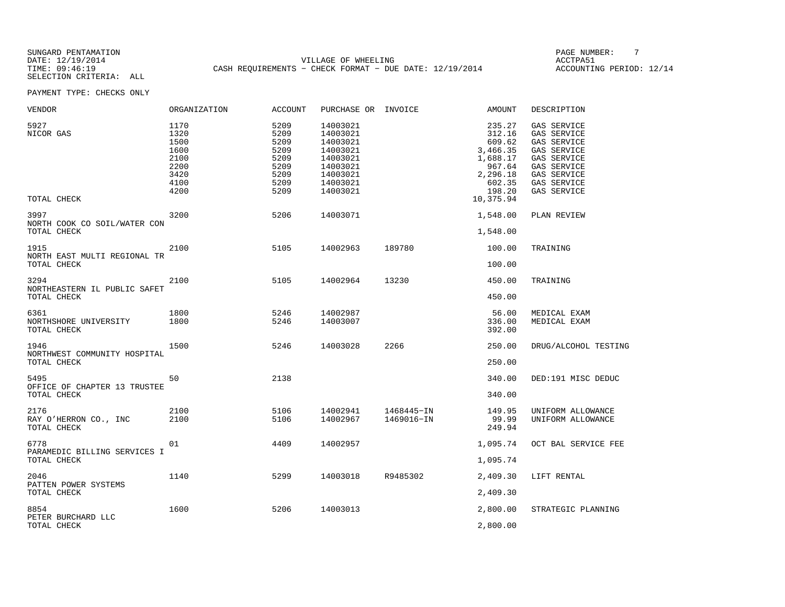SUNGARD PENTAMATION SUNGARD PENTAMATION SUNGARD PAGE NUMBER: THE SUNGARD PAGE NUMBER: THE SUNGARD PAGE NUMBER: T<br>PATE: 12/19/2014 DATE: 12/19/2014 VILLAGE OF WHEELING ACCTPA51CASH REQUIREMENTS - CHECK FORMAT - DUE DATE: 12/19/2014

ACCOUNTING PERIOD: 12/14

| VENDOR                                              | ORGANIZATION                                                         | <b>ACCOUNT</b>                                                       | PURCHASE OR INVOICE                                                                                      |                          | AMOUNT                                                                                                    | DESCRIPTION                                                                                                                         |
|-----------------------------------------------------|----------------------------------------------------------------------|----------------------------------------------------------------------|----------------------------------------------------------------------------------------------------------|--------------------------|-----------------------------------------------------------------------------------------------------------|-------------------------------------------------------------------------------------------------------------------------------------|
| 5927<br>NICOR GAS<br>TOTAL CHECK                    | 1170<br>1320<br>1500<br>1600<br>2100<br>2200<br>3420<br>4100<br>4200 | 5209<br>5209<br>5209<br>5209<br>5209<br>5209<br>5209<br>5209<br>5209 | 14003021<br>14003021<br>14003021<br>14003021<br>14003021<br>14003021<br>14003021<br>14003021<br>14003021 |                          | 235.27<br>312.16<br>609.62<br>3,466.35<br>1,688.17<br>967.64<br>2,296.18<br>602.35<br>198.20<br>10,375.94 | GAS SERVICE<br>GAS SERVICE<br>GAS SERVICE<br>GAS SERVICE<br>GAS SERVICE<br>GAS SERVICE<br>GAS SERVICE<br>GAS SERVICE<br>GAS SERVICE |
| 3997<br>NORTH COOK CO SOIL/WATER CON<br>TOTAL CHECK | 3200                                                                 | 5206                                                                 | 14003071                                                                                                 |                          | 1,548.00<br>1,548.00                                                                                      | PLAN REVIEW                                                                                                                         |
| 1915<br>NORTH EAST MULTI REGIONAL TR<br>TOTAL CHECK | 2100                                                                 | 5105                                                                 | 14002963                                                                                                 | 189780                   | 100.00<br>100.00                                                                                          | TRAINING                                                                                                                            |
| 3294<br>NORTHEASTERN IL PUBLIC SAFET<br>TOTAL CHECK | 2100                                                                 | 5105                                                                 | 14002964                                                                                                 | 13230                    | 450.00<br>450.00                                                                                          | TRAINING                                                                                                                            |
| 6361<br>NORTHSHORE UNIVERSITY<br>TOTAL CHECK        | 1800<br>1800                                                         | 5246<br>5246                                                         | 14002987<br>14003007                                                                                     |                          | 56.00<br>336.00<br>392.00                                                                                 | MEDICAL EXAM<br>MEDICAL EXAM                                                                                                        |
| 1946<br>NORTHWEST COMMUNITY HOSPITAL<br>TOTAL CHECK | 1500                                                                 | 5246                                                                 | 14003028                                                                                                 | 2266                     | 250.00<br>250.00                                                                                          | DRUG/ALCOHOL TESTING                                                                                                                |
| 5495<br>OFFICE OF CHAPTER 13 TRUSTEE<br>TOTAL CHECK | 50                                                                   | 2138                                                                 |                                                                                                          |                          | 340.00<br>340.00                                                                                          | DED:191 MISC DEDUC                                                                                                                  |
| 2176<br>RAY O'HERRON CO., INC<br>TOTAL CHECK        | 2100<br>2100                                                         | 5106<br>5106                                                         | 14002941<br>14002967                                                                                     | 1468445-IN<br>1469016-IN | 149.95<br>99.99<br>249.94                                                                                 | UNIFORM ALLOWANCE<br>UNIFORM ALLOWANCE                                                                                              |
| 6778<br>PARAMEDIC BILLING SERVICES I<br>TOTAL CHECK | 01                                                                   | 4409                                                                 | 14002957                                                                                                 |                          | 1,095.74<br>1,095.74                                                                                      | OCT BAL SERVICE FEE                                                                                                                 |
| 2046<br>PATTEN POWER SYSTEMS<br>TOTAL CHECK         | 1140                                                                 | 5299                                                                 | 14003018                                                                                                 | R9485302                 | 2,409.30<br>2,409.30                                                                                      | LIFT RENTAL                                                                                                                         |
| 8854<br>PETER BURCHARD LLC<br>TOTAL CHECK           | 1600                                                                 | 5206                                                                 | 14003013                                                                                                 |                          | 2,800.00<br>2,800.00                                                                                      | STRATEGIC PLANNING                                                                                                                  |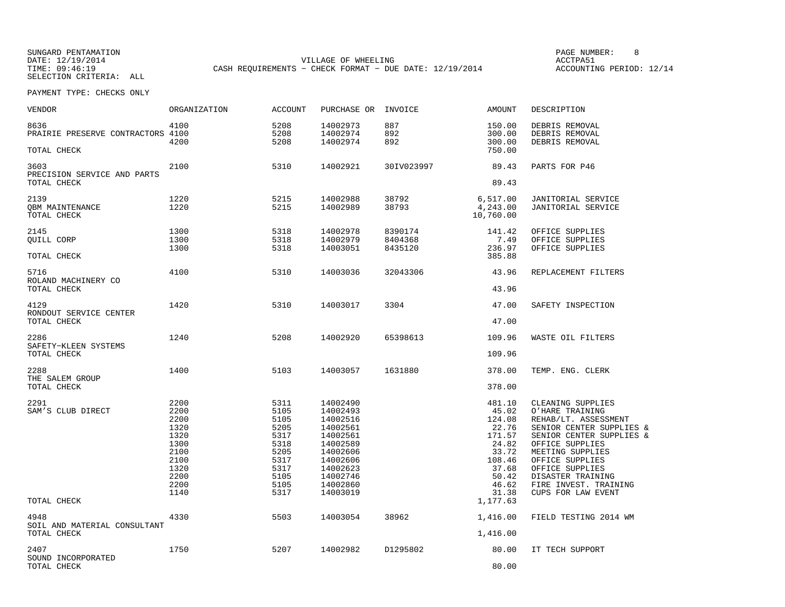SUNGARD PENTAMATION SUNGARD PENTAMATION SUNG PAGE NUMBER: 8 SUNGARD PAGE NUMBER: 8 SUNGARD PAGE NUMBER: 8 SUNG DATE: 12/19/2014 VILLAGE OF WHEELING ACCTPA51CASH REQUIREMENTS - CHECK FORMAT - DUE DATE: 12/19/2014

ACCOUNTING PERIOD: 12/14

| VENDOR                                             | ORGANIZATION                                                                                         | <b>ACCOUNT</b>                                                                                       | PURCHASE OR INVOICE                                                                                                                                      |                               | AMOUNT                                                                                                                               | DESCRIPTION                                                                                                                                                                                                                                                                                    |
|----------------------------------------------------|------------------------------------------------------------------------------------------------------|------------------------------------------------------------------------------------------------------|----------------------------------------------------------------------------------------------------------------------------------------------------------|-------------------------------|--------------------------------------------------------------------------------------------------------------------------------------|------------------------------------------------------------------------------------------------------------------------------------------------------------------------------------------------------------------------------------------------------------------------------------------------|
| 8636<br>PRAIRIE PRESERVE CONTRACTORS 4100          | 4100<br>4200                                                                                         | 5208<br>5208<br>5208                                                                                 | 14002973<br>14002974<br>14002974                                                                                                                         | 887<br>892<br>892             | 150.00<br>300.00<br>300.00                                                                                                           | DEBRIS REMOVAL<br>DEBRIS REMOVAL<br>DEBRIS REMOVAL                                                                                                                                                                                                                                             |
| TOTAL CHECK                                        |                                                                                                      |                                                                                                      |                                                                                                                                                          |                               | 750.00                                                                                                                               |                                                                                                                                                                                                                                                                                                |
| 3603<br>PRECISION SERVICE AND PARTS<br>TOTAL CHECK | 2100                                                                                                 | 5310                                                                                                 | 14002921                                                                                                                                                 | 30IV023997                    | 89.43<br>89.43                                                                                                                       | PARTS FOR P46                                                                                                                                                                                                                                                                                  |
|                                                    |                                                                                                      |                                                                                                      |                                                                                                                                                          |                               |                                                                                                                                      |                                                                                                                                                                                                                                                                                                |
| 2139<br>OBM MAINTENANCE<br>TOTAL CHECK             | 1220<br>1220                                                                                         | 5215<br>5215                                                                                         | 14002988<br>14002989                                                                                                                                     | 38792<br>38793                | 6,517.00<br>4,243.00<br>10,760.00                                                                                                    | JANITORIAL SERVICE<br>JANITORIAL SERVICE                                                                                                                                                                                                                                                       |
| 2145<br>QUILL CORP                                 | 1300<br>1300<br>1300                                                                                 | 5318<br>5318<br>5318                                                                                 | 14002978<br>14002979<br>14003051                                                                                                                         | 8390174<br>8404368<br>8435120 | 141.42<br>7.49<br>236.97                                                                                                             | OFFICE SUPPLIES<br>OFFICE SUPPLIES<br>OFFICE SUPPLIES                                                                                                                                                                                                                                          |
| TOTAL CHECK                                        |                                                                                                      |                                                                                                      |                                                                                                                                                          |                               | 385.88                                                                                                                               |                                                                                                                                                                                                                                                                                                |
| 5716<br>ROLAND MACHINERY CO                        | 4100                                                                                                 | 5310                                                                                                 | 14003036                                                                                                                                                 | 32043306                      | 43.96                                                                                                                                | REPLACEMENT FILTERS                                                                                                                                                                                                                                                                            |
| TOTAL CHECK                                        |                                                                                                      |                                                                                                      |                                                                                                                                                          |                               | 43.96                                                                                                                                |                                                                                                                                                                                                                                                                                                |
| 4129<br>RONDOUT SERVICE CENTER                     | 1420                                                                                                 | 5310                                                                                                 | 14003017                                                                                                                                                 | 3304                          | 47.00                                                                                                                                | SAFETY INSPECTION                                                                                                                                                                                                                                                                              |
| TOTAL CHECK                                        |                                                                                                      |                                                                                                      |                                                                                                                                                          |                               | 47.00                                                                                                                                |                                                                                                                                                                                                                                                                                                |
| 2286<br>SAFETY-KLEEN SYSTEMS                       | 1240                                                                                                 | 5208                                                                                                 | 14002920                                                                                                                                                 | 65398613                      | 109.96                                                                                                                               | WASTE OIL FILTERS                                                                                                                                                                                                                                                                              |
| TOTAL CHECK                                        |                                                                                                      |                                                                                                      |                                                                                                                                                          |                               | 109.96                                                                                                                               |                                                                                                                                                                                                                                                                                                |
| 2288<br>THE SALEM GROUP                            | 1400                                                                                                 | 5103                                                                                                 | 14003057                                                                                                                                                 | 1631880                       | 378.00                                                                                                                               | TEMP. ENG. CLERK                                                                                                                                                                                                                                                                               |
| TOTAL CHECK                                        |                                                                                                      |                                                                                                      |                                                                                                                                                          |                               | 378.00                                                                                                                               |                                                                                                                                                                                                                                                                                                |
| 2291<br>SAM'S CLUB DIRECT<br>TOTAL CHECK<br>4948   | 2200<br>2200<br>2200<br>1320<br>1320<br>1300<br>2100<br>2100<br>1320<br>2200<br>2200<br>1140<br>4330 | 5311<br>5105<br>5105<br>5205<br>5317<br>5318<br>5205<br>5317<br>5317<br>5105<br>5105<br>5317<br>5503 | 14002490<br>14002493<br>14002516<br>14002561<br>14002561<br>14002589<br>14002606<br>14002606<br>14002623<br>14002746<br>14002860<br>14003019<br>14003054 | 38962                         | 481.10<br>45.02<br>124.08<br>22.76<br>171.57<br>24.82<br>33.72<br>108.46<br>37.68<br>50.42<br>46.62<br>31.38<br>1,177.63<br>1,416.00 | CLEANING SUPPLIES<br>O'HARE TRAINING<br>REHAB/LT. ASSESSMENT<br>SENIOR CENTER SUPPLIES &<br>SENIOR CENTER SUPPLIES &<br>OFFICE SUPPLIES<br>MEETING SUPPLIES<br>OFFICE SUPPLIES<br>OFFICE SUPPLIES<br>DISASTER TRAINING<br>FIRE INVEST. TRAINING<br>CUPS FOR LAW EVENT<br>FIELD TESTING 2014 WM |
| SOIL AND MATERIAL CONSULTANT<br>TOTAL CHECK        |                                                                                                      |                                                                                                      |                                                                                                                                                          |                               | 1,416.00                                                                                                                             |                                                                                                                                                                                                                                                                                                |
| 2407<br>SOUND INCORPORATED<br>TOTAL CHECK          | 1750                                                                                                 | 5207                                                                                                 | 14002982                                                                                                                                                 | D1295802                      | 80.00<br>80.00                                                                                                                       | IT TECH SUPPORT                                                                                                                                                                                                                                                                                |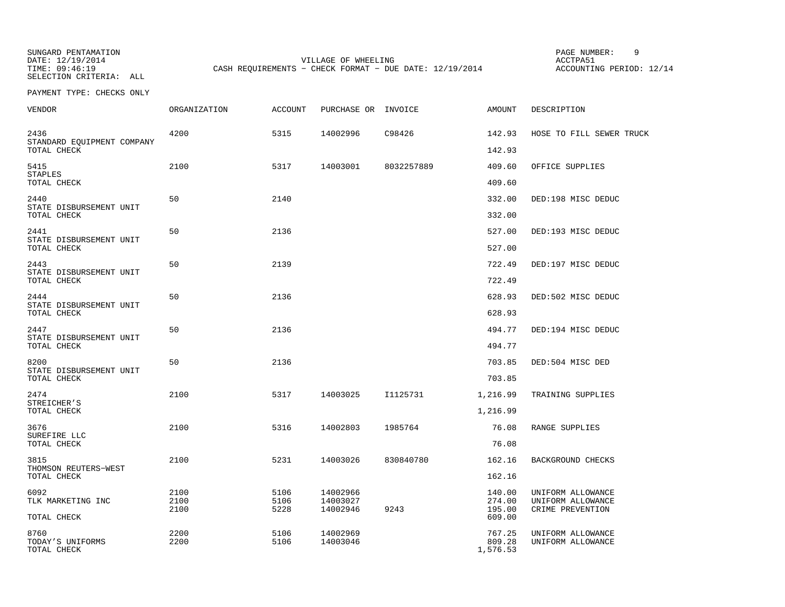SUNGARD PENTAMATION SUNGARD PENTAMATION SUNGARD PAGE NUMBER: 9 SELECTION CRITERIA: ALL

DATE: 12/19/2014 VILLAGE OF WHEELING ACCTPA51CASH REQUIREMENTS - CHECK FORMAT - DUE DATE: 12/19/2014

ACCOUNTING PERIOD: 12/14

| <b>VENDOR</b>                                     | ORGANIZATION         | <b>ACCOUNT</b>       | PURCHASE OR                      | INVOICE    | AMOUNT                               | DESCRIPTION                                                |
|---------------------------------------------------|----------------------|----------------------|----------------------------------|------------|--------------------------------------|------------------------------------------------------------|
| 2436<br>STANDARD EQUIPMENT COMPANY<br>TOTAL CHECK | 4200                 | 5315                 | 14002996                         | C98426     | 142.93<br>142.93                     | HOSE TO FILL SEWER TRUCK                                   |
| 5415<br><b>STAPLES</b>                            | 2100                 | 5317                 | 14003001                         | 8032257889 | 409.60                               | OFFICE SUPPLIES                                            |
| TOTAL CHECK                                       |                      |                      |                                  |            | 409.60                               |                                                            |
| 2440<br>STATE DISBURSEMENT UNIT<br>TOTAL CHECK    | 50                   | 2140                 |                                  |            | 332.00<br>332.00                     | DED:198 MISC DEDUC                                         |
| 2441<br>STATE DISBURSEMENT UNIT                   | 50                   | 2136                 |                                  |            | 527.00                               | DED:193 MISC DEDUC                                         |
| TOTAL CHECK                                       |                      |                      |                                  |            | 527.00                               |                                                            |
| 2443<br>STATE DISBURSEMENT UNIT<br>TOTAL CHECK    | 50                   | 2139                 |                                  |            | 722.49<br>722.49                     | DED:197 MISC DEDUC                                         |
| 2444<br>STATE DISBURSEMENT UNIT                   | 50                   | 2136                 |                                  |            | 628.93                               | DED:502 MISC DEDUC                                         |
| TOTAL CHECK                                       |                      |                      |                                  |            | 628.93                               |                                                            |
| 2447<br>STATE DISBURSEMENT UNIT<br>TOTAL CHECK    | 50                   | 2136                 |                                  |            | 494.77<br>494.77                     | DED:194 MISC DEDUC                                         |
| 8200                                              | 50                   | 2136                 |                                  |            | 703.85                               | DED:504 MISC DED                                           |
| STATE DISBURSEMENT UNIT<br>TOTAL CHECK            |                      |                      |                                  |            | 703.85                               |                                                            |
| 2474<br>STREICHER'S                               | 2100                 | 5317                 | 14003025                         | I1125731   | 1,216.99                             | TRAINING SUPPLIES                                          |
| TOTAL CHECK                                       |                      |                      |                                  |            | 1,216.99                             |                                                            |
| 3676<br>SUREFIRE LLC<br>TOTAL CHECK               | 2100                 | 5316                 | 14002803                         | 1985764    | 76.08<br>76.08                       | RANGE SUPPLIES                                             |
|                                                   |                      |                      |                                  |            |                                      |                                                            |
| 3815<br>THOMSON REUTERS-WEST<br>TOTAL CHECK       | 2100                 | 5231                 | 14003026                         | 830840780  | 162.16<br>162.16                     | BACKGROUND CHECKS                                          |
| 6092<br>TLK MARKETING INC<br>TOTAL CHECK          | 2100<br>2100<br>2100 | 5106<br>5106<br>5228 | 14002966<br>14003027<br>14002946 | 9243       | 140.00<br>274.00<br>195.00<br>609.00 | UNIFORM ALLOWANCE<br>UNIFORM ALLOWANCE<br>CRIME PREVENTION |
| 8760<br>TODAY'S UNIFORMS<br>TOTAL CHECK           | 2200<br>2200         | 5106<br>5106         | 14002969<br>14003046             |            | 767.25<br>809.28<br>1,576.53         | UNIFORM ALLOWANCE<br>UNIFORM ALLOWANCE                     |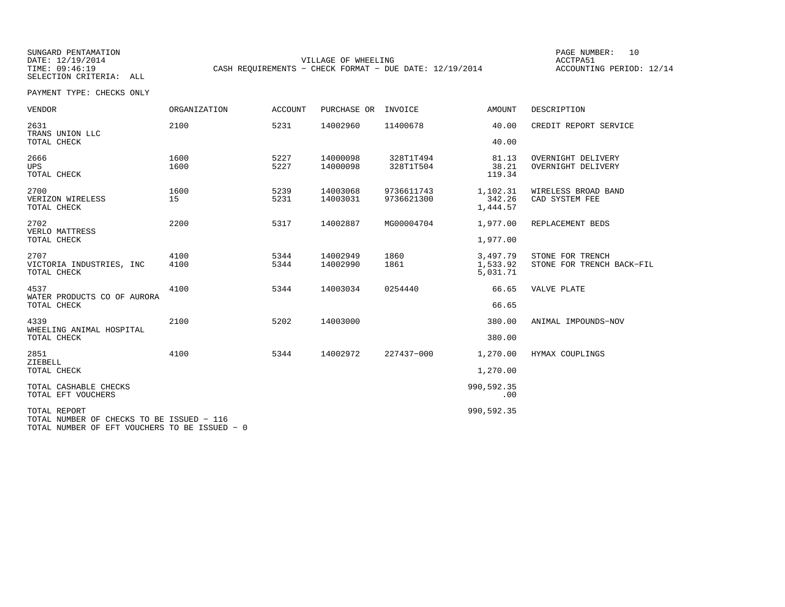SUNGARD PENTAMATION SUNGARD PENTAMATION SUNGARD PAGE NUMBER: 10 DATE: 12/19/2014 VILLAGE OF WHEELING ACCTPA51CASH REQUIREMENTS - CHECK FORMAT - DUE DATE: 12/19/2014

ACCOUNTING PERIOD: 12/14

PAYMENT TYPE: CHECKS ONLY

| <b>VENDOR</b>                                             | <b>ORGANIZATION</b> | <b>ACCOUNT</b> | PURCHASE OR          | INVOICE                  | <b>AMOUNT</b>                    | DESCRIPTION                                   |
|-----------------------------------------------------------|---------------------|----------------|----------------------|--------------------------|----------------------------------|-----------------------------------------------|
| 2631<br>TRANS UNION LLC<br>TOTAL CHECK                    | 2100                | 5231           | 14002960             | 11400678                 | 40.00<br>40.00                   | CREDIT REPORT SERVICE                         |
| 2666<br><b>UPS</b><br>TOTAL CHECK                         | 1600<br>1600        | 5227<br>5227   | 14000098<br>14000098 | 328T1T494<br>328T1T504   | 81.13<br>38.21<br>119.34         | OVERNIGHT DELIVERY<br>OVERNIGHT DELIVERY      |
| 2700<br>VERIZON WIRELESS<br>TOTAL CHECK                   | 1600<br>15          | 5239<br>5231   | 14003068<br>14003031 | 9736611743<br>9736621300 | 1,102.31<br>342.26<br>1,444.57   | WIRELESS BROAD BAND<br>CAD SYSTEM FEE         |
| 2702<br>VERLO MATTRESS<br>TOTAL CHECK                     | 2200                | 5317           | 14002887             | MG00004704               | 1,977.00<br>1,977.00             | REPLACEMENT BEDS                              |
| 2707<br>VICTORIA INDUSTRIES, INC<br>TOTAL CHECK           | 4100<br>4100        | 5344<br>5344   | 14002949<br>14002990 | 1860<br>1861             | 3,497.79<br>1,533.92<br>5,031.71 | STONE FOR TRENCH<br>STONE FOR TRENCH BACK-FIL |
| 4537<br>WATER PRODUCTS CO OF AURORA<br>TOTAL CHECK        | 4100                | 5344           | 14003034             | 0254440                  | 66.65<br>66.65                   | VALVE PLATE                                   |
| 4339<br>WHEELING ANIMAL HOSPITAL<br>TOTAL CHECK           | 2100                | 5202           | 14003000             |                          | 380.00<br>380.00                 | ANIMAL IMPOUNDS-NOV                           |
| 2851<br>ZIEBELL<br>TOTAL CHECK                            | 4100                | 5344           | 14002972             | 227437-000               | 1,270.00<br>1,270.00             | HYMAX COUPLINGS                               |
| TOTAL CASHABLE CHECKS<br>TOTAL EFT VOUCHERS               |                     |                |                      |                          | 990,592.35<br>.00                |                                               |
| TOTAL REPORT<br>TOTAL NUMBER OF CHECKS TO BE ISSUED - 116 |                     |                |                      |                          | 990,592.35                       |                                               |

TOTAL NUMBER OF EFT VOUCHERS TO BE ISSUED − 0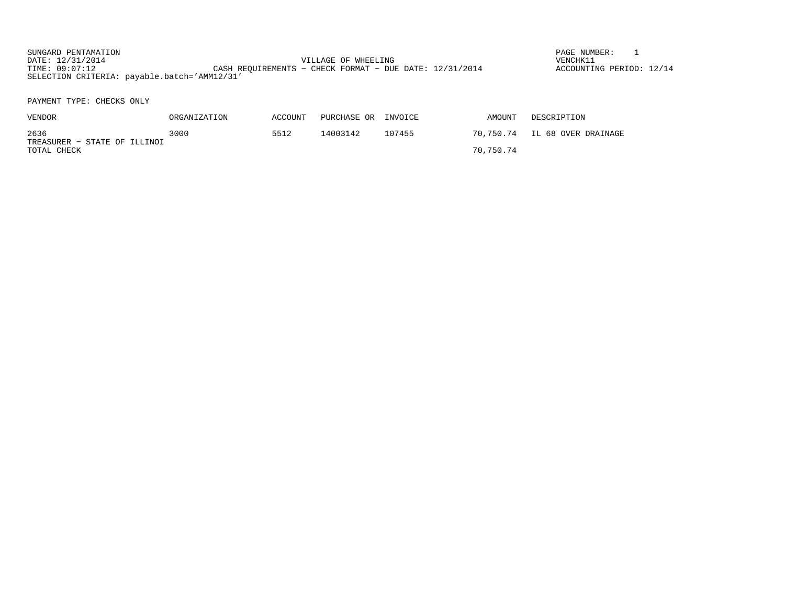SUNGARD PENTAMATION SUNGARD PENTAMATION SUNGARD PAGE NUMBER: 1 SUNGARD PAGE NUMBER: 1 SUNGARD PAGE NUMBER: 1 SUNGARD PAGE NUMBER: 1 SUNGARD PAGE NUMBER: 1 SUNGARD PAGE NUMBER: 1 SUNGARD PAGE NUMBER: 1 SUNGARD PAGE NUMBER: VILLAGE OF WHEELING VENCHK11 TIME: 09:07:12 CASH REQUIREMENTS − CHECK FORMAT − DUE DATE: 12/31/2014 SELECTION CRITERIA: payable.batch='AMM12/31'

ACCOUNTING PERIOD: 12/14

| VENDOR                               | ORGANIZATION | ACCOUNT | PURCHASE OR | INVOICE | AMOUNT    | DESCRIPTION                   |  |  |
|--------------------------------------|--------------|---------|-------------|---------|-----------|-------------------------------|--|--|
| 2636<br>TREASURER - STATE OF ILLINOI | 3000         | 5512    | 14003142    | 107455  |           | 70,750.74 IL 68 OVER DRAINAGE |  |  |
| TOTAL CHECK                          |              |         |             |         | 70,750.74 |                               |  |  |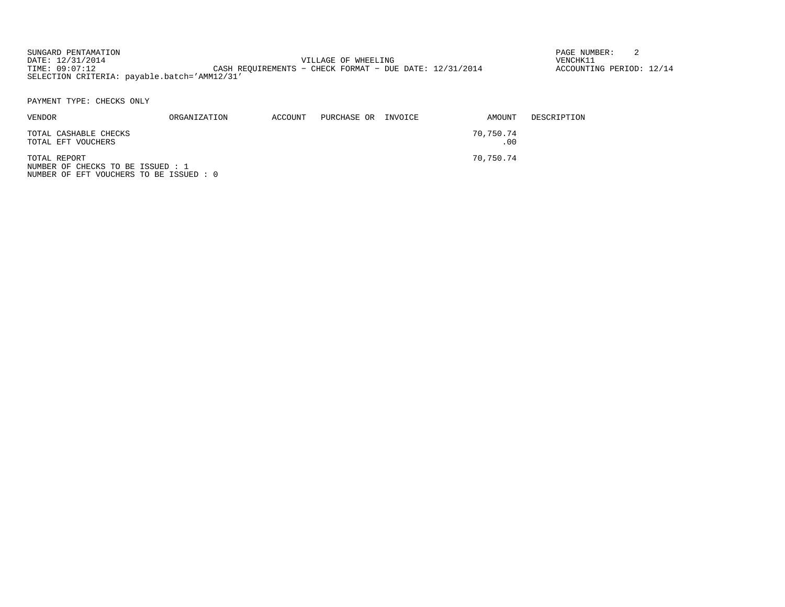SUNGARD PENTAMATION SUNGARD PENTAMATION SUNGARD PAGE NUMBER: 2 VILLAGE OF WHEELING VENCHK11 TIME: 09:07:12 CASH REQUIREMENTS - CHECK FORMAT - DUE DATE: 12/31/2014 SELECTION CRITERIA: payable.batch='AMM12/31'

ACCOUNTING PERIOD: 12/14

PAYMENT TYPE: CHECKS ONLY

NUMBER OF EFT VOUCHERS TO BE ISSUED : 0

| <b>VENDOR</b>                                     | ORGANIZATION | ACCOUNT | PURCHASE OR INVOICE | AMOUNT           | DESCRIPTION |
|---------------------------------------------------|--------------|---------|---------------------|------------------|-------------|
| TOTAL CASHABLE CHECKS<br>TOTAL EFT VOUCHERS       |              |         |                     | 70,750.74<br>.00 |             |
| TOTAL REPORT<br>NUMBER OF CHECKS TO BE ISSUED : 1 |              |         |                     | 70,750.74        |             |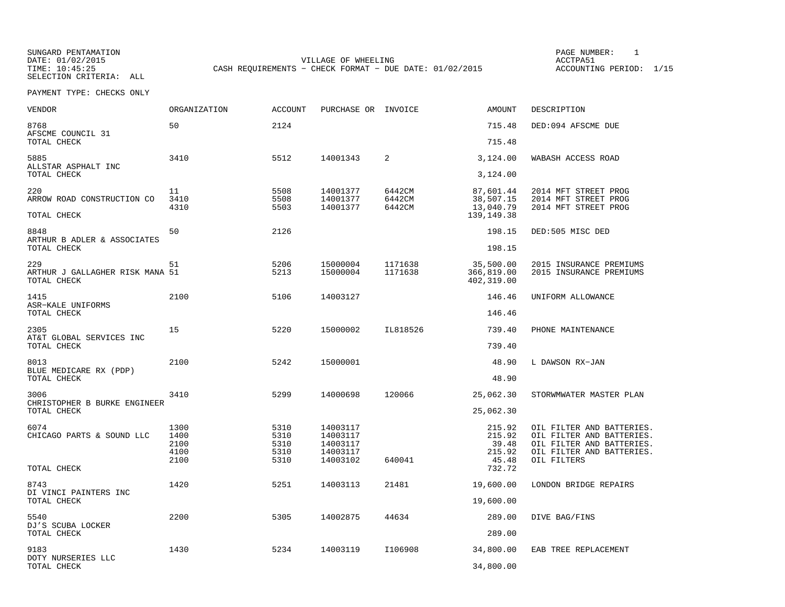SUNGARD PENTAMATION PAGE NUMBER: 1VILLAGE OF WHEELING **ACCTPA51** TIME: 10:45:25 CASH REQUIREMENTS - CHECK FORMAT - DUE DATE: 01/02/2015

| <b>VENDOR</b>                                         | <b>ORGANIZATION</b> | <b>ACCOUNT</b> | PURCHASE OR INVOICE  |                    | AMOUNT                                | DESCRIPTION                                            |
|-------------------------------------------------------|---------------------|----------------|----------------------|--------------------|---------------------------------------|--------------------------------------------------------|
| 8768<br>AFSCME COUNCIL 31                             | 50                  | 2124           |                      |                    | 715.48                                | DED:094 AFSCME DUE                                     |
| TOTAL CHECK                                           |                     |                |                      |                    | 715.48                                |                                                        |
| 5885<br>ALLSTAR ASPHALT INC                           | 3410                | 5512           | 14001343             | 2                  | 3,124.00                              | WABASH ACCESS ROAD                                     |
| TOTAL CHECK                                           |                     |                |                      |                    | 3,124.00                              |                                                        |
| 220<br>ARROW ROAD CONSTRUCTION CO                     | 11<br>3410          | 5508<br>5508   | 14001377<br>14001377 | 6442CM<br>6442CM   | 87,601.44<br>38,507.15                | 2014 MFT STREET PROG<br>2014 MFT STREET PROG           |
| TOTAL CHECK                                           | 4310                | 5503           | 14001377             | 6442CM             | 13,040.79<br>139,149.38               | 2014 MFT STREET PROG                                   |
|                                                       |                     |                |                      |                    |                                       |                                                        |
| 8848<br>ARTHUR B ADLER & ASSOCIATES                   | 50                  | 2126           |                      |                    | 198.15                                | DED:505 MISC DED                                       |
| TOTAL CHECK                                           |                     |                |                      |                    | 198.15                                |                                                        |
| 229<br>ARTHUR J GALLAGHER RISK MANA 51<br>TOTAL CHECK | 51                  | 5206<br>5213   | 15000004<br>15000004 | 1171638<br>1171638 | 35,500.00<br>366,819.00<br>402,319.00 | 2015 INSURANCE PREMIUMS<br>2015 INSURANCE PREMIUMS     |
| 1415<br>ASR-KALE UNIFORMS                             | 2100                | 5106           | 14003127             |                    | 146.46                                | UNIFORM ALLOWANCE                                      |
| TOTAL CHECK                                           |                     |                |                      |                    | 146.46                                |                                                        |
| 2305                                                  | 15                  | 5220           | 15000002             | IL818526           | 739.40                                | PHONE MAINTENANCE                                      |
| AT&T GLOBAL SERVICES INC<br>TOTAL CHECK               |                     |                |                      |                    | 739.40                                |                                                        |
| 8013<br>BLUE MEDICARE RX (PDP)                        | 2100                | 5242           | 15000001             |                    | 48.90                                 | L DAWSON RX-JAN                                        |
| TOTAL CHECK                                           |                     |                |                      |                    | 48.90                                 |                                                        |
| 3006<br>CHRISTOPHER B BURKE ENGINEER                  | 3410                | 5299           | 14000698             | 120066             | 25,062.30                             | STORWMWATER MASTER PLAN                                |
| TOTAL CHECK                                           |                     |                |                      |                    | 25,062.30                             |                                                        |
| 6074                                                  | 1300                | 5310           | 14003117             |                    | 215.92                                | OIL FILTER AND BATTERIES.                              |
| CHICAGO PARTS & SOUND LLC                             | 1400<br>2100        | 5310<br>5310   | 14003117<br>14003117 |                    | 215.92<br>39.48                       | OIL FILTER AND BATTERIES.<br>OIL FILTER AND BATTERIES. |
|                                                       | 4100                | 5310           | 14003117             |                    | 215.92                                | OIL FILTER AND BATTERIES.                              |
| TOTAL CHECK                                           | 2100                | 5310           | 14003102             | 640041             | 45.48<br>732.72                       | OIL FILTERS                                            |
| 8743                                                  | 1420                | 5251           | 14003113             | 21481              | 19,600.00                             | LONDON BRIDGE REPAIRS                                  |
| DI VINCI PAINTERS INC<br>TOTAL CHECK                  |                     |                |                      |                    | 19,600.00                             |                                                        |
| 5540<br>DJ'S SCUBA LOCKER                             | 2200                | 5305           | 14002875             | 44634              | 289.00                                | DIVE BAG/FINS                                          |
| TOTAL CHECK                                           |                     |                |                      |                    | 289.00                                |                                                        |
| 9183<br>DOTY NURSERIES LLC                            | 1430                | 5234           | 14003119             | I106908            | 34,800.00                             | EAB TREE REPLACEMENT                                   |
| TOTAL CHECK                                           |                     |                |                      |                    | 34,800.00                             |                                                        |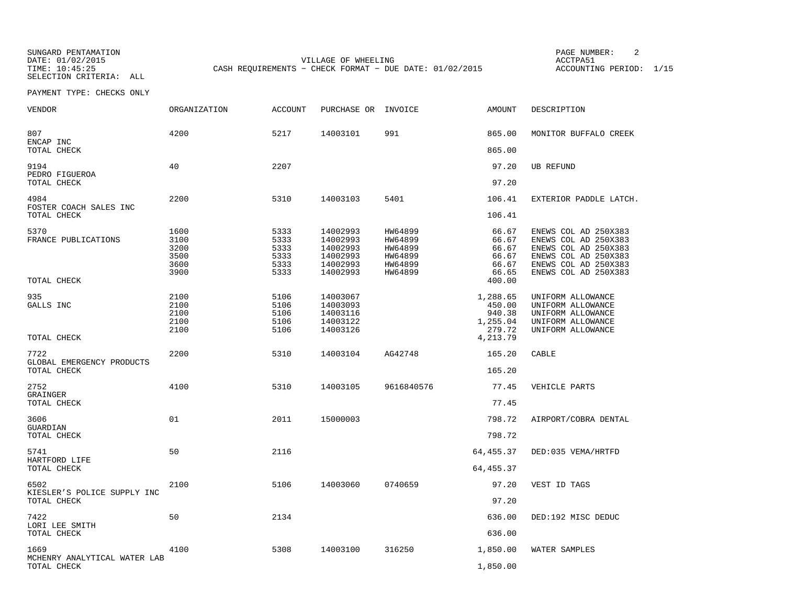SUNGARD PENTAMATION PAGE NUMBER: 2SELECTION CRITERIA: ALL

DATE: 01/02/2015 VILLAGE OF WHEELING ACCTPA51CASH REQUIREMENTS - CHECK FORMAT - DUE DATE: 01/02/2015

ACCOUNTING PERIOD: 1/15

| <b>VENDOR</b>                                      | ORGANIZATION                                 | <b>ACCOUNT</b>                               | PURCHASE OR INVOICE                                                  |                                                                | <b>AMOUNT</b>                                                | DESCRIPTION                                                                                                                                  |
|----------------------------------------------------|----------------------------------------------|----------------------------------------------|----------------------------------------------------------------------|----------------------------------------------------------------|--------------------------------------------------------------|----------------------------------------------------------------------------------------------------------------------------------------------|
| 807<br>ENCAP INC                                   | 4200                                         | 5217                                         | 14003101                                                             | 991                                                            | 865.00                                                       | MONITOR BUFFALO CREEK                                                                                                                        |
| TOTAL CHECK                                        |                                              |                                              |                                                                      |                                                                | 865.00                                                       |                                                                                                                                              |
| 9194<br>PEDRO FIGUEROA<br>TOTAL CHECK              | 40                                           | 2207                                         |                                                                      |                                                                | 97.20<br>97.20                                               | <b>UB REFUND</b>                                                                                                                             |
| 4984                                               | 2200                                         | 5310                                         | 14003103                                                             | 5401                                                           | 106.41                                                       | EXTERIOR PADDLE LATCH.                                                                                                                       |
| FOSTER COACH SALES INC<br>TOTAL CHECK              |                                              |                                              |                                                                      |                                                                | 106.41                                                       |                                                                                                                                              |
| 5370<br>FRANCE PUBLICATIONS<br>TOTAL CHECK         | 1600<br>3100<br>3200<br>3500<br>3600<br>3900 | 5333<br>5333<br>5333<br>5333<br>5333<br>5333 | 14002993<br>14002993<br>14002993<br>14002993<br>14002993<br>14002993 | HW64899<br>HW64899<br>HW64899<br>HW64899<br>HW64899<br>HW64899 | 66.67<br>66.67<br>66.67<br>66.67<br>66.67<br>66.65<br>400.00 | ENEWS COL AD 250X383<br>ENEWS COL AD 250X383<br>ENEWS COL AD 250X383<br>ENEWS COL AD 250X383<br>ENEWS COL AD 250X383<br>ENEWS COL AD 250X383 |
|                                                    |                                              |                                              |                                                                      |                                                                |                                                              |                                                                                                                                              |
| 935<br>GALLS INC                                   | 2100<br>2100<br>2100<br>2100<br>2100         | 5106<br>5106<br>5106<br>5106<br>5106         | 14003067<br>14003093<br>14003116<br>14003122<br>14003126             |                                                                | 1,288.65<br>450.00<br>940.38<br>1,255.04<br>279.72           | UNIFORM ALLOWANCE<br>UNIFORM ALLOWANCE<br>UNIFORM ALLOWANCE<br>UNIFORM ALLOWANCE<br>UNIFORM ALLOWANCE                                        |
| TOTAL CHECK                                        |                                              |                                              |                                                                      |                                                                | 4,213.79                                                     |                                                                                                                                              |
| 7722<br>GLOBAL EMERGENCY PRODUCTS<br>TOTAL CHECK   | 2200                                         | 5310                                         | 14003104                                                             | AG42748                                                        | 165.20<br>165.20                                             | CABLE                                                                                                                                        |
| 2752                                               | 4100                                         | 5310                                         | 14003105                                                             | 9616840576                                                     | 77.45                                                        | VEHICLE PARTS                                                                                                                                |
| GRAINGER<br>TOTAL CHECK                            |                                              |                                              |                                                                      |                                                                | 77.45                                                        |                                                                                                                                              |
| 3606                                               | 01                                           | 2011                                         | 15000003                                                             |                                                                | 798.72                                                       | AIRPORT/COBRA DENTAL                                                                                                                         |
| GUARDIAN<br>TOTAL CHECK                            |                                              |                                              |                                                                      |                                                                | 798.72                                                       |                                                                                                                                              |
| 5741                                               | 50                                           | 2116                                         |                                                                      |                                                                | 64,455.37                                                    | DED:035 VEMA/HRTFD                                                                                                                           |
| HARTFORD LIFE<br>TOTAL CHECK                       |                                              |                                              |                                                                      |                                                                | 64, 455.37                                                   |                                                                                                                                              |
| 6502<br>KIESLER'S POLICE SUPPLY INC<br>TOTAL CHECK | 2100                                         | 5106                                         | 14003060                                                             | 0740659                                                        | 97.20<br>97.20                                               | VEST ID TAGS                                                                                                                                 |
|                                                    |                                              |                                              |                                                                      |                                                                |                                                              |                                                                                                                                              |
| 7422<br>LORI LEE SMITH<br>TOTAL CHECK              | 50                                           | 2134                                         |                                                                      |                                                                | 636.00<br>636.00                                             | DED:192 MISC DEDUC                                                                                                                           |
| 1669                                               | 4100                                         | 5308                                         | 14003100                                                             | 316250                                                         | 1,850.00                                                     | WATER SAMPLES                                                                                                                                |
| MCHENRY ANALYTICAL WATER LAB<br>TOTAL CHECK        |                                              |                                              |                                                                      |                                                                | 1,850.00                                                     |                                                                                                                                              |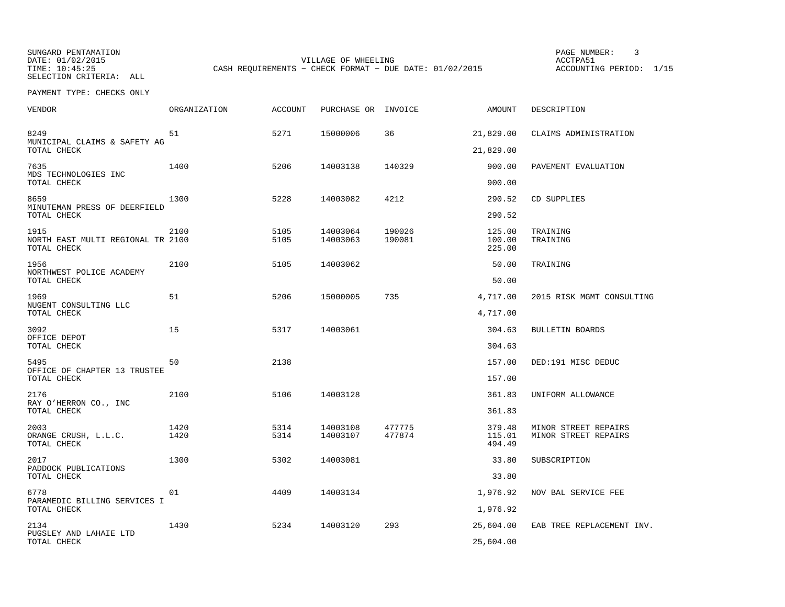SUNGARD PENTAMATION PAGE NUMBER: 3TIME: 10:45:25 CASH REQUIREMENTS - CHECK FORMAT - DUE DATE: 01/02/2015 SELECTION CRITERIA: ALL

VILLAGE OF WHEELING **ACCTPA51** 

ACCOUNTING PERIOD: 1/15

| VENDOR                                                   | <b>ORGANIZATION</b> | <b>ACCOUNT</b> | PURCHASE OR INVOICE  |                  | AMOUNT                     | DESCRIPTION                                  |
|----------------------------------------------------------|---------------------|----------------|----------------------|------------------|----------------------------|----------------------------------------------|
| 8249<br>MUNICIPAL CLAIMS & SAFETY AG                     | 51                  | 5271           | 15000006             | 36               | 21,829.00                  | CLAIMS ADMINISTRATION                        |
| TOTAL CHECK                                              |                     |                |                      |                  | 21,829.00                  |                                              |
| 7635<br>MDS TECHNOLOGIES INC<br>TOTAL CHECK              | 1400                | 5206           | 14003138             | 140329           | 900.00<br>900.00           | PAVEMENT EVALUATION                          |
| 8659<br>MINUTEMAN PRESS OF DEERFIELD                     | 1300                | 5228           | 14003082             | 4212             | 290.52                     | CD SUPPLIES                                  |
| TOTAL CHECK                                              |                     |                |                      |                  | 290.52                     |                                              |
| 1915<br>NORTH EAST MULTI REGIONAL TR 2100<br>TOTAL CHECK | 2100                | 5105<br>5105   | 14003064<br>14003063 | 190026<br>190081 | 125.00<br>100.00<br>225.00 | TRAINING<br>TRAINING                         |
| 1956                                                     | 2100                | 5105           | 14003062             |                  | 50.00                      | TRAINING                                     |
| NORTHWEST POLICE ACADEMY<br>TOTAL CHECK                  |                     |                |                      |                  | 50.00                      |                                              |
| 1969                                                     | 51                  | 5206           | 15000005             | 735              | 4,717.00                   | 2015 RISK MGMT CONSULTING                    |
| NUGENT CONSULTING LLC<br>TOTAL CHECK                     |                     |                |                      |                  | 4,717.00                   |                                              |
| 3092<br>OFFICE DEPOT                                     | 15                  | 5317           | 14003061             |                  | 304.63                     | <b>BULLETIN BOARDS</b>                       |
| TOTAL CHECK                                              |                     |                |                      |                  | 304.63                     |                                              |
| 5495<br>OFFICE OF CHAPTER 13 TRUSTEE                     | 50                  | 2138           |                      |                  | 157.00                     | DED:191 MISC DEDUC                           |
| TOTAL CHECK                                              |                     |                |                      |                  | 157.00                     |                                              |
| 2176                                                     | 2100                | 5106           | 14003128             |                  | 361.83                     | UNIFORM ALLOWANCE                            |
| RAY O'HERRON CO., INC<br>TOTAL CHECK                     |                     |                |                      |                  | 361.83                     |                                              |
| 2003<br>ORANGE CRUSH, L.L.C.<br>TOTAL CHECK              | 1420<br>1420        | 5314<br>5314   | 14003108<br>14003107 | 477775<br>477874 | 379.48<br>115.01<br>494.49 | MINOR STREET REPAIRS<br>MINOR STREET REPAIRS |
| 2017<br>PADDOCK PUBLICATIONS                             | 1300                | 5302           | 14003081             |                  | 33.80                      | SUBSCRIPTION                                 |
| TOTAL CHECK                                              |                     |                |                      |                  | 33.80                      |                                              |
| 6778<br>PARAMEDIC BILLING SERVICES I                     | 01                  | 4409           | 14003134             |                  | 1,976.92                   | NOV BAL SERVICE FEE                          |
| TOTAL CHECK                                              |                     |                |                      |                  | 1,976.92                   |                                              |
| 2134<br>PUGSLEY AND LAHAIE LTD                           | 1430                | 5234           | 14003120             | 293              | 25,604.00                  | EAB TREE REPLACEMENT INV.                    |
| TOTAL CHECK                                              |                     |                |                      |                  | 25,604.00                  |                                              |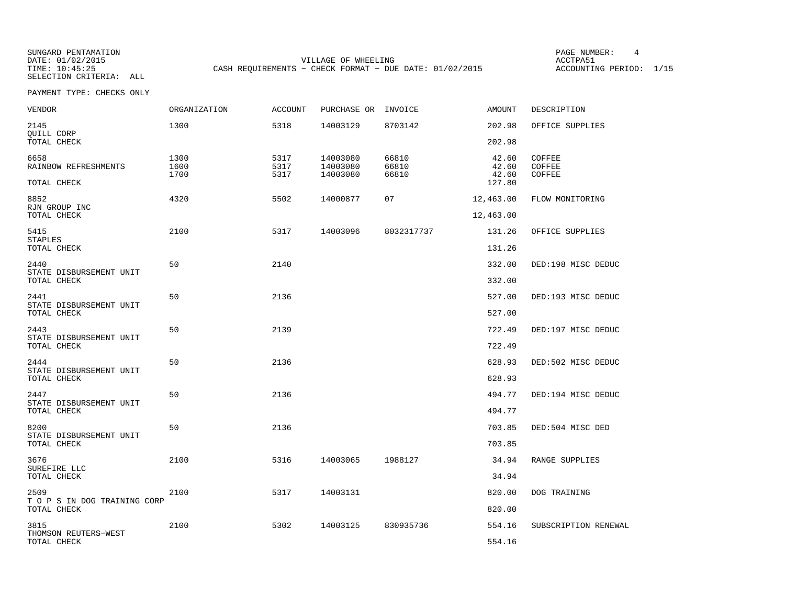SUNGARD PENTAMATION PAGE NUMBER: 4VILLAGE OF WHEELING **ACCTPA51** TIME: 10:45:25 CASH REQUIREMENTS - CHECK FORMAT - DUE DATE: 01/02/2015

ACCOUNTING PERIOD: 1/15

| VENDOR                                      | <b>ORGANIZATION</b>  | <b>ACCOUNT</b>       | PURCHASE OR INVOICE              |                         | AMOUNT                  | DESCRIPTION                       |
|---------------------------------------------|----------------------|----------------------|----------------------------------|-------------------------|-------------------------|-----------------------------------|
| 2145<br>QUILL CORP                          | 1300                 | 5318                 | 14003129                         | 8703142                 | 202.98                  | OFFICE SUPPLIES                   |
| TOTAL CHECK                                 |                      |                      |                                  |                         | 202.98                  |                                   |
| 6658<br>RAINBOW REFRESHMENTS                | 1300<br>1600<br>1700 | 5317<br>5317<br>5317 | 14003080<br>14003080<br>14003080 | 66810<br>66810<br>66810 | 42.60<br>42.60<br>42.60 | COFFEE<br><b>COFFEE</b><br>COFFEE |
| TOTAL CHECK                                 |                      |                      |                                  |                         | 127.80                  |                                   |
| 8852<br>RJN GROUP INC                       | 4320                 | 5502                 | 14000877                         | 07                      | 12,463.00               | FLOW MONITORING                   |
| TOTAL CHECK                                 |                      |                      |                                  |                         | 12,463.00               |                                   |
| 5415<br><b>STAPLES</b>                      | 2100                 | 5317                 | 14003096                         | 8032317737              | 131.26                  | OFFICE SUPPLIES                   |
| TOTAL CHECK                                 |                      |                      |                                  |                         | 131.26                  |                                   |
| 2440<br>STATE DISBURSEMENT UNIT             | 50                   | 2140                 |                                  |                         | 332.00                  | DED:198 MISC DEDUC                |
| TOTAL CHECK                                 |                      |                      |                                  |                         | 332.00                  |                                   |
| 2441                                        | 50                   | 2136                 |                                  |                         | 527.00                  | DED:193 MISC DEDUC                |
| STATE DISBURSEMENT UNIT<br>TOTAL CHECK      |                      |                      |                                  |                         | 527.00                  |                                   |
| 2443                                        | 50                   | 2139                 |                                  |                         | 722.49                  | DED:197 MISC DEDUC                |
| STATE DISBURSEMENT UNIT<br>TOTAL CHECK      |                      |                      |                                  |                         | 722.49                  |                                   |
| 2444<br>STATE DISBURSEMENT UNIT             | 50                   | 2136                 |                                  |                         | 628.93                  | DED:502 MISC DEDUC                |
| TOTAL CHECK                                 |                      |                      |                                  |                         | 628.93                  |                                   |
| 2447<br>STATE DISBURSEMENT UNIT             | 50                   | 2136                 |                                  |                         | 494.77                  | DED:194 MISC DEDUC                |
| TOTAL CHECK                                 |                      |                      |                                  |                         | 494.77                  |                                   |
| 8200                                        | 50                   | 2136                 |                                  |                         | 703.85                  | DED:504 MISC DED                  |
| STATE DISBURSEMENT UNIT<br>TOTAL CHECK      |                      |                      |                                  |                         | 703.85                  |                                   |
| 3676                                        | 2100                 | 5316                 | 14003065                         | 1988127                 | 34.94                   | RANGE SUPPLIES                    |
| SUREFIRE LLC<br>TOTAL CHECK                 |                      |                      |                                  |                         | 34.94                   |                                   |
| 2509                                        | 2100                 | 5317                 | 14003131                         |                         | 820.00                  | DOG TRAINING                      |
| T O P S IN DOG TRAINING CORP<br>TOTAL CHECK |                      |                      |                                  |                         | 820.00                  |                                   |
| 3815                                        | 2100                 | 5302                 | 14003125                         | 830935736               | 554.16                  | SUBSCRIPTION RENEWAL              |
| THOMSON REUTERS-WEST<br>TOTAL CHECK         |                      |                      |                                  |                         | 554.16                  |                                   |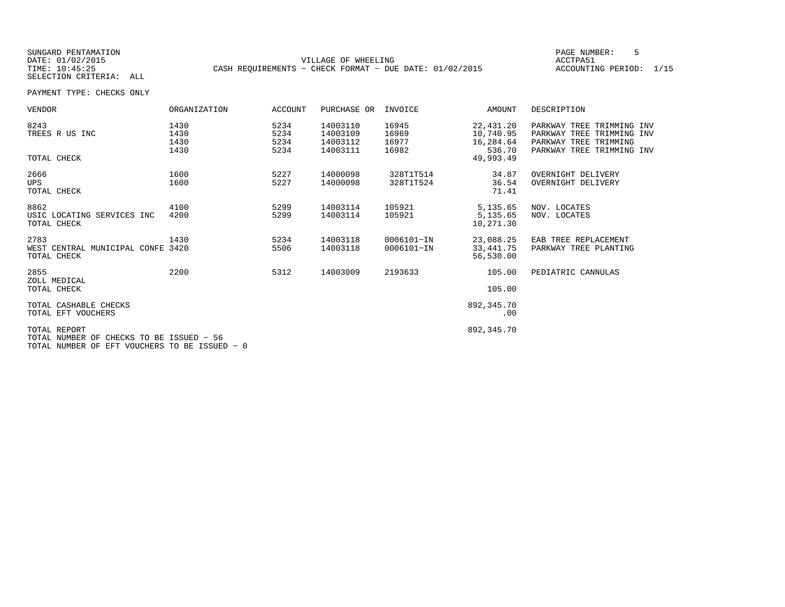SUNGARD PENTAMATION PAGE NUMBER: 5SELECTION CRITERIA: ALL

DATE: 01/02/2015 VILLAGE OF WHEELING ACCTPA51TIME: 10:45:25 CASH REQUIREMENTS - CHECK FORMAT - DUE DATE: 01/02/2015

ACCOUNTING PERIOD: 1/15

| VENDOR                                                                                                    | ORGANIZATION                 | ACCOUNT                      | PURCHASE OR                                  | INVOICE                          | AMOUNT                                                     | DESCRIPTION                                                                                                  |
|-----------------------------------------------------------------------------------------------------------|------------------------------|------------------------------|----------------------------------------------|----------------------------------|------------------------------------------------------------|--------------------------------------------------------------------------------------------------------------|
| 8243<br>TREES R US INC<br>TOTAL CHECK                                                                     | 1430<br>1430<br>1430<br>1430 | 5234<br>5234<br>5234<br>5234 | 14003110<br>14003109<br>14003112<br>14003111 | 16945<br>16969<br>16977<br>16982 | 22,431.20<br>10,740.95<br>16,284.64<br>536.70<br>49,993.49 | PARKWAY TREE TRIMMING INV<br>PARKWAY TREE TRIMMING INV<br>PARKWAY TREE TRIMMING<br>PARKWAY TREE TRIMMING INV |
| 2666<br><b>UPS</b><br>TOTAL CHECK                                                                         | 1600<br>1600                 | 5227<br>5227                 | 14000098<br>14000098                         | 328T1T514<br>328T1T524           | 34.87<br>36.54<br>71.41                                    | OVERNIGHT DELIVERY<br>OVERNIGHT DELIVERY                                                                     |
| 8862<br>USIC LOCATING SERVICES INC<br>TOTAL CHECK                                                         | 4100<br>4200                 | 5299<br>5299                 | 14003114<br>14003114                         | 105921<br>105921                 | 5,135.65<br>5,135.65<br>10,271.30                          | NOV. LOCATES<br>NOV. LOCATES                                                                                 |
| 2783<br>WEST CENTRAL MUNICIPAL CONFE 3420<br>TOTAL CHECK                                                  | 1430                         | 5234<br>5506                 | 14003118<br>14003118                         | 0006101-IN<br>0006101-IN         | 23,088.25<br>33,441.75<br>56,530.00                        | EAB TREE REPLACEMENT<br>PARKWAY TREE PLANTING                                                                |
| 2855<br>ZOLL MEDICAL<br>TOTAL CHECK                                                                       | 2200                         | 5312                         | 14003009                                     | 2193633                          | 105.00<br>105.00                                           | PEDIATRIC CANNULAS                                                                                           |
| TOTAL CASHABLE CHECKS<br>TOTAL EFT VOUCHERS                                                               |                              |                              |                                              |                                  | 892,345.70<br>.00                                          |                                                                                                              |
| TOTAL REPORT<br>TOTAL NUMBER OF CHECKS TO BE ISSUED - 56<br>TOTAL NUMBER OF EFT VOUCHERS TO BE ISSUED - 0 |                              |                              |                                              |                                  | 892,345.70                                                 |                                                                                                              |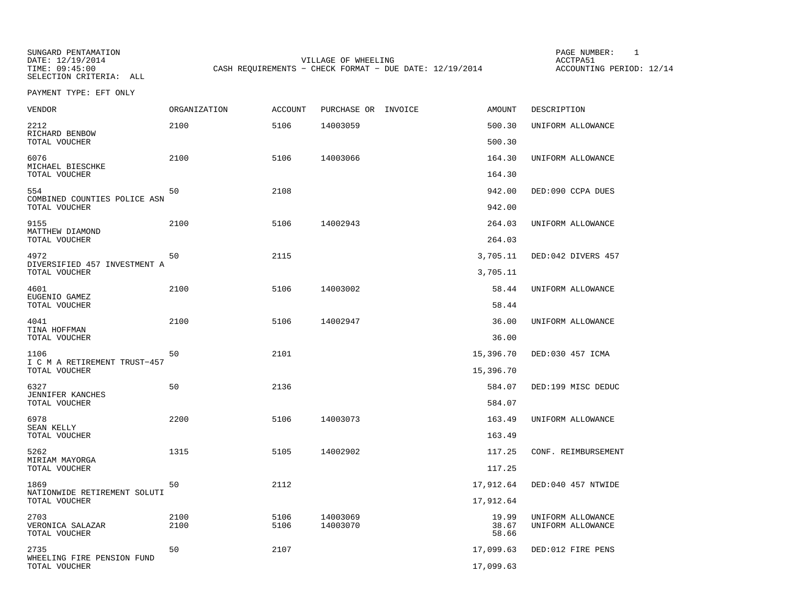SUNGARD PENTAMATION SUNGARD PENTAMATION SUNG PAGE NUMBER: 1 SUNGARD PENTAMATION SUNG PAGE NUMBER: 1 SUNG PAGE NUMBER: 1 SUNG PAGE NUMBER: 1 SUNG PAGE NUMBER: 1 SUNG PAGE NUMBER: 1 SUNG PAGE NUMBER: 1 SUNG PAGE NUMBER: 1 SU DATE: 12/19/2014 VILLAGE OF WHEELING ACCTPA51CASH REQUIREMENTS - CHECK FORMAT - DUE DATE: 12/19/2014

ACCOUNTING PERIOD: 12/14

PAYMENT TYPE: EFT ONLY

| <b>VENDOR</b>                                        | ORGANIZATION | ACCOUNT      | PURCHASE OR INVOICE  | AMOUNT                  | DESCRIPTION                            |
|------------------------------------------------------|--------------|--------------|----------------------|-------------------------|----------------------------------------|
| 2212<br>RICHARD BENBOW                               | 2100         | 5106         | 14003059             | 500.30                  | UNIFORM ALLOWANCE                      |
| TOTAL VOUCHER                                        |              |              |                      | 500.30                  |                                        |
| 6076<br>MICHAEL BIESCHKE                             | 2100         | 5106         | 14003066             | 164.30                  | UNIFORM ALLOWANCE                      |
| TOTAL VOUCHER                                        |              |              |                      | 164.30                  |                                        |
| 554<br>COMBINED COUNTIES POLICE ASN<br>TOTAL VOUCHER | 50           | 2108         |                      | 942.00<br>942.00        | DED:090 CCPA DUES                      |
| 9155                                                 | 2100         | 5106         | 14002943             | 264.03                  | UNIFORM ALLOWANCE                      |
| MATTHEW DIAMOND<br>TOTAL VOUCHER                     |              |              |                      | 264.03                  |                                        |
| 4972                                                 | 50           | 2115         |                      | 3,705.11                | DED:042 DIVERS 457                     |
| DIVERSIFIED 457 INVESTMENT A<br>TOTAL VOUCHER        |              |              |                      | 3,705.11                |                                        |
| 4601                                                 | 2100         | 5106         | 14003002             | 58.44                   | UNIFORM ALLOWANCE                      |
| EUGENIO GAMEZ<br>TOTAL VOUCHER                       |              |              |                      | 58.44                   |                                        |
| 4041<br>TINA HOFFMAN<br>TOTAL VOUCHER                | 2100         | 5106         | 14002947             | 36.00<br>36.00          | UNIFORM ALLOWANCE                      |
| 1106                                                 | 50           | 2101         |                      | 15,396.70               | DED:030 457 ICMA                       |
| I C M A RETIREMENT TRUST-457<br>TOTAL VOUCHER        |              |              |                      | 15,396.70               |                                        |
| 6327                                                 | 50           | 2136         |                      | 584.07                  | DED:199 MISC DEDUC                     |
| JENNIFER KANCHES<br>TOTAL VOUCHER                    |              |              |                      | 584.07                  |                                        |
| 6978                                                 | 2200         | 5106         | 14003073             | 163.49                  | UNIFORM ALLOWANCE                      |
| SEAN KELLY<br>TOTAL VOUCHER                          |              |              |                      | 163.49                  |                                        |
| 5262                                                 | 1315         | 5105         | 14002902             | 117.25                  | CONF. REIMBURSEMENT                    |
| MIRIAM MAYORGA<br>TOTAL VOUCHER                      |              |              |                      | 117.25                  |                                        |
| 1869                                                 | 50           | 2112         |                      | 17,912.64               | DED:040 457 NTWIDE                     |
| NATIONWIDE RETIREMENT SOLUTI<br>TOTAL VOUCHER        |              |              |                      | 17,912.64               |                                        |
| 2703<br>VERONICA SALAZAR<br>TOTAL VOUCHER            | 2100<br>2100 | 5106<br>5106 | 14003069<br>14003070 | 19.99<br>38.67<br>58.66 | UNIFORM ALLOWANCE<br>UNIFORM ALLOWANCE |
| 2735                                                 | 50           | 2107         |                      | 17,099.63               | DED:012 FIRE PENS                      |
| WHEELING FIRE PENSION FUND<br>TOTAL VOUCHER          |              |              |                      | 17,099.63               |                                        |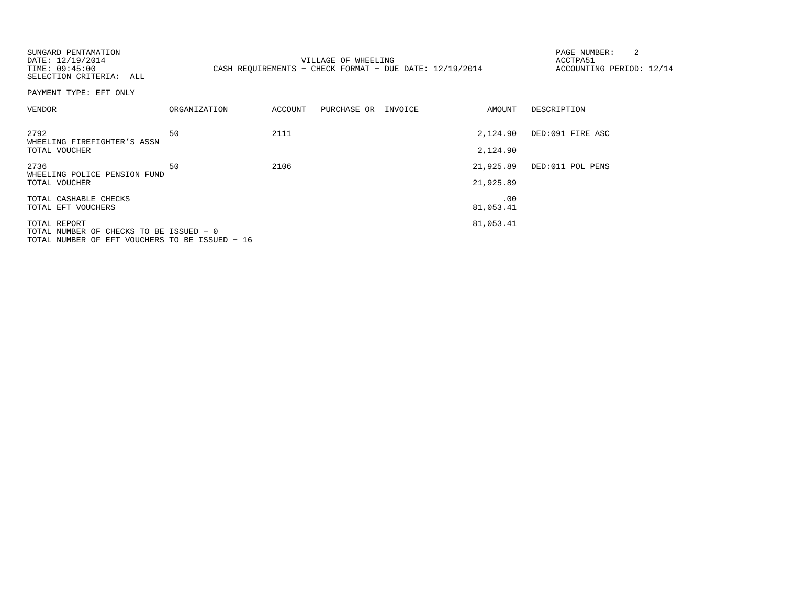| SUNGARD PENTAMATION<br>DATE: 12/19/2014<br>TIME: 09:45:00<br>SELECTION CRITERIA: ALL                      |              |         | VILLAGE OF WHEELING<br>CASH REOUIREMENTS - CHECK FORMAT - DUE DATE: $12/19/2014$ |                        | 2<br>PAGE NUMBER:<br>ACCTPA51<br>ACCOUNTING PERIOD: 12/14 |
|-----------------------------------------------------------------------------------------------------------|--------------|---------|----------------------------------------------------------------------------------|------------------------|-----------------------------------------------------------|
| PAYMENT TYPE: EFT ONLY                                                                                    |              |         |                                                                                  |                        |                                                           |
| VENDOR                                                                                                    | ORGANIZATION | ACCOUNT | PURCHASE OR INVOICE                                                              | AMOUNT                 | DESCRIPTION                                               |
| 2792<br>WHEELING FIREFIGHTER'S ASSN<br>TOTAL VOUCHER                                                      | 50           | 2111    |                                                                                  | 2,124.90<br>2,124.90   | DED:091 FIRE ASC                                          |
| 2736<br>WHEELING POLICE PENSION FUND<br>TOTAL VOUCHER                                                     | 50           | 2106    |                                                                                  | 21,925.89<br>21,925.89 | DED:011 POL PENS                                          |
| TOTAL CASHABLE CHECKS<br>TOTAL EFT VOUCHERS                                                               |              |         |                                                                                  | .00<br>81,053.41       |                                                           |
| TOTAL REPORT<br>TOTAL NUMBER OF CHECKS TO BE ISSUED - 0<br>TOTAL NUMBER OF EFT VOUCHERS TO BE ISSUED - 16 |              |         |                                                                                  | 81,053.41              |                                                           |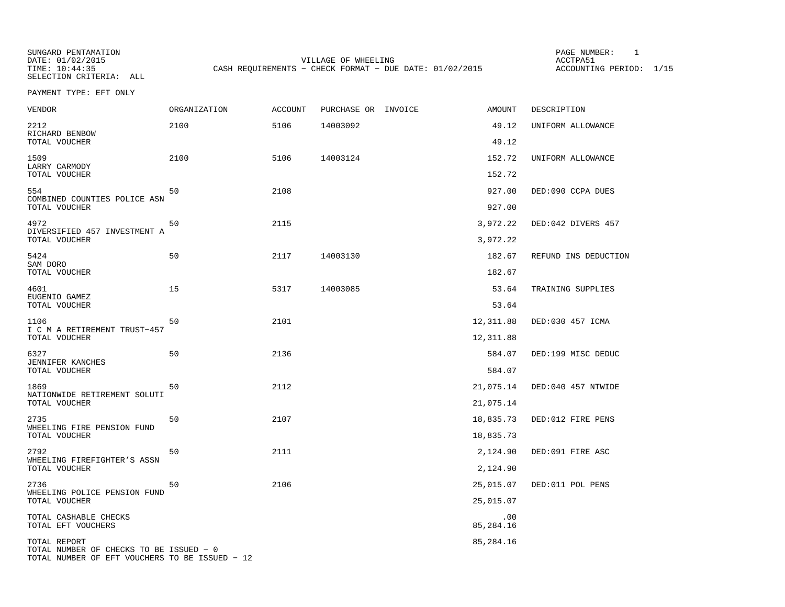SUNGARD PENTAMATION SUNGARD PENTAMATION SUNGARD PAGE NUMBER: 1 DATE: 01/02/2015 VILLAGE OF WHEELING ACCTPA51CASH REQUIREMENTS - CHECK FORMAT - DUE DATE: 01/02/2015

ACCOUNTING PERIOD: 1/15

PAYMENT TYPE: EFT ONLY

| VENDOR                                                                                    | ORGANIZATION | <b>ACCOUNT</b> | PURCHASE OR INVOICE | <b>AMOUNT</b>    | DESCRIPTION          |
|-------------------------------------------------------------------------------------------|--------------|----------------|---------------------|------------------|----------------------|
| 2212<br>RICHARD BENBOW                                                                    | 2100         | 5106           | 14003092            | 49.12            | UNIFORM ALLOWANCE    |
| TOTAL VOUCHER                                                                             |              |                |                     | 49.12            |                      |
| 1509<br>LARRY CARMODY<br>TOTAL VOUCHER                                                    | 2100         | 5106           | 14003124            | 152.72<br>152.72 | UNIFORM ALLOWANCE    |
|                                                                                           |              |                |                     |                  |                      |
| 554<br>COMBINED COUNTIES POLICE ASN<br>TOTAL VOUCHER                                      | 50           | 2108           |                     | 927.00<br>927.00 | DED:090 CCPA DUES    |
| 4972                                                                                      | 50           | 2115           |                     | 3,972.22         | DED:042 DIVERS 457   |
| DIVERSIFIED 457 INVESTMENT A<br>TOTAL VOUCHER                                             |              |                |                     | 3,972.22         |                      |
| 5424<br>SAM DORO                                                                          | 50           | 2117           | 14003130            | 182.67           | REFUND INS DEDUCTION |
| TOTAL VOUCHER                                                                             |              |                |                     | 182.67           |                      |
| 4601                                                                                      | 15           | 5317           | 14003085            | 53.64            | TRAINING SUPPLIES    |
| EUGENIO GAMEZ<br>TOTAL VOUCHER                                                            |              |                |                     | 53.64            |                      |
| 1106                                                                                      | 50           | 2101           |                     | 12,311.88        | DED:030 457 ICMA     |
| I C M A RETIREMENT TRUST-457<br>TOTAL VOUCHER                                             |              |                |                     | 12,311.88        |                      |
| 6327                                                                                      | 50           | 2136           |                     | 584.07           | DED:199 MISC DEDUC   |
| JENNIFER KANCHES<br>TOTAL VOUCHER                                                         |              |                |                     | 584.07           |                      |
| 1869                                                                                      | 50           | 2112           |                     | 21,075.14        | DED:040 457 NTWIDE   |
| NATIONWIDE RETIREMENT SOLUTI<br>TOTAL VOUCHER                                             |              |                |                     | 21,075.14        |                      |
| 2735                                                                                      | 50           | 2107           |                     | 18,835.73        | DED:012 FIRE PENS    |
| WHEELING FIRE PENSION FUND<br>TOTAL VOUCHER                                               |              |                |                     | 18,835.73        |                      |
| 2792                                                                                      | 50           | 2111           |                     | 2,124.90         | DED:091 FIRE ASC     |
| WHEELING FIREFIGHTER'S ASSN<br>TOTAL VOUCHER                                              |              |                |                     | 2,124.90         |                      |
| 2736                                                                                      | 50           | 2106           |                     | 25,015.07        | DED:011 POL PENS     |
| WHEELING POLICE PENSION FUND<br>TOTAL VOUCHER                                             |              |                |                     | 25,015.07        |                      |
| TOTAL CASHABLE CHECKS<br>TOTAL EFT VOUCHERS                                               |              |                |                     | .00<br>85,284.16 |                      |
| TOTAL REPORT                                                                              |              |                |                     | 85,284.16        |                      |
| TOTAL NUMBER OF CHECKS TO BE ISSUED - 0<br>TOTAL NUMBER OF EFT VOUCHERS TO BE ISSUED - 12 |              |                |                     |                  |                      |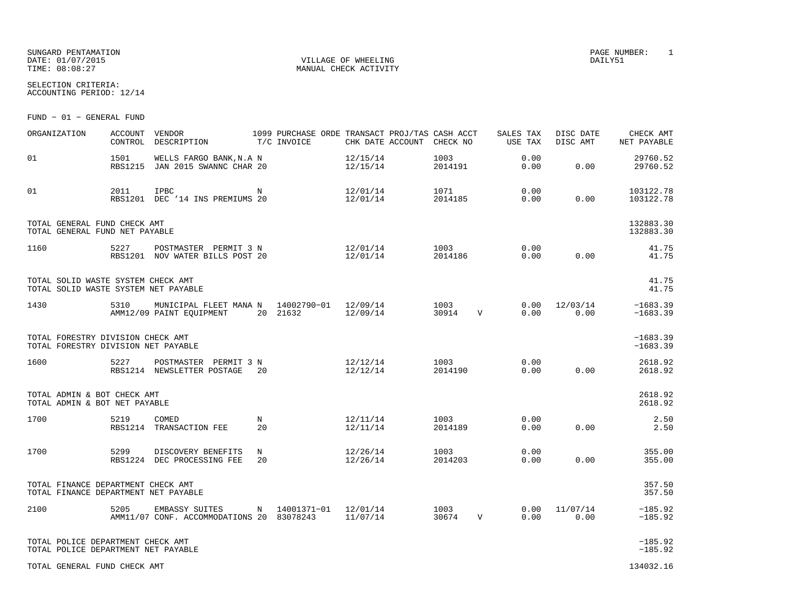SUNGARD PENTAMATION PAGE NUMBER: 1 $\begin{array}{cccc}\texttt{DATE:} & 01/07/2015\\ \texttt{TIME:} & 08:08:27 \end{array} \qquad \begin{array}{cccc}\texttt{VILLAGE OF WHERELING} \end{array}$ 

MANUAL CHECK ACTIVITY

SELECTION CRITERIA:ACCOUNTING PERIOD: 12/14

FUND − 01 − GENERAL FUND

| ORGANIZATION                                                               | <b>ACCOUNT</b> | VENDOR<br>CONTROL DESCRIPTION                                           |             | 1099 PURCHASE ORDE TRANSACT PROJ/TAS CASH ACCT<br>T/C INVOICE |                      | CHK DATE ACCOUNT CHECK NO |                 |              | SALES TAX<br>USE TAX | DISC DATE<br>DISC AMT | CHECK AMT<br>NET PAYABLE |
|----------------------------------------------------------------------------|----------------|-------------------------------------------------------------------------|-------------|---------------------------------------------------------------|----------------------|---------------------------|-----------------|--------------|----------------------|-----------------------|--------------------------|
| 01                                                                         | 1501           | WELLS FARGO BANK, N.A N<br>RBS1215 JAN 2015 SWANNC CHAR 20              |             |                                                               | 12/15/14<br>12/15/14 |                           | 1003<br>2014191 |              | 0.00<br>0.00         | 0.00                  | 29760.52<br>29760.52     |
| 01                                                                         | 2011           | IPBC<br>RBS1201 DEC '14 INS PREMIUMS 20                                 | $\mathbf N$ |                                                               | 12/01/14<br>12/01/14 |                           | 1071<br>2014185 |              | 0.00<br>0.00         | 0.00                  | 103122.78<br>103122.78   |
| TOTAL GENERAL FUND CHECK AMT<br>TOTAL GENERAL FUND NET PAYABLE             |                |                                                                         |             |                                                               |                      |                           |                 |              |                      |                       | 132883.30<br>132883.30   |
| 1160                                                                       | 5227           | POSTMASTER PERMIT 3 N<br>RBS1201 NOV WATER BILLS POST 20                |             |                                                               | 12/01/14<br>12/01/14 |                           | 1003<br>2014186 |              | 0.00<br>0.00         | 0.00                  | 41.75<br>41.75           |
| TOTAL SOLID WASTE SYSTEM CHECK AMT<br>TOTAL SOLID WASTE SYSTEM NET PAYABLE |                |                                                                         |             |                                                               |                      |                           |                 |              |                      |                       | 41.75<br>41.75           |
| 1430                                                                       | 5310           | MUNICIPAL FLEET MANA N 14002790-01 12/09/14<br>AMM12/09 PAINT EOUIPMENT |             | 20 21632                                                      | 12/09/14             |                           | 1003<br>30914   | $\mathbf{V}$ | 0.00<br>0.00         | 12/03/14<br>0.00      | $-1683.39$<br>$-1683.39$ |
| TOTAL FORESTRY DIVISION CHECK AMT<br>TOTAL FORESTRY DIVISION NET PAYABLE   |                |                                                                         |             |                                                               |                      |                           |                 |              |                      |                       | $-1683.39$<br>$-1683.39$ |
| 1600                                                                       | 5227           | POSTMASTER PERMIT 3 N<br>RBS1214 NEWSLETTER POSTAGE                     | 20          |                                                               | 12/12/14<br>12/12/14 |                           | 1003<br>2014190 |              | 0.00<br>0.00         | 0.00                  | 2618.92<br>2618.92       |
| TOTAL ADMIN & BOT CHECK AMT<br>TOTAL ADMIN & BOT NET PAYABLE               |                |                                                                         |             |                                                               |                      |                           |                 |              |                      |                       | 2618.92<br>2618.92       |
| 1700                                                                       | 5219           | COMED<br>RBS1214 TRANSACTION FEE                                        | N<br>20     |                                                               | 12/11/14<br>12/11/14 |                           | 1003<br>2014189 |              | 0.00<br>0.00         | 0.00                  | 2.50<br>2.50             |
| 1700                                                                       | 5299           | DISCOVERY BENEFITS<br>RBS1224 DEC PROCESSING FEE                        | N<br>20     |                                                               | 12/26/14<br>12/26/14 |                           | 1003<br>2014203 |              | 0.00<br>0.00         | 0.00                  | 355.00<br>355.00         |
| TOTAL FINANCE DEPARTMENT CHECK AMT<br>TOTAL FINANCE DEPARTMENT NET PAYABLE |                |                                                                         |             |                                                               |                      |                           |                 |              |                      |                       | 357.50<br>357.50         |
| 2100                                                                       | 5205           | EMBASSY SUITES<br>AMM11/07 CONF. ACCOMMODATIONS 20 83078243             |             | N 14001371-01 12/01/14                                        | 11/07/14             |                           | 1003<br>30674   | V            | 0.00<br>0.00         | 11/07/14<br>0.00      | $-185.92$<br>$-185.92$   |
| TOTAL POLICE DEPARTMENT CHECK AMT<br>TOTAL POLICE DEPARTMENT NET PAYABLE   |                |                                                                         |             |                                                               |                      |                           |                 |              |                      |                       | $-185.92$<br>$-185.92$   |
| TOTAL GENERAL FUND CHECK AMT                                               |                |                                                                         |             |                                                               |                      |                           |                 |              |                      |                       | 134032.16                |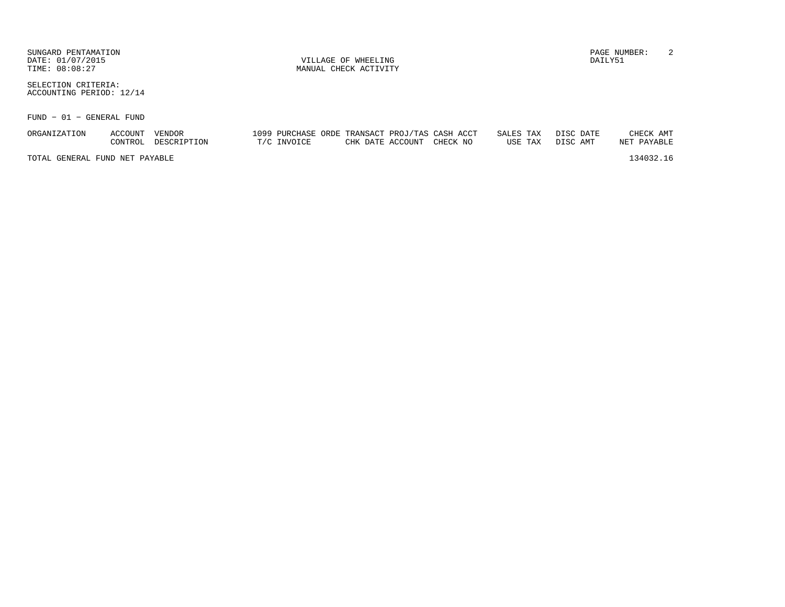SUNGARD PENTAMATION PAGE NUMBER: 2DATE:  $01/07/2015$  DAILY51

SELECTION CRITERIA:ACCOUNTING PERIOD: 12/14

FUND − 01 − GENERAL FUND

| ORGANIZATION                   | ACCOUNT | VENDOR      |             |  | 1099 PURCHASE ORDE TRANSACT PROJ/TAS CASH ACCT | SALES TAX |         | DISC DATE | CHECK AMT   |
|--------------------------------|---------|-------------|-------------|--|------------------------------------------------|-----------|---------|-----------|-------------|
|                                | CONTROL | DESCRIPTION | T/C INVOICE |  | CHK DATE ACCOUNT CHECK NO                      |           | USE TAX | DISC AMT  | NET PAYABLE |
| TOTAL GENERAL FUND NET PAYABLE |         |             |             |  |                                                |           |         |           | 134032.16   |
|                                |         |             |             |  |                                                |           |         |           |             |

TIME:  $08:08:27$  MANUAL CHECK ACTIVITY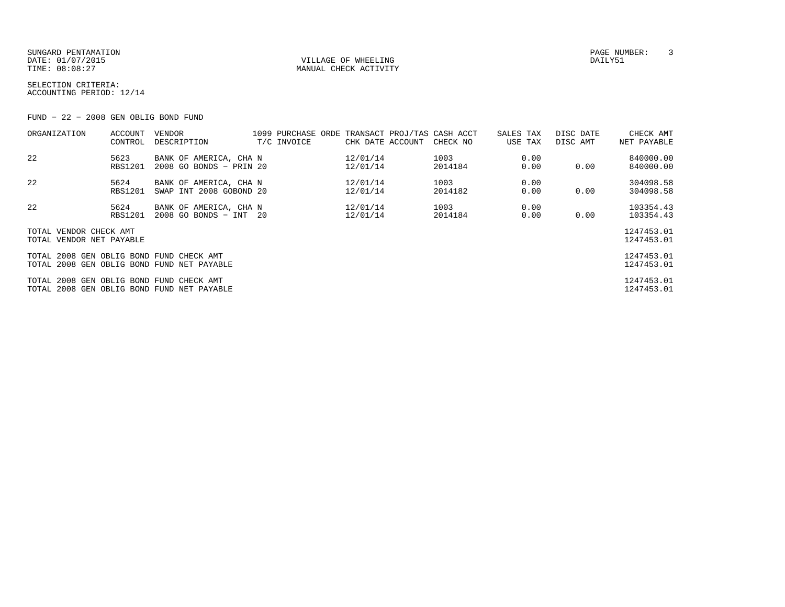SUNGARD PENTAMATION PAGE NUMBER: 3DATE:  $01/07/2015$  DAILY51 TIME:  $08:08:27$  MANUAL CHECK ACTIVITY

SELECTION CRITERIA:ACCOUNTING PERIOD: 12/14

FUND − 22 − 2008 GEN OBLIG BOND FUND

| ORGANIZATION                                       | ACCOUNT<br>CONTROL     | VENDOR<br>DESCRIPTION                             | T/C INVOICE | 1099 PURCHASE ORDE TRANSACT PROJ/TAS CASH ACCT<br>CHK DATE ACCOUNT | CHECK NO        | SALES TAX<br>USE TAX | DISC DATE<br>DISC AMT | CHECK AMT<br>NET PAYABLE |
|----------------------------------------------------|------------------------|---------------------------------------------------|-------------|--------------------------------------------------------------------|-----------------|----------------------|-----------------------|--------------------------|
| 22                                                 | 5623<br><b>RBS1201</b> | BANK OF AMERICA, CHA N<br>2008 GO BONDS - PRIN 20 |             | 12/01/14<br>12/01/14                                               | 1003<br>2014184 | 0.00<br>0.00         | 0.00                  | 840000.00<br>840000.00   |
| 22                                                 | 5624<br><b>RBS1201</b> | BANK OF AMERICA, CHA N<br>SWAP INT 2008 GOBOND 20 |             | 12/01/14<br>12/01/14                                               | 1003<br>2014182 | 0.00<br>0.00         | 0.00                  | 304098.58<br>304098.58   |
| 22                                                 | 5624<br><b>RBS1201</b> | BANK OF AMERICA, CHA N<br>2008 GO BONDS - INT 20  |             | 12/01/14<br>12/01/14                                               | 1003<br>2014184 | 0.00<br>0.00         | 0.00                  | 103354.43<br>103354.43   |
| TOTAL VENDOR CHECK AMT<br>TOTAL VENDOR NET PAYABLE |                        |                                                   |             |                                                                    |                 |                      |                       | 1247453.01<br>1247453.01 |
| TOTAL 2008 GEN OBLIG BOND FUND CHECK AMT           |                        | TOTAL 2008 GEN OBLIG BOND FUND NET PAYABLE        |             |                                                                    |                 |                      |                       | 1247453.01<br>1247453.01 |
| TOTAL 2008 GEN OBLIG BOND FUND CHECK AMT           |                        | TOTAL 2008 GEN OBLIG BOND FUND NET PAYABLE        |             |                                                                    |                 |                      |                       | 1247453.01<br>1247453.01 |
|                                                    |                        |                                                   |             |                                                                    |                 |                      |                       |                          |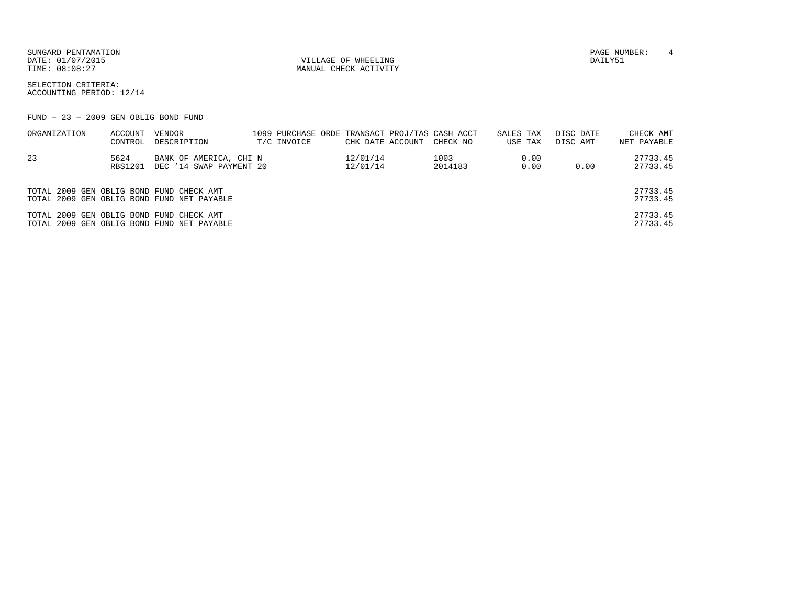SUNGARD PENTAMATION PAGE NUMBER: 4 DATE:  $01/07/2015$  DAILY51

TIME:  $08:08:27$  MANUAL CHECK ACTIVITY

SELECTION CRITERIA:ACCOUNTING PERIOD: 12/14

FUND − 23 − 2009 GEN OBLIG BOND FUND

| ORGANIZATION                             | ACCOUNT        | VENDOR                                     |             |                  | 1099 PURCHASE ORDE TRANSACT PROJ/TAS CASH ACCT | SALES TAX | DISC DATE | CHECK AMT   |
|------------------------------------------|----------------|--------------------------------------------|-------------|------------------|------------------------------------------------|-----------|-----------|-------------|
|                                          | CONTROL        | DESCRIPTION                                | T/C INVOICE | CHK DATE ACCOUNT | CHECK NO                                       | USE TAX   | DISC AMT  | NET PAYABLE |
| 23                                       | 5624           | BANK OF AMERICA, CHI N                     |             | 12/01/14         | 1003                                           | 0.00      |           | 27733.45    |
|                                          | <b>RBS1201</b> | DEC '14 SWAP PAYMENT 20                    |             | 12/01/14         | 2014183                                        | 0.00      | 0.00      | 27733.45    |
|                                          |                |                                            |             |                  |                                                |           |           |             |
| TOTAL 2009 GEN OBLIG BOND FUND CHECK AMT |                |                                            |             |                  |                                                |           |           | 27733.45    |
|                                          |                | TOTAL 2009 GEN OBLIG BOND FUND NET PAYABLE |             |                  |                                                |           |           | 27733.45    |
| TOTAL 2009 GEN OBLIG BOND FUND CHECK AMT |                |                                            |             |                  |                                                |           |           | 27733.45    |
|                                          |                | TOTAL 2009 GEN OBLIG BOND FUND NET PAYABLE |             |                  |                                                |           |           | 27733.45    |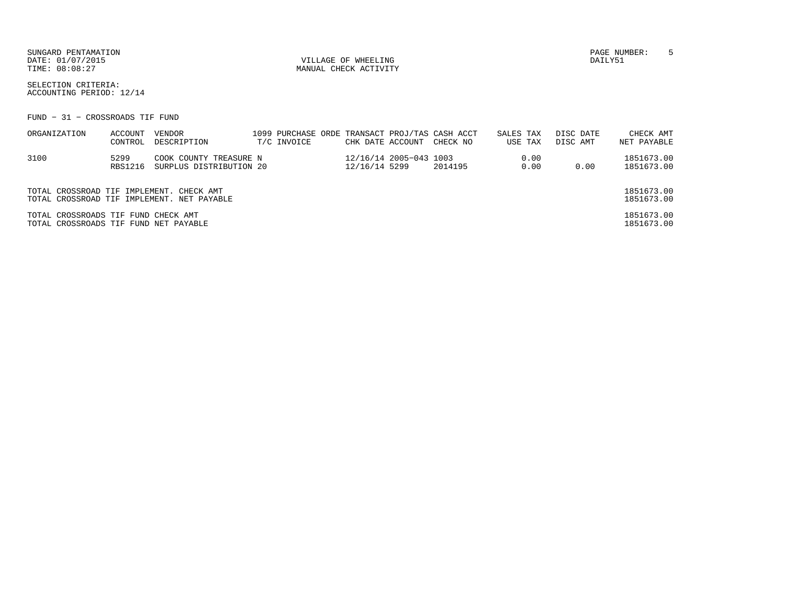SUNGARD PENTAMATION PAGE NUMBER: 5DATE: 01/07/2015 VILLAGE OF WHEELING DAILY51

MANUAL CHECK ACTIVITY

SELECTION CRITERIA:ACCOUNTING PERIOD: 12/14

FUND − 31 − CROSSROADS TIF FUND

| ORGANIZATION                                                                 | ACCOUNT<br>CONTROL | VENDOR<br>DESCRIPTION                             | T/C INVOICE | CHK DATE ACCOUNT |                        | 1099 PURCHASE ORDE TRANSACT PROJ/TAS CASH ACCT<br>CHECK NO | SALES TAX<br>USE TAX |              | DISC DATE<br>DISC AMT | CHECK AMT<br>NET PAYABLE |
|------------------------------------------------------------------------------|--------------------|---------------------------------------------------|-------------|------------------|------------------------|------------------------------------------------------------|----------------------|--------------|-----------------------|--------------------------|
| 3100                                                                         | 5299<br>RBS1216    | COOK COUNTY TREASURE N<br>SURPLUS DISTRIBUTION 20 |             | 12/16/14 5299    | 12/16/14 2005-043 1003 | 2014195                                                    |                      | 0.00<br>0.00 | 0.00                  | 1851673.00<br>1851673.00 |
| TOTAL CROSSROAD TIF IMPLEMENT. CHECK AMT                                     |                    | TOTAL CROSSROAD TIF IMPLEMENT. NET PAYABLE        |             |                  |                        |                                                            |                      |              |                       | 1851673.00<br>1851673.00 |
| TOTAL CROSSROADS TIF FUND CHECK AMT<br>TOTAL CROSSROADS TIF FUND NET PAYABLE |                    |                                                   |             |                  |                        |                                                            |                      |              |                       | 1851673.00<br>1851673.00 |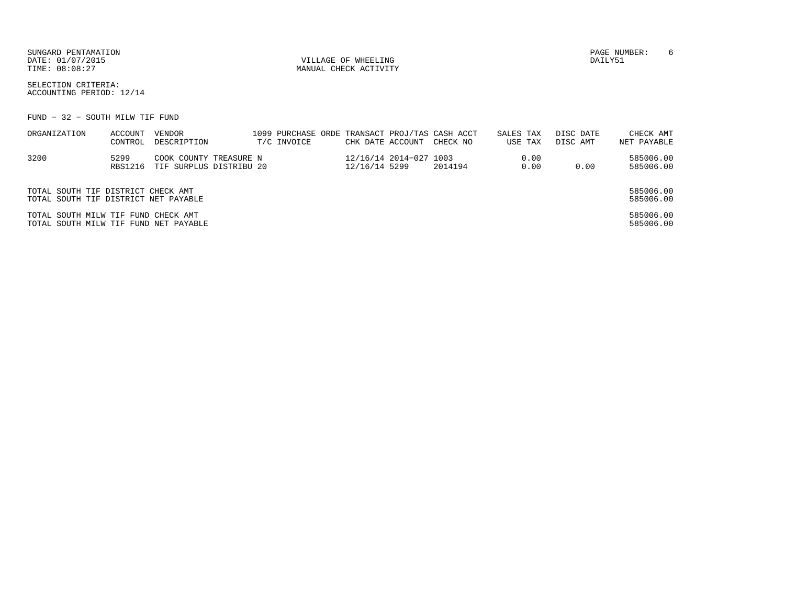SUNGARD PENTAMATION PAGE NUMBER: 6DATE: 01/07/2015 VILLAGE OF WHEELING DAILY51

MANUAL CHECK ACTIVITY

SELECTION CRITERIA:ACCOUNTING PERIOD: 12/14

FUND − 32 − SOUTH MILW TIF FUND

| ORGANIZATION                                                                 | ACCOUNT<br>CONTROL | VENDOR<br>DESCRIPTION                             |  | T/C INVOICE | CHK DATE ACCOUNT |                        | 1099 PURCHASE ORDE TRANSACT PROJ/TAS CASH ACCT<br>CHECK NO | SALES TAX | USE TAX      | DISC DATE<br>DISC AMT | CHECK AMT<br>NET PAYABLE |
|------------------------------------------------------------------------------|--------------------|---------------------------------------------------|--|-------------|------------------|------------------------|------------------------------------------------------------|-----------|--------------|-----------------------|--------------------------|
| 3200                                                                         | 5299<br>RBS1216    | COOK COUNTY TREASURE N<br>TIF SURPLUS DISTRIBU 20 |  |             | 12/16/14 5299    | 12/16/14 2014-027 1003 | 2014194                                                    |           | 0.00<br>0.00 | 0.00                  | 585006.00<br>585006.00   |
| TOTAL SOUTH TIF DISTRICT CHECK AMT<br>TOTAL SOUTH TIF DISTRICT NET PAYABLE   |                    |                                                   |  |             |                  |                        |                                                            |           |              |                       | 585006.00<br>585006.00   |
| TOTAL SOUTH MILW TIF FUND CHECK AMT<br>TOTAL SOUTH MILW TIF FUND NET PAYABLE |                    |                                                   |  |             |                  |                        |                                                            |           |              |                       | 585006.00<br>585006.00   |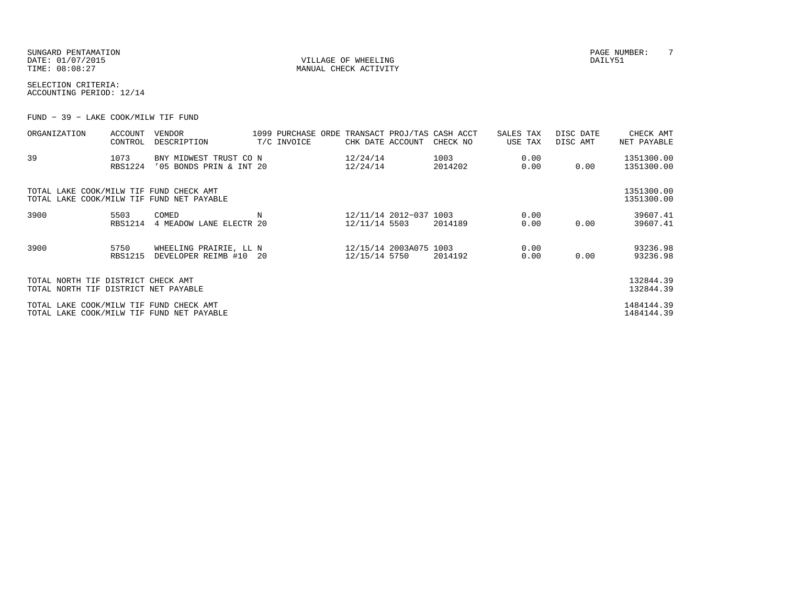SUNGARD PENTAMATION PAGE NUMBER: T DATE: 01/07/2015 VILLAGE OF WHEELING DAILY51

MANUAL CHECK ACTIVITY

SELECTION CRITERIA:ACCOUNTING PERIOD: 12/14

FUND − 39 − LAKE COOK/MILW TIF FUND

| ORGANIZATION                                                               | ACCOUNT<br>CONTROL     | VENDOR<br>DESCRIPTION                             | T/C INVOICE | CHK DATE ACCOUNT                        | 1099 PURCHASE ORDE TRANSACT PROJ/TAS CASH ACCT<br>CHECK NO | SALES TAX<br>USE TAX | DISC DATE<br>DISC AMT | CHECK AMT<br>NET PAYABLE |
|----------------------------------------------------------------------------|------------------------|---------------------------------------------------|-------------|-----------------------------------------|------------------------------------------------------------|----------------------|-----------------------|--------------------------|
| 39                                                                         | 1073<br><b>RBS1224</b> | BNY MIDWEST TRUST CO N<br>'05 BONDS PRIN & INT 20 |             | 12/24/14<br>12/24/14                    | 1003<br>2014202                                            | 0.00<br>0.00         | 0.00                  | 1351300.00<br>1351300.00 |
| TOTAL LAKE COOK/MILW TIF FUND CHECK AMT                                    |                        | TOTAL LAKE COOK/MILW TIF FUND NET PAYABLE         |             |                                         |                                                            |                      |                       | 1351300.00<br>1351300.00 |
| 3900                                                                       | 5503<br><b>RBS1214</b> | COMED<br>4 MEADOW LANE ELECTR 20                  |             | 12/11/14 2012-037 1003<br>12/11/14 5503 | 2014189                                                    | 0.00<br>0.00         | 0.00                  | 39607.41<br>39607.41     |
| 3900                                                                       | 5750<br><b>RBS1215</b> | WHEELING PRAIRIE, LL N<br>DEVELOPER REIMB #10 20  |             | 12/15/14 2003A075 1003<br>12/15/14 5750 | 2014192                                                    | 0.00<br>0.00         | 0.00                  | 93236.98<br>93236.98     |
| TOTAL NORTH TIF DISTRICT CHECK AMT<br>TOTAL NORTH TIF DISTRICT NET PAYABLE |                        |                                                   |             |                                         |                                                            |                      |                       | 132844.39<br>132844.39   |
| TOTAL LAKE COOK/MILW TIF FUND CHECK AMT                                    |                        | TOTAL LAKE COOK/MILW TIF FUND NET PAYABLE         |             |                                         |                                                            |                      |                       | 1484144.39<br>1484144.39 |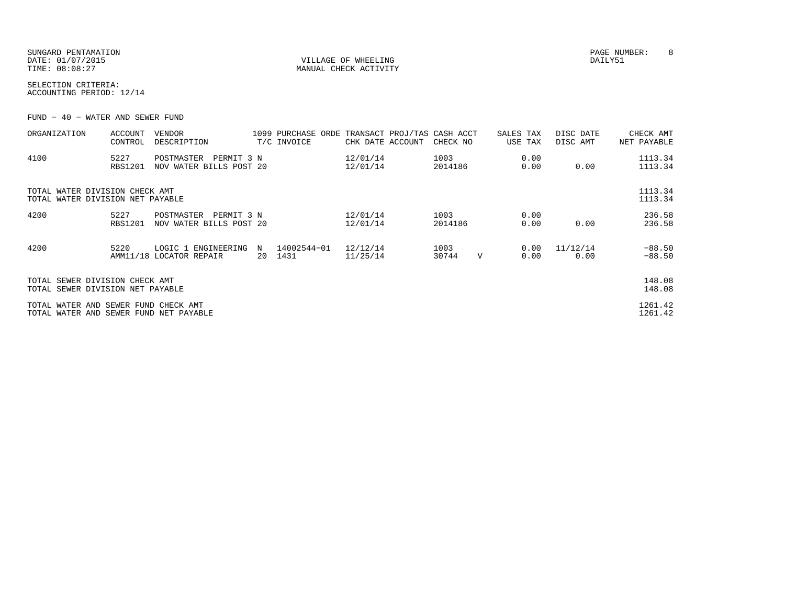| SUNGARD PENTAMATION |
|---------------------|
| DATE: 01/07/2015    |
| TIME: 08:08:27      |

VILLAGE OF WHEELING **DAILY51** MANUAL CHECK ACTIVITY

SELECTION CRITERIA:ACCOUNTING PERIOD: 12/14

FUND − 40 − WATER AND SEWER FUND

| ORGANIZATION                                                                   | ACCOUNT<br>CONTROL     | VENDOR<br>DESCRIPTION                          |            | 1099 PURCHASE ORDE TRANSACT PROJ/TAS CASH ACCT<br>T/C INVOICE | CHK DATE ACCOUNT     | CHECK NO        |   | SALES TAX<br>USE TAX | DISC DATE<br>DISC AMT | CHECK AMT<br>NET PAYABLE |
|--------------------------------------------------------------------------------|------------------------|------------------------------------------------|------------|---------------------------------------------------------------|----------------------|-----------------|---|----------------------|-----------------------|--------------------------|
| 4100                                                                           | 5227<br><b>RBS1201</b> | POSTMASTER<br>NOV WATER BILLS POST 20          | PERMIT 3 N |                                                               | 12/01/14<br>12/01/14 | 1003<br>2014186 |   | 0.00<br>0.00         | 0.00                  | 1113.34<br>1113.34       |
| TOTAL WATER DIVISION CHECK AMT<br>TOTAL WATER DIVISION NET PAYABLE             |                        |                                                |            |                                                               |                      |                 |   |                      |                       | 1113.34<br>1113.34       |
| 4200                                                                           | 5227<br><b>RBS1201</b> | POSTMASTER<br>NOV WATER BILLS POST 20          | PERMIT 3 N |                                                               | 12/01/14<br>12/01/14 | 1003<br>2014186 |   | 0.00<br>0.00         | 0.00                  | 236.58<br>236.58         |
| 4200                                                                           | 5220                   | LOGIC 1 ENGINEERING<br>AMM11/18 LOCATOR REPAIR | N<br>20    | 14002544-01<br>1431                                           | 12/12/14<br>11/25/14 | 1003<br>30744   | V | 0.00<br>0.00         | 11/12/14<br>0.00      | $-88.50$<br>$-88.50$     |
| TOTAL SEWER DIVISION CHECK AMT<br>TOTAL SEWER DIVISION NET PAYABLE             |                        |                                                |            |                                                               |                      |                 |   |                      |                       | 148.08<br>148.08         |
| TOTAL WATER AND SEWER FUND CHECK AMT<br>TOTAL WATER AND SEWER FUND NET PAYABLE |                        |                                                |            |                                                               |                      |                 |   |                      |                       | 1261.42<br>1261.42       |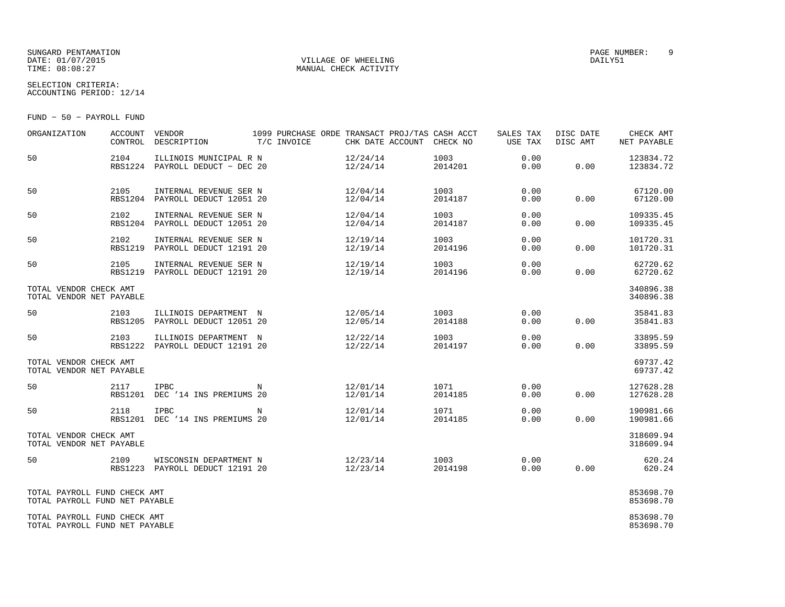## SUNGARD PENTAMATION PAGE NUMBER: 9DATE: 01/07/2015 VILLAGE OF WHEELING DAILY51

MANUAL CHECK ACTIVITY

SELECTION CRITERIA:ACCOUNTING PERIOD: 12/14

FUND − 50 − PAYROLL FUND

| ORGANIZATION                                                   | ACCOUNT                | VENDOR<br>CONTROL DESCRIPTION                             | 1099 PURCHASE ORDE TRANSACT PROJ/TAS CASH ACCT<br>T/C INVOICE | CHK DATE ACCOUNT CHECK NO |                       | SALES TAX<br>USE TAX | DISC DATE<br>DISC AMT | CHECK AMT<br>NET PAYABLE |
|----------------------------------------------------------------|------------------------|-----------------------------------------------------------|---------------------------------------------------------------|---------------------------|-----------------------|----------------------|-----------------------|--------------------------|
| 50                                                             | 2104                   | ILLINOIS MUNICIPAL R N<br>RBS1224 PAYROLL DEDUCT - DEC 20 |                                                               | 12/24/14<br>12/24/14      | 1003<br>2014201       | 0.00<br>0.00         | 0.00                  | 123834.72<br>123834.72   |
| 50                                                             | 2105                   | INTERNAL REVENUE SER N<br>RBS1204 PAYROLL DEDUCT 12051 20 |                                                               | 12/04/14<br>12/04/14      | 1003<br>2014187       | 0.00<br>0.00         | 0.00                  | 67120.00<br>67120.00     |
| 50                                                             | 2102                   | INTERNAL REVENUE SER N<br>RBS1204 PAYROLL DEDUCT 12051 20 |                                                               | 12/04/14<br>12/04/14      | 1003<br>2014187       | 0.00<br>0.00         | 0.00                  | 109335.45<br>109335.45   |
| 50                                                             | 2102<br><b>RBS1219</b> | INTERNAL REVENUE SER N<br>PAYROLL DEDUCT 12191 20         |                                                               | 12/19/14<br>12/19/14      | 1003<br>2014196       | 0.00<br>0.00         | 0.00                  | 101720.31<br>101720.31   |
| 50                                                             | 2105                   | INTERNAL REVENUE SER N<br>RBS1219 PAYROLL DEDUCT 12191 20 |                                                               | 12/19/14<br>12/19/14      | 1003<br>2014196       | 0.00<br>0.00         | 0.00                  | 62720.62<br>62720.62     |
| TOTAL VENDOR CHECK AMT<br>TOTAL VENDOR NET PAYABLE             |                        |                                                           |                                                               |                           |                       |                      |                       | 340896.38<br>340896.38   |
| 50                                                             | 2103                   | ILLINOIS DEPARTMENT N<br>RBS1205 PAYROLL DEDUCT 12051 20  |                                                               | 12/05/14<br>12/05/14      | 1003 - 100<br>2014188 | 0.00<br>0.00         | 0.00                  | 35841.83<br>35841.83     |
| 50                                                             | 2103                   | ILLINOIS DEPARTMENT N<br>RBS1222 PAYROLL DEDUCT 12191 20  |                                                               | 12/22/14<br>12/22/14      | 1003<br>2014197       | 0.00<br>0.00         | 0.00                  | 33895.59<br>33895.59     |
| TOTAL VENDOR CHECK AMT<br>TOTAL VENDOR NET PAYABLE             |                        |                                                           |                                                               |                           |                       |                      |                       | 69737.42<br>69737.42     |
| 50                                                             | 2117                   | <b>IPBC</b><br>RBS1201 DEC '14 INS PREMIUMS 20            | N                                                             | 12/01/14<br>12/01/14      | 1071<br>2014185       | 0.00<br>0.00         | 0.00                  | 127628.28<br>127628.28   |
| 50                                                             | 2118                   | <b>IPBC</b><br>RBS1201 DEC '14 INS PREMIUMS 20            | $\mathbf N$                                                   | 12/01/14<br>12/01/14      | 1071<br>2014185       | 0.00<br>0.00         | 0.00                  | 190981.66<br>190981.66   |
| TOTAL VENDOR CHECK AMT<br>TOTAL VENDOR NET PAYABLE             |                        |                                                           |                                                               |                           |                       |                      |                       | 318609.94<br>318609.94   |
| 50                                                             | 2109                   | RBS1223 PAYROLL DEDUCT 12191 20                           |                                                               |                           | 1003<br>2014198       | 0.00<br>0.00         | 0.00                  | 620.24<br>620.24         |
| TOTAL PAYROLL FUND CHECK AMT<br>TOTAL PAYROLL FUND NET PAYABLE |                        |                                                           |                                                               |                           |                       |                      |                       | 853698.70<br>853698.70   |
| TOTAL PAYROLL FUND CHECK AMT<br>TOTAL PAYROLL FUND NET PAYABLE |                        |                                                           |                                                               |                           |                       |                      |                       | 853698.70<br>853698.70   |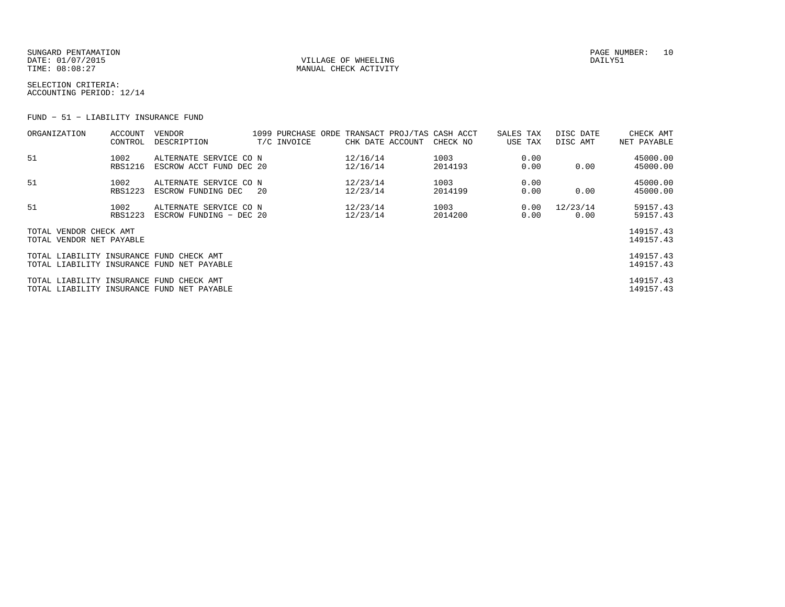SUNGARD PENTAMATION PAGE NUMBER: 10 DATE:  $01/07/2015$  DAILY51 TIME:  $08:08:27$  MANUAL CHECK ACTIVITY

SELECTION CRITERIA:ACCOUNTING PERIOD: 12/14

FUND − 51 − LIABILITY INSURANCE FUND

| ORGANIZATION                             | ACCOUNT        | <b>VENDOR</b>                              |     |             |                  | 1099 PURCHASE ORDE TRANSACT PROJ/TAS CASH ACCT | SALES TAX | DISC DATE | CHECK AMT   |
|------------------------------------------|----------------|--------------------------------------------|-----|-------------|------------------|------------------------------------------------|-----------|-----------|-------------|
|                                          | CONTROL        | DESCRIPTION                                |     | T/C INVOICE | CHK DATE ACCOUNT | CHECK NO                                       | USE TAX   | DISC AMT  | NET PAYABLE |
| 51                                       | 1002           | ALTERNATE SERVICE CO N                     |     |             | 12/16/14         | 1003                                           | 0.00      |           | 45000.00    |
|                                          | <b>RBS1216</b> | ESCROW ACCT FUND DEC 20                    |     |             | 12/16/14         | 2014193                                        | 0.00      | 0.00      | 45000.00    |
| 51                                       | 1002           | ALTERNATE SERVICE CO N                     |     |             | 12/23/14         | 1003                                           | 0.00      |           | 45000.00    |
|                                          | <b>RBS1223</b> | ESCROW FUNDING DEC                         | -20 |             | 12/23/14         | 2014199                                        | 0.00      | 0.00      | 45000.00    |
| 51                                       | 1002           | ALTERNATE SERVICE CO N                     |     |             | 12/23/14         | 1003                                           | 0.00      | 12/23/14  | 59157.43    |
|                                          | <b>RBS1223</b> | ESCROW FUNDING - DEC 20                    |     |             | 12/23/14         | 2014200                                        | 0.00      | 0.00      | 59157.43    |
| TOTAL VENDOR CHECK AMT                   |                |                                            |     |             |                  |                                                |           |           | 149157.43   |
| TOTAL VENDOR NET PAYABLE                 |                |                                            |     |             |                  |                                                |           |           | 149157.43   |
| TOTAL LIABILITY INSURANCE FUND CHECK AMT |                |                                            |     |             |                  |                                                |           |           | 149157.43   |
|                                          |                | TOTAL LIABILITY INSURANCE FUND NET PAYABLE |     |             |                  |                                                |           |           | 149157.43   |
| TOTAL LIABILITY INSURANCE FUND CHECK AMT |                |                                            |     |             |                  |                                                |           |           | 149157.43   |
|                                          |                | TOTAL LIABILITY INSURANCE FUND NET PAYABLE |     |             |                  |                                                |           |           | 149157.43   |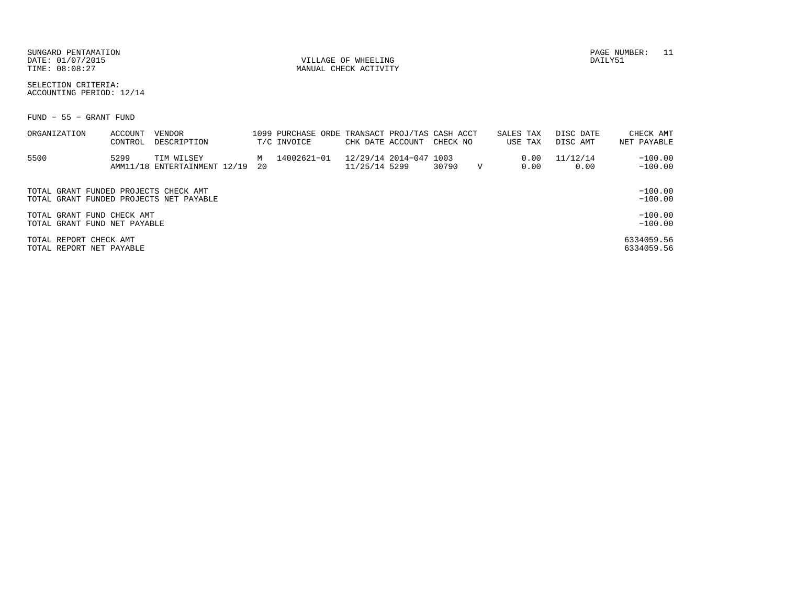SUNGARD PENTAMATION PAGE NUMBER: 11 DATE: 01/07/2015 VILLAGE OF WHEELING DAILY51

MANUAL CHECK ACTIVITY

SELECTION CRITERIA:ACCOUNTING PERIOD: 12/14

FUND − 55 − GRANT FUND

| ORGANIZATION                                                                     | ACCOUNT<br>CONTROL | VENDOR<br>DESCRIPTION                      |           | 1099 PURCHASE ORDE TRANSACT PROJ/TAS CASH ACCT<br>T/C INVOICE | CHK DATE ACCOUNT                        | CHECK NO |             | SALES TAX<br>USE TAX |              | DISC DATE<br>DISC AMT | CHECK AMT<br>NET PAYABLE |
|----------------------------------------------------------------------------------|--------------------|--------------------------------------------|-----------|---------------------------------------------------------------|-----------------------------------------|----------|-------------|----------------------|--------------|-----------------------|--------------------------|
| 5500                                                                             | 5299               | TIM WILSEY<br>AMM11/18 ENTERTAINMENT 12/19 | M<br>- 20 | 14002621-01                                                   | 12/29/14 2014-047 1003<br>11/25/14 5299 | 30790    | $\mathbf v$ |                      | 0.00<br>0.00 | 11/12/14<br>0.00      | $-100.00$<br>$-100.00$   |
| TOTAL GRANT FUNDED PROJECTS CHECK AMT<br>TOTAL GRANT FUNDED PROJECTS NET PAYABLE |                    |                                            |           |                                                               |                                         |          |             |                      |              |                       | $-100.00$<br>$-100.00$   |
| TOTAL GRANT FUND CHECK AMT<br>TOTAL GRANT FUND NET PAYABLE                       |                    |                                            |           |                                                               |                                         |          |             |                      |              |                       | $-100.00$<br>$-100.00$   |
| TOTAL REPORT CHECK AMT<br>TOTAL REPORT NET PAYABLE                               |                    |                                            |           |                                                               |                                         |          |             |                      |              |                       | 6334059.56<br>6334059.56 |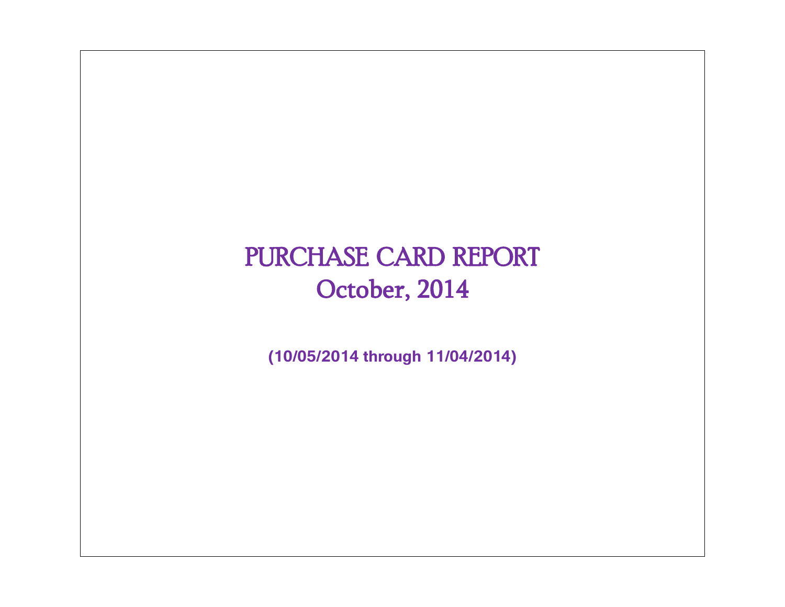# PURCHASE CARD REPORT October, 2014

**(10/05/2014 through 11/04/2014)**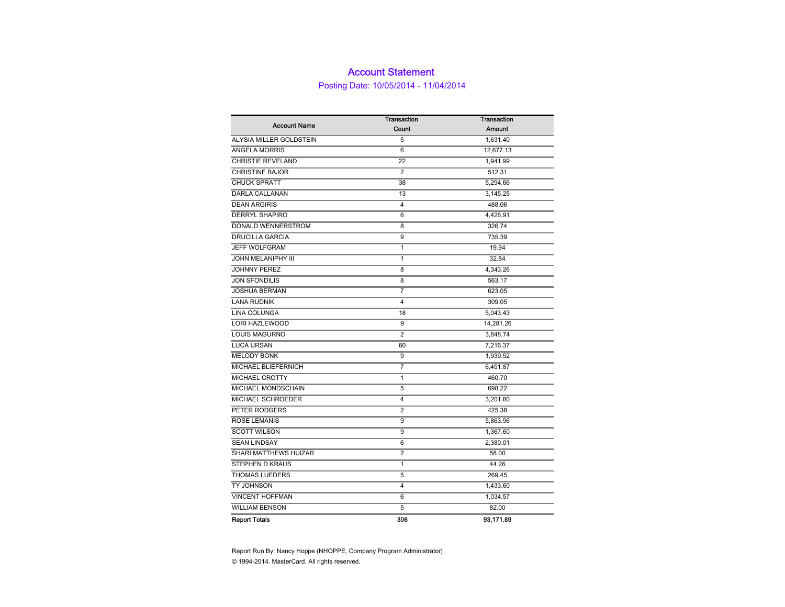### Account Statement

Posting Date: 10/05/2014 - 11/04/2014

|                           | <b>Transaction</b> | <b>Transaction</b> |  |  |  |  |
|---------------------------|--------------------|--------------------|--|--|--|--|
| <b>Account Name</b>       | Count              | <b>Amount</b>      |  |  |  |  |
| ALYSIA MILLER GOLDSTEIN   | 5                  | 1,631.40           |  |  |  |  |
| ANGELA MORRIS             | 6                  | 12,677.13          |  |  |  |  |
| CHRISTIE REVELAND         | 22                 | 1,941.99           |  |  |  |  |
| <b>CHRISTINE BAJOR</b>    | $\overline{2}$     | 512.31             |  |  |  |  |
| <b>CHUCK SPRATT</b>       | 38                 | 5,294.66           |  |  |  |  |
| DARLA CALLANAN            | 13                 | 3,145.25           |  |  |  |  |
| <b>DEAN ARGIRIS</b>       | 4                  | 488.06             |  |  |  |  |
| <b>DERRYL SHAPIRO</b>     | 6                  | 4,426.91           |  |  |  |  |
| DONALD WENNERSTROM        | 8                  | 326.74             |  |  |  |  |
| <b>DRUCILLA GARCIA</b>    | 9                  | 735.39             |  |  |  |  |
| <b>JEFF WOLFGRAM</b>      | $\mathbf{1}$       | 19.94              |  |  |  |  |
| <b>JOHN MELANIPHY III</b> | 1                  | 32.84              |  |  |  |  |
| <b>JOHNNY PEREZ</b>       | 8                  | 4,343.26           |  |  |  |  |
| <b>JON SFONDILIS</b>      | 8                  | 563.17             |  |  |  |  |
| <b>JOSHUA BERMAN</b>      | $\overline{7}$     | 623.05             |  |  |  |  |
| <b>LANA RUDNIK</b>        | 4                  | 309.05             |  |  |  |  |
| LINA COLUNGA              | 18                 | 5,043.43           |  |  |  |  |
| <b>LORI HAZLEWOOD</b>     | 9                  | 14,281.26          |  |  |  |  |
| <b>LOUIS MAGURNO</b>      | $\overline{2}$     | 3,848.74           |  |  |  |  |
| <b>LUCA URSAN</b>         | 60                 | 7,216.37           |  |  |  |  |
| <b>MELODY BONK</b>        | 9                  | 1,939.52           |  |  |  |  |
| MICHAEL BLIEFERNICH       | 7                  | 6,451.87           |  |  |  |  |
| MICHAEL CROTTY            | 1                  | 460.70             |  |  |  |  |
| MICHAEL MONDSCHAIN        | 5                  | 698.22             |  |  |  |  |
| MICHAEL SCHROEDER         | 4                  | 3,201.80           |  |  |  |  |
| PETER RODGERS             | $\overline{2}$     | 425.38             |  |  |  |  |
| <b>ROSE LEMANIS</b>       | 9                  | 5,863.96           |  |  |  |  |
| <b>SCOTT WILSON</b>       | 9                  | 1,367.60           |  |  |  |  |
| <b>SEAN LINDSAY</b>       | 6                  | 2,380.01           |  |  |  |  |
| SHARI MATTHEWS HUIZAR     | $\overline{2}$     | 58.00              |  |  |  |  |
| STEPHEN D KRAUS           | 1                  | 44.26              |  |  |  |  |
| <b>THOMAS LUEDERS</b>     | 5                  | 269.45             |  |  |  |  |
| TY JOHNSON                | 4                  | 1,433.60           |  |  |  |  |
| <b>VINCENT HOFFMAN</b>    | 6                  | 1,034.57           |  |  |  |  |
| <b>WILLIAM BENSON</b>     | 5                  | 82.00              |  |  |  |  |
| <b>Report Totals</b>      | 306                | 93.171.89          |  |  |  |  |

Report Run By: Nancy Hoppe (NHOPPE, Company Program Administrator) © 1994-2014. MasterCard. All rights reserved.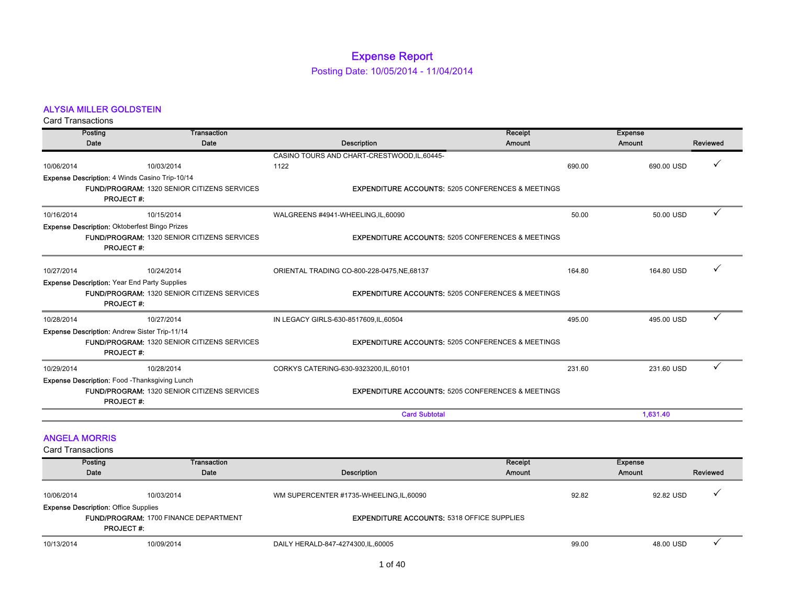## Expense Report

Posting Date: 10/05/2014 - 11/04/2014

### ALYSIA MILLER GOLDSTEIN

Card Transactions

|                          | Posting                                             | Transaction                                        |                                                              | Receipt | <b>Expense</b> |          |
|--------------------------|-----------------------------------------------------|----------------------------------------------------|--------------------------------------------------------------|---------|----------------|----------|
|                          | Date                                                | Date                                               | Description                                                  | Amount  | <b>Amount</b>  | Reviewed |
|                          |                                                     |                                                    | CASINO TOURS AND CHART-CRESTWOOD, IL, 60445-                 |         |                |          |
| 10/06/2014               |                                                     | 10/03/2014                                         | 1122                                                         | 690.00  | 690.00 USD     |          |
|                          | Expense Description: 4 Winds Casino Trip-10/14      |                                                    |                                                              |         |                |          |
|                          | <b>PROJECT#:</b>                                    | <b>FUND/PROGRAM: 1320 SENIOR CITIZENS SERVICES</b> | <b>EXPENDITURE ACCOUNTS: 5205 CONFERENCES &amp; MEETINGS</b> |         |                |          |
| 10/16/2014               |                                                     | 10/15/2014                                         | WALGREENS #4941-WHEELING,IL,60090                            | 50.00   | 50.00 USD      |          |
|                          | Expense Description: Oktoberfest Bingo Prizes       |                                                    |                                                              |         |                |          |
|                          | <b>PROJECT#:</b>                                    | <b>FUND/PROGRAM: 1320 SENIOR CITIZENS SERVICES</b> | <b>EXPENDITURE ACCOUNTS: 5205 CONFERENCES &amp; MEETINGS</b> |         |                |          |
| 10/27/2014               |                                                     | 10/24/2014                                         | ORIENTAL TRADING CO-800-228-0475, NE, 68137                  | 164.80  | 164.80 USD     |          |
|                          | <b>Expense Description: Year End Party Supplies</b> |                                                    |                                                              |         |                |          |
|                          | <b>PROJECT#:</b>                                    | <b>FUND/PROGRAM: 1320 SENIOR CITIZENS SERVICES</b> | <b>EXPENDITURE ACCOUNTS: 5205 CONFERENCES &amp; MEETINGS</b> |         |                |          |
| 10/28/2014               |                                                     | 10/27/2014                                         | IN LEGACY GIRLS-630-8517609,IL,60504                         | 495.00  | 495.00 USD     | ✓        |
|                          | Expense Description: Andrew Sister Trip-11/14       |                                                    |                                                              |         |                |          |
|                          | <b>PROJECT#:</b>                                    | <b>FUND/PROGRAM: 1320 SENIOR CITIZENS SERVICES</b> | <b>EXPENDITURE ACCOUNTS: 5205 CONFERENCES &amp; MEETINGS</b> |         |                |          |
| 10/29/2014               |                                                     | 10/28/2014                                         | CORKYS CATERING-630-9323200, IL, 60101                       | 231.60  | 231.60 USD     |          |
|                          | Expense Description: Food - Thanksgiving Lunch      |                                                    |                                                              |         |                |          |
|                          | <b>PROJECT#:</b>                                    | <b>FUND/PROGRAM: 1320 SENIOR CITIZENS SERVICES</b> | <b>EXPENDITURE ACCOUNTS: 5205 CONFERENCES &amp; MEETINGS</b> |         |                |          |
|                          |                                                     |                                                    | <b>Card Subtotal</b>                                         |         | 1,631.40       |          |
|                          | <b>ANGELA MORRIS</b>                                |                                                    |                                                              |         |                |          |
| <b>Card Transactions</b> |                                                     |                                                    |                                                              |         |                |          |
|                          | Posting                                             | <b>Transaction</b>                                 |                                                              | Receipt | <b>Expense</b> |          |
|                          | Date                                                | Date                                               | <b>Description</b>                                           | Amount  | <b>Amount</b>  | Reviewed |
| 10/06/2014               |                                                     | 10/03/2014                                         | WM SUPERCENTER #1735-WHEELING, IL, 60090                     | 92.82   | 92.82 USD      |          |
|                          | <b>Expense Description: Office Supplies</b>         |                                                    |                                                              |         |                |          |
|                          | <b>PROJECT#:</b>                                    | <b>FUND/PROGRAM: 1700 FINANCE DEPARTMENT</b>       | <b>EXPENDITURE ACCOUNTS: 5318 OFFICE SUPPLIES</b>            |         |                |          |

10/13/2014 10/09/2014 DAILY HERALD-847-4274300,IL,60005 99.00 48.00 USD 3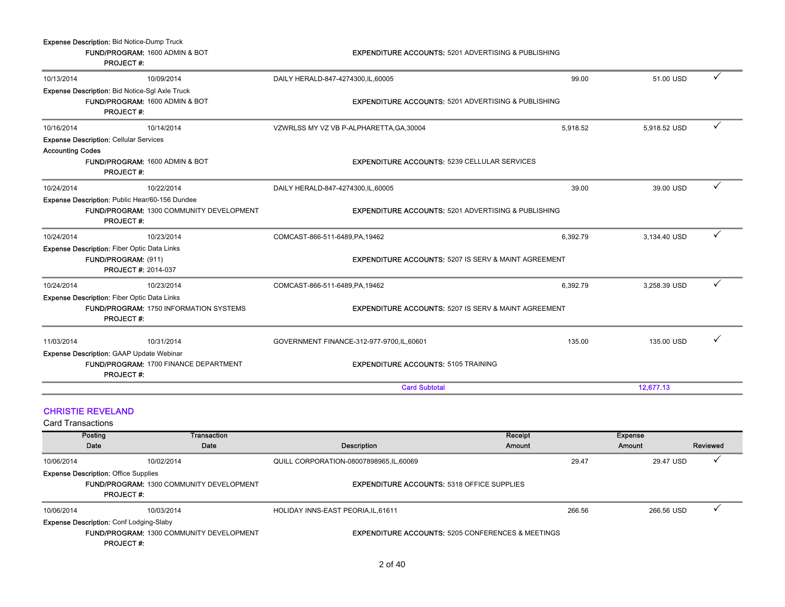|                                                                                                                  | Expense Description: Bid Notice-Dump Truck<br><b>PROJECT#:</b> | FUND/PROGRAM: 1600 ADMIN & BOT | <b>EXPENDITURE ACCOUNTS: 5201 ADVERTISING &amp; PUBLISHING</b>  |                          |                                      |
|------------------------------------------------------------------------------------------------------------------|----------------------------------------------------------------|--------------------------------|-----------------------------------------------------------------|--------------------------|--------------------------------------|
| 10/13/2014                                                                                                       |                                                                | 10/09/2014                     | DAILY HERALD-847-4274300, IL, 60005                             | 99.00                    | ✓<br>51.00 USD                       |
| Expense Description: Bid Notice-Sgl Axle Truck<br>FUND/PROGRAM: 1600 ADMIN & BOT<br><b>PROJECT#:</b>             |                                                                |                                | <b>EXPENDITURE ACCOUNTS: 5201 ADVERTISING &amp; PUBLISHING</b>  |                          |                                      |
| 10/16/2014                                                                                                       |                                                                | 10/14/2014                     | VZWRLSS MY VZ VB P-ALPHARETTA, GA, 30004                        | 5,918.52                 | ✓<br>5,918.52 USD                    |
|                                                                                                                  | <b>Expense Description: Cellular Services</b>                  |                                |                                                                 |                          |                                      |
| <b>Accounting Codes</b><br>FUND/PROGRAM: 1600 ADMIN & BOT<br><b>PROJECT#:</b>                                    |                                                                |                                | <b>EXPENDITURE ACCOUNTS: 5239 CELLULAR SERVICES</b>             |                          |                                      |
| 10/24/2014                                                                                                       |                                                                | 10/22/2014                     | DAILY HERALD-847-4274300, IL, 60005                             | 39.00                    | ✓<br>39.00 USD                       |
| Expense Description: Public Hear/60-156 Dundee<br>FUND/PROGRAM: 1300 COMMUNITY DEVELOPMENT<br><b>PROJECT#:</b>   |                                                                |                                | <b>EXPENDITURE ACCOUNTS: 5201 ADVERTISING &amp; PUBLISHING</b>  |                          |                                      |
| 10/24/2014                                                                                                       |                                                                | 10/23/2014                     | COMCAST-866-511-6489, PA, 19462                                 | 6,392.79                 | ✓<br>3,134.40 USD                    |
| <b>Expense Description: Fiber Optic Data Links</b><br>FUND/PROGRAM: (911)<br><b>PROJECT #: 2014-037</b>          |                                                                |                                | <b>EXPENDITURE ACCOUNTS: 5207 IS SERV &amp; MAINT AGREEMENT</b> |                          |                                      |
| 10/24/2014                                                                                                       |                                                                | 10/23/2014                     | COMCAST-866-511-6489, PA, 19462                                 | 6,392.79                 | ✓<br>3,258.39 USD                    |
| <b>Expense Description: Fiber Optic Data Links</b><br>FUND/PROGRAM: 1750 INFORMATION SYSTEMS<br><b>PROJECT#:</b> |                                                                |                                | <b>EXPENDITURE ACCOUNTS: 5207 IS SERV &amp; MAINT AGREEMENT</b> |                          |                                      |
| 11/03/2014                                                                                                       |                                                                | 10/31/2014                     | GOVERNMENT FINANCE-312-977-9700,IL,60601                        | 135.00                   | ✓<br>135.00 USD                      |
| Expense Description: GAAP Update Webinar<br>FUND/PROGRAM: 1700 FINANCE DEPARTMENT<br><b>PROJECT#:</b>            |                                                                |                                | <b>EXPENDITURE ACCOUNTS: 5105 TRAINING</b>                      |                          |                                      |
|                                                                                                                  |                                                                |                                | <b>Card Subtotal</b>                                            |                          | 12.677.13                            |
| <b>Card Transactions</b>                                                                                         | <b>CHRISTIE REVELAND</b>                                       |                                |                                                                 |                          |                                      |
|                                                                                                                  | Posting<br>Date                                                | Transaction<br>Date            | Description                                                     | Receipt<br><b>Amount</b> | <b>Expense</b><br>Amount<br>Reviewed |
| 10/06/2014                                                                                                       |                                                                | 10/02/2014                     | QUILL CORPORATION-08007898965,IL,60069                          | 29.47                    | 29.47 USD                            |
| <b>Expense Description: Office Supplies</b><br>FUND/PROGRAM: 1300 COMMUNITY DEVELOPMENT<br><b>PROJECT#:</b>      |                                                                |                                | <b>EXPENDITURE ACCOUNTS: 5318 OFFICE SUPPLIES</b>               |                          |                                      |
| 10/06/2014                                                                                                       |                                                                | 10/03/2014                     | HOLIDAY INNS-EAST PEORIA, IL, 61611                             | 266.56                   | ✓<br>266.56 USD                      |
| Expense Description: Conf Lodging-Slaby<br>FUND/PROGRAM: 1300 COMMUNITY DEVELOPMENT<br><b>PROJECT#:</b>          |                                                                |                                | <b>EXPENDITURE ACCOUNTS: 5205 CONFERENCES &amp; MEETINGS</b>    |                          |                                      |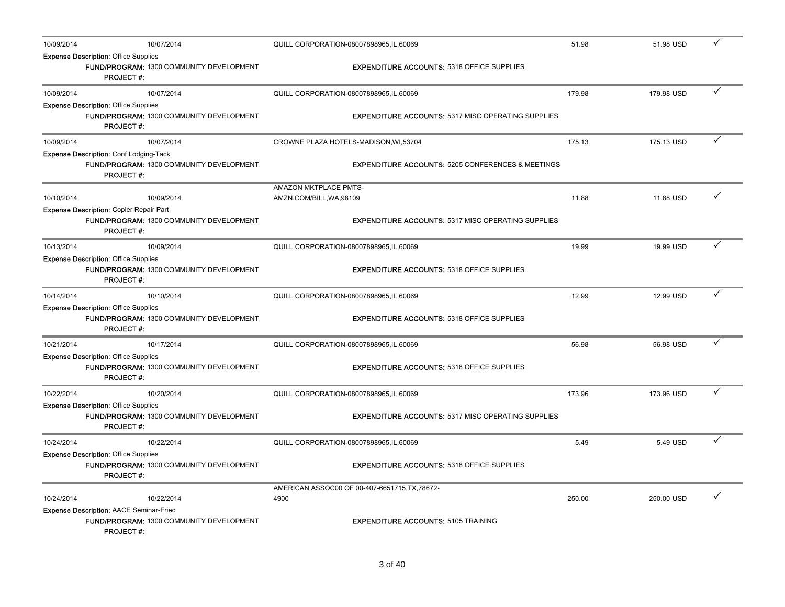| 10/09/2014 | 10/07/2014                                                                                                     | QUILL CORPORATION-08007898965, IL, 60069                     | 51.98  | 51.98 USD  | ✓            |
|------------|----------------------------------------------------------------------------------------------------------------|--------------------------------------------------------------|--------|------------|--------------|
|            | <b>Expense Description: Office Supplies</b><br>FUND/PROGRAM: 1300 COMMUNITY DEVELOPMENT<br><b>PROJECT#:</b>    | <b>EXPENDITURE ACCOUNTS: 5318 OFFICE SUPPLIES</b>            |        |            |              |
| 10/09/2014 | 10/07/2014                                                                                                     | QUILL CORPORATION-08007898965, IL, 60069                     | 179.98 | 179.98 USD | ✓            |
|            | <b>Expense Description: Office Supplies</b><br>FUND/PROGRAM: 1300 COMMUNITY DEVELOPMENT<br><b>PROJECT#:</b>    | <b>EXPENDITURE ACCOUNTS: 5317 MISC OPERATING SUPPLIES</b>    |        |            |              |
| 10/09/2014 | 10/07/2014                                                                                                     | CROWNE PLAZA HOTELS-MADISON, WI,53704                        | 175.13 | 175.13 USD | $\checkmark$ |
|            | <b>Expense Description: Conf Lodging-Tack</b><br>FUND/PROGRAM: 1300 COMMUNITY DEVELOPMENT<br><b>PROJECT#:</b>  | <b>EXPENDITURE ACCOUNTS: 5205 CONFERENCES &amp; MEETINGS</b> |        |            |              |
| 10/10/2014 | 10/09/2014                                                                                                     | AMAZON MKTPLACE PMTS-<br>AMZN.COM/BILL, WA, 98109            | 11.88  | 11.88 USD  |              |
|            | <b>Expense Description: Copier Repair Part</b><br>FUND/PROGRAM: 1300 COMMUNITY DEVELOPMENT<br><b>PROJECT#:</b> | <b>EXPENDITURE ACCOUNTS: 5317 MISC OPERATING SUPPLIES</b>    |        |            |              |
| 10/13/2014 | 10/09/2014                                                                                                     | QUILL CORPORATION-08007898965,IL,60069                       | 19.99  | 19.99 USD  | ✓            |
|            | <b>Expense Description: Office Supplies</b><br>FUND/PROGRAM: 1300 COMMUNITY DEVELOPMENT<br><b>PROJECT#:</b>    | <b>EXPENDITURE ACCOUNTS: 5318 OFFICE SUPPLIES</b>            |        |            |              |
| 10/14/2014 | 10/10/2014                                                                                                     | QUILL CORPORATION-08007898965, IL, 60069                     | 12.99  | 12.99 USD  | ✓            |
|            | <b>Expense Description: Office Supplies</b><br>FUND/PROGRAM: 1300 COMMUNITY DEVELOPMENT<br><b>PROJECT#:</b>    | <b>EXPENDITURE ACCOUNTS: 5318 OFFICE SUPPLIES</b>            |        |            |              |
| 10/21/2014 | 10/17/2014                                                                                                     | QUILL CORPORATION-08007898965,IL,60069                       | 56.98  | 56.98 USD  | $\checkmark$ |
|            | <b>Expense Description: Office Supplies</b><br>FUND/PROGRAM: 1300 COMMUNITY DEVELOPMENT<br><b>PROJECT#:</b>    | <b>EXPENDITURE ACCOUNTS: 5318 OFFICE SUPPLIES</b>            |        |            |              |
| 10/22/2014 | 10/20/2014                                                                                                     | QUILL CORPORATION-08007898965, IL, 60069                     | 173.96 | 173.96 USD | ✓            |
|            | <b>Expense Description: Office Supplies</b><br>FUND/PROGRAM: 1300 COMMUNITY DEVELOPMENT<br><b>PROJECT#:</b>    | <b>EXPENDITURE ACCOUNTS: 5317 MISC OPERATING SUPPLIES</b>    |        |            |              |
| 10/24/2014 | 10/22/2014                                                                                                     | QUILL CORPORATION-08007898965,IL,60069                       | 5.49   | 5.49 USD   | ✓            |
|            | <b>Expense Description: Office Supplies</b><br>FUND/PROGRAM: 1300 COMMUNITY DEVELOPMENT<br><b>PROJECT#:</b>    | <b>EXPENDITURE ACCOUNTS: 5318 OFFICE SUPPLIES</b>            |        |            |              |
| 10/24/2014 | 10/22/2014                                                                                                     | AMERICAN ASSOC00 OF 00-407-6651715, TX, 78672-<br>4900       | 250.00 | 250.00 USD |              |
|            | Expense Description: AACE Seminar-Fried<br>FUND/PROGRAM: 1300 COMMUNITY DEVELOPMENT<br><b>PROJECT#:</b>        | <b>EXPENDITURE ACCOUNTS: 5105 TRAINING</b>                   |        |            |              |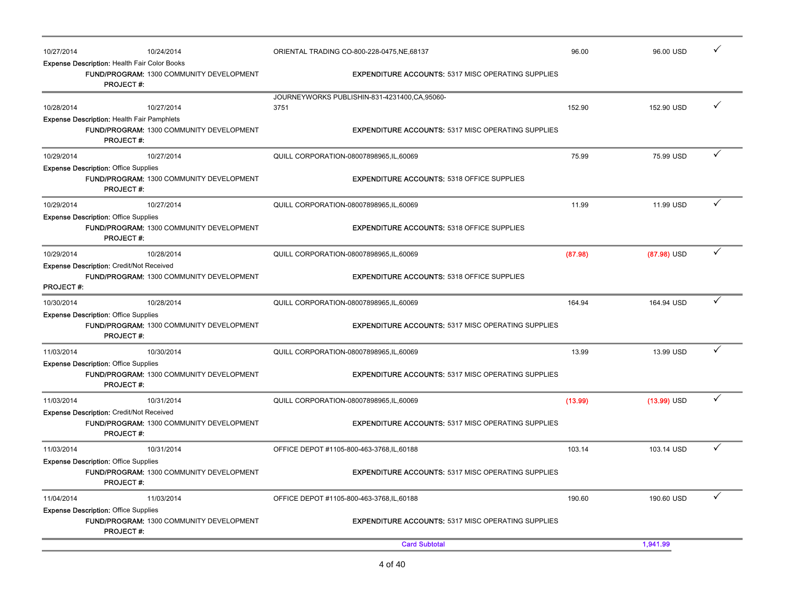| 10/27/2014       |                                                                         | 10/24/2014                               |                                            | ORIENTAL TRADING CO-800-228-0475.NE.68137                 | 96.00   | 96.00 USD     |              |
|------------------|-------------------------------------------------------------------------|------------------------------------------|--------------------------------------------|-----------------------------------------------------------|---------|---------------|--------------|
|                  | <b>Expense Description: Health Fair Color Books</b><br><b>PROJECT#:</b> | FUND/PROGRAM: 1300 COMMUNITY DEVELOPMENT |                                            | <b>EXPENDITURE ACCOUNTS: 5317 MISC OPERATING SUPPLIES</b> |         |               |              |
|                  |                                                                         |                                          |                                            | JOURNEYWORKS PUBLISHIN-831-4231400,CA,95060-              |         |               |              |
| 10/28/2014       |                                                                         | 10/27/2014                               | 3751                                       |                                                           | 152.90  | 152.90 USD    | $\checkmark$ |
|                  | <b>Expense Description: Health Fair Pamphlets</b><br><b>PROJECT#:</b>   | FUND/PROGRAM: 1300 COMMUNITY DEVELOPMENT |                                            | <b>EXPENDITURE ACCOUNTS: 5317 MISC OPERATING SUPPLIES</b> |         |               |              |
| 10/29/2014       |                                                                         | 10/27/2014                               | QUILL CORPORATION-08007898965, IL, 60069   |                                                           | 75.99   | 75.99 USD     | ✓            |
|                  | <b>Expense Description: Office Supplies</b><br><b>PROJECT#:</b>         | FUND/PROGRAM: 1300 COMMUNITY DEVELOPMENT |                                            | <b>EXPENDITURE ACCOUNTS: 5318 OFFICE SUPPLIES</b>         |         |               |              |
| 10/29/2014       |                                                                         | 10/27/2014                               | QUILL CORPORATION-08007898965,IL,60069     |                                                           | 11.99   | 11.99 USD     |              |
|                  | <b>Expense Description: Office Supplies</b><br><b>PROJECT#:</b>         | FUND/PROGRAM: 1300 COMMUNITY DEVELOPMENT |                                            | <b>EXPENDITURE ACCOUNTS: 5318 OFFICE SUPPLIES</b>         |         |               |              |
| 10/29/2014       |                                                                         | 10/28/2014                               | QUILL CORPORATION-08007898965, IL, 60069   |                                                           | (87.98) | $(87.98)$ USD | $\checkmark$ |
| <b>PROJECT#:</b> | <b>Expense Description: Credit/Not Received</b>                         | FUND/PROGRAM: 1300 COMMUNITY DEVELOPMENT |                                            | <b>EXPENDITURE ACCOUNTS: 5318 OFFICE SUPPLIES</b>         |         |               |              |
| 10/30/2014       |                                                                         | 10/28/2014                               | QUILL CORPORATION-08007898965, IL, 60069   |                                                           | 164.94  | 164.94 USD    | $\checkmark$ |
|                  | <b>Expense Description: Office Supplies</b><br><b>PROJECT#:</b>         | FUND/PROGRAM: 1300 COMMUNITY DEVELOPMENT |                                            | <b>EXPENDITURE ACCOUNTS: 5317 MISC OPERATING SUPPLIES</b> |         |               |              |
| 11/03/2014       |                                                                         | 10/30/2014                               | QUILL CORPORATION-08007898965,IL,60069     |                                                           | 13.99   | 13.99 USD     | ✓            |
|                  | <b>Expense Description: Office Supplies</b><br><b>PROJECT#:</b>         | FUND/PROGRAM: 1300 COMMUNITY DEVELOPMENT |                                            | <b>EXPENDITURE ACCOUNTS: 5317 MISC OPERATING SUPPLIES</b> |         |               |              |
| 11/03/2014       |                                                                         | 10/31/2014                               | QUILL CORPORATION-08007898965, IL, 60069   |                                                           | (13.99) | $(13.99)$ USD | ✓            |
|                  | <b>Expense Description: Credit/Not Received</b><br><b>PROJECT#:</b>     | FUND/PROGRAM: 1300 COMMUNITY DEVELOPMENT |                                            | <b>EXPENDITURE ACCOUNTS: 5317 MISC OPERATING SUPPLIES</b> |         |               |              |
| 11/03/2014       |                                                                         | 10/31/2014                               | OFFICE DEPOT #1105-800-463-3768, IL, 60188 |                                                           | 103.14  | 103.14 USD    | ✓            |
|                  | <b>Expense Description: Office Supplies</b><br><b>PROJECT#:</b>         | FUND/PROGRAM: 1300 COMMUNITY DEVELOPMENT |                                            | <b>EXPENDITURE ACCOUNTS: 5317 MISC OPERATING SUPPLIES</b> |         |               |              |
| 11/04/2014       |                                                                         | 11/03/2014                               | OFFICE DEPOT #1105-800-463-3768, IL, 60188 |                                                           | 190.60  | 190.60 USD    | ✓            |
|                  | <b>Expense Description: Office Supplies</b><br><b>PROJECT#:</b>         | FUND/PROGRAM: 1300 COMMUNITY DEVELOPMENT |                                            | <b>EXPENDITURE ACCOUNTS: 5317 MISC OPERATING SUPPLIES</b> |         |               |              |
|                  |                                                                         |                                          |                                            | <b>Card Subtotal</b>                                      |         | 1,941.99      |              |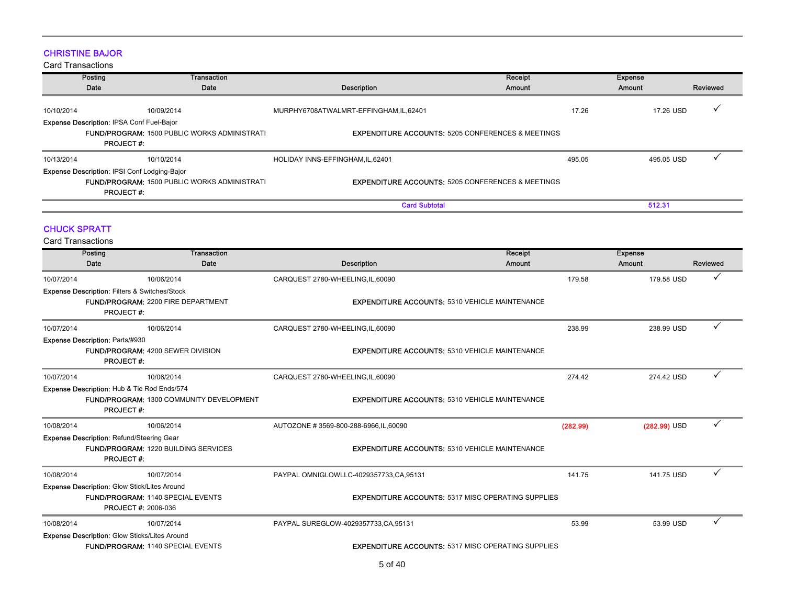### CHRISTINE BAJOR

|                                                 | Posting<br>Date                                                         | Transaction<br>Date                                 | Description                                                  | Receipt<br>Amount | <b>Expense</b><br>Amount |            | Reviewed |
|-------------------------------------------------|-------------------------------------------------------------------------|-----------------------------------------------------|--------------------------------------------------------------|-------------------|--------------------------|------------|----------|
| 10/10/2014                                      | <b>Expense Description: IPSA Conf Fuel-Bajor</b>                        | 10/09/2014                                          | MURPHY6708ATWALMRT-EFFINGHAM,IL,62401                        |                   | 17.26                    | 17.26 USD  |          |
|                                                 | <b>PROJECT#:</b>                                                        | <b>FUND/PROGRAM: 1500 PUBLIC WORKS ADMINISTRATI</b> | <b>EXPENDITURE ACCOUNTS: 5205 CONFERENCES &amp; MEETINGS</b> |                   |                          |            |          |
| 10/13/2014                                      |                                                                         | 10/10/2014                                          | HOLIDAY INNS-EFFINGHAM, IL, 62401                            |                   | 495.05                   | 495.05 USD |          |
|                                                 | <b>Expense Description: IPSI Conf Lodging-Bajor</b><br><b>PROJECT#:</b> | <b>FUND/PROGRAM: 1500 PUBLIC WORKS ADMINISTRATI</b> | <b>EXPENDITURE ACCOUNTS: 5205 CONFERENCES &amp; MEETINGS</b> |                   |                          |            |          |
|                                                 |                                                                         |                                                     | <b>Card Subtotal</b>                                         |                   |                          | 512.31     |          |
| <b>CHUCK SPRATT</b><br><b>Card Transactions</b> |                                                                         |                                                     |                                                              |                   |                          |            |          |

|            | Posting                                                  | <b>Transaction</b>                              |                                                           | Receipt  | <b>Expense</b> |          |
|------------|----------------------------------------------------------|-------------------------------------------------|-----------------------------------------------------------|----------|----------------|----------|
|            | Date                                                     | Date                                            | <b>Description</b>                                        | Amount   | Amount         | Reviewed |
| 10/07/2014 |                                                          | 10/06/2014                                      | CARQUEST 2780-WHEELING,IL,60090                           | 179.58   | 179.58 USD     |          |
|            | <b>Expense Description: Filters &amp; Switches/Stock</b> |                                                 |                                                           |          |                |          |
|            |                                                          | <b>FUND/PROGRAM: 2200 FIRE DEPARTMENT</b>       | <b>EXPENDITURE ACCOUNTS: 5310 VEHICLE MAINTENANCE</b>     |          |                |          |
|            | <b>PROJECT#:</b>                                         |                                                 |                                                           |          |                |          |
| 10/07/2014 |                                                          | 10/06/2014                                      | CARQUEST 2780-WHEELING, IL, 60090                         | 238.99   | 238.99 USD     |          |
|            | <b>Expense Description: Parts/#930</b>                   |                                                 |                                                           |          |                |          |
|            | <b>PROJECT#:</b>                                         | <b>FUND/PROGRAM: 4200 SEWER DIVISION</b>        | <b>EXPENDITURE ACCOUNTS: 5310 VEHICLE MAINTENANCE</b>     |          |                |          |
| 10/07/2014 |                                                          | 10/06/2014                                      | CARQUEST 2780-WHEELING, IL, 60090                         | 274.42   | 274.42 USD     |          |
|            | Expense Description: Hub & Tie Rod Ends/574              |                                                 |                                                           |          |                |          |
|            | <b>PROJECT#:</b>                                         | <b>FUND/PROGRAM: 1300 COMMUNITY DEVELOPMENT</b> | <b>EXPENDITURE ACCOUNTS: 5310 VEHICLE MAINTENANCE</b>     |          |                |          |
| 10/08/2014 |                                                          | 10/06/2014                                      | AUTOZONE #3569-800-288-6966,IL,60090                      | (282.99) | $(282.99)$ USD |          |
|            | Expense Description: Refund/Steering Gear                |                                                 |                                                           |          |                |          |
|            | <b>PROJECT#:</b>                                         | <b>FUND/PROGRAM: 1220 BUILDING SERVICES</b>     | <b>EXPENDITURE ACCOUNTS: 5310 VEHICLE MAINTENANCE</b>     |          |                |          |
| 10/08/2014 |                                                          | 10/07/2014                                      | PAYPAL OMNIGLOWLLC-4029357733,CA,95131                    | 141.75   | 141.75 USD     |          |
|            | Expense Description: Glow Stick/Lites Around             |                                                 |                                                           |          |                |          |
|            | <b>PROJECT #: 2006-036</b>                               | <b>FUND/PROGRAM: 1140 SPECIAL EVENTS</b>        | <b>EXPENDITURE ACCOUNTS: 5317 MISC OPERATING SUPPLIES</b> |          |                |          |
| 10/08/2014 |                                                          | 10/07/2014                                      | PAYPAL SUREGLOW-4029357733, CA, 95131                     | 53.99    | 53.99 USD      |          |
|            | Expense Description: Glow Sticks/Lites Around            |                                                 |                                                           |          |                |          |
|            |                                                          | <b>FUND/PROGRAM: 1140 SPECIAL EVENTS</b>        | <b>EXPENDITURE ACCOUNTS: 5317 MISC OPERATING SUPPLIES</b> |          |                |          |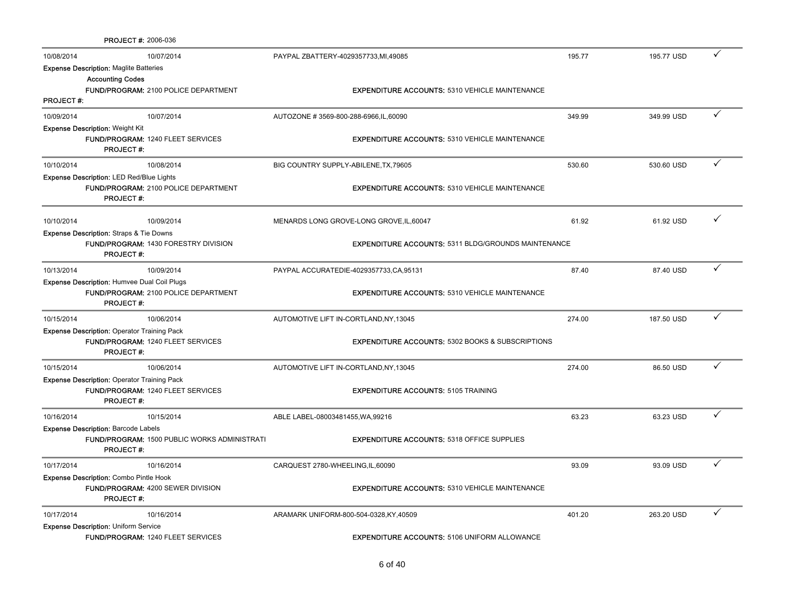|                  | <b>PROJECT #: 2006-036</b>                                      |                                                             |        |            |   |
|------------------|-----------------------------------------------------------------|-------------------------------------------------------------|--------|------------|---|
| 10/08/2014       | 10/07/2014                                                      | PAYPAL ZBATTERY-4029357733, MI, 49085                       | 195.77 | 195.77 USD |   |
|                  | <b>Expense Description: Maglite Batteries</b>                   |                                                             |        |            |   |
|                  | <b>Accounting Codes</b>                                         |                                                             |        |            |   |
|                  | <b>FUND/PROGRAM: 2100 POLICE DEPARTMENT</b>                     | <b>EXPENDITURE ACCOUNTS: 5310 VEHICLE MAINTENANCE</b>       |        |            |   |
| <b>PROJECT#:</b> |                                                                 |                                                             |        |            |   |
| 10/09/2014       | 10/07/2014                                                      | AUTOZONE #3569-800-288-6966,IL,60090                        | 349.99 | 349.99 USD |   |
|                  | <b>Expense Description: Weight Kit</b>                          |                                                             |        |            |   |
|                  | FUND/PROGRAM: 1240 FLEET SERVICES<br><b>PROJECT#:</b>           | <b>EXPENDITURE ACCOUNTS: 5310 VEHICLE MAINTENANCE</b>       |        |            |   |
|                  |                                                                 |                                                             |        |            |   |
| 10/10/2014       | 10/08/2014                                                      | BIG COUNTRY SUPPLY-ABILENE, TX, 79605                       | 530.60 | 530.60 USD | ✓ |
|                  | <b>Expense Description: LED Red/Blue Lights</b>                 |                                                             |        |            |   |
|                  | <b>FUND/PROGRAM: 2100 POLICE DEPARTMENT</b><br><b>PROJECT#:</b> | <b>EXPENDITURE ACCOUNTS: 5310 VEHICLE MAINTENANCE</b>       |        |            |   |
|                  |                                                                 |                                                             |        |            |   |
| 10/10/2014       | 10/09/2014                                                      | MENARDS LONG GROVE-LONG GROVE, IL, 60047                    | 61.92  | 61.92 USD  |   |
|                  | <b>Expense Description: Straps &amp; Tie Downs</b>              |                                                             |        |            |   |
|                  | <b>FUND/PROGRAM: 1430 FORESTRY DIVISION</b>                     | <b>EXPENDITURE ACCOUNTS: 5311 BLDG/GROUNDS MAINTENANCE</b>  |        |            |   |
|                  | <b>PROJECT#:</b>                                                |                                                             |        |            |   |
| 10/13/2014       | 10/09/2014                                                      | PAYPAL ACCURATEDIE-4029357733,CA,95131                      | 87.40  | 87.40 USD  |   |
|                  | Expense Description: Humvee Dual Coil Plugs                     |                                                             |        |            |   |
|                  | <b>FUND/PROGRAM: 2100 POLICE DEPARTMENT</b>                     | <b>EXPENDITURE ACCOUNTS: 5310 VEHICLE MAINTENANCE</b>       |        |            |   |
|                  | <b>PROJECT#:</b>                                                |                                                             |        |            |   |
| 10/15/2014       | 10/06/2014                                                      | AUTOMOTIVE LIFT IN-CORTLAND, NY, 13045                      | 274.00 | 187.50 USD |   |
|                  | <b>Expense Description: Operator Training Pack</b>              |                                                             |        |            |   |
|                  | FUND/PROGRAM: 1240 FLEET SERVICES                               | <b>EXPENDITURE ACCOUNTS: 5302 BOOKS &amp; SUBSCRIPTIONS</b> |        |            |   |
|                  | <b>PROJECT#:</b>                                                |                                                             |        |            |   |
| 10/15/2014       | 10/06/2014                                                      | AUTOMOTIVE LIFT IN-CORTLAND, NY, 13045                      | 274.00 | 86.50 USD  |   |
|                  | <b>Expense Description: Operator Training Pack</b>              |                                                             |        |            |   |
|                  | FUND/PROGRAM: 1240 FLEET SERVICES                               | <b>EXPENDITURE ACCOUNTS: 5105 TRAINING</b>                  |        |            |   |
|                  | <b>PROJECT#:</b>                                                |                                                             |        |            |   |
| 10/16/2014       | 10/15/2014                                                      | ABLE LABEL-08003481455, WA, 99216                           | 63.23  | 63.23 USD  |   |
|                  | <b>Expense Description: Barcode Labels</b>                      |                                                             |        |            |   |
|                  | <b>FUND/PROGRAM: 1500 PUBLIC WORKS ADMINISTRATI</b>             | <b>EXPENDITURE ACCOUNTS: 5318 OFFICE SUPPLIES</b>           |        |            |   |
|                  | <b>PROJECT#:</b>                                                |                                                             |        |            |   |
| 10/17/2014       | 10/16/2014                                                      | CARQUEST 2780-WHEELING,IL,60090                             | 93.09  | 93.09 USD  |   |
|                  | Expense Description: Combo Pintle Hook                          |                                                             |        |            |   |
|                  | <b>FUND/PROGRAM: 4200 SEWER DIVISION</b><br><b>PROJECT#:</b>    | <b>EXPENDITURE ACCOUNTS: 5310 VEHICLE MAINTENANCE</b>       |        |            |   |
| 10/17/2014       | 10/16/2014                                                      | ARAMARK UNIFORM-800-504-0328, KY, 40509                     | 401.20 | 263.20 USD |   |
|                  | <b>Expense Description: Uniform Service</b>                     |                                                             |        |            |   |
|                  | <b>FUND/PROGRAM: 1240 FLEET SERVICES</b>                        | <b>EXPENDITURE ACCOUNTS: 5106 UNIFORM ALLOWANCE</b>         |        |            |   |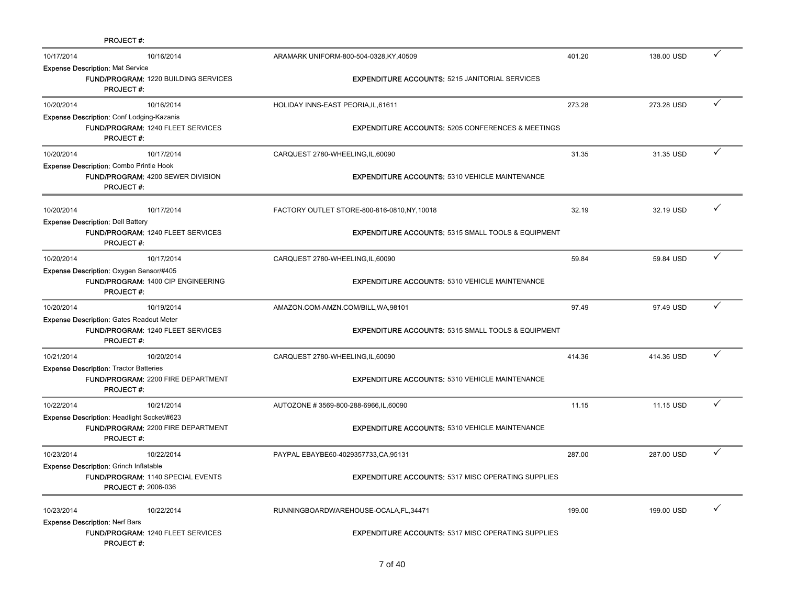|            | <b>PROJECT#:</b>                                                            |                                             |                                                               |        |            |   |  |
|------------|-----------------------------------------------------------------------------|---------------------------------------------|---------------------------------------------------------------|--------|------------|---|--|
| 10/17/2014 |                                                                             | 10/16/2014                                  | ARAMARK UNIFORM-800-504-0328, KY, 40509                       | 401.20 | 138.00 USD | ✓ |  |
|            | <b>Expense Description: Mat Service</b><br><b>PROJECT#:</b>                 | <b>FUND/PROGRAM: 1220 BUILDING SERVICES</b> | <b>EXPENDITURE ACCOUNTS: 5215 JANITORIAL SERVICES</b>         |        |            |   |  |
| 10/20/2014 |                                                                             | 10/16/2014                                  | HOLIDAY INNS-EAST PEORIA, IL, 61611                           | 273.28 | 273.28 USD | ✓ |  |
|            | Expense Description: Conf Lodging-Kazanis<br><b>PROJECT#:</b>               | <b>FUND/PROGRAM: 1240 FLEET SERVICES</b>    | <b>EXPENDITURE ACCOUNTS: 5205 CONFERENCES &amp; MEETINGS</b>  |        |            |   |  |
| 10/20/2014 |                                                                             | 10/17/2014                                  | CARQUEST 2780-WHEELING,IL,60090                               | 31.35  | 31.35 USD  | ✓ |  |
|            | <b>Expense Description: Combo Printle Hook</b><br><b>PROJECT#:</b>          | FUND/PROGRAM: 4200 SEWER DIVISION           | <b>EXPENDITURE ACCOUNTS: 5310 VEHICLE MAINTENANCE</b>         |        |            |   |  |
| 10/20/2014 | <b>Expense Description: Dell Battery</b>                                    | 10/17/2014                                  | FACTORY OUTLET STORE-800-816-0810, NY, 10018                  | 32.19  | 32.19 USD  |   |  |
|            | <b>PROJECT#:</b>                                                            | FUND/PROGRAM: 1240 FLEET SERVICES           | <b>EXPENDITURE ACCOUNTS: 5315 SMALL TOOLS &amp; EQUIPMENT</b> |        |            |   |  |
| 10/20/2014 |                                                                             | 10/17/2014                                  | CARQUEST 2780-WHEELING, IL, 60090                             | 59.84  | 59.84 USD  | ✓ |  |
|            | Expense Description: Oxygen Sensor/#405<br><b>PROJECT#:</b>                 | FUND/PROGRAM: 1400 CIP ENGINEERING          | <b>EXPENDITURE ACCOUNTS: 5310 VEHICLE MAINTENANCE</b>         |        |            |   |  |
| 10/20/2014 |                                                                             | 10/19/2014                                  | AMAZON.COM-AMZN.COM/BILL, WA, 98101                           | 97.49  | 97.49 USD  | ✓ |  |
|            | <b>Expense Description: Gates Readout Meter</b><br><b>PROJECT#:</b>         | <b>FUND/PROGRAM: 1240 FLEET SERVICES</b>    | <b>EXPENDITURE ACCOUNTS: 5315 SMALL TOOLS &amp; EQUIPMENT</b> |        |            |   |  |
| 10/21/2014 |                                                                             | 10/20/2014                                  | CARQUEST 2780-WHEELING, IL, 60090                             | 414.36 | 414.36 USD | ✓ |  |
|            | <b>Expense Description: Tractor Batteries</b><br><b>PROJECT#:</b>           | FUND/PROGRAM: 2200 FIRE DEPARTMENT          | <b>EXPENDITURE ACCOUNTS: 5310 VEHICLE MAINTENANCE</b>         |        |            |   |  |
| 10/22/2014 |                                                                             | 10/21/2014                                  | AUTOZONE #3569-800-288-6966,IL,60090                          | 11.15  | 11.15 USD  | ✓ |  |
|            | Expense Description: Headlight Socket/#623<br><b>PROJECT#:</b>              | <b>FUND/PROGRAM: 2200 FIRE DEPARTMENT</b>   | <b>EXPENDITURE ACCOUNTS: 5310 VEHICLE MAINTENANCE</b>         |        |            |   |  |
| 10/23/2014 |                                                                             | 10/22/2014                                  | PAYPAL EBAYBE60-4029357733, CA, 95131                         | 287.00 | 287.00 USD | ✓ |  |
|            | <b>Expense Description: Grinch Inflatable</b><br><b>PROJECT #: 2006-036</b> | FUND/PROGRAM: 1140 SPECIAL EVENTS           | <b>EXPENDITURE ACCOUNTS: 5317 MISC OPERATING SUPPLIES</b>     |        |            |   |  |
| 10/23/2014 | <b>Expense Description: Nerf Bars</b>                                       | 10/22/2014                                  | RUNNINGBOARDWAREHOUSE-OCALA, FL, 34471                        | 199.00 | 199.00 USD |   |  |
|            | <b>PROJECT#:</b>                                                            | <b>FUND/PROGRAM: 1240 FLEET SERVICES</b>    | <b>EXPENDITURE ACCOUNTS: 5317 MISC OPERATING SUPPLIES</b>     |        |            |   |  |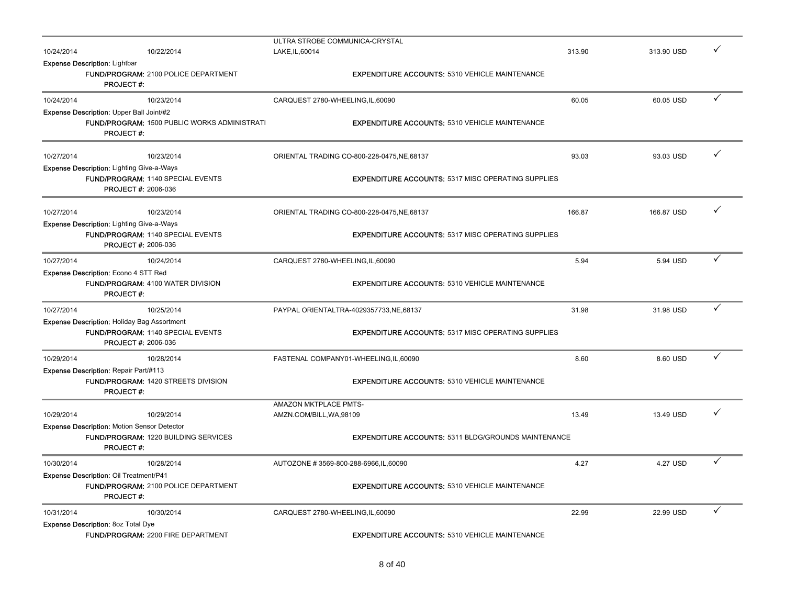|            |                                                                         | ULTRA STROBE COMMUNICA-CRYSTAL                             |        |            |   |
|------------|-------------------------------------------------------------------------|------------------------------------------------------------|--------|------------|---|
| 10/24/2014 | 10/22/2014                                                              | LAKE, IL, 60014                                            | 313.90 | 313.90 USD |   |
|            | <b>Expense Description: Lightbar</b>                                    |                                                            |        |            |   |
|            | <b>FUND/PROGRAM: 2100 POLICE DEPARTMENT</b>                             | <b>EXPENDITURE ACCOUNTS: 5310 VEHICLE MAINTENANCE</b>      |        |            |   |
|            | <b>PROJECT#:</b>                                                        |                                                            |        |            |   |
| 10/24/2014 | 10/23/2014                                                              | CARQUEST 2780-WHEELING,IL,60090                            | 60.05  | 60.05 USD  | ✓ |
|            | Expense Description: Upper Ball Joint/#2                                |                                                            |        |            |   |
|            | <b>FUND/PROGRAM: 1500 PUBLIC WORKS ADMINISTRATI</b><br><b>PROJECT#:</b> | <b>EXPENDITURE ACCOUNTS: 5310 VEHICLE MAINTENANCE</b>      |        |            |   |
|            |                                                                         |                                                            |        |            |   |
| 10/27/2014 | 10/23/2014                                                              | ORIENTAL TRADING CO-800-228-0475, NE, 68137                | 93.03  | 93.03 USD  | ✓ |
|            | <b>Expense Description: Lighting Give-a-Ways</b>                        |                                                            |        |            |   |
|            | FUND/PROGRAM: 1140 SPECIAL EVENTS                                       | <b>EXPENDITURE ACCOUNTS: 5317 MISC OPERATING SUPPLIES</b>  |        |            |   |
|            | <b>PROJECT #: 2006-036</b>                                              |                                                            |        |            |   |
|            |                                                                         |                                                            |        |            |   |
| 10/27/2014 | 10/23/2014                                                              | ORIENTAL TRADING CO-800-228-0475, NE, 68137                | 166.87 | 166.87 USD | ✓ |
|            | <b>Expense Description: Lighting Give-a-Ways</b>                        |                                                            |        |            |   |
|            | FUND/PROGRAM: 1140 SPECIAL EVENTS                                       | <b>EXPENDITURE ACCOUNTS: 5317 MISC OPERATING SUPPLIES</b>  |        |            |   |
|            | <b>PROJECT #: 2006-036</b>                                              |                                                            |        |            |   |
| 10/27/2014 | 10/24/2014                                                              | CARQUEST 2780-WHEELING, IL, 60090                          | 5.94   | 5.94 USD   | ✓ |
|            | <b>Expense Description: Econo 4 STT Red</b>                             |                                                            |        |            |   |
|            | FUND/PROGRAM: 4100 WATER DIVISION                                       | <b>EXPENDITURE ACCOUNTS: 5310 VEHICLE MAINTENANCE</b>      |        |            |   |
|            | <b>PROJECT#:</b>                                                        |                                                            |        |            |   |
| 10/27/2014 | 10/25/2014                                                              | PAYPAL ORIENTALTRA-4029357733, NE, 68137                   | 31.98  | 31.98 USD  | ✓ |
|            | <b>Expense Description: Holiday Bag Assortment</b>                      |                                                            |        |            |   |
|            | <b>FUND/PROGRAM: 1140 SPECIAL EVENTS</b>                                | <b>EXPENDITURE ACCOUNTS: 5317 MISC OPERATING SUPPLIES</b>  |        |            |   |
|            | <b>PROJECT #: 2006-036</b>                                              |                                                            |        |            |   |
| 10/29/2014 | 10/28/2014                                                              | FASTENAL COMPANY01-WHEELING,IL,60090                       | 8.60   | 8.60 USD   | ✓ |
|            | Expense Description: Repair Part/#113                                   |                                                            |        |            |   |
|            | FUND/PROGRAM: 1420 STREETS DIVISION                                     | <b>EXPENDITURE ACCOUNTS: 5310 VEHICLE MAINTENANCE</b>      |        |            |   |
|            | <b>PROJECT#:</b>                                                        |                                                            |        |            |   |
|            |                                                                         | AMAZON MKTPLACE PMTS-                                      |        |            |   |
| 10/29/2014 | 10/29/2014                                                              | AMZN.COM/BILL, WA, 98109                                   | 13.49  | 13.49 USD  | ✓ |
|            | <b>Expense Description: Motion Sensor Detector</b>                      |                                                            |        |            |   |
|            | <b>FUND/PROGRAM: 1220 BUILDING SERVICES</b>                             | <b>EXPENDITURE ACCOUNTS: 5311 BLDG/GROUNDS MAINTENANCE</b> |        |            |   |
|            | <b>PROJECT#:</b>                                                        |                                                            |        |            |   |
| 10/30/2014 | 10/28/2014                                                              | AUTOZONE #3569-800-288-6966,IL,60090                       | 4.27   | 4.27 USD   | ✓ |
|            | Expense Description: Oil Treatment/P41                                  |                                                            |        |            |   |
|            | FUND/PROGRAM: 2100 POLICE DEPARTMENT                                    | <b>EXPENDITURE ACCOUNTS: 5310 VEHICLE MAINTENANCE</b>      |        |            |   |
|            | <b>PROJECT#:</b>                                                        |                                                            |        |            |   |
| 10/31/2014 | 10/30/2014                                                              | CARQUEST 2780-WHEELING, IL, 60090                          | 22.99  | 22.99 USD  | ✓ |
|            | <b>Expense Description: 8oz Total Dye</b>                               |                                                            |        |            |   |
|            | <b>FUND/PROGRAM: 2200 FIRE DEPARTMENT</b>                               | <b>EXPENDITURE ACCOUNTS: 5310 VEHICLE MAINTENANCE</b>      |        |            |   |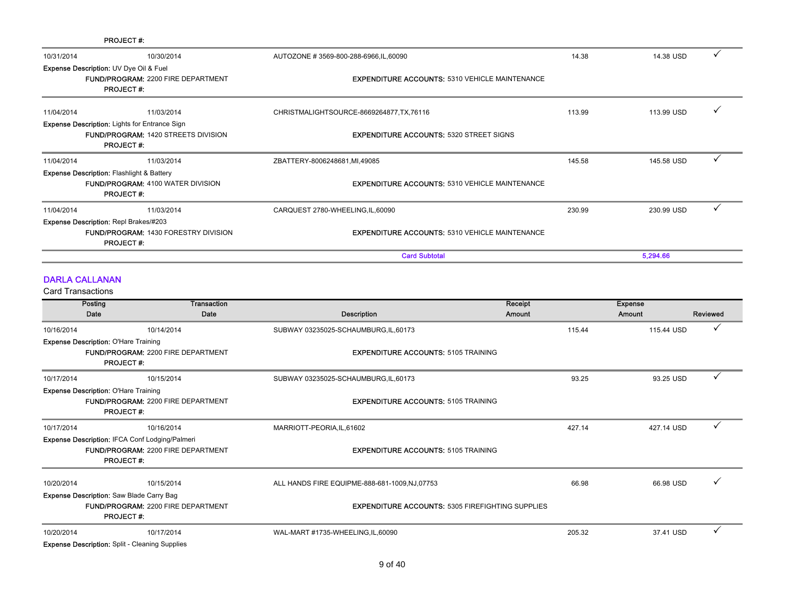|            | <b>PROJECT#:</b>                                                                                                       |                                                       |        |            |  |
|------------|------------------------------------------------------------------------------------------------------------------------|-------------------------------------------------------|--------|------------|--|
| 10/31/2014 | 10/30/2014                                                                                                             | AUTOZONE # 3569-800-288-6966, IL, 60090               | 14.38  | 14.38 USD  |  |
|            | <b>Expense Description: UV Dye Oil &amp; Fuel</b><br><b>FUND/PROGRAM: 2200 FIRE DEPARTMENT</b><br><b>PROJECT#:</b>     | <b>EXPENDITURE ACCOUNTS: 5310 VEHICLE MAINTENANCE</b> |        |            |  |
| 11/04/2014 | 11/03/2014                                                                                                             | CHRISTMALIGHTSOURCE-8669264877, TX, 76116             | 113.99 | 113.99 USD |  |
|            | <b>Expense Description: Lights for Entrance Sign</b><br><b>FUND/PROGRAM: 1420 STREETS DIVISION</b><br><b>PROJECT#:</b> | <b>EXPENDITURE ACCOUNTS: 5320 STREET SIGNS</b>        |        |            |  |
| 11/04/2014 | 11/03/2014                                                                                                             | ZBATTERY-8006248681,MI,49085                          | 145.58 | 145.58 USD |  |
|            | <b>Expense Description: Flashlight &amp; Battery</b><br><b>FUND/PROGRAM: 4100 WATER DIVISION</b><br><b>PROJECT#:</b>   | <b>EXPENDITURE ACCOUNTS: 5310 VEHICLE MAINTENANCE</b> |        |            |  |
| 11/04/2014 | 11/03/2014                                                                                                             | CARQUEST 2780-WHEELING, IL, 60090                     | 230.99 | 230.99 USD |  |
|            | <b>Expense Description: Repl Brakes/#203</b><br><b>FUND/PROGRAM: 1430 FORESTRY DIVISION</b><br><b>PROJECT#:</b>        | <b>EXPENDITURE ACCOUNTS: 5310 VEHICLE MAINTENANCE</b> |        |            |  |
|            |                                                                                                                        | <b>Card Subtotal</b>                                  |        | 5,294.66   |  |

### DARLA CALLANAN

Card Transactions

|            | Posting<br><b>Transaction</b>                                                                |                                                         | Receipt | <b>Expense</b> |              |
|------------|----------------------------------------------------------------------------------------------|---------------------------------------------------------|---------|----------------|--------------|
|            | Date<br>Date                                                                                 | Description                                             | Amount  | Amount         | Reviewed     |
| 10/16/2014 | 10/14/2014                                                                                   | SUBWAY 03235025-SCHAUMBURG, IL, 60173                   | 115.44  | 115.44 USD     | ✓            |
|            | <b>Expense Description: O'Hare Training</b>                                                  |                                                         |         |                |              |
|            | <b>FUND/PROGRAM: 2200 FIRE DEPARTMENT</b>                                                    | <b>EXPENDITURE ACCOUNTS: 5105 TRAINING</b>              |         |                |              |
|            | <b>PROJECT#:</b>                                                                             |                                                         |         |                |              |
| 10/17/2014 | 10/15/2014                                                                                   | SUBWAY 03235025-SCHAUMBURG,IL,60173                     | 93.25   | 93.25 USD      |              |
|            | <b>Expense Description: O'Hare Training</b>                                                  |                                                         |         |                |              |
|            | <b>FUND/PROGRAM: 2200 FIRE DEPARTMENT</b>                                                    | <b>EXPENDITURE ACCOUNTS: 5105 TRAINING</b>              |         |                |              |
|            | <b>PROJECT#:</b>                                                                             |                                                         |         |                |              |
| 10/17/2014 | 10/16/2014                                                                                   | MARRIOTT-PEORIA, IL, 61602                              | 427.14  | 427.14 USD     | $\checkmark$ |
|            | <b>Expense Description: IFCA Conf Lodging/Palmeri</b>                                        |                                                         |         |                |              |
|            | <b>FUND/PROGRAM: 2200 FIRE DEPARTMENT</b>                                                    | <b>EXPENDITURE ACCOUNTS: 5105 TRAINING</b>              |         |                |              |
|            | <b>PROJECT#:</b>                                                                             |                                                         |         |                |              |
| 10/20/2014 | 10/15/2014                                                                                   | ALL HANDS FIRE EQUIPME-888-681-1009, NJ, 07753          | 66.98   | 66.98 USD      |              |
|            |                                                                                              |                                                         |         |                |              |
|            | <b>Expense Description:</b> Saw Blade Carry Bag<br><b>FUND/PROGRAM: 2200 FIRE DEPARTMENT</b> |                                                         |         |                |              |
|            | <b>PROJECT#:</b>                                                                             | <b>EXPENDITURE ACCOUNTS: 5305 FIREFIGHTING SUPPLIES</b> |         |                |              |
| 10/20/2014 | 10/17/2014                                                                                   | WAL-MART #1735-WHEELING, IL, 60090                      | 205.32  | 37.41 USD      |              |
|            | <b>Expense Description:</b> Split - Cleaning Supplies                                        |                                                         |         |                |              |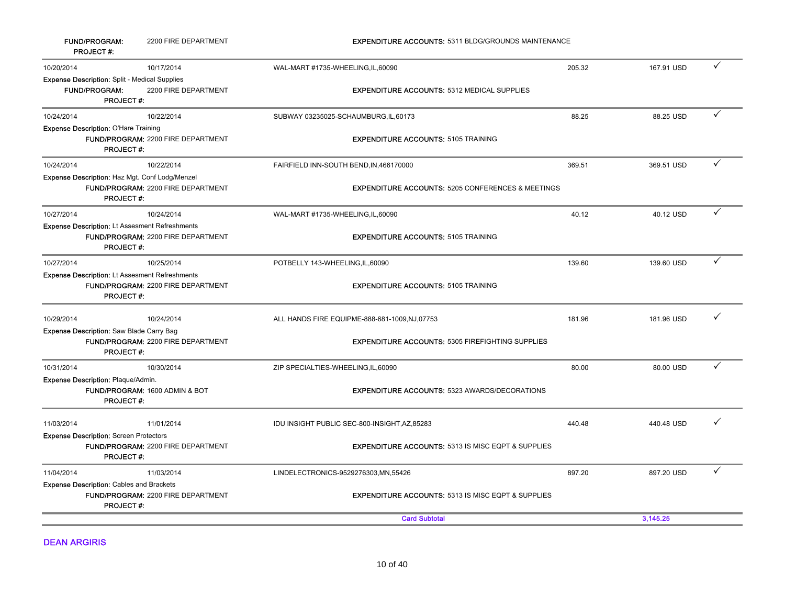| <b>FUND/PROGRAM:</b><br><b>PROJECT#:</b>                                                  | 2200 FIRE DEPARTMENT                      | <b>EXPENDITURE ACCOUNTS: 5311 BLDG/GROUNDS MAINTENANCE</b>    |        |            |              |
|-------------------------------------------------------------------------------------------|-------------------------------------------|---------------------------------------------------------------|--------|------------|--------------|
| 10/20/2014                                                                                | 10/17/2014                                | WAL-MART #1735-WHEELING, IL, 60090                            | 205.32 | 167.91 USD |              |
| Expense Description: Split - Medical Supplies<br><b>FUND/PROGRAM:</b><br><b>PROJECT#:</b> | 2200 FIRE DEPARTMENT                      | <b>EXPENDITURE ACCOUNTS: 5312 MEDICAL SUPPLIES</b>            |        |            |              |
| 10/24/2014                                                                                | 10/22/2014                                | SUBWAY 03235025-SCHAUMBURG,IL,60173                           | 88.25  | 88.25 USD  | $\checkmark$ |
| <b>Expense Description: O'Hare Training</b><br><b>PROJECT#:</b>                           | FUND/PROGRAM: 2200 FIRE DEPARTMENT        | <b>EXPENDITURE ACCOUNTS: 5105 TRAINING</b>                    |        |            |              |
| 10/24/2014                                                                                | 10/22/2014                                | FAIRFIELD INN-SOUTH BEND, IN, 466170000                       | 369.51 | 369.51 USD | ✓            |
| Expense Description: Haz Mgt. Conf Lodg/Menzel<br><b>PROJECT#:</b>                        | FUND/PROGRAM: 2200 FIRE DEPARTMENT        | <b>EXPENDITURE ACCOUNTS: 5205 CONFERENCES &amp; MEETINGS</b>  |        |            |              |
| 10/27/2014                                                                                | 10/24/2014                                | WAL-MART #1735-WHEELING,IL,60090                              | 40.12  | 40.12 USD  | ✓            |
| <b>Expense Description: Lt Assesment Refreshments</b><br><b>PROJECT#:</b>                 | FUND/PROGRAM: 2200 FIRE DEPARTMENT        | <b>EXPENDITURE ACCOUNTS: 5105 TRAINING</b>                    |        |            |              |
| 10/27/2014                                                                                | 10/25/2014                                | POTBELLY 143-WHEELING, IL, 60090                              | 139.60 | 139.60 USD | ✓            |
| <b>Expense Description: Lt Assesment Refreshments</b><br><b>PROJECT#:</b>                 | FUND/PROGRAM: 2200 FIRE DEPARTMENT        | <b>EXPENDITURE ACCOUNTS: 5105 TRAINING</b>                    |        |            |              |
| 10/29/2014                                                                                | 10/24/2014                                | ALL HANDS FIRE EQUIPME-888-681-1009,NJ,07753                  | 181.96 | 181.96 USD |              |
| <b>Expense Description:</b> Saw Blade Carry Bag<br><b>PROJECT#:</b>                       | <b>FUND/PROGRAM: 2200 FIRE DEPARTMENT</b> | <b>EXPENDITURE ACCOUNTS: 5305 FIREFIGHTING SUPPLIES</b>       |        |            |              |
| 10/31/2014                                                                                | 10/30/2014                                | ZIP SPECIALTIES-WHEELING,IL,60090                             | 80.00  | 80.00 USD  | $\checkmark$ |
| Expense Description: Plaque/Admin.<br><b>PROJECT#:</b>                                    | FUND/PROGRAM: 1600 ADMIN & BOT            | <b>EXPENDITURE ACCOUNTS: 5323 AWARDS/DECORATIONS</b>          |        |            |              |
| 11/03/2014                                                                                | 11/01/2014                                | IDU INSIGHT PUBLIC SEC-800-INSIGHT, AZ, 85283                 | 440.48 | 440.48 USD |              |
| <b>Expense Description: Screen Protectors</b><br><b>PROJECT#:</b>                         | FUND/PROGRAM: 2200 FIRE DEPARTMENT        | <b>EXPENDITURE ACCOUNTS: 5313 IS MISC EQPT &amp; SUPPLIES</b> |        |            |              |
| 11/04/2014                                                                                | 11/03/2014                                | LINDELECTRONICS-9529276303, MN, 55426                         | 897.20 | 897.20 USD |              |
| <b>Expense Description: Cables and Brackets</b><br><b>PROJECT#:</b>                       | FUND/PROGRAM: 2200 FIRE DEPARTMENT        | <b>EXPENDITURE ACCOUNTS: 5313 IS MISC EQPT &amp; SUPPLIES</b> |        |            |              |
|                                                                                           |                                           | <b>Card Subtotal</b>                                          |        | 3,145.25   |              |

DEAN ARGIRIS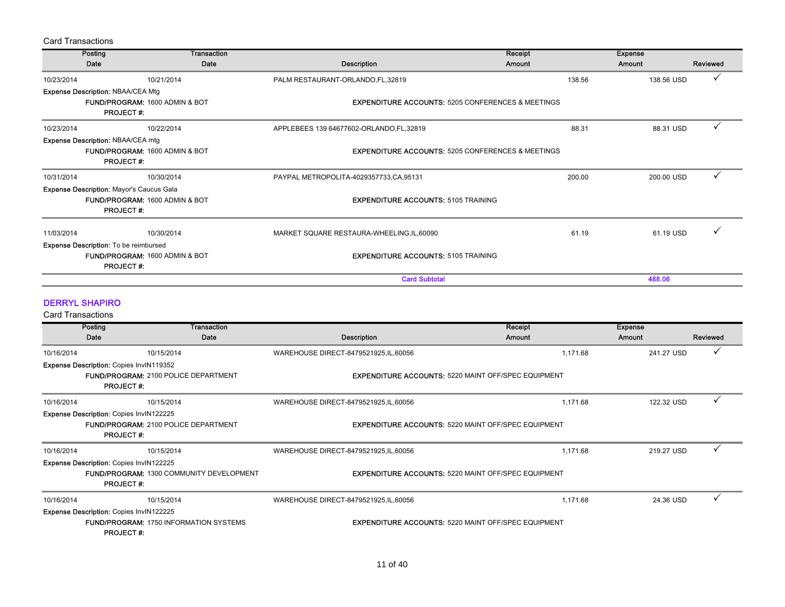| <b>Card Transactions</b> |                                                              |                                                    |                                                                                                      |                   |                          |          |
|--------------------------|--------------------------------------------------------------|----------------------------------------------------|------------------------------------------------------------------------------------------------------|-------------------|--------------------------|----------|
|                          | Posting                                                      | <b>Transaction</b>                                 |                                                                                                      | Receipt           | <b>Expense</b>           |          |
|                          | Date                                                         | Date                                               | Description                                                                                          | Amount            | <b>Amount</b>            | Reviewed |
| 10/23/2014               |                                                              | 10/21/2014                                         | PALM RESTAURANT-ORLANDO, FL, 32819                                                                   | 138.56            | 138.56 USD               |          |
|                          | Expense Description: NBAA/CEA Mtg<br><b>PROJECT#:</b>        | FUND/PROGRAM: 1600 ADMIN & BOT                     | <b>EXPENDITURE ACCOUNTS: 5205 CONFERENCES &amp; MEETINGS</b>                                         |                   |                          |          |
| 10/23/2014               |                                                              | 10/22/2014                                         | APPLEBEES 139 64677602-ORLANDO, FL, 32819                                                            | 88.31             | 88.31 USD                |          |
|                          | <b>Expense Description: NBAA/CEA mtg</b>                     |                                                    |                                                                                                      |                   |                          |          |
|                          | <b>PROJECT#:</b>                                             | FUND/PROGRAM: 1600 ADMIN & BOT                     | <b>EXPENDITURE ACCOUNTS: 5205 CONFERENCES &amp; MEETINGS</b>                                         |                   |                          |          |
| 10/31/2014               |                                                              | 10/30/2014                                         | PAYPAL METROPOLITA-4029357733, CA, 95131                                                             | 200.00            | 200.00 USD               |          |
|                          | Expense Description: Mayor's Caucus Gala<br><b>PROJECT#:</b> | FUND/PROGRAM: 1600 ADMIN & BOT                     | <b>EXPENDITURE ACCOUNTS: 5105 TRAINING</b>                                                           |                   |                          |          |
| 11/03/2014               |                                                              | 10/30/2014                                         | MARKET SQUARE RESTAURA-WHEELING, IL, 60090                                                           | 61.19             | 61.19 USD                |          |
|                          | Expense Description: To be reimbursed<br><b>PROJECT#:</b>    | FUND/PROGRAM: 1600 ADMIN & BOT                     | <b>EXPENDITURE ACCOUNTS: 5105 TRAINING</b>                                                           |                   |                          |          |
|                          |                                                              |                                                    | <b>Card Subtotal</b>                                                                                 |                   | 488.06                   |          |
| <b>Card Transactions</b> | <b>DERRYL SHAPIRO</b><br>Posting<br>Date                     | <b>Transaction</b><br>Date                         | <b>Description</b>                                                                                   | Receipt<br>Amount | <b>Expense</b><br>Amount | Reviewed |
|                          |                                                              |                                                    |                                                                                                      |                   | 241.27 USD               |          |
| 10/16/2014               | Expense Description: Copies InvIN119352<br><b>PROJECT#:</b>  | 10/15/2014<br>FUND/PROGRAM: 2100 POLICE DEPARTMENT | WAREHOUSE DIRECT-8479521925, IL, 60056<br><b>EXPENDITURE ACCOUNTS: 5220 MAINT OFF/SPEC EQUIPMENT</b> | 1,171.68          |                          |          |
| 10/16/2014               |                                                              | 10/15/2014                                         | WAREHOUSE DIRECT-8479521925, IL, 60056                                                               | 1.171.68          | 122.32 USD               |          |
|                          | Expense Description: Copies InvIN122225<br><b>PROJECT#:</b>  | <b>FUND/PROGRAM: 2100 POLICE DEPARTMENT</b>        | <b>EXPENDITURE ACCOUNTS: 5220 MAINT OFF/SPEC EQUIPMENT</b>                                           |                   |                          |          |
| 10/16/2014               |                                                              | 10/15/2014                                         | WAREHOUSE DIRECT-8479521925, IL, 60056                                                               | 1.171.68          | 219.27 USD               |          |
|                          | Expense Description: Copies InvIN122225<br><b>PROJECT#:</b>  | FUND/PROGRAM: 1300 COMMUNITY DEVELOPMENT           | <b>EXPENDITURE ACCOUNTS: 5220 MAINT OFF/SPEC EQUIPMENT</b>                                           |                   |                          |          |
| 10/16/2014               |                                                              | 10/15/2014                                         | WAREHOUSE DIRECT-8479521925,IL,60056                                                                 | 1,171.68          | 24.36 USD                |          |
|                          | Expense Description: Copies InvIN122225<br><b>PROJECT#:</b>  | <b>FUND/PROGRAM: 1750 INFORMATION SYSTEMS</b>      | <b>EXPENDITURE ACCOUNTS: 5220 MAINT OFF/SPEC EQUIPMENT</b>                                           |                   |                          |          |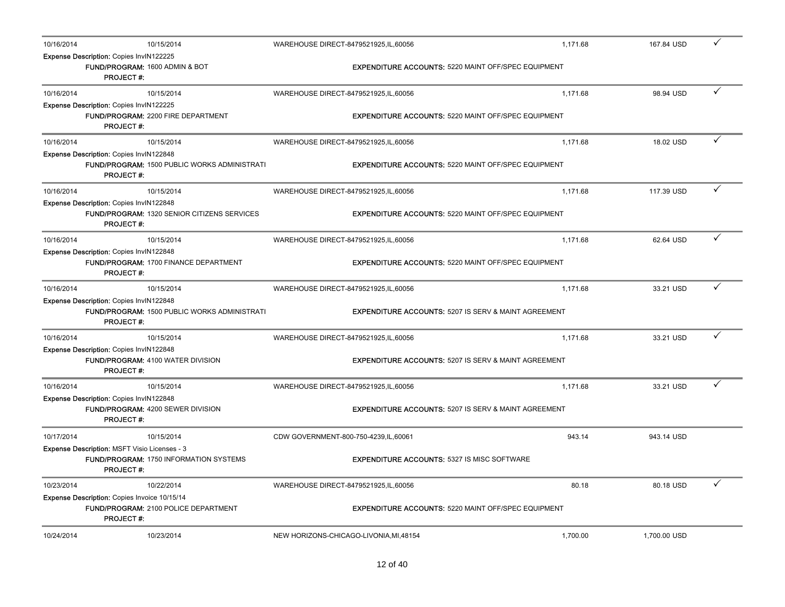| 10/16/2014 | 10/15/2014                                                                                                         | WAREHOUSE DIRECT-8479521925, IL, 60056                          | 1,171.68 | 167.84 USD   | ✓ |
|------------|--------------------------------------------------------------------------------------------------------------------|-----------------------------------------------------------------|----------|--------------|---|
|            | Expense Description: Copies InvIN122225<br>FUND/PROGRAM: 1600 ADMIN & BOT<br><b>PROJECT#:</b>                      | <b>EXPENDITURE ACCOUNTS: 5220 MAINT OFF/SPEC EQUIPMENT</b>      |          |              |   |
| 10/16/2014 | 10/15/2014                                                                                                         | WAREHOUSE DIRECT-8479521925, IL, 60056                          | 1,171.68 | 98.94 USD    |   |
|            | Expense Description: Copies InvIN122225<br>FUND/PROGRAM: 2200 FIRE DEPARTMENT<br><b>PROJECT#:</b>                  | <b>EXPENDITURE ACCOUNTS: 5220 MAINT OFF/SPEC EQUIPMENT</b>      |          |              |   |
| 10/16/2014 | 10/15/2014                                                                                                         | WAREHOUSE DIRECT-8479521925, IL, 60056                          | 1,171.68 | 18.02 USD    | ✓ |
|            | Expense Description: Copies InvIN122848<br><b>FUND/PROGRAM: 1500 PUBLIC WORKS ADMINISTRATI</b><br><b>PROJECT#:</b> | <b>EXPENDITURE ACCOUNTS: 5220 MAINT OFF/SPEC EQUIPMENT</b>      |          |              |   |
| 10/16/2014 | 10/15/2014                                                                                                         | WAREHOUSE DIRECT-8479521925, IL, 60056                          | 1,171.68 | 117.39 USD   | ✓ |
|            | Expense Description: Copies InvIN122848<br><b>FUND/PROGRAM: 1320 SENIOR CITIZENS SERVICES</b><br><b>PROJECT#:</b>  | <b>EXPENDITURE ACCOUNTS: 5220 MAINT OFF/SPEC EQUIPMENT</b>      |          |              |   |
| 10/16/2014 | 10/15/2014                                                                                                         | WAREHOUSE DIRECT-8479521925,IL,60056                            | 1.171.68 | 62.64 USD    | ✓ |
|            | Expense Description: Copies InvIN122848<br>FUND/PROGRAM: 1700 FINANCE DEPARTMENT<br><b>PROJECT#:</b>               | <b>EXPENDITURE ACCOUNTS: 5220 MAINT OFF/SPEC EQUIPMENT</b>      |          |              |   |
| 10/16/2014 | 10/15/2014                                                                                                         | WAREHOUSE DIRECT-8479521925, IL, 60056                          | 1,171.68 | 33.21 USD    | ✓ |
|            | Expense Description: Copies InvIN122848<br><b>FUND/PROGRAM: 1500 PUBLIC WORKS ADMINISTRATI</b><br><b>PROJECT#:</b> | <b>EXPENDITURE ACCOUNTS: 5207 IS SERV &amp; MAINT AGREEMENT</b> |          |              |   |
| 10/16/2014 | 10/15/2014                                                                                                         | WAREHOUSE DIRECT-8479521925, IL, 60056                          | 1,171.68 | 33.21 USD    |   |
|            | Expense Description: Copies InvIN122848<br>FUND/PROGRAM: 4100 WATER DIVISION<br><b>PROJECT#:</b>                   | <b>EXPENDITURE ACCOUNTS: 5207 IS SERV &amp; MAINT AGREEMENT</b> |          |              |   |
| 10/16/2014 | 10/15/2014                                                                                                         | WAREHOUSE DIRECT-8479521925, IL, 60056                          | 1,171.68 | 33.21 USD    | ✓ |
|            | Expense Description: Copies InvIN122848<br><b>FUND/PROGRAM: 4200 SEWER DIVISION</b><br><b>PROJECT#:</b>            | <b>EXPENDITURE ACCOUNTS: 5207 IS SERV &amp; MAINT AGREEMENT</b> |          |              |   |
| 10/17/2014 | 10/15/2014                                                                                                         | CDW GOVERNMENT-800-750-4239, IL, 60061                          | 943.14   | 943.14 USD   |   |
|            | Expense Description: MSFT Visio Licenses - 3<br>FUND/PROGRAM: 1750 INFORMATION SYSTEMS<br><b>PROJECT#:</b>         | <b>EXPENDITURE ACCOUNTS: 5327 IS MISC SOFTWARE</b>              |          |              |   |
| 10/23/2014 | 10/22/2014                                                                                                         | WAREHOUSE DIRECT-8479521925,IL,60056                            | 80.18    | 80.18 USD    | ✓ |
|            | Expense Description: Copies Invoice 10/15/14<br>FUND/PROGRAM: 2100 POLICE DEPARTMENT<br><b>PROJECT#:</b>           | <b>EXPENDITURE ACCOUNTS: 5220 MAINT OFF/SPEC EQUIPMENT</b>      |          |              |   |
| 10/24/2014 | 10/23/2014                                                                                                         | NEW HORIZONS-CHICAGO-LIVONIA, MI, 48154                         | 1,700.00 | 1.700.00 USD |   |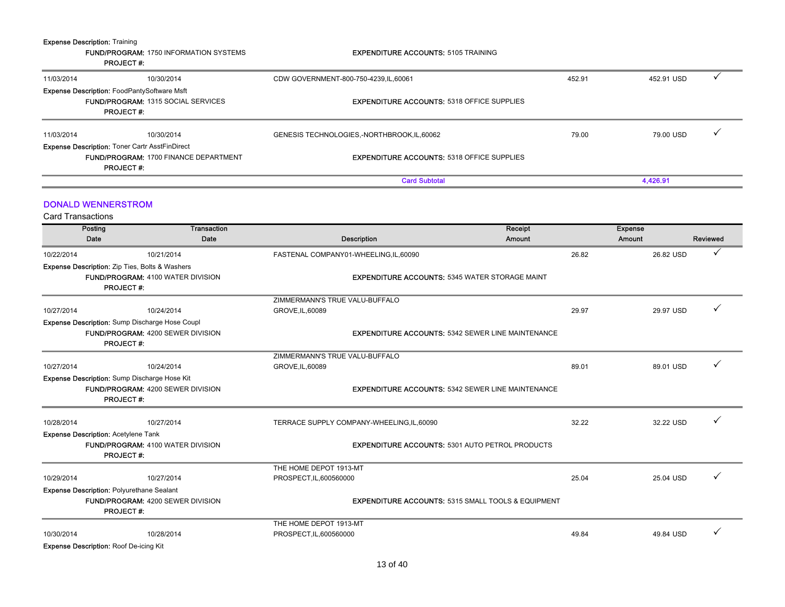| <b>Expense Description: Training</b> | <b>FUND/PROGRAM: 1750 INFORMATION SYSTEMS</b><br><b>PROJECT#:</b>                                                     | <b>EXPENDITURE ACCOUNTS: 5105 TRAINING</b>                    |        |                                      |
|--------------------------------------|-----------------------------------------------------------------------------------------------------------------------|---------------------------------------------------------------|--------|--------------------------------------|
| 11/03/2014                           | 10/30/2014                                                                                                            | CDW GOVERNMENT-800-750-4239, IL, 60061                        | 452.91 | $\checkmark$<br>452.91 USD           |
|                                      | <b>Expense Description: FoodPantySoftware Msft</b><br>FUND/PROGRAM: 1315 SOCIAL SERVICES<br><b>PROJECT#:</b>          | <b>EXPENDITURE ACCOUNTS: 5318 OFFICE SUPPLIES</b>             |        |                                      |
| 11/03/2014                           | 10/30/2014                                                                                                            | GENESIS TECHNOLOGIES,-NORTHBROOK,IL,60062                     | 79.00  | ✓<br>79.00 USD                       |
|                                      | Expense Description: Toner Cartr AsstFinDirect<br>FUND/PROGRAM: 1700 FINANCE DEPARTMENT<br><b>PROJECT#:</b>           | <b>EXPENDITURE ACCOUNTS: 5318 OFFICE SUPPLIES</b>             |        |                                      |
|                                      |                                                                                                                       | <b>Card Subtotal</b>                                          |        | 4,426.91                             |
| <b>Card Transactions</b>             | <b>DONALD WENNERSTROM</b>                                                                                             |                                                               |        |                                      |
| Posting<br>Date                      | <b>Transaction</b><br>Date                                                                                            | Receipt<br><b>Description</b><br>Amount                       |        | <b>Expense</b><br>Amount<br>Reviewed |
| 10/22/2014                           | 10/21/2014                                                                                                            | FASTENAL COMPANY01-WHEELING,IL,60090                          | 26.82  | ✓<br>26.82 USD                       |
|                                      | <b>Expense Description:</b> Zip Ties, Bolts & Washers<br><b>FUND/PROGRAM: 4100 WATER DIVISION</b><br><b>PROJECT#:</b> | <b>EXPENDITURE ACCOUNTS: 5345 WATER STORAGE MAINT</b>         |        |                                      |
|                                      |                                                                                                                       | ZIMMERMANN'S TRUE VALU-BUFFALO                                |        |                                      |
| 10/27/2014                           | 10/24/2014                                                                                                            | GROVE, IL, 60089                                              | 29.97  | ✓<br>29.97 USD                       |
|                                      | Expense Description: Sump Discharge Hose Coupl<br>FUND/PROGRAM: 4200 SEWER DIVISION<br><b>PROJECT#:</b>               | <b>EXPENDITURE ACCOUNTS: 5342 SEWER LINE MAINTENANCE</b>      |        |                                      |
|                                      |                                                                                                                       | ZIMMERMANN'S TRUE VALU-BUFFALO                                |        |                                      |
| 10/27/2014                           | 10/24/2014                                                                                                            | GROVE, IL, 60089                                              | 89.01  | ✓<br>89.01 USD                       |
|                                      | Expense Description: Sump Discharge Hose Kit<br>FUND/PROGRAM: 4200 SEWER DIVISION<br><b>PROJECT#:</b>                 | <b>EXPENDITURE ACCOUNTS: 5342 SEWER LINE MAINTENANCE</b>      |        |                                      |
| 10/28/2014                           | 10/27/2014                                                                                                            | TERRACE SUPPLY COMPANY-WHEELING, IL, 60090                    | 32.22  | ✓<br>32.22 USD                       |
|                                      | <b>Expense Description: Acetylene Tank</b><br>FUND/PROGRAM: 4100 WATER DIVISION<br><b>PROJECT#:</b>                   | <b>EXPENDITURE ACCOUNTS: 5301 AUTO PETROL PRODUCTS</b>        |        |                                      |
|                                      |                                                                                                                       | THE HOME DEPOT 1913-MT                                        |        |                                      |
| 10/29/2014                           | 10/27/2014                                                                                                            | PROSPECT, IL, 600560000                                       | 25.04  | ✓<br>25.04 USD                       |
|                                      | <b>Expense Description: Polyurethane Sealant</b><br>FUND/PROGRAM: 4200 SEWER DIVISION<br><b>PROJECT#:</b>             | <b>EXPENDITURE ACCOUNTS: 5315 SMALL TOOLS &amp; EQUIPMENT</b> |        |                                      |
|                                      |                                                                                                                       | THE HOME DEPOT 1913-MT                                        |        |                                      |
| 10/30/2014                           | 10/28/2014                                                                                                            | PROSPECT, IL, 600560000                                       | 49.84  | ✓<br>49.84 USD                       |
|                                      | <b>Expense Description: Roof De-icing Kit</b>                                                                         |                                                               |        |                                      |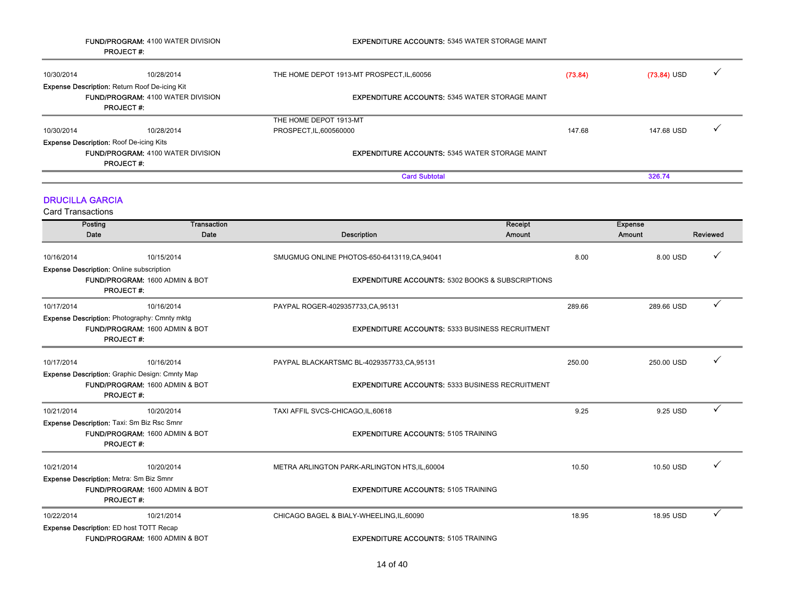|                                                    | <b>FUND/PROGRAM: 4100 WATER DIVISION</b><br><b>PROJECT#:</b>                                           | <b>EXPENDITURE ACCOUNTS: 5345 WATER STORAGE MAINT</b>       |                          |                                      |
|----------------------------------------------------|--------------------------------------------------------------------------------------------------------|-------------------------------------------------------------|--------------------------|--------------------------------------|
| 10/30/2014                                         | 10/28/2014                                                                                             | THE HOME DEPOT 1913-MT PROSPECT, IL, 60056                  | (73.84)                  | $(73.84)$ USD                        |
|                                                    | Expense Description: Return Roof De-icing Kit<br>FUND/PROGRAM: 4100 WATER DIVISION<br><b>PROJECT#:</b> | <b>EXPENDITURE ACCOUNTS: 5345 WATER STORAGE MAINT</b>       |                          |                                      |
| 10/30/2014                                         | 10/28/2014                                                                                             | THE HOME DEPOT 1913-MT<br>PROSPECT, IL, 600560000           | 147.68                   | 147.68 USD                           |
| <b>Expense Description: Roof De-icing Kits</b>     | FUND/PROGRAM: 4100 WATER DIVISION                                                                      | <b>EXPENDITURE ACCOUNTS: 5345 WATER STORAGE MAINT</b>       |                          |                                      |
|                                                    | <b>PROJECT#:</b>                                                                                       | <b>Card Subtotal</b>                                        |                          | 326.74                               |
| <b>DRUCILLA GARCIA</b><br><b>Card Transactions</b> |                                                                                                        |                                                             |                          |                                      |
| Posting<br>Date                                    | <b>Transaction</b><br>Date                                                                             | <b>Description</b>                                          | Receipt<br><b>Amount</b> | <b>Expense</b><br>Amount<br>Reviewed |
| 10/16/2014                                         | 10/15/2014                                                                                             | SMUGMUG ONLINE PHOTOS-650-6413119, CA, 94041                | 8.00                     | 8.00 USD                             |
| <b>Expense Description: Online subscription</b>    | FUND/PROGRAM: 1600 ADMIN & BOT<br><b>PROJECT#:</b>                                                     | <b>EXPENDITURE ACCOUNTS: 5302 BOOKS &amp; SUBSCRIPTIONS</b> |                          |                                      |
| 10/17/2014                                         | 10/16/2014                                                                                             | PAYPAL ROGER-4029357733, CA, 95131                          | 289.66                   | 289.66 USD                           |
|                                                    | Expense Description: Photography: Cmnty mktg<br>FUND/PROGRAM: 1600 ADMIN & BOT<br><b>PROJECT#:</b>     | <b>EXPENDITURE ACCOUNTS: 5333 BUSINESS RECRUITMENT</b>      |                          |                                      |
| 10/17/2014                                         | 10/16/2014                                                                                             | PAYPAL BLACKARTSMC BL-4029357733,CA,95131                   | 250.00                   | 250.00 USD                           |
|                                                    | Expense Description: Graphic Design: Cmnty Map<br>FUND/PROGRAM: 1600 ADMIN & BOT<br><b>PROJECT#:</b>   | <b>EXPENDITURE ACCOUNTS: 5333 BUSINESS RECRUITMENT</b>      |                          |                                      |
| 10/21/2014                                         | 10/20/2014                                                                                             | TAXI AFFIL SVCS-CHICAGO, IL, 60618                          | 9.25                     | 9.25 USD                             |
| Expense Description: Taxi: Sm Biz Rsc Smnr         | FUND/PROGRAM: 1600 ADMIN & BOT<br><b>PROJECT#:</b>                                                     | <b>EXPENDITURE ACCOUNTS: 5105 TRAINING</b>                  |                          |                                      |
| 10/21/2014                                         | 10/20/2014                                                                                             | METRA ARLINGTON PARK-ARLINGTON HTS, IL, 60004               | 10.50                    | 10.50 USD                            |
| Expense Description: Metra: Sm Biz Smnr            | FUND/PROGRAM: 1600 ADMIN & BOT<br><b>PROJECT#:</b>                                                     | <b>EXPENDITURE ACCOUNTS: 5105 TRAINING</b>                  |                          |                                      |
| 10/22/2014                                         | 10/21/2014                                                                                             | CHICAGO BAGEL & BIALY-WHEELING, IL, 60090                   | 18.95                    | ✓<br>18.95 USD                       |
| <b>Expense Description: ED host TOTT Recap</b>     | FUND/PROGRAM: 1600 ADMIN & BOT                                                                         | <b>EXPENDITURE ACCOUNTS: 5105 TRAINING</b>                  |                          |                                      |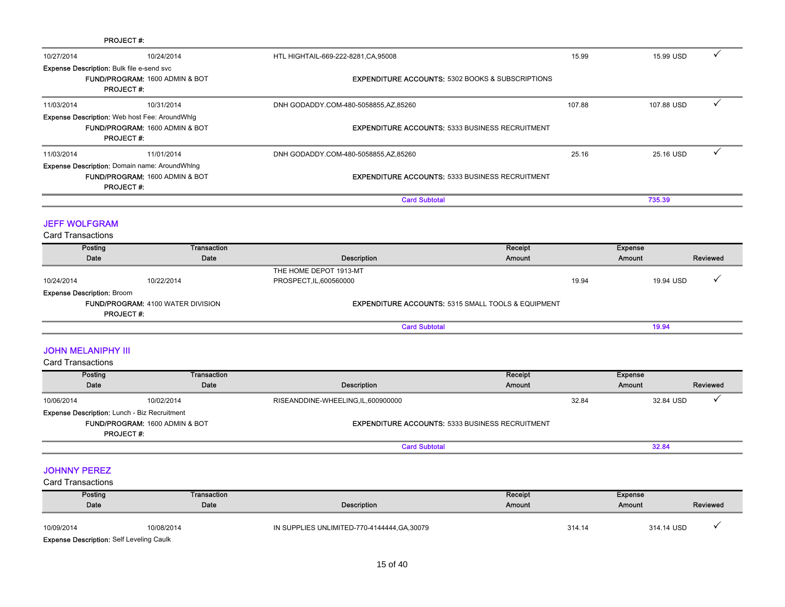|                                                                                                    | <b>PROJECT#:</b>                                                                                           |                                                               |                   |                                      |  |  |
|----------------------------------------------------------------------------------------------------|------------------------------------------------------------------------------------------------------------|---------------------------------------------------------------|-------------------|--------------------------------------|--|--|
| 10/27/2014                                                                                         | 10/24/2014                                                                                                 | HTL HIGHTAIL-669-222-8281, CA, 95008                          | 15.99             | ✓<br>15.99 USD                       |  |  |
| Expense Description: Bulk file e-send svc                                                          | FUND/PROGRAM: 1600 ADMIN & BOT<br><b>PROJECT#:</b>                                                         | <b>EXPENDITURE ACCOUNTS: 5302 BOOKS &amp; SUBSCRIPTIONS</b>   |                   |                                      |  |  |
| 11/03/2014                                                                                         | 10/31/2014                                                                                                 | DNH GODADDY.COM-480-5058855,AZ,85260                          | 107.88            | $\checkmark$<br>107.88 USD           |  |  |
|                                                                                                    | <b>Expense Description:</b> Web host Fee: AroundWhlg<br>FUND/PROGRAM: 1600 ADMIN & BOT<br><b>PROJECT#:</b> | <b>EXPENDITURE ACCOUNTS: 5333 BUSINESS RECRUITMENT</b>        |                   |                                      |  |  |
| 11/03/2014                                                                                         | 11/01/2014                                                                                                 | DNH GODADDY.COM-480-5058855,AZ,85260                          | 25.16             | ✓<br>25.16 USD                       |  |  |
|                                                                                                    | Expense Description: Domain name: AroundWhing<br>FUND/PROGRAM: 1600 ADMIN & BOT<br><b>PROJECT#:</b>        | <b>EXPENDITURE ACCOUNTS: 5333 BUSINESS RECRUITMENT</b>        |                   |                                      |  |  |
|                                                                                                    |                                                                                                            | <b>Card Subtotal</b>                                          |                   | 735.39                               |  |  |
| <b>JEFF WOLFGRAM</b><br><b>Card Transactions</b>                                                   |                                                                                                            |                                                               |                   |                                      |  |  |
| Posting                                                                                            | <b>Transaction</b>                                                                                         |                                                               | Receipt           | <b>Expense</b>                       |  |  |
| Date                                                                                               | Date                                                                                                       | Description                                                   | Amount            | Amount<br>Reviewed                   |  |  |
| 10/24/2014<br><b>Expense Description: Broom</b>                                                    | 10/22/2014                                                                                                 | THE HOME DEPOT 1913-MT<br>PROSPECT, IL, 600560000             | 19.94             | 19.94 USD                            |  |  |
| <b>FUND/PROGRAM: 4100 WATER DIVISION</b><br><b>PROJECT#:</b>                                       |                                                                                                            | <b>EXPENDITURE ACCOUNTS: 5315 SMALL TOOLS &amp; EQUIPMENT</b> |                   |                                      |  |  |
|                                                                                                    |                                                                                                            | <b>Card Subtotal</b>                                          |                   | 19.94                                |  |  |
| <b>JOHN MELANIPHY III</b><br><b>Card Transactions</b>                                              |                                                                                                            |                                                               |                   |                                      |  |  |
| Posting                                                                                            | Transaction                                                                                                |                                                               | Receipt           | <b>Expense</b>                       |  |  |
| Date                                                                                               | Date                                                                                                       | <b>Description</b>                                            | Amount            | Amount<br>Reviewed                   |  |  |
| 10/06/2014                                                                                         | 10/02/2014                                                                                                 | RISEANDDINE-WHEELING, IL, 600900000                           | 32.84             | ✓<br>32.84 USD                       |  |  |
| Expense Description: Lunch - Biz Recruitment<br>FUND/PROGRAM: 1600 ADMIN & BOT<br><b>PROJECT#:</b> |                                                                                                            | <b>EXPENDITURE ACCOUNTS: 5333 BUSINESS RECRUITMENT</b>        |                   |                                      |  |  |
|                                                                                                    |                                                                                                            | <b>Card Subtotal</b>                                          |                   | 32.84                                |  |  |
| <b>JOHNNY PEREZ</b><br><b>Card Transactions</b>                                                    |                                                                                                            |                                                               |                   |                                      |  |  |
| Posting<br>Date                                                                                    | <b>Transaction</b><br>Date                                                                                 | <b>Description</b>                                            | Receipt<br>Amount | <b>Expense</b><br>Amount<br>Reviewed |  |  |
| 10/09/2014                                                                                         | 10/08/2014                                                                                                 | IN SUPPLIES UNLIMITED-770-4144444, GA, 30079                  | 314.14            | 314.14 USD                           |  |  |

Expense Description: Self Leveling Caulk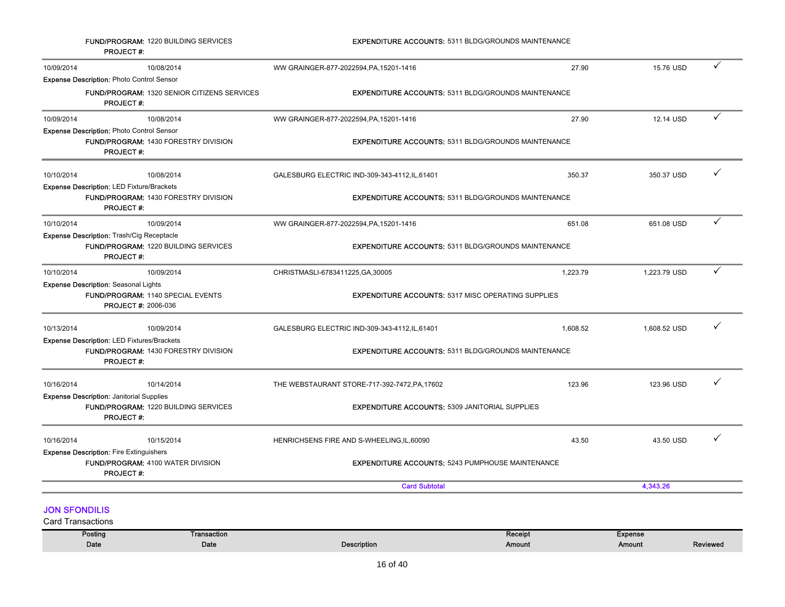|                                                                                                             | <b>FUND/PROGRAM: 1220 BUILDING SERVICES</b><br><b>PROJECT#:</b>                                                     | <b>EXPENDITURE ACCOUNTS: 5311 BLDG/GROUNDS MAINTENANCE</b> |          |              |              |
|-------------------------------------------------------------------------------------------------------------|---------------------------------------------------------------------------------------------------------------------|------------------------------------------------------------|----------|--------------|--------------|
| 10/09/2014                                                                                                  | 10/08/2014                                                                                                          | WW GRAINGER-877-2022594, PA, 15201-1416                    | 27.90    | 15.76 USD    | $\checkmark$ |
|                                                                                                             | <b>Expense Description: Photo Control Sensor</b>                                                                    |                                                            |          |              |              |
|                                                                                                             | <b>FUND/PROGRAM: 1320 SENIOR CITIZENS SERVICES</b><br><b>PROJECT#:</b>                                              | <b>EXPENDITURE ACCOUNTS: 5311 BLDG/GROUNDS MAINTENANCE</b> |          |              |              |
| 10/09/2014                                                                                                  | 10/08/2014                                                                                                          | WW GRAINGER-877-2022594, PA, 15201-1416                    | 27.90    | 12.14 USD    | ✓            |
|                                                                                                             | <b>Expense Description: Photo Control Sensor</b><br>FUND/PROGRAM: 1430 FORESTRY DIVISION<br><b>PROJECT#:</b>        | <b>EXPENDITURE ACCOUNTS: 5311 BLDG/GROUNDS MAINTENANCE</b> |          |              |              |
| 10/10/2014                                                                                                  | 10/08/2014                                                                                                          | GALESBURG ELECTRIC IND-309-343-4112, IL, 61401             | 350.37   | 350.37 USD   |              |
|                                                                                                             | <b>Expense Description: LED Fixture/Brackets</b><br><b>FUND/PROGRAM: 1430 FORESTRY DIVISION</b><br><b>PROJECT#:</b> | <b>EXPENDITURE ACCOUNTS: 5311 BLDG/GROUNDS MAINTENANCE</b> |          |              |              |
| 10/10/2014                                                                                                  | 10/09/2014                                                                                                          | WW GRAINGER-877-2022594, PA, 15201-1416                    | 651.08   | 651.08 USD   | ✓            |
|                                                                                                             | <b>Expense Description: Trash/Cig Receptacle</b><br><b>FUND/PROGRAM: 1220 BUILDING SERVICES</b><br><b>PROJECT#:</b> | <b>EXPENDITURE ACCOUNTS: 5311 BLDG/GROUNDS MAINTENANCE</b> |          |              |              |
| 10/10/2014                                                                                                  | 10/09/2014                                                                                                          | CHRISTMASLI-6783411225, GA, 30005                          | 1,223.79 | 1,223.79 USD | ✓            |
|                                                                                                             | <b>Expense Description: Seasonal Lights</b><br>FUND/PROGRAM: 1140 SPECIAL EVENTS<br><b>PROJECT #: 2006-036</b>      | <b>EXPENDITURE ACCOUNTS: 5317 MISC OPERATING SUPPLIES</b>  |          |              |              |
| 10/13/2014                                                                                                  | 10/09/2014                                                                                                          | GALESBURG ELECTRIC IND-309-343-4112, IL, 61401             | 1,608.52 | 1,608.52 USD | ✓            |
|                                                                                                             | <b>Expense Description: LED Fixtures/Brackets</b>                                                                   |                                                            |          |              |              |
|                                                                                                             | FUND/PROGRAM: 1430 FORESTRY DIVISION<br><b>PROJECT#:</b>                                                            | <b>EXPENDITURE ACCOUNTS: 5311 BLDG/GROUNDS MAINTENANCE</b> |          |              |              |
| 10/16/2014                                                                                                  | 10/14/2014                                                                                                          | THE WEBSTAURANT STORE-717-392-7472, PA, 17602              | 123.96   | 123.96 USD   |              |
| <b>Expense Description: Janitorial Supplies</b><br>FUND/PROGRAM: 1220 BUILDING SERVICES<br><b>PROJECT#:</b> |                                                                                                                     | <b>EXPENDITURE ACCOUNTS: 5309 JANITORIAL SUPPLIES</b>      |          |              |              |
| 10/16/2014                                                                                                  | 10/15/2014                                                                                                          | HENRICHSENS FIRE AND S-WHEELING, IL, 60090                 | 43.50    | 43.50 USD    | ✓            |
| <b>Expense Description: Fire Extinguishers</b><br>FUND/PROGRAM: 4100 WATER DIVISION<br><b>PROJECT#:</b>     |                                                                                                                     | <b>EXPENDITURE ACCOUNTS: 5243 PUMPHOUSE MAINTENANCE</b>    |          |              |              |
|                                                                                                             |                                                                                                                     | <b>Card Subtotal</b>                                       |          | 4,343.26     |              |
| <b>JON SFONDILIS</b>                                                                                        | Card Transactions                                                                                                   |                                                            |          |              |              |

| Posting | Transaction |                    | Receipt | Expense |          |
|---------|-------------|--------------------|---------|---------|----------|
| Date    | Date        | <b>Description</b> | Amount  | Amount  | Reviewed |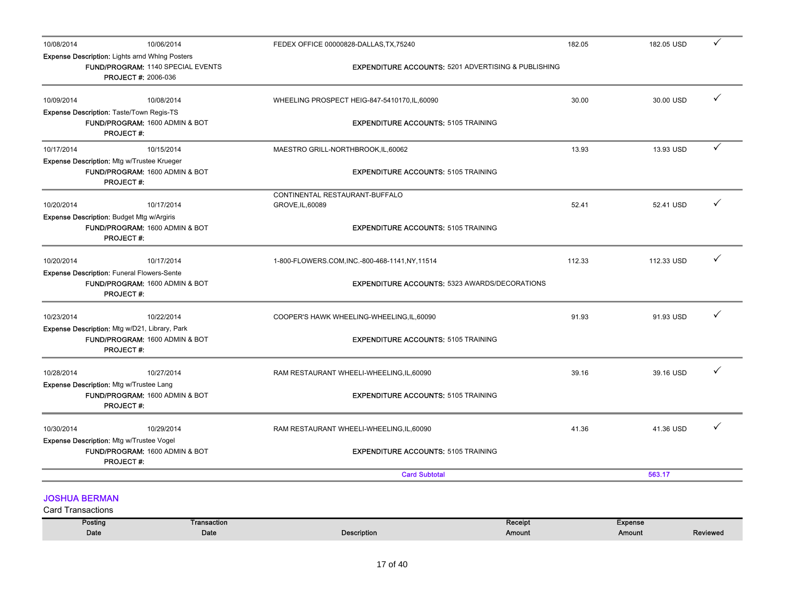| 10/08/2014                                       | 10/06/2014                                                                                                               |                            | FEDEX OFFICE 00000828-DALLAS, TX, 75240                        | 182.05            |                          | 182.05 USD |              |
|--------------------------------------------------|--------------------------------------------------------------------------------------------------------------------------|----------------------------|----------------------------------------------------------------|-------------------|--------------------------|------------|--------------|
|                                                  | <b>Expense Description: Lights arnd Whing Posters</b><br>FUND/PROGRAM: 1140 SPECIAL EVENTS<br><b>PROJECT #: 2006-036</b> |                            | <b>EXPENDITURE ACCOUNTS: 5201 ADVERTISING &amp; PUBLISHING</b> |                   |                          |            |              |
| 10/09/2014                                       | 10/08/2014                                                                                                               |                            | WHEELING PROSPECT HEIG-847-5410170, IL, 60090                  | 30.00             |                          | 30.00 USD  | ✓            |
|                                                  | Expense Description: Taste/Town Regis-TS                                                                                 |                            |                                                                |                   |                          |            |              |
|                                                  | FUND/PROGRAM: 1600 ADMIN & BOT<br><b>PROJECT#:</b>                                                                       |                            | <b>EXPENDITURE ACCOUNTS: 5105 TRAINING</b>                     |                   |                          |            |              |
| 10/17/2014                                       | 10/15/2014                                                                                                               |                            | MAESTRO GRILL-NORTHBROOK, IL, 60062                            | 13.93             |                          | 13.93 USD  | $\checkmark$ |
|                                                  | Expense Description: Mtg w/Trustee Krueger                                                                               |                            |                                                                |                   |                          |            |              |
|                                                  | FUND/PROGRAM: 1600 ADMIN & BOT<br><b>PROJECT#:</b>                                                                       |                            | <b>EXPENDITURE ACCOUNTS: 5105 TRAINING</b>                     |                   |                          |            |              |
|                                                  |                                                                                                                          |                            | CONTINENTAL RESTAURANT-BUFFALO                                 |                   |                          |            |              |
| 10/20/2014                                       | 10/17/2014                                                                                                               |                            | GROVE, IL, 60089                                               | 52.41             |                          | 52.41 USD  |              |
|                                                  | <b>Expense Description: Budget Mtg w/Argiris</b><br>FUND/PROGRAM: 1600 ADMIN & BOT<br><b>PROJECT#:</b>                   |                            | <b>EXPENDITURE ACCOUNTS: 5105 TRAINING</b>                     |                   |                          |            |              |
| 10/20/2014                                       | 10/17/2014                                                                                                               |                            | 1-800-FLOWERS.COM,INC.-800-468-1141,NY,11514                   | 112.33            |                          | 112.33 USD | ✓            |
|                                                  | <b>Expense Description: Funeral Flowers-Sente</b><br>FUND/PROGRAM: 1600 ADMIN & BOT<br><b>PROJECT#:</b>                  |                            | <b>EXPENDITURE ACCOUNTS: 5323 AWARDS/DECORATIONS</b>           |                   |                          |            |              |
| 10/23/2014                                       | 10/22/2014                                                                                                               |                            | COOPER'S HAWK WHEELING-WHEELING, IL, 60090                     | 91.93             |                          | 91.93 USD  |              |
|                                                  | Expense Description: Mtg w/D21, Library, Park<br>FUND/PROGRAM: 1600 ADMIN & BOT<br><b>PROJECT#:</b>                      |                            | <b>EXPENDITURE ACCOUNTS: 5105 TRAINING</b>                     |                   |                          |            |              |
| 10/28/2014                                       | 10/27/2014                                                                                                               |                            | RAM RESTAURANT WHEELI-WHEELING, IL, 60090                      | 39.16             |                          | 39.16 USD  |              |
|                                                  | Expense Description: Mtg w/Trustee Lang<br>FUND/PROGRAM: 1600 ADMIN & BOT<br><b>PROJECT#:</b>                            |                            | <b>EXPENDITURE ACCOUNTS: 5105 TRAINING</b>                     |                   |                          |            |              |
| 10/30/2014                                       | 10/29/2014                                                                                                               |                            | RAM RESTAURANT WHEELI-WHEELING, IL, 60090                      | 41.36             |                          | 41.36 USD  | ✓            |
|                                                  | <b>Expense Description: Mtg w/Trustee Vogel</b><br>FUND/PROGRAM: 1600 ADMIN & BOT<br><b>PROJECT#:</b>                    |                            | <b>EXPENDITURE ACCOUNTS: 5105 TRAINING</b>                     |                   |                          |            |              |
|                                                  |                                                                                                                          |                            | <b>Card Subtotal</b>                                           |                   |                          | 563.17     |              |
| <b>JOSHUA BERMAN</b><br><b>Card Transactions</b> |                                                                                                                          |                            |                                                                |                   |                          |            |              |
|                                                  | Posting<br>Date                                                                                                          | <b>Transaction</b><br>Date | <b>Description</b>                                             | Receipt<br>Amount | <b>Expense</b><br>Amount |            | Reviewed     |

| of 40<br>17 |
|-------------|
|-------------|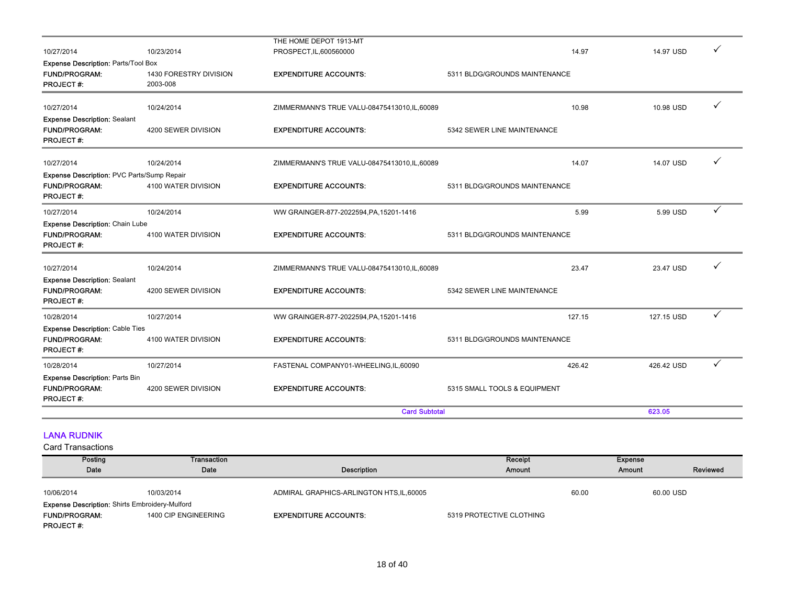| 10/27/2014                                                                             | 10/23/2014                         | THE HOME DEPOT 1913-MT<br>PROSPECT, IL, 600560000 | 14.97                         | 14.97 USD  |              |
|----------------------------------------------------------------------------------------|------------------------------------|---------------------------------------------------|-------------------------------|------------|--------------|
| Expense Description: Parts/Tool Box                                                    |                                    |                                                   |                               |            |              |
| FUND/PROGRAM:<br><b>PROJECT#:</b>                                                      | 1430 FORESTRY DIVISION<br>2003-008 | <b>EXPENDITURE ACCOUNTS:</b>                      | 5311 BLDG/GROUNDS MAINTENANCE |            |              |
| 10/27/2014                                                                             | 10/24/2014                         | ZIMMERMANN'S TRUE VALU-08475413010, IL, 60089     | 10.98                         | 10.98 USD  | ✓            |
| <b>Expense Description: Sealant</b><br><b>FUND/PROGRAM:</b><br><b>PROJECT#:</b>        | 4200 SEWER DIVISION                | <b>EXPENDITURE ACCOUNTS:</b>                      | 5342 SEWER LINE MAINTENANCE   |            |              |
| 10/27/2014                                                                             | 10/24/2014                         | ZIMMERMANN'S TRUE VALU-08475413010, IL, 60089     | 14.07                         | 14.07 USD  | ✓            |
| Expense Description: PVC Parts/Sump Repair<br><b>FUND/PROGRAM:</b><br><b>PROJECT#:</b> | 4100 WATER DIVISION                | <b>EXPENDITURE ACCOUNTS:</b>                      | 5311 BLDG/GROUNDS MAINTENANCE |            |              |
| 10/27/2014                                                                             | 10/24/2014                         |                                                   | 5.99                          | 5.99 USD   | ✓            |
| <b>Expense Description: Chain Lube</b>                                                 |                                    | WW GRAINGER-877-2022594, PA, 15201-1416           |                               |            |              |
| <b>FUND/PROGRAM:</b><br><b>PROJECT#:</b>                                               | 4100 WATER DIVISION                | <b>EXPENDITURE ACCOUNTS:</b>                      | 5311 BLDG/GROUNDS MAINTENANCE |            |              |
| 10/27/2014                                                                             | 10/24/2014                         | ZIMMERMANN'S TRUE VALU-08475413010, IL, 60089     | 23.47                         | 23.47 USD  | ✓            |
| <b>Expense Description: Sealant</b><br><b>FUND/PROGRAM:</b><br><b>PROJECT#:</b>        | 4200 SEWER DIVISION                | <b>EXPENDITURE ACCOUNTS:</b>                      | 5342 SEWER LINE MAINTENANCE   |            |              |
| 10/28/2014                                                                             | 10/27/2014                         | WW GRAINGER-877-2022594, PA, 15201-1416           | 127.15                        | 127.15 USD | $\checkmark$ |
| <b>Expense Description: Cable Ties</b><br><b>FUND/PROGRAM:</b><br><b>PROJECT#:</b>     | 4100 WATER DIVISION                | <b>EXPENDITURE ACCOUNTS:</b>                      | 5311 BLDG/GROUNDS MAINTENANCE |            |              |
| 10/28/2014                                                                             | 10/27/2014                         | FASTENAL COMPANY01-WHEELING,IL,60090              | 426.42                        | 426.42 USD | ✓            |
| <b>Expense Description: Parts Bin</b><br><b>FUND/PROGRAM:</b><br><b>PROJECT#:</b>      | 4200 SEWER DIVISION                | <b>EXPENDITURE ACCOUNTS:</b>                      | 5315 SMALL TOOLS & EQUIPMENT  |            |              |
|                                                                                        |                                    | <b>Card Subtotal</b>                              |                               | 623.05     |              |
| <b>LANA RUDNIK</b>                                                                     |                                    |                                                   |                               |            |              |

| Posting                                               | Transaction          |                                           | Receipt                  |       | <b>Expense</b> |          |
|-------------------------------------------------------|----------------------|-------------------------------------------|--------------------------|-------|----------------|----------|
| Date                                                  | Date                 | Description                               | Amount                   |       | Amount         | Reviewed |
|                                                       |                      |                                           |                          |       |                |          |
| 10/06/2014                                            | 10/03/2014           | ADMIRAL GRAPHICS-ARLINGTON HTS, IL, 60005 |                          | 60.00 | 60.00 USD      |          |
| <b>Expense Description: Shirts Embroidery-Mulford</b> |                      |                                           |                          |       |                |          |
| <b>FUND/PROGRAM:</b>                                  | 1400 CIP ENGINEERING | <b>EXPENDITURE ACCOUNTS:</b>              | 5319 PROTECTIVE CLOTHING |       |                |          |
| <b>PROJECT#:</b>                                      |                      |                                           |                          |       |                |          |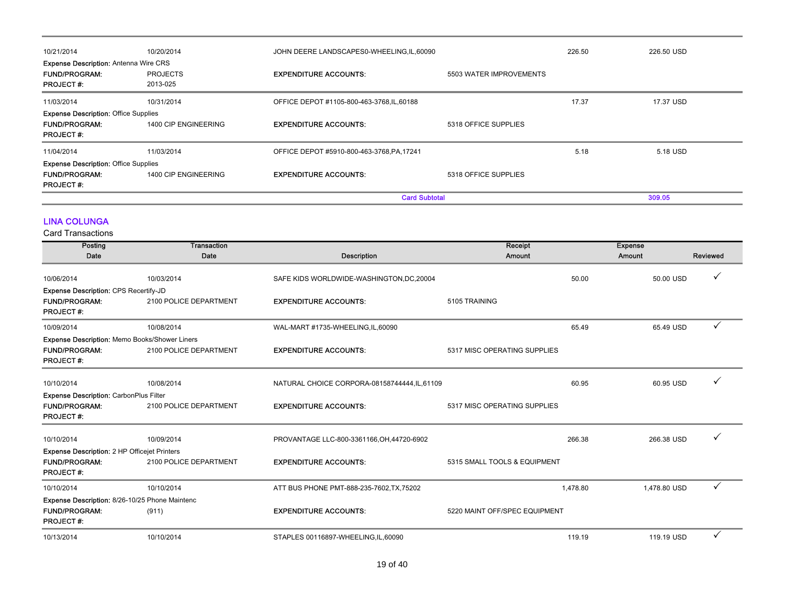| 10/21/2014                                                                               | 10/20/2014                  | JOHN DEERE LANDSCAPES0-WHEELING, IL, 60090 |                         | 226.50 | 226.50 USD |
|------------------------------------------------------------------------------------------|-----------------------------|--------------------------------------------|-------------------------|--------|------------|
| <b>Expense Description: Antenna Wire CRS</b><br><b>FUND/PROGRAM:</b><br><b>PROJECT#:</b> | <b>PROJECTS</b><br>2013-025 | <b>EXPENDITURE ACCOUNTS:</b>               | 5503 WATER IMPROVEMENTS |        |            |
| 11/03/2014                                                                               | 10/31/2014                  | OFFICE DEPOT #1105-800-463-3768, IL, 60188 |                         | 17.37  | 17.37 USD  |
| <b>Expense Description: Office Supplies</b><br><b>FUND/PROGRAM:</b><br><b>PROJECT#:</b>  | 1400 CIP ENGINEERING        | <b>EXPENDITURE ACCOUNTS:</b>               | 5318 OFFICE SUPPLIES    |        |            |
| 11/04/2014                                                                               | 11/03/2014                  | OFFICE DEPOT #5910-800-463-3768, PA, 17241 |                         | 5.18   | 5.18 USD   |
| <b>Expense Description: Office Supplies</b><br><b>FUND/PROGRAM:</b><br><b>PROJECT#:</b>  | 1400 CIP ENGINEERING        | <b>EXPENDITURE ACCOUNTS:</b>               | 5318 OFFICE SUPPLIES    |        |            |
|                                                                                          |                             | <b>Card Subtotal</b>                       |                         |        | 309.05     |

### LINA COLUNGA

| Posting                                             | <b>Transaction</b>     |                                               | Receipt                       | <b>Expense</b> |              |
|-----------------------------------------------------|------------------------|-----------------------------------------------|-------------------------------|----------------|--------------|
| Date                                                | Date                   | <b>Description</b>                            | Amount                        | Amount         | Reviewed     |
| 10/06/2014                                          | 10/03/2014             | SAFE KIDS WORLDWIDE-WASHINGTON, DC, 20004     | 50.00                         | 50.00 USD      |              |
| <b>Expense Description: CPS Recertify-JD</b>        |                        |                                               |                               |                |              |
| <b>FUND/PROGRAM:</b><br><b>PROJECT#:</b>            | 2100 POLICE DEPARTMENT | <b>EXPENDITURE ACCOUNTS:</b>                  | 5105 TRAINING                 |                |              |
| 10/09/2014                                          | 10/08/2014             | WAL-MART #1735-WHEELING,IL,60090              | 65.49                         | 65.49 USD      |              |
| Expense Description: Memo Books/Shower Liners       |                        |                                               |                               |                |              |
| <b>FUND/PROGRAM:</b><br><b>PROJECT#:</b>            | 2100 POLICE DEPARTMENT | <b>EXPENDITURE ACCOUNTS:</b>                  | 5317 MISC OPERATING SUPPLIES  |                |              |
| 10/10/2014                                          | 10/08/2014             | NATURAL CHOICE CORPORA-08158744444, IL, 61109 | 60.95                         | 60.95 USD      |              |
| <b>Expense Description: CarbonPlus Filter</b>       |                        |                                               |                               |                |              |
| <b>FUND/PROGRAM:</b><br><b>PROJECT#:</b>            | 2100 POLICE DEPARTMENT | <b>EXPENDITURE ACCOUNTS:</b>                  | 5317 MISC OPERATING SUPPLIES  |                |              |
| 10/10/2014                                          | 10/09/2014             | PROVANTAGE LLC-800-3361166, OH, 44720-6902    | 266.38                        | 266.38 USD     |              |
| <b>Expense Description:</b> 2 HP Officejet Printers |                        |                                               |                               |                |              |
| <b>FUND/PROGRAM:</b><br><b>PROJECT#:</b>            | 2100 POLICE DEPARTMENT | <b>EXPENDITURE ACCOUNTS:</b>                  | 5315 SMALL TOOLS & EQUIPMENT  |                |              |
| 10/10/2014                                          | 10/10/2014             | ATT BUS PHONE PMT-888-235-7602, TX, 75202     | 1,478.80                      | 1,478.80 USD   | $\checkmark$ |
| Expense Description: 8/26-10/25 Phone Maintenc      |                        |                                               |                               |                |              |
| <b>FUND/PROGRAM:</b><br><b>PROJECT#:</b>            | (911)                  | <b>EXPENDITURE ACCOUNTS:</b>                  | 5220 MAINT OFF/SPEC EQUIPMENT |                |              |
| 10/13/2014                                          | 10/10/2014             | STAPLES 00116897-WHEELING, IL, 60090          | 119.19                        | 119.19 USD     | ✓            |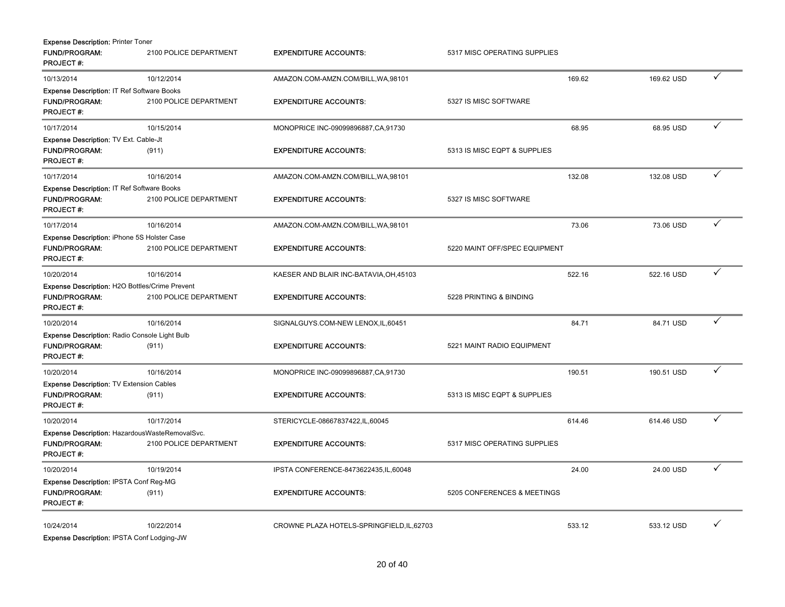| <b>Expense Description: Printer Toner</b>         |                        |                                            |                               |        |            |              |
|---------------------------------------------------|------------------------|--------------------------------------------|-------------------------------|--------|------------|--------------|
| <b>FUND/PROGRAM:</b><br><b>PROJECT#:</b>          | 2100 POLICE DEPARTMENT | <b>EXPENDITURE ACCOUNTS:</b>               | 5317 MISC OPERATING SUPPLIES  |        |            |              |
| 10/13/2014                                        | 10/12/2014             | AMAZON.COM-AMZN.COM/BILL, WA, 98101        |                               | 169.62 | 169.62 USD | ✓            |
| Expense Description: IT Ref Software Books        |                        |                                            |                               |        |            |              |
| <b>FUND/PROGRAM:</b><br><b>PROJECT#:</b>          | 2100 POLICE DEPARTMENT | <b>EXPENDITURE ACCOUNTS:</b>               | 5327 IS MISC SOFTWARE         |        |            |              |
| 10/17/2014                                        | 10/15/2014             | MONOPRICE INC-09099896887, CA, 91730       |                               | 68.95  | 68.95 USD  | ✓            |
| Expense Description: TV Ext. Cable-Jt             |                        |                                            |                               |        |            |              |
| <b>FUND/PROGRAM:</b><br><b>PROJECT#:</b>          | (911)                  | <b>EXPENDITURE ACCOUNTS:</b>               | 5313 IS MISC EQPT & SUPPLIES  |        |            |              |
| 10/17/2014                                        | 10/16/2014             | AMAZON.COM-AMZN.COM/BILL, WA, 98101        |                               | 132.08 | 132.08 USD | $\checkmark$ |
| <b>Expense Description: IT Ref Software Books</b> |                        |                                            |                               |        |            |              |
| <b>FUND/PROGRAM:</b><br><b>PROJECT#:</b>          | 2100 POLICE DEPARTMENT | <b>EXPENDITURE ACCOUNTS:</b>               | 5327 IS MISC SOFTWARE         |        |            |              |
| 10/17/2014                                        | 10/16/2014             | AMAZON.COM-AMZN.COM/BILL, WA, 98101        |                               | 73.06  | 73.06 USD  | ✓            |
| Expense Description: iPhone 5S Holster Case       |                        |                                            |                               |        |            |              |
| <b>FUND/PROGRAM:</b><br><b>PROJECT#:</b>          | 2100 POLICE DEPARTMENT | <b>EXPENDITURE ACCOUNTS:</b>               | 5220 MAINT OFF/SPEC EQUIPMENT |        |            |              |
| 10/20/2014                                        | 10/16/2014             | KAESER AND BLAIR INC-BATAVIA, OH, 45103    |                               | 522.16 | 522.16 USD | $\checkmark$ |
| Expense Description: H2O Bottles/Crime Prevent    |                        |                                            |                               |        |            |              |
| <b>FUND/PROGRAM:</b><br><b>PROJECT#:</b>          | 2100 POLICE DEPARTMENT | <b>EXPENDITURE ACCOUNTS:</b>               | 5228 PRINTING & BINDING       |        |            |              |
| 10/20/2014                                        | 10/16/2014             | SIGNALGUYS.COM-NEW LENOX, IL, 60451        |                               | 84.71  | 84.71 USD  | ✓            |
| Expense Description: Radio Console Light Bulb     |                        |                                            |                               |        |            |              |
| <b>FUND/PROGRAM:</b><br><b>PROJECT#:</b>          | (911)                  | <b>EXPENDITURE ACCOUNTS:</b>               | 5221 MAINT RADIO EQUIPMENT    |        |            |              |
| 10/20/2014                                        | 10/16/2014             | MONOPRICE INC-09099896887, CA, 91730       |                               | 190.51 | 190.51 USD | $\checkmark$ |
| Expense Description: TV Extension Cables          |                        |                                            |                               |        |            |              |
| <b>FUND/PROGRAM:</b><br><b>PROJECT#:</b>          | (911)                  | <b>EXPENDITURE ACCOUNTS:</b>               | 5313 IS MISC EQPT & SUPPLIES  |        |            |              |
| 10/20/2014                                        | 10/17/2014             | STERICYCLE-08667837422,IL,60045            |                               | 614.46 | 614.46 USD | $\checkmark$ |
| Expense Description: HazardousWasteRemovalSvc.    |                        |                                            |                               |        |            |              |
| <b>FUND/PROGRAM:</b><br><b>PROJECT#:</b>          | 2100 POLICE DEPARTMENT | <b>EXPENDITURE ACCOUNTS:</b>               | 5317 MISC OPERATING SUPPLIES  |        |            |              |
| 10/20/2014                                        | 10/19/2014             | IPSTA CONFERENCE-8473622435,IL,60048       |                               | 24.00  | 24.00 USD  | ✓            |
| Expense Description: IPSTA Conf Reg-MG            |                        |                                            |                               |        |            |              |
| <b>FUND/PROGRAM:</b><br><b>PROJECT#:</b>          | (911)                  | <b>EXPENDITURE ACCOUNTS:</b>               | 5205 CONFERENCES & MEETINGS   |        |            |              |
| 10/24/2014                                        | 10/22/2014             | CROWNE PLAZA HOTELS-SPRINGFIELD, IL, 62703 |                               | 533.12 | 533.12 USD | $\checkmark$ |
| Expense Description: IPSTA Conf Lodging-JW        |                        |                                            |                               |        |            |              |

20 of 40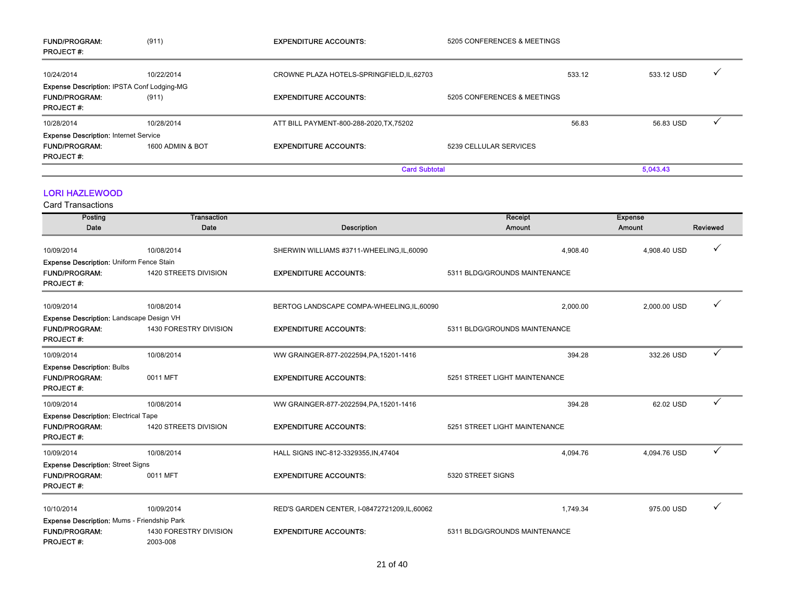| <b>FUND/PROGRAM:</b><br><b>PROJECT#:</b>     | (911)            | <b>EXPENDITURE ACCOUNTS:</b>               | 5205 CONFERENCES & MEETINGS |        |            |  |
|----------------------------------------------|------------------|--------------------------------------------|-----------------------------|--------|------------|--|
| 10/24/2014                                   | 10/22/2014       | CROWNE PLAZA HOTELS-SPRINGFIELD, IL, 62703 |                             | 533.12 | 533.12 USD |  |
| Expense Description: IPSTA Conf Lodging-MG   |                  |                                            |                             |        |            |  |
| <b>FUND/PROGRAM:</b>                         | (911)            | <b>EXPENDITURE ACCOUNTS:</b>               | 5205 CONFERENCES & MEETINGS |        |            |  |
| <b>PROJECT#:</b>                             |                  |                                            |                             |        |            |  |
| 10/28/2014                                   | 10/28/2014       | ATT BILL PAYMENT-800-288-2020, TX, 75202   |                             | 56.83  | 56.83 USD  |  |
| <b>Expense Description: Internet Service</b> |                  |                                            |                             |        |            |  |
| <b>FUND/PROGRAM:</b>                         | 1600 ADMIN & BOT | <b>EXPENDITURE ACCOUNTS:</b>               | 5239 CELLULAR SERVICES      |        |            |  |
| <b>PROJECT#:</b>                             |                  |                                            |                             |        |            |  |
|                                              |                  | <b>Card Subtotal</b>                       |                             |        | 5,043.43   |  |

#### LORI HAZLEWOOD

| Posting                                                                       | <b>Transaction</b>                 |                                             | Receipt                       | <b>Expense</b> |          |
|-------------------------------------------------------------------------------|------------------------------------|---------------------------------------------|-------------------------------|----------------|----------|
| Date                                                                          | Date                               | Description                                 | Amount                        | Amount         | Reviewed |
| 10/09/2014                                                                    | 10/08/2014                         | SHERWIN WILLIAMS #3711-WHEELING, IL, 60090  | 4.908.40                      | 4.908.40 USD   | ✓        |
| Expense Description: Uniform Fence Stain                                      |                                    |                                             |                               |                |          |
| <b>FUND/PROGRAM:</b><br><b>PROJECT#:</b>                                      | 1420 STREETS DIVISION              | <b>EXPENDITURE ACCOUNTS:</b>                | 5311 BLDG/GROUNDS MAINTENANCE |                |          |
| 10/09/2014                                                                    | 10/08/2014                         | BERTOG LANDSCAPE COMPA-WHEELING, IL, 60090  | 2,000.00                      | 2,000.00 USD   |          |
| Expense Description: Landscape Design VH                                      |                                    |                                             |                               |                |          |
| <b>FUND/PROGRAM:</b><br><b>PROJECT#:</b>                                      | 1430 FORESTRY DIVISION             | <b>EXPENDITURE ACCOUNTS:</b>                | 5311 BLDG/GROUNDS MAINTENANCE |                |          |
| 10/09/2014                                                                    | 10/08/2014                         | WW GRAINGER-877-2022594, PA, 15201-1416     | 394.28                        | 332.26 USD     | ✓        |
| <b>Expense Description: Bulbs</b><br><b>FUND/PROGRAM:</b><br><b>PROJECT#:</b> | 0011 MFT                           | <b>EXPENDITURE ACCOUNTS:</b>                | 5251 STREET LIGHT MAINTENANCE |                |          |
| 10/09/2014                                                                    | 10/08/2014                         | WW GRAINGER-877-2022594, PA, 15201-1416     | 394.28                        | 62.02 USD      | ✓        |
| <b>Expense Description: Electrical Tape</b>                                   |                                    |                                             |                               |                |          |
| <b>FUND/PROGRAM:</b><br><b>PROJECT#:</b>                                      | 1420 STREETS DIVISION              | <b>EXPENDITURE ACCOUNTS:</b>                | 5251 STREET LIGHT MAINTENANCE |                |          |
| 10/09/2014                                                                    | 10/08/2014                         | HALL SIGNS INC-812-3329355, IN, 47404       | 4,094.76                      | 4,094.76 USD   | ✓        |
| <b>Expense Description: Street Signs</b>                                      |                                    |                                             |                               |                |          |
| <b>FUND/PROGRAM:</b><br><b>PROJECT#:</b>                                      | 0011 MFT                           | <b>EXPENDITURE ACCOUNTS:</b>                | 5320 STREET SIGNS             |                |          |
| 10/10/2014                                                                    | 10/09/2014                         | RED'S GARDEN CENTER, I-08472721209,IL,60062 | 1,749.34                      | 975.00 USD     |          |
| Expense Description: Mums - Friendship Park                                   |                                    |                                             |                               |                |          |
| <b>FUND/PROGRAM:</b><br><b>PROJECT#:</b>                                      | 1430 FORESTRY DIVISION<br>2003-008 | <b>EXPENDITURE ACCOUNTS:</b>                | 5311 BLDG/GROUNDS MAINTENANCE |                |          |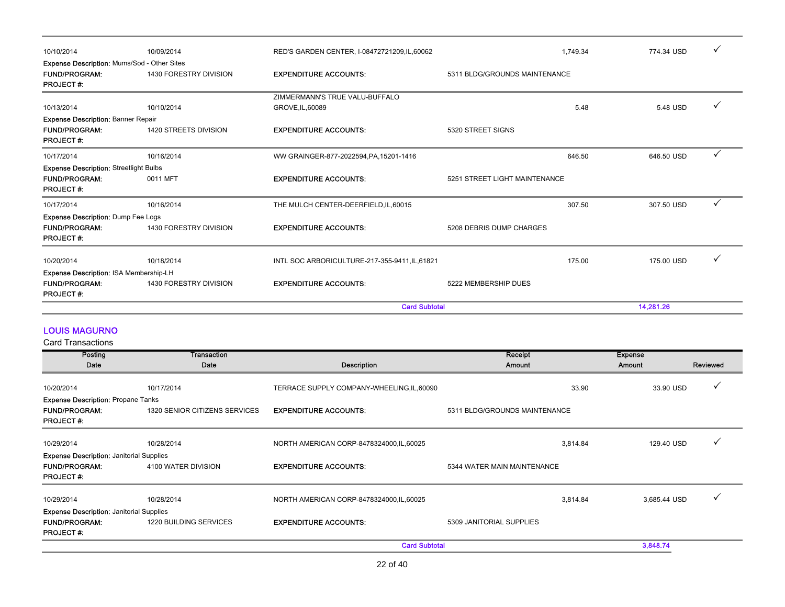| 10/10/2014                                                                                     | 10/09/2014             | RED'S GARDEN CENTER, I-08472721209, IL, 60062      |                               | 1.749.34 | 774.34 USD | ✓            |
|------------------------------------------------------------------------------------------------|------------------------|----------------------------------------------------|-------------------------------|----------|------------|--------------|
| <b>Expense Description: Mums/Sod - Other Sites</b><br><b>FUND/PROGRAM:</b><br><b>PROJECT#:</b> | 1430 FORESTRY DIVISION | <b>EXPENDITURE ACCOUNTS:</b>                       | 5311 BLDG/GROUNDS MAINTENANCE |          |            |              |
| 10/13/2014                                                                                     | 10/10/2014             | ZIMMERMANN'S TRUE VALU-BUFFALO<br>GROVE, IL, 60089 |                               | 5.48     | 5.48 USD   | $\checkmark$ |
| <b>Expense Description: Banner Repair</b><br><b>FUND/PROGRAM:</b><br><b>PROJECT#:</b>          | 1420 STREETS DIVISION  | <b>EXPENDITURE ACCOUNTS:</b>                       | 5320 STREET SIGNS             |          |            |              |
| 10/17/2014                                                                                     | 10/16/2014             | WW GRAINGER-877-2022594, PA, 15201-1416            |                               | 646.50   | 646.50 USD | ✓            |
| <b>Expense Description: Streetlight Bulbs</b><br><b>FUND/PROGRAM:</b><br><b>PROJECT#:</b>      | 0011 MFT               | <b>EXPENDITURE ACCOUNTS:</b>                       | 5251 STREET LIGHT MAINTENANCE |          |            |              |
| 10/17/2014                                                                                     | 10/16/2014             | THE MULCH CENTER-DEERFIELD, IL, 60015              |                               | 307.50   | 307.50 USD | $\checkmark$ |
| Expense Description: Dump Fee Logs<br><b>FUND/PROGRAM:</b><br><b>PROJECT#:</b>                 | 1430 FORESTRY DIVISION | <b>EXPENDITURE ACCOUNTS:</b>                       | 5208 DEBRIS DUMP CHARGES      |          |            |              |
| 10/20/2014                                                                                     | 10/18/2014             | INTL SOC ARBORICULTURE-217-355-9411, IL, 61821     |                               | 175.00   | 175.00 USD | $\checkmark$ |
| Expense Description: ISA Membership-LH                                                         |                        |                                                    |                               |          |            |              |
| <b>FUND/PROGRAM:</b><br><b>PROJECT#:</b>                                                       | 1430 FORESTRY DIVISION | <b>EXPENDITURE ACCOUNTS:</b>                       | 5222 MEMBERSHIP DUES          |          |            |              |
|                                                                                                |                        | <b>Card Subtotal</b>                               |                               |          | 14,281.26  |              |

### LOUIS MAGURNO

| Posting                                         | Transaction                   |                                            | Receipt                       | <b>Expense</b> |          |
|-------------------------------------------------|-------------------------------|--------------------------------------------|-------------------------------|----------------|----------|
| Date                                            | Date                          | <b>Description</b>                         | Amount                        | Amount         | Reviewed |
| 10/20/2014                                      | 10/17/2014                    | TERRACE SUPPLY COMPANY-WHEELING, IL, 60090 | 33.90                         | 33.90 USD      |          |
| <b>Expense Description: Propane Tanks</b>       |                               |                                            |                               |                |          |
| <b>FUND/PROGRAM:</b><br><b>PROJECT#:</b>        | 1320 SENIOR CITIZENS SERVICES | <b>EXPENDITURE ACCOUNTS:</b>               | 5311 BLDG/GROUNDS MAINTENANCE |                |          |
| 10/29/2014                                      | 10/28/2014                    | NORTH AMERICAN CORP-8478324000, IL, 60025  | 3,814.84                      | 129.40 USD     |          |
| <b>Expense Description: Janitorial Supplies</b> |                               |                                            |                               |                |          |
| <b>FUND/PROGRAM:</b><br><b>PROJECT#:</b>        | 4100 WATER DIVISION           | <b>EXPENDITURE ACCOUNTS:</b>               | 5344 WATER MAIN MAINTENANCE   |                |          |
| 10/29/2014                                      | 10/28/2014                    | NORTH AMERICAN CORP-8478324000, IL, 60025  | 3,814.84                      | 3,685.44 USD   |          |
| <b>Expense Description: Janitorial Supplies</b> |                               |                                            |                               |                |          |
| <b>FUND/PROGRAM:</b><br><b>PROJECT#:</b>        | 1220 BUILDING SERVICES        | <b>EXPENDITURE ACCOUNTS:</b>               | 5309 JANITORIAL SUPPLIES      |                |          |
|                                                 |                               | <b>Card Subtotal</b>                       |                               | 3,848.74       |          |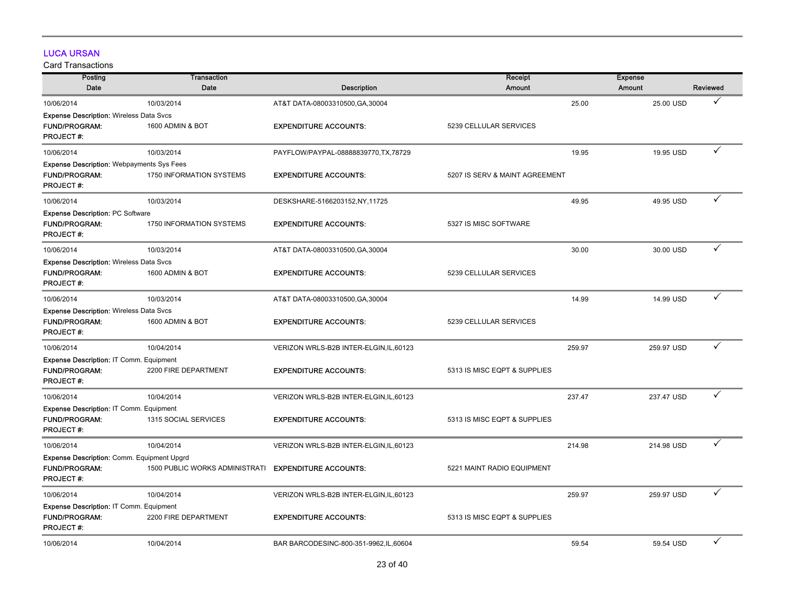# LUCA URSAN

| Posting                                          | Transaction                    |                                         | Receipt                        | <b>Expense</b> |            |              |
|--------------------------------------------------|--------------------------------|-----------------------------------------|--------------------------------|----------------|------------|--------------|
| Date                                             | Date                           | <b>Description</b>                      | Amount                         | Amount         |            | Reviewed     |
| 10/06/2014                                       | 10/03/2014                     | AT&T DATA-08003310500, GA, 30004        |                                | 25.00          | 25.00 USD  | ✓            |
| <b>Expense Description: Wireless Data Svcs</b>   |                                |                                         |                                |                |            |              |
| FUND/PROGRAM:                                    | 1600 ADMIN & BOT               | <b>EXPENDITURE ACCOUNTS:</b>            | 5239 CELLULAR SERVICES         |                |            |              |
| <b>PROJECT#:</b>                                 |                                |                                         |                                |                |            |              |
| 10/06/2014                                       | 10/03/2014                     | PAYFLOW/PAYPAL-08888839770,TX,78729     |                                | 19.95          | 19.95 USD  | ✓            |
| <b>Expense Description: Webpayments Sys Fees</b> |                                |                                         |                                |                |            |              |
| <b>FUND/PROGRAM:</b><br><b>PROJECT#:</b>         | 1750 INFORMATION SYSTEMS       | <b>EXPENDITURE ACCOUNTS:</b>            | 5207 IS SERV & MAINT AGREEMENT |                |            |              |
| 10/06/2014                                       | 10/03/2014                     | DESKSHARE-5166203152,NY,11725           |                                | 49.95          | 49.95 USD  | ✓            |
| <b>Expense Description: PC Software</b>          |                                |                                         |                                |                |            |              |
| <b>FUND/PROGRAM:</b><br><b>PROJECT#:</b>         | 1750 INFORMATION SYSTEMS       | <b>EXPENDITURE ACCOUNTS:</b>            | 5327 IS MISC SOFTWARE          |                |            |              |
| 10/06/2014                                       | 10/03/2014                     | AT&T DATA-08003310500, GA, 30004        |                                | 30.00          | 30.00 USD  | ✓            |
| <b>Expense Description: Wireless Data Svcs</b>   |                                |                                         |                                |                |            |              |
| <b>FUND/PROGRAM:</b><br><b>PROJECT#:</b>         | 1600 ADMIN & BOT               | <b>EXPENDITURE ACCOUNTS:</b>            | 5239 CELLULAR SERVICES         |                |            |              |
| 10/06/2014                                       | 10/03/2014                     | AT&T DATA-08003310500, GA, 30004        |                                | 14.99          | 14.99 USD  | ✓            |
| <b>Expense Description: Wireless Data Svcs</b>   |                                |                                         |                                |                |            |              |
| FUND/PROGRAM:<br><b>PROJECT#:</b>                | 1600 ADMIN & BOT               | <b>EXPENDITURE ACCOUNTS:</b>            | 5239 CELLULAR SERVICES         |                |            |              |
| 10/06/2014                                       | 10/04/2014                     | VERIZON WRLS-B2B INTER-ELGIN, IL, 60123 |                                | 259.97         | 259.97 USD | ✓            |
| <b>Expense Description: IT Comm. Equipment</b>   |                                |                                         |                                |                |            |              |
| <b>FUND/PROGRAM:</b><br><b>PROJECT#:</b>         | 2200 FIRE DEPARTMENT           | <b>EXPENDITURE ACCOUNTS:</b>            | 5313 IS MISC EQPT & SUPPLIES   |                |            |              |
| 10/06/2014                                       | 10/04/2014                     | VERIZON WRLS-B2B INTER-ELGIN, IL, 60123 |                                | 237.47         | 237.47 USD | ✓            |
| Expense Description: IT Comm. Equipment          |                                |                                         |                                |                |            |              |
| <b>FUND/PROGRAM:</b><br><b>PROJECT#:</b>         | 1315 SOCIAL SERVICES           | <b>EXPENDITURE ACCOUNTS:</b>            | 5313 IS MISC EQPT & SUPPLIES   |                |            |              |
| 10/06/2014                                       | 10/04/2014                     | VERIZON WRLS-B2B INTER-ELGIN, IL, 60123 |                                | 214.98         | 214.98 USD | ✓            |
| Expense Description: Comm. Equipment Upgrd       |                                |                                         |                                |                |            |              |
| <b>FUND/PROGRAM:</b><br><b>PROJECT#:</b>         | 1500 PUBLIC WORKS ADMINISTRATI | <b>EXPENDITURE ACCOUNTS:</b>            | 5221 MAINT RADIO EQUIPMENT     |                |            |              |
| 10/06/2014                                       | 10/04/2014                     | VERIZON WRLS-B2B INTER-ELGIN, IL, 60123 |                                | 259.97         | 259.97 USD | $\checkmark$ |
| Expense Description: IT Comm. Equipment          |                                |                                         |                                |                |            |              |
| <b>FUND/PROGRAM:</b><br><b>PROJECT#:</b>         | 2200 FIRE DEPARTMENT           | <b>EXPENDITURE ACCOUNTS:</b>            | 5313 IS MISC EQPT & SUPPLIES   |                |            |              |
| 10/06/2014                                       | 10/04/2014                     | BAR BARCODESINC-800-351-9962,IL,60604   |                                | 59.54          | 59.54 USD  | ✓            |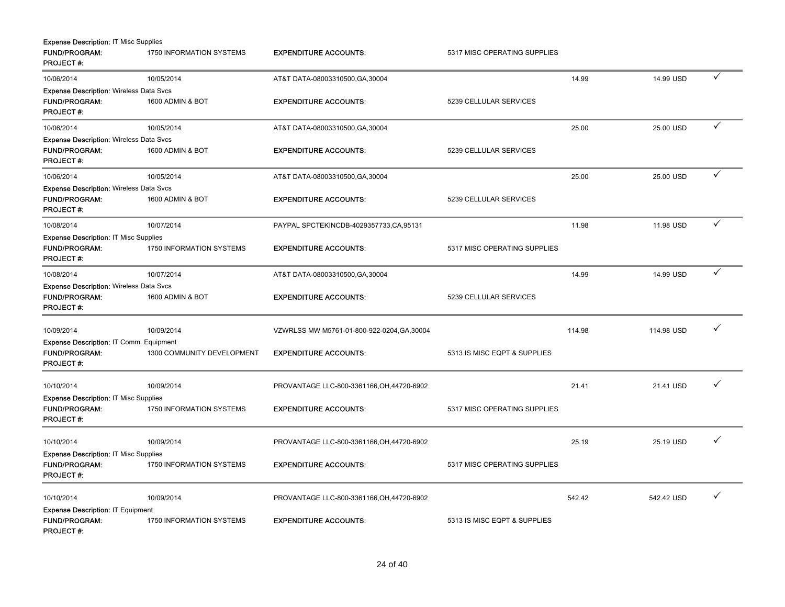| <b>Expense Description: IT Misc Supplies</b>   |                            |                                             |                              |        |            |   |
|------------------------------------------------|----------------------------|---------------------------------------------|------------------------------|--------|------------|---|
| <b>FUND/PROGRAM:</b><br><b>PROJECT#:</b>       | 1750 INFORMATION SYSTEMS   | <b>EXPENDITURE ACCOUNTS:</b>                | 5317 MISC OPERATING SUPPLIES |        |            |   |
| 10/06/2014                                     | 10/05/2014                 | AT&T DATA-08003310500, GA, 30004            |                              | 14.99  | 14.99 USD  | ✓ |
| <b>Expense Description: Wireless Data Svcs</b> |                            |                                             |                              |        |            |   |
| FUND/PROGRAM:<br><b>PROJECT#:</b>              | 1600 ADMIN & BOT           | <b>EXPENDITURE ACCOUNTS:</b>                | 5239 CELLULAR SERVICES       |        |            |   |
| 10/06/2014                                     | 10/05/2014                 | AT&T DATA-08003310500, GA, 30004            |                              | 25.00  | 25.00 USD  | ✓ |
| <b>Expense Description: Wireless Data Svcs</b> |                            |                                             |                              |        |            |   |
| <b>FUND/PROGRAM:</b><br>PROJECT#:              | 1600 ADMIN & BOT           | <b>EXPENDITURE ACCOUNTS:</b>                | 5239 CELLULAR SERVICES       |        |            |   |
| 10/06/2014                                     | 10/05/2014                 | AT&T DATA-08003310500, GA, 30004            |                              | 25.00  | 25.00 USD  | ✓ |
| <b>Expense Description: Wireless Data Svcs</b> |                            |                                             |                              |        |            |   |
| FUND/PROGRAM:<br><b>PROJECT#:</b>              | 1600 ADMIN & BOT           | <b>EXPENDITURE ACCOUNTS:</b>                | 5239 CELLULAR SERVICES       |        |            |   |
| 10/08/2014                                     | 10/07/2014                 | PAYPAL SPCTEKINCDB-4029357733,CA,95131      |                              | 11.98  | 11.98 USD  | ✓ |
| <b>Expense Description: IT Misc Supplies</b>   |                            |                                             |                              |        |            |   |
| <b>FUND/PROGRAM:</b><br>PROJECT#:              | 1750 INFORMATION SYSTEMS   | <b>EXPENDITURE ACCOUNTS:</b>                | 5317 MISC OPERATING SUPPLIES |        |            |   |
| 10/08/2014                                     | 10/07/2014                 | AT&T DATA-08003310500, GA, 30004            |                              | 14.99  | 14.99 USD  | ✓ |
| <b>Expense Description: Wireless Data Svcs</b> |                            |                                             |                              |        |            |   |
| <b>FUND/PROGRAM:</b><br><b>PROJECT#:</b>       | 1600 ADMIN & BOT           | <b>EXPENDITURE ACCOUNTS:</b>                | 5239 CELLULAR SERVICES       |        |            |   |
| 10/09/2014                                     | 10/09/2014                 | VZWRLSS MW M5761-01-800-922-0204, GA, 30004 |                              | 114.98 | 114.98 USD |   |
| Expense Description: IT Comm. Equipment        |                            |                                             |                              |        |            |   |
| <b>FUND/PROGRAM:</b><br><b>PROJECT#:</b>       | 1300 COMMUNITY DEVELOPMENT | <b>EXPENDITURE ACCOUNTS:</b>                | 5313 IS MISC EQPT & SUPPLIES |        |            |   |
| 10/10/2014                                     | 10/09/2014                 | PROVANTAGE LLC-800-3361166, OH, 44720-6902  |                              | 21.41  | 21.41 USD  |   |
| <b>Expense Description: IT Misc Supplies</b>   |                            |                                             |                              |        |            |   |
| FUND/PROGRAM:<br><b>PROJECT#:</b>              | 1750 INFORMATION SYSTEMS   | <b>EXPENDITURE ACCOUNTS:</b>                | 5317 MISC OPERATING SUPPLIES |        |            |   |
| 10/10/2014                                     | 10/09/2014                 | PROVANTAGE LLC-800-3361166, OH, 44720-6902  |                              | 25.19  | 25.19 USD  |   |
| Expense Description: IT Misc Supplies          |                            |                                             |                              |        |            |   |
| <b>FUND/PROGRAM:</b><br>PROJECT#:              | 1750 INFORMATION SYSTEMS   | <b>EXPENDITURE ACCOUNTS:</b>                | 5317 MISC OPERATING SUPPLIES |        |            |   |
| 10/10/2014                                     | 10/09/2014                 | PROVANTAGE LLC-800-3361166, OH, 44720-6902  |                              | 542.42 | 542.42 USD | ✓ |
| <b>Expense Description: IT Equipment</b>       |                            |                                             |                              |        |            |   |
| <b>FUND/PROGRAM:</b><br>PROJECT#:              | 1750 INFORMATION SYSTEMS   | <b>EXPENDITURE ACCOUNTS:</b>                | 5313 IS MISC EQPT & SUPPLIES |        |            |   |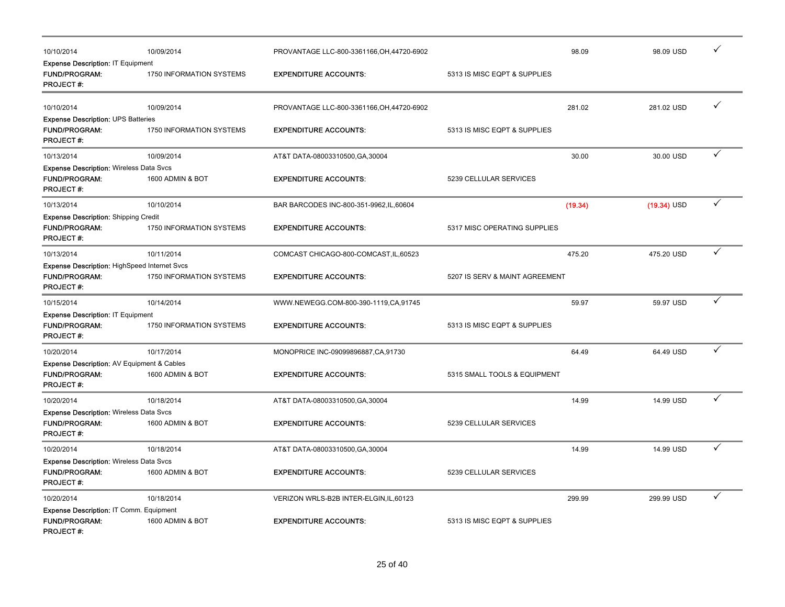| 10/10/2014                                                                                      | 10/09/2014               | PROVANTAGE LLC-800-3361166, OH, 44720-6902 |                                | 98.09 | ✓<br>98.09 USD                |
|-------------------------------------------------------------------------------------------------|--------------------------|--------------------------------------------|--------------------------------|-------|-------------------------------|
| <b>Expense Description: IT Equipment</b><br><b>FUND/PROGRAM:</b><br><b>PROJECT#:</b>            | 1750 INFORMATION SYSTEMS | <b>EXPENDITURE ACCOUNTS:</b>               | 5313 IS MISC EQPT & SUPPLIES   |       |                               |
| 10/10/2014                                                                                      | 10/09/2014               | PROVANTAGE LLC-800-3361166, OH, 44720-6902 | 281.02                         |       | $\checkmark$<br>281.02 USD    |
| <b>Expense Description: UPS Batteries</b><br><b>FUND/PROGRAM:</b><br><b>PROJECT#:</b>           | 1750 INFORMATION SYSTEMS | <b>EXPENDITURE ACCOUNTS:</b>               | 5313 IS MISC EQPT & SUPPLIES   |       |                               |
| 10/13/2014                                                                                      | 10/09/2014               | AT&T DATA-08003310500, GA, 30004           |                                | 30.00 | $\checkmark$<br>30.00 USD     |
| <b>Expense Description: Wireless Data Svcs</b><br><b>FUND/PROGRAM:</b><br><b>PROJECT#:</b>      | 1600 ADMIN & BOT         | <b>EXPENDITURE ACCOUNTS:</b>               | 5239 CELLULAR SERVICES         |       |                               |
| 10/13/2014                                                                                      | 10/10/2014               | BAR BARCODES INC-800-351-9962, IL, 60604   | (19.34)                        |       | $\checkmark$<br>$(19.34)$ USD |
| <b>Expense Description: Shipping Credit</b><br><b>FUND/PROGRAM:</b><br><b>PROJECT#:</b>         | 1750 INFORMATION SYSTEMS | <b>EXPENDITURE ACCOUNTS:</b>               | 5317 MISC OPERATING SUPPLIES   |       |                               |
| 10/13/2014                                                                                      | 10/11/2014               | COMCAST CHICAGO-800-COMCAST, IL, 60523     | 475.20                         |       | $\checkmark$<br>475.20 USD    |
| <b>Expense Description: HighSpeed Internet Svcs</b><br><b>FUND/PROGRAM:</b><br><b>PROJECT#:</b> | 1750 INFORMATION SYSTEMS | <b>EXPENDITURE ACCOUNTS:</b>               | 5207 IS SERV & MAINT AGREEMENT |       |                               |
| 10/15/2014                                                                                      | 10/14/2014               | WWW.NEWEGG.COM-800-390-1119,CA,91745       |                                | 59.97 | $\checkmark$<br>59.97 USD     |
| Expense Description: IT Equipment<br><b>FUND/PROGRAM:</b><br><b>PROJECT#:</b>                   | 1750 INFORMATION SYSTEMS | <b>EXPENDITURE ACCOUNTS:</b>               | 5313 IS MISC EQPT & SUPPLIES   |       |                               |
| 10/20/2014                                                                                      | 10/17/2014               | MONOPRICE INC-09099896887, CA, 91730       |                                | 64.49 | $\checkmark$<br>64.49 USD     |
| Expense Description: AV Equipment & Cables<br>FUND/PROGRAM:<br><b>PROJECT#:</b>                 | 1600 ADMIN & BOT         | <b>EXPENDITURE ACCOUNTS:</b>               | 5315 SMALL TOOLS & EQUIPMENT   |       |                               |
| 10/20/2014                                                                                      | 10/18/2014               | AT&T DATA-08003310500, GA, 30004           |                                | 14.99 | $\checkmark$<br>14.99 USD     |
| <b>Expense Description: Wireless Data Svcs</b><br><b>FUND/PROGRAM:</b><br><b>PROJECT#:</b>      | 1600 ADMIN & BOT         | <b>EXPENDITURE ACCOUNTS:</b>               | 5239 CELLULAR SERVICES         |       |                               |
| 10/20/2014                                                                                      | 10/18/2014               | AT&T DATA-08003310500, GA, 30004           |                                | 14.99 | $\checkmark$<br>14.99 USD     |
| <b>Expense Description: Wireless Data Svcs</b><br>FUND/PROGRAM:<br><b>PROJECT#:</b>             | 1600 ADMIN & BOT         | <b>EXPENDITURE ACCOUNTS:</b>               | 5239 CELLULAR SERVICES         |       |                               |
| 10/20/2014                                                                                      | 10/18/2014               | VERIZON WRLS-B2B INTER-ELGIN, IL, 60123    | 299.99                         |       | $\checkmark$<br>299.99 USD    |
| Expense Description: IT Comm. Equipment<br><b>FUND/PROGRAM:</b><br><b>PROJECT#:</b>             | 1600 ADMIN & BOT         | <b>EXPENDITURE ACCOUNTS:</b>               | 5313 IS MISC EQPT & SUPPLIES   |       |                               |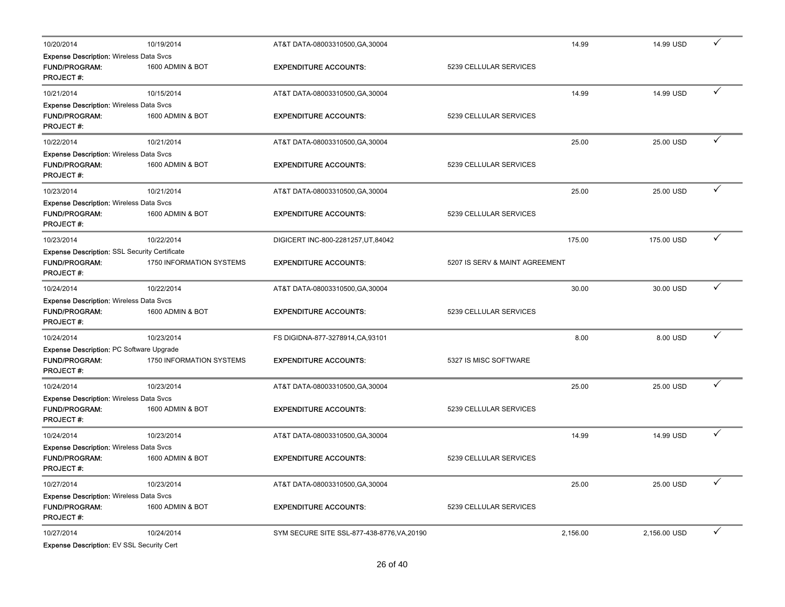| 10/20/2014                                                                                       | 10/19/2014               | AT&T DATA-08003310500, GA, 30004            |                                | 14.99    | 14.99 USD    | ✓ |
|--------------------------------------------------------------------------------------------------|--------------------------|---------------------------------------------|--------------------------------|----------|--------------|---|
| <b>Expense Description: Wireless Data Svcs</b>                                                   |                          |                                             |                                |          |              |   |
| <b>FUND/PROGRAM:</b><br><b>PROJECT#:</b>                                                         | 1600 ADMIN & BOT         | <b>EXPENDITURE ACCOUNTS:</b>                | 5239 CELLULAR SERVICES         |          |              |   |
| 10/21/2014                                                                                       | 10/15/2014               | AT&T DATA-08003310500, GA, 30004            |                                | 14.99    | 14.99 USD    |   |
| <b>Expense Description: Wireless Data Svcs</b><br><b>FUND/PROGRAM:</b><br><b>PROJECT#:</b>       | 1600 ADMIN & BOT         | <b>EXPENDITURE ACCOUNTS:</b>                | 5239 CELLULAR SERVICES         |          |              |   |
| 10/22/2014                                                                                       | 10/21/2014               | AT&T DATA-08003310500, GA, 30004            |                                | 25.00    | 25.00 USD    | ✓ |
| <b>Expense Description: Wireless Data Svcs</b>                                                   |                          |                                             |                                |          |              |   |
| <b>FUND/PROGRAM:</b><br><b>PROJECT#:</b>                                                         | 1600 ADMIN & BOT         | <b>EXPENDITURE ACCOUNTS:</b>                | 5239 CELLULAR SERVICES         |          |              |   |
| 10/23/2014                                                                                       | 10/21/2014               | AT&T DATA-08003310500, GA, 30004            |                                | 25.00    | 25.00 USD    | ✓ |
| <b>Expense Description: Wireless Data Svcs</b>                                                   |                          |                                             |                                |          |              |   |
| <b>FUND/PROGRAM:</b><br><b>PROJECT#:</b>                                                         | 1600 ADMIN & BOT         | <b>EXPENDITURE ACCOUNTS:</b>                | 5239 CELLULAR SERVICES         |          |              |   |
| 10/23/2014                                                                                       | 10/22/2014               | DIGICERT INC-800-2281257, UT, 84042         |                                | 175.00   | 175.00 USD   | ✓ |
| <b>Expense Description: SSL Security Certificate</b><br><b>FUND/PROGRAM:</b><br><b>PROJECT#:</b> | 1750 INFORMATION SYSTEMS | <b>EXPENDITURE ACCOUNTS:</b>                | 5207 IS SERV & MAINT AGREEMENT |          |              |   |
| 10/24/2014                                                                                       | 10/22/2014               | AT&T DATA-08003310500, GA, 30004            |                                | 30.00    | 30.00 USD    | ✓ |
| <b>Expense Description: Wireless Data Svcs</b><br><b>FUND/PROGRAM:</b><br><b>PROJECT#:</b>       | 1600 ADMIN & BOT         | <b>EXPENDITURE ACCOUNTS:</b>                | 5239 CELLULAR SERVICES         |          |              |   |
| 10/24/2014                                                                                       | 10/23/2014               | FS DIGIDNA-877-3278914, CA, 93101           |                                | 8.00     | 8.00 USD     | ✓ |
| <b>Expense Description: PC Software Upgrade</b><br><b>FUND/PROGRAM:</b><br><b>PROJECT#:</b>      | 1750 INFORMATION SYSTEMS | <b>EXPENDITURE ACCOUNTS:</b>                | 5327 IS MISC SOFTWARE          |          |              |   |
| 10/24/2014                                                                                       | 10/23/2014               | AT&T DATA-08003310500, GA, 30004            |                                | 25.00    | 25.00 USD    |   |
| <b>Expense Description: Wireless Data Svcs</b>                                                   |                          |                                             |                                |          |              |   |
| FUND/PROGRAM:<br><b>PROJECT#:</b>                                                                | 1600 ADMIN & BOT         | <b>EXPENDITURE ACCOUNTS:</b>                | 5239 CELLULAR SERVICES         |          |              |   |
| 10/24/2014                                                                                       | 10/23/2014               | AT&T DATA-08003310500, GA, 30004            |                                | 14.99    | 14.99 USD    | ✓ |
| <b>Expense Description: Wireless Data Svcs</b>                                                   |                          |                                             |                                |          |              |   |
| <b>FUND/PROGRAM:</b><br><b>PROJECT#:</b>                                                         | 1600 ADMIN & BOT         | <b>EXPENDITURE ACCOUNTS:</b>                | 5239 CELLULAR SERVICES         |          |              |   |
| 10/27/2014                                                                                       | 10/23/2014               | AT&T DATA-08003310500, GA, 30004            |                                | 25.00    | 25.00 USD    |   |
| <b>Expense Description: Wireless Data Svcs</b><br>FUND/PROGRAM:<br><b>PROJECT#:</b>              | 1600 ADMIN & BOT         | <b>EXPENDITURE ACCOUNTS:</b>                | 5239 CELLULAR SERVICES         |          |              |   |
| 10/27/2014                                                                                       | 10/24/2014               | SYM SECURE SITE SSL-877-438-8776, VA, 20190 |                                | 2,156.00 | 2,156.00 USD | ✓ |
| Expense Description: EV SSL Security Cert                                                        |                          |                                             |                                |          |              |   |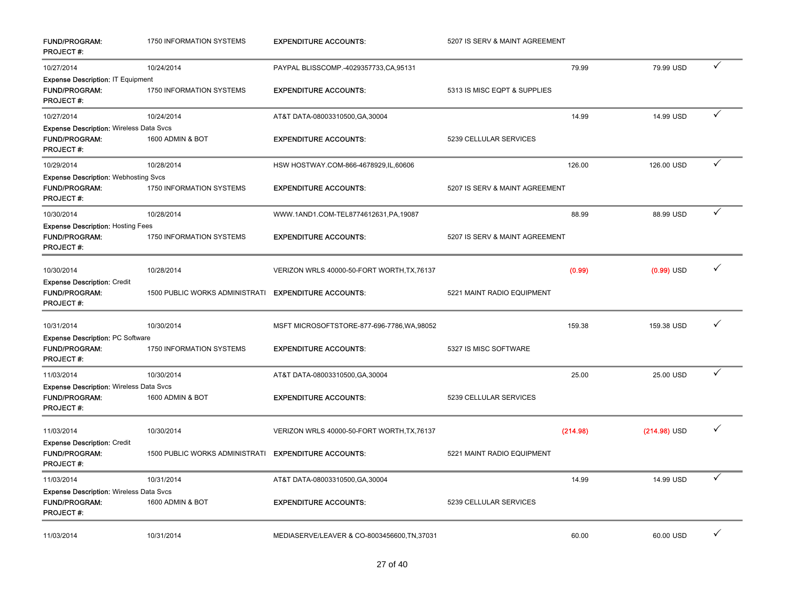| <b>FUND/PROGRAM:</b><br><b>PROJECT#:</b>                                                   | 1750 INFORMATION SYSTEMS        | <b>EXPENDITURE ACCOUNTS:</b>                 | 5207 IS SERV & MAINT AGREEMENT |                |   |
|--------------------------------------------------------------------------------------------|---------------------------------|----------------------------------------------|--------------------------------|----------------|---|
| 10/27/2014                                                                                 | 10/24/2014                      | PAYPAL BLISSCOMP.-4029357733,CA,95131        | 79.99                          | 79.99 USD      |   |
| <b>Expense Description: IT Equipment</b><br><b>FUND/PROGRAM:</b><br><b>PROJECT#:</b>       | <b>1750 INFORMATION SYSTEMS</b> | <b>EXPENDITURE ACCOUNTS:</b>                 | 5313 IS MISC EQPT & SUPPLIES   |                |   |
| 10/27/2014                                                                                 | 10/24/2014                      | AT&T DATA-08003310500, GA, 30004             | 14.99                          | 14.99 USD      | ✓ |
| <b>Expense Description: Wireless Data Svcs</b><br>FUND/PROGRAM:<br><b>PROJECT#:</b>        | 1600 ADMIN & BOT                | <b>EXPENDITURE ACCOUNTS:</b>                 | 5239 CELLULAR SERVICES         |                |   |
| 10/29/2014                                                                                 | 10/28/2014                      | HSW HOSTWAY.COM-866-4678929,IL,60606         | 126.00                         | 126.00 USD     | ✓ |
| <b>Expense Description: Webhosting Svcs</b><br><b>FUND/PROGRAM:</b><br><b>PROJECT#:</b>    | 1750 INFORMATION SYSTEMS        | <b>EXPENDITURE ACCOUNTS:</b>                 | 5207 IS SERV & MAINT AGREEMENT |                |   |
| 10/30/2014                                                                                 | 10/28/2014                      | WWW.1AND1.COM-TEL8774612631,PA,19087         | 88.99                          | 88.99 USD      | ✓ |
| <b>Expense Description: Hosting Fees</b><br>FUND/PROGRAM:<br><b>PROJECT#:</b>              | 1750 INFORMATION SYSTEMS        | <b>EXPENDITURE ACCOUNTS:</b>                 | 5207 IS SERV & MAINT AGREEMENT |                |   |
| 10/30/2014                                                                                 | 10/28/2014                      | VERIZON WRLS 40000-50-FORT WORTH, TX, 76137  | (0.99)                         | $(0.99)$ USD   | ✓ |
| <b>Expense Description: Credit</b><br><b>FUND/PROGRAM:</b><br><b>PROJECT#:</b>             | 1500 PUBLIC WORKS ADMINISTRATI  | <b>EXPENDITURE ACCOUNTS:</b>                 | 5221 MAINT RADIO EQUIPMENT     |                |   |
| 10/31/2014                                                                                 | 10/30/2014                      | MSFT MICROSOFTSTORE-877-696-7786, WA, 98052  | 159.38                         | 159.38 USD     |   |
| <b>Expense Description: PC Software</b><br>FUND/PROGRAM:<br><b>PROJECT#:</b>               | 1750 INFORMATION SYSTEMS        | <b>EXPENDITURE ACCOUNTS:</b>                 | 5327 IS MISC SOFTWARE          |                |   |
| 11/03/2014                                                                                 | 10/30/2014                      | AT&T DATA-08003310500, GA, 30004             | 25.00                          | 25.00 USD      | ✓ |
| <b>Expense Description: Wireless Data Svcs</b><br><b>FUND/PROGRAM:</b><br><b>PROJECT#:</b> | 1600 ADMIN & BOT                | <b>EXPENDITURE ACCOUNTS:</b>                 | 5239 CELLULAR SERVICES         |                |   |
| 11/03/2014                                                                                 | 10/30/2014                      | VERIZON WRLS 40000-50-FORT WORTH, TX, 76137  | (214.98)                       | $(214.98)$ USD | ✓ |
| <b>Expense Description: Credit</b><br><b>FUND/PROGRAM:</b><br><b>PROJECT#:</b>             | 1500 PUBLIC WORKS ADMINISTRATI  | <b>EXPENDITURE ACCOUNTS:</b>                 | 5221 MAINT RADIO EQUIPMENT     |                |   |
| 11/03/2014                                                                                 | 10/31/2014                      | AT&T DATA-08003310500, GA, 30004             | 14.99                          | 14.99 USD      | ✓ |
| <b>Expense Description: Wireless Data Svcs</b><br><b>FUND/PROGRAM:</b><br><b>PROJECT#:</b> | 1600 ADMIN & BOT                | <b>EXPENDITURE ACCOUNTS:</b>                 | 5239 CELLULAR SERVICES         |                |   |
| 11/03/2014                                                                                 | 10/31/2014                      | MEDIASERVE/LEAVER & CO-8003456600, TN, 37031 | 60.00                          | 60.00 USD      | ✓ |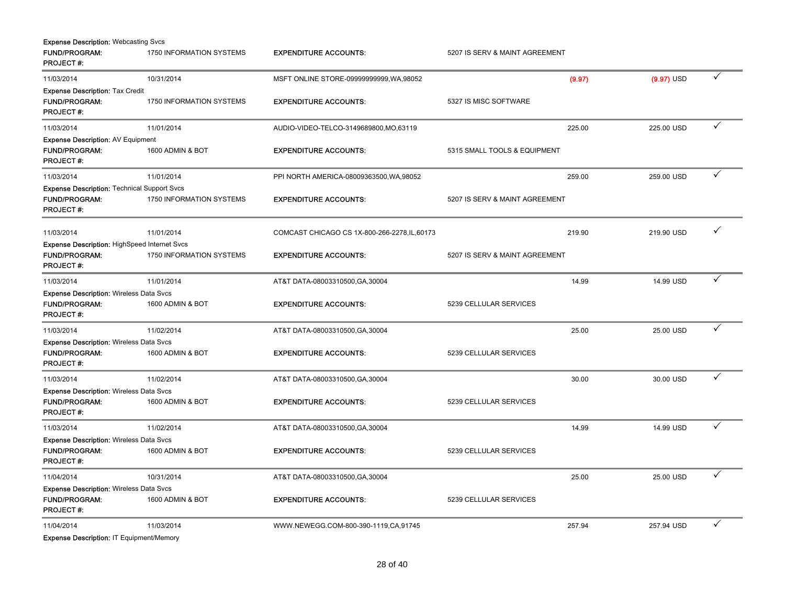| <b>Expense Description: Webcasting Svcs</b>         |                          |                                               |                                |              |              |
|-----------------------------------------------------|--------------------------|-----------------------------------------------|--------------------------------|--------------|--------------|
| <b>FUND/PROGRAM:</b><br><b>PROJECT#:</b>            | 1750 INFORMATION SYSTEMS | <b>EXPENDITURE ACCOUNTS:</b>                  | 5207 IS SERV & MAINT AGREEMENT |              |              |
| 11/03/2014                                          | 10/31/2014               | MSFT ONLINE STORE-09999999999, WA, 98052      | (9.97)                         | $(9.97)$ USD | ✓            |
| <b>Expense Description: Tax Credit</b>              |                          |                                               |                                |              |              |
| <b>FUND/PROGRAM:</b><br><b>PROJECT#:</b>            | 1750 INFORMATION SYSTEMS | <b>EXPENDITURE ACCOUNTS:</b>                  | 5327 IS MISC SOFTWARE          |              |              |
| 11/03/2014                                          | 11/01/2014               | AUDIO-VIDEO-TELCO-3149689800, MO, 63119       | 225.00                         | 225.00 USD   | ✓            |
| <b>Expense Description: AV Equipment</b>            |                          |                                               |                                |              |              |
| <b>FUND/PROGRAM:</b><br><b>PROJECT#:</b>            | 1600 ADMIN & BOT         | <b>EXPENDITURE ACCOUNTS:</b>                  | 5315 SMALL TOOLS & EQUIPMENT   |              |              |
| 11/03/2014                                          | 11/01/2014               | PPI NORTH AMERICA-08009363500, WA, 98052      | 259.00                         | 259.00 USD   | $\checkmark$ |
| <b>Expense Description: Technical Support Svcs</b>  |                          |                                               |                                |              |              |
| FUND/PROGRAM:<br><b>PROJECT#:</b>                   | 1750 INFORMATION SYSTEMS | <b>EXPENDITURE ACCOUNTS:</b>                  | 5207 IS SERV & MAINT AGREEMENT |              |              |
| 11/03/2014                                          | 11/01/2014               | COMCAST CHICAGO CS 1X-800-266-2278, IL, 60173 | 219.90                         | 219.90 USD   |              |
| <b>Expense Description: HighSpeed Internet Svcs</b> |                          |                                               |                                |              |              |
| <b>FUND/PROGRAM:</b><br><b>PROJECT#:</b>            | 1750 INFORMATION SYSTEMS | <b>EXPENDITURE ACCOUNTS:</b>                  | 5207 IS SERV & MAINT AGREEMENT |              |              |
| 11/03/2014                                          | 11/01/2014               | AT&T DATA-08003310500, GA, 30004              | 14.99                          | 14.99 USD    | ✓            |
| <b>Expense Description: Wireless Data Svcs</b>      |                          |                                               |                                |              |              |
| FUND/PROGRAM:<br><b>PROJECT#:</b>                   | 1600 ADMIN & BOT         | <b>EXPENDITURE ACCOUNTS:</b>                  | 5239 CELLULAR SERVICES         |              |              |
| 11/03/2014                                          | 11/02/2014               | AT&T DATA-08003310500, GA, 30004              | 25.00                          | 25.00 USD    | ✓            |
| <b>Expense Description: Wireless Data Svcs</b>      |                          |                                               |                                |              |              |
| <b>FUND/PROGRAM:</b><br><b>PROJECT#:</b>            | 1600 ADMIN & BOT         | <b>EXPENDITURE ACCOUNTS:</b>                  | 5239 CELLULAR SERVICES         |              |              |
| 11/03/2014                                          | 11/02/2014               | AT&T DATA-08003310500, GA, 30004              | 30.00                          | 30.00 USD    |              |
| <b>Expense Description: Wireless Data Svcs</b>      |                          |                                               |                                |              |              |
| <b>FUND/PROGRAM:</b><br><b>PROJECT#:</b>            | 1600 ADMIN & BOT         | <b>EXPENDITURE ACCOUNTS:</b>                  | 5239 CELLULAR SERVICES         |              |              |
| 11/03/2014                                          | 11/02/2014               | AT&T DATA-08003310500, GA, 30004              | 14.99                          | 14.99 USD    | ✓            |
| <b>Expense Description: Wireless Data Svcs</b>      |                          |                                               |                                |              |              |
| <b>FUND/PROGRAM:</b><br><b>PROJECT#:</b>            | 1600 ADMIN & BOT         | <b>EXPENDITURE ACCOUNTS:</b>                  | 5239 CELLULAR SERVICES         |              |              |
| 11/04/2014                                          | 10/31/2014               | AT&T DATA-08003310500, GA, 30004              | 25.00                          | 25.00 USD    | ✓            |
| <b>Expense Description: Wireless Data Svcs</b>      |                          |                                               |                                |              |              |
| <b>FUND/PROGRAM:</b><br><b>PROJECT#:</b>            | 1600 ADMIN & BOT         | <b>EXPENDITURE ACCOUNTS:</b>                  | 5239 CELLULAR SERVICES         |              |              |
| 11/04/2014                                          | 11/03/2014               | WWW.NEWEGG.COM-800-390-1119.CA,91745          | 257.94                         | 257.94 USD   | ✓            |

Expense Description: IT Equipment/Memory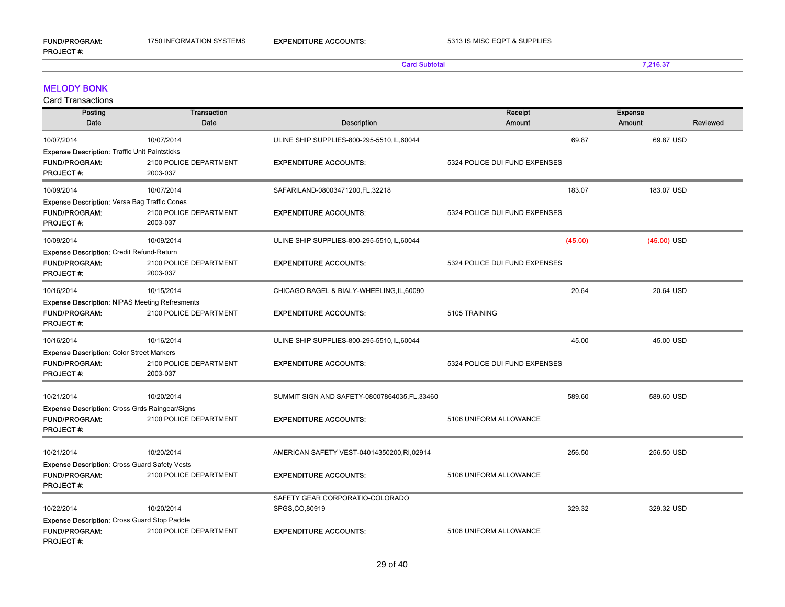FUND/PROGRAM:

PROJECT #:

Card Subtotal 7,216.37

#### MELODY BONK

| Posting                                               | <b>Transaction</b>     |                                               | Receipt                       | <b>Expense</b>     |
|-------------------------------------------------------|------------------------|-----------------------------------------------|-------------------------------|--------------------|
| Date                                                  | Date                   | <b>Description</b>                            | <b>Amount</b>                 | Reviewed<br>Amount |
| 10/07/2014                                            | 10/07/2014             | ULINE SHIP SUPPLIES-800-295-5510,IL,60044     | 69.87                         | 69.87 USD          |
| <b>Expense Description: Traffic Unit Paintsticks</b>  |                        |                                               |                               |                    |
| <b>FUND/PROGRAM:</b>                                  | 2100 POLICE DEPARTMENT | <b>EXPENDITURE ACCOUNTS:</b>                  | 5324 POLICE DUI FUND EXPENSES |                    |
| <b>PROJECT#:</b>                                      | 2003-037               |                                               |                               |                    |
| 10/09/2014                                            | 10/07/2014             | SAFARILAND-08003471200,FL,32218               | 183.07                        | 183.07 USD         |
| <b>Expense Description: Versa Bag Traffic Cones</b>   |                        |                                               |                               |                    |
| <b>FUND/PROGRAM:</b>                                  | 2100 POLICE DEPARTMENT | <b>EXPENDITURE ACCOUNTS:</b>                  | 5324 POLICE DUI FUND EXPENSES |                    |
| <b>PROJECT#:</b>                                      | 2003-037               |                                               |                               |                    |
| 10/09/2014                                            | 10/09/2014             | ULINE SHIP SUPPLIES-800-295-5510,IL,60044     | (45.00)                       | $(45.00)$ USD      |
| Expense Description: Credit Refund-Return             |                        |                                               |                               |                    |
| <b>FUND/PROGRAM:</b>                                  | 2100 POLICE DEPARTMENT | <b>EXPENDITURE ACCOUNTS:</b>                  | 5324 POLICE DUI FUND EXPENSES |                    |
| <b>PROJECT#:</b>                                      | 2003-037               |                                               |                               |                    |
| 10/16/2014                                            | 10/15/2014             | CHICAGO BAGEL & BIALY-WHEELING, IL, 60090     | 20.64                         | 20.64 USD          |
| <b>Expense Description: NIPAS Meeting Refresments</b> |                        |                                               |                               |                    |
| <b>FUND/PROGRAM:</b>                                  | 2100 POLICE DEPARTMENT | <b>EXPENDITURE ACCOUNTS:</b>                  | 5105 TRAINING                 |                    |
| <b>PROJECT#:</b>                                      |                        |                                               |                               |                    |
| 10/16/2014                                            | 10/16/2014             | ULINE SHIP SUPPLIES-800-295-5510, IL, 60044   | 45.00                         | 45.00 USD          |
| <b>Expense Description: Color Street Markers</b>      |                        |                                               |                               |                    |
| <b>FUND/PROGRAM:</b>                                  | 2100 POLICE DEPARTMENT | <b>EXPENDITURE ACCOUNTS:</b>                  | 5324 POLICE DUI FUND EXPENSES |                    |
| <b>PROJECT#:</b>                                      | 2003-037               |                                               |                               |                    |
| 10/21/2014                                            | 10/20/2014             | SUMMIT SIGN AND SAFETY-08007864035, FL, 33460 | 589.60                        | 589.60 USD         |
| <b>Expense Description:</b> Cross Grds Raingear/Signs |                        |                                               |                               |                    |
| <b>FUND/PROGRAM:</b>                                  | 2100 POLICE DEPARTMENT | <b>EXPENDITURE ACCOUNTS:</b>                  | 5106 UNIFORM ALLOWANCE        |                    |
| <b>PROJECT#:</b>                                      |                        |                                               |                               |                    |
| 10/21/2014                                            | 10/20/2014             | AMERICAN SAFETY VEST-04014350200, RI, 02914   | 256.50                        | 256.50 USD         |
| <b>Expense Description: Cross Guard Safety Vests</b>  |                        |                                               |                               |                    |
| <b>FUND/PROGRAM:</b>                                  | 2100 POLICE DEPARTMENT | <b>EXPENDITURE ACCOUNTS:</b>                  | 5106 UNIFORM ALLOWANCE        |                    |
| <b>PROJECT#:</b>                                      |                        |                                               |                               |                    |
|                                                       |                        | SAFETY GEAR CORPORATIO-COLORADO               |                               |                    |
| 10/22/2014                                            | 10/20/2014             | SPGS, CO, 80919                               | 329.32                        | 329.32 USD         |
| <b>Expense Description: Cross Guard Stop Paddle</b>   |                        |                                               |                               |                    |
| <b>FUND/PROGRAM:</b><br>PROJECT#:                     | 2100 POLICE DEPARTMENT | <b>EXPENDITURE ACCOUNTS:</b>                  | 5106 UNIFORM ALLOWANCE        |                    |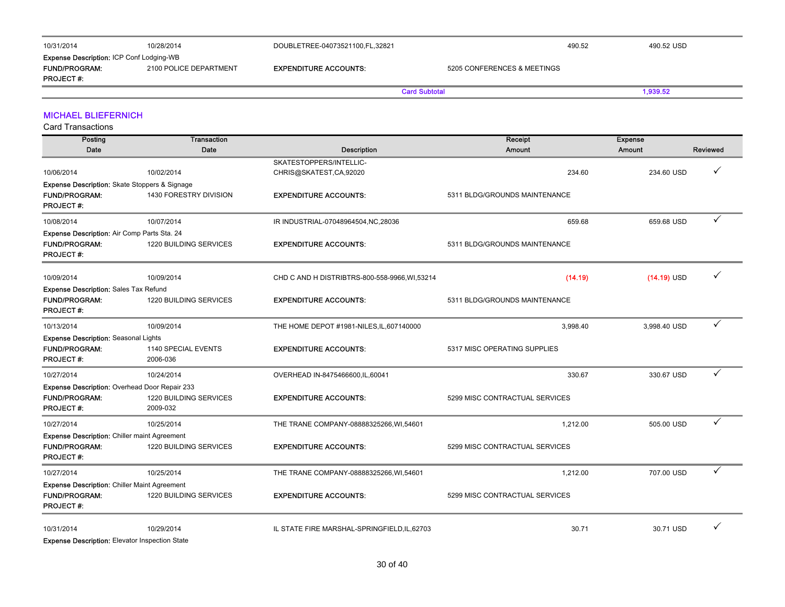| 10/31/2014                                      | 10/28/2014             | DOUBLETREE-04073521100,FL,32821 |                             | 490.52 | 490.52 USD |
|-------------------------------------------------|------------------------|---------------------------------|-----------------------------|--------|------------|
| <b>Expense Description: ICP Conf Lodging-WB</b> |                        |                                 |                             |        |            |
| <b>FUND/PROGRAM:</b>                            | 2100 POLICE DEPARTMENT | <b>EXPENDITURE ACCOUNTS:</b>    | 5205 CONFERENCES & MEETINGS |        |            |
| <b>PROJECT#:</b>                                |                        |                                 |                             |        |            |
|                                                 |                        |                                 | <b>Card Subtotal</b>        |        | 1.939.52   |

### MICHAEL BLIEFERNICH

Card Transactions

| Posting                                             | <b>Transaction</b>     |                                               | Receipt                        | <b>Expense</b> |          |
|-----------------------------------------------------|------------------------|-----------------------------------------------|--------------------------------|----------------|----------|
| Date                                                | Date                   | <b>Description</b>                            | Amount                         | Amount         | Reviewed |
|                                                     |                        | SKATESTOPPERS/INTELLIC-                       |                                |                |          |
| 10/06/2014                                          | 10/02/2014             | CHRIS@SKATEST,CA,92020                        | 234.60                         | 234.60 USD     | ✓        |
| Expense Description: Skate Stoppers & Signage       |                        |                                               |                                |                |          |
| <b>FUND/PROGRAM:</b>                                | 1430 FORESTRY DIVISION | <b>EXPENDITURE ACCOUNTS:</b>                  | 5311 BLDG/GROUNDS MAINTENANCE  |                |          |
| <b>PROJECT#:</b>                                    |                        |                                               |                                |                |          |
| 10/08/2014                                          | 10/07/2014             | IR INDUSTRIAL-07048964504, NC, 28036          | 659.68                         | 659.68 USD     | ✓        |
| Expense Description: Air Comp Parts Sta. 24         |                        |                                               |                                |                |          |
| <b>FUND/PROGRAM:</b>                                | 1220 BUILDING SERVICES | <b>EXPENDITURE ACCOUNTS:</b>                  | 5311 BLDG/GROUNDS MAINTENANCE  |                |          |
| <b>PROJECT#:</b>                                    |                        |                                               |                                |                |          |
|                                                     |                        |                                               |                                |                | ✓        |
| 10/09/2014                                          | 10/09/2014             | CHD C AND H DISTRIBTRS-800-558-9966, WI,53214 | (14.19)                        | $(14.19)$ USD  |          |
| <b>Expense Description: Sales Tax Refund</b>        |                        |                                               |                                |                |          |
| <b>FUND/PROGRAM:</b><br><b>PROJECT#:</b>            | 1220 BUILDING SERVICES | <b>EXPENDITURE ACCOUNTS:</b>                  | 5311 BLDG/GROUNDS MAINTENANCE  |                |          |
|                                                     |                        |                                               |                                |                |          |
| 10/13/2014                                          | 10/09/2014             | THE HOME DEPOT #1981-NILES, IL, 607140000     | 3,998.40                       | 3,998.40 USD   | ✓        |
| <b>Expense Description: Seasonal Lights</b>         |                        |                                               |                                |                |          |
| <b>FUND/PROGRAM:</b>                                | 1140 SPECIAL EVENTS    | <b>EXPENDITURE ACCOUNTS:</b>                  | 5317 MISC OPERATING SUPPLIES   |                |          |
| <b>PROJECT#:</b>                                    | 2006-036               |                                               |                                |                |          |
| 10/27/2014                                          | 10/24/2014             | OVERHEAD IN-8475466600.IL,60041               | 330.67                         | 330.67 USD     | ✓        |
| Expense Description: Overhead Door Repair 233       |                        |                                               |                                |                |          |
| <b>FUND/PROGRAM:</b>                                | 1220 BUILDING SERVICES | <b>EXPENDITURE ACCOUNTS:</b>                  | 5299 MISC CONTRACTUAL SERVICES |                |          |
| <b>PROJECT#:</b>                                    | 2009-032               |                                               |                                |                |          |
| 10/27/2014                                          | 10/25/2014             | THE TRANE COMPANY-08888325266, WI, 54601      | 1,212.00                       | 505.00 USD     | ✓        |
| <b>Expense Description: Chiller maint Agreement</b> |                        |                                               |                                |                |          |
| <b>FUND/PROGRAM:</b>                                | 1220 BUILDING SERVICES | <b>EXPENDITURE ACCOUNTS:</b>                  | 5299 MISC CONTRACTUAL SERVICES |                |          |
| <b>PROJECT#:</b>                                    |                        |                                               |                                |                |          |
| 10/27/2014                                          | 10/25/2014             | THE TRANE COMPANY-08888325266, WI, 54601      | 1,212.00                       | 707.00 USD     | ✓        |
| <b>Expense Description: Chiller Maint Agreement</b> |                        |                                               |                                |                |          |
| <b>FUND/PROGRAM:</b>                                | 1220 BUILDING SERVICES | <b>EXPENDITURE ACCOUNTS:</b>                  | 5299 MISC CONTRACTUAL SERVICES |                |          |
| <b>PROJECT#:</b>                                    |                        |                                               |                                |                |          |
|                                                     |                        |                                               |                                |                |          |
| 10/31/2014                                          | 10/29/2014             | IL STATE FIRE MARSHAL-SPRINGFIELD, IL, 62703  | 30.71                          | 30.71 USD      | ✓        |

Expense Description: Elevator Inspection State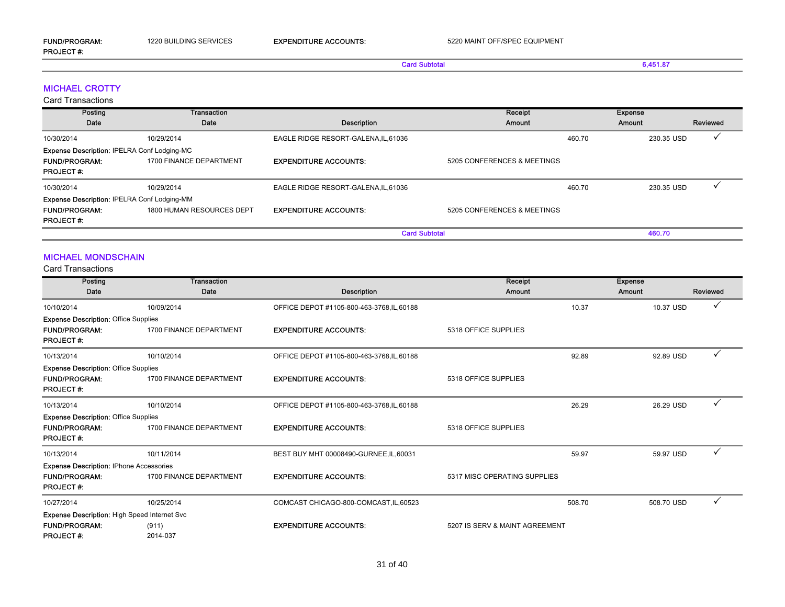## Card Subtotal 6,451.87

### MICHAEL CROTTY

Card Transactions

| Posting                                            | Transaction               |                                      | Receipt                     | <b>Expense</b> |            |          |
|----------------------------------------------------|---------------------------|--------------------------------------|-----------------------------|----------------|------------|----------|
| Date                                               | Date                      | Description                          | Amount                      | Amount         |            | Reviewed |
| 10/30/2014                                         | 10/29/2014                | EAGLE RIDGE RESORT-GALENA, IL, 61036 |                             | 460.70         | 230.35 USD |          |
| <b>Expense Description: IPELRA Conf Lodging-MC</b> |                           |                                      |                             |                |            |          |
| <b>FUND/PROGRAM:</b>                               | 1700 FINANCE DEPARTMENT   | <b>EXPENDITURE ACCOUNTS:</b>         | 5205 CONFERENCES & MEETINGS |                |            |          |
| <b>PROJECT#:</b>                                   |                           |                                      |                             |                |            |          |
| 10/30/2014                                         | 10/29/2014                | EAGLE RIDGE RESORT-GALENA, IL, 61036 |                             | 460.70         | 230.35 USD |          |
| <b>Expense Description: IPELRA Conf Lodging-MM</b> |                           |                                      |                             |                |            |          |
| <b>FUND/PROGRAM:</b>                               | 1800 HUMAN RESOURCES DEPT | <b>EXPENDITURE ACCOUNTS:</b>         | 5205 CONFERENCES & MEETINGS |                |            |          |
| <b>PROJECT#:</b>                                   |                           |                                      |                             |                |            |          |
|                                                    |                           | <b>Card Subtotal</b>                 |                             |                | 460.70     |          |

#### MICHAEL MONDSCHAIN

| Posting                                             | <b>Transaction</b>      |                                            | Receipt                        | <b>Expense</b> |          |
|-----------------------------------------------------|-------------------------|--------------------------------------------|--------------------------------|----------------|----------|
| Date                                                | Date                    | Description                                | <b>Amount</b>                  | <b>Amount</b>  | Reviewed |
| 10/10/2014                                          | 10/09/2014              | OFFICE DEPOT #1105-800-463-3768, IL, 60188 | 10.37                          | 10.37 USD      |          |
| <b>Expense Description: Office Supplies</b>         |                         |                                            |                                |                |          |
| <b>FUND/PROGRAM:</b><br><b>PROJECT#:</b>            | 1700 FINANCE DEPARTMENT | <b>EXPENDITURE ACCOUNTS:</b>               | 5318 OFFICE SUPPLIES           |                |          |
| 10/13/2014                                          | 10/10/2014              | OFFICE DEPOT #1105-800-463-3768, IL, 60188 | 92.89                          | 92.89 USD      |          |
| <b>Expense Description: Office Supplies</b>         |                         |                                            |                                |                |          |
| <b>FUND/PROGRAM:</b><br><b>PROJECT#:</b>            | 1700 FINANCE DEPARTMENT | <b>EXPENDITURE ACCOUNTS:</b>               | 5318 OFFICE SUPPLIES           |                |          |
| 10/13/2014                                          | 10/10/2014              | OFFICE DEPOT #1105-800-463-3768, IL, 60188 | 26.29                          | 26.29 USD      |          |
| <b>Expense Description: Office Supplies</b>         |                         |                                            |                                |                |          |
| <b>FUND/PROGRAM:</b><br><b>PROJECT#:</b>            | 1700 FINANCE DEPARTMENT | <b>EXPENDITURE ACCOUNTS:</b>               | 5318 OFFICE SUPPLIES           |                |          |
| 10/13/2014                                          | 10/11/2014              | BEST BUY MHT 00008490-GURNEE, IL, 60031    | 59.97                          | 59.97 USD      |          |
| <b>Expense Description: IPhone Accessories</b>      |                         |                                            |                                |                |          |
| <b>FUND/PROGRAM:</b><br><b>PROJECT#:</b>            | 1700 FINANCE DEPARTMENT | <b>EXPENDITURE ACCOUNTS:</b>               | 5317 MISC OPERATING SUPPLIES   |                |          |
| 10/27/2014                                          | 10/25/2014              | COMCAST CHICAGO-800-COMCAST, IL, 60523     | 508.70                         | 508.70 USD     |          |
| <b>Expense Description: High Speed Internet Svc</b> |                         |                                            |                                |                |          |
| <b>FUND/PROGRAM:</b>                                | (911)                   | <b>EXPENDITURE ACCOUNTS:</b>               | 5207 IS SERV & MAINT AGREEMENT |                |          |
| <b>PROJECT#:</b>                                    | 2014-037                |                                            |                                |                |          |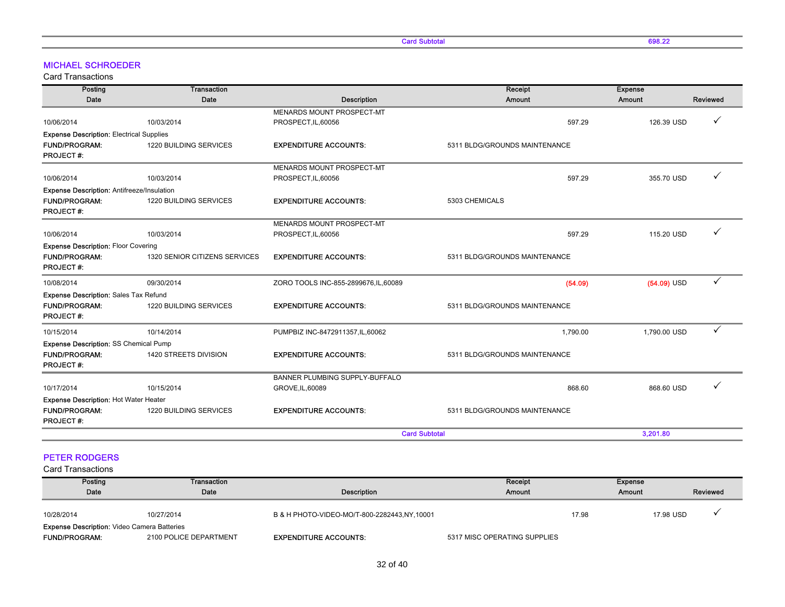Card Subtotal 698.22

### MICHAEL SCHROEDER

Card Transactions

| Posting                                         | Transaction                   |                                       | Receipt                       | <b>Expense</b> |          |
|-------------------------------------------------|-------------------------------|---------------------------------------|-------------------------------|----------------|----------|
| Date                                            | Date                          | <b>Description</b>                    | Amount                        | Amount         | Reviewed |
|                                                 |                               | MENARDS MOUNT PROSPECT-MT             |                               |                |          |
| 10/06/2014                                      | 10/03/2014                    | PROSPECT, IL, 60056                   | 597.29                        | 126.39 USD     | ✓        |
| <b>Expense Description: Electrical Supplies</b> |                               |                                       |                               |                |          |
| <b>FUND/PROGRAM:</b><br><b>PROJECT#:</b>        | 1220 BUILDING SERVICES        | <b>EXPENDITURE ACCOUNTS:</b>          | 5311 BLDG/GROUNDS MAINTENANCE |                |          |
|                                                 |                               | MENARDS MOUNT PROSPECT-MT             |                               |                |          |
| 10/06/2014                                      | 10/03/2014                    | PROSPECT, IL, 60056                   | 597.29                        | 355.70 USD     |          |
| Expense Description: Antifreeze/Insulation      |                               |                                       |                               |                |          |
| <b>FUND/PROGRAM:</b><br><b>PROJECT#:</b>        | 1220 BUILDING SERVICES        | <b>EXPENDITURE ACCOUNTS:</b>          | 5303 CHEMICALS                |                |          |
|                                                 |                               | MENARDS MOUNT PROSPECT-MT             |                               |                |          |
| 10/06/2014                                      | 10/03/2014                    | PROSPECT, IL, 60056                   | 597.29                        | 115.20 USD     | ✓        |
| <b>Expense Description: Floor Covering</b>      |                               |                                       |                               |                |          |
| <b>FUND/PROGRAM:</b><br><b>PROJECT#:</b>        | 1320 SENIOR CITIZENS SERVICES | <b>EXPENDITURE ACCOUNTS:</b>          | 5311 BLDG/GROUNDS MAINTENANCE |                |          |
| 10/08/2014                                      | 09/30/2014                    | ZORO TOOLS INC-855-2899676, IL, 60089 | (54.09)                       | $(54.09)$ USD  | ✓        |
| Expense Description: Sales Tax Refund           |                               |                                       |                               |                |          |
| <b>FUND/PROGRAM:</b><br><b>PROJECT#:</b>        | 1220 BUILDING SERVICES        | <b>EXPENDITURE ACCOUNTS:</b>          | 5311 BLDG/GROUNDS MAINTENANCE |                |          |
| 10/15/2014                                      | 10/14/2014                    | PUMPBIZ INC-8472911357, IL, 60062     | 1,790.00                      | 1,790.00 USD   | ✓        |
| Expense Description: SS Chemical Pump           |                               |                                       |                               |                |          |
| <b>FUND/PROGRAM:</b><br><b>PROJECT#:</b>        | 1420 STREETS DIVISION         | <b>EXPENDITURE ACCOUNTS:</b>          | 5311 BLDG/GROUNDS MAINTENANCE |                |          |
|                                                 |                               | BANNER PLUMBING SUPPLY-BUFFALO        |                               |                |          |
| 10/17/2014                                      | 10/15/2014                    | GROVE, IL, 60089                      | 868.60                        | 868.60 USD     |          |
| <b>Expense Description: Hot Water Heater</b>    |                               |                                       |                               |                |          |
| <b>FUND/PROGRAM:</b><br><b>PROJECT#:</b>        | 1220 BUILDING SERVICES        | <b>EXPENDITURE ACCOUNTS:</b>          | 5311 BLDG/GROUNDS MAINTENANCE |                |          |
|                                                 |                               |                                       | <b>Card Subtotal</b>          | 3,201.80       |          |

### PETER RODGERS

| Posting                                            | Transaction            |                                               | Receipt                      | Expense |           |          |
|----------------------------------------------------|------------------------|-----------------------------------------------|------------------------------|---------|-----------|----------|
| Date                                               | Date                   | Description                                   | Amount                       | Amount  |           | Reviewed |
|                                                    |                        |                                               |                              |         |           |          |
| 10/28/2014                                         | 10/27/2014             | B & H PHOTO-VIDEO-MO/T-800-2282443, NY, 10001 |                              | 17.98   | 17.98 USD |          |
| <b>Expense Description: Video Camera Batteries</b> |                        |                                               |                              |         |           |          |
| <b>FUND/PROGRAM:</b>                               | 2100 POLICE DEPARTMENT | <b>EXPENDITURE ACCOUNTS:</b>                  | 5317 MISC OPERATING SUPPLIES |         |           |          |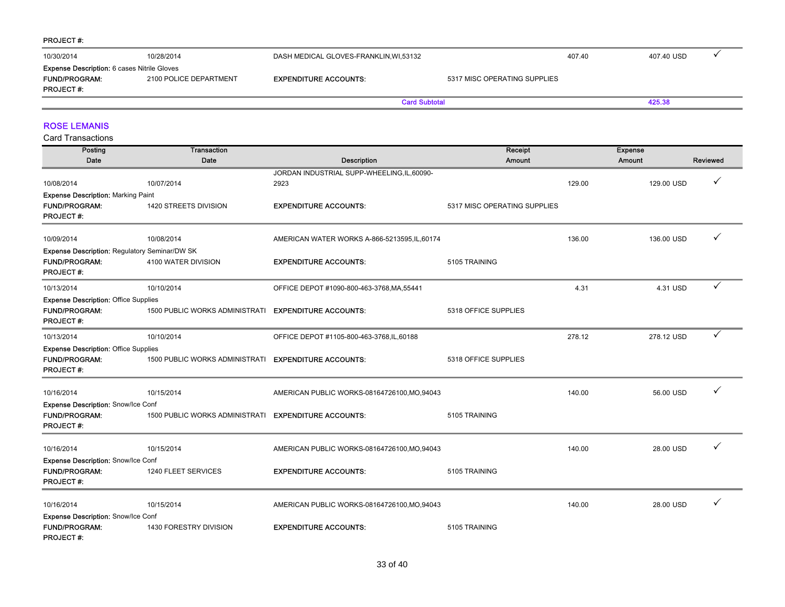#### PROJECT #:

| 10/30/2014                                                                                     | 10/28/2014             | DASH MEDICAL GLOVES-FRANKLIN, WI, 53132 |                              | 407.40 | 407.40 USD |  |
|------------------------------------------------------------------------------------------------|------------------------|-----------------------------------------|------------------------------|--------|------------|--|
| <b>Expense Description: 6 cases Nitrile Gloves</b><br><b>FUND/PROGRAM:</b><br><b>PROJECT#:</b> | 2100 POLICE DEPARTMENT | <b>EXPENDITURE ACCOUNTS:</b>            | 5317 MISC OPERATING SUPPLIES |        |            |  |
|                                                                                                |                        | <b>Card Subtotal</b>                    |                              |        | 425.38     |  |

#### ROSE LEMANIS

| Posting                                       | <b>Transaction</b>                    |                                               | Receipt                      |        | <b>Expense</b> |          |
|-----------------------------------------------|---------------------------------------|-----------------------------------------------|------------------------------|--------|----------------|----------|
| Date                                          | Date                                  | Description                                   | <b>Amount</b>                |        | Amount         | Reviewed |
|                                               |                                       | JORDAN INDUSTRIAL SUPP-WHEELING,IL,60090-     |                              |        |                |          |
| 10/08/2014                                    | 10/07/2014                            | 2923                                          |                              | 129.00 | 129.00 USD     | ✓        |
| <b>Expense Description: Marking Paint</b>     |                                       |                                               |                              |        |                |          |
| <b>FUND/PROGRAM:</b><br><b>PROJECT#:</b>      | 1420 STREETS DIVISION                 | <b>EXPENDITURE ACCOUNTS:</b>                  | 5317 MISC OPERATING SUPPLIES |        |                |          |
| 10/09/2014                                    | 10/08/2014                            | AMERICAN WATER WORKS A-866-5213595, IL, 60174 |                              | 136.00 | 136.00 USD     | ✓        |
| Expense Description: Regulatory Seminar/DW SK |                                       |                                               |                              |        |                |          |
| <b>FUND/PROGRAM:</b><br><b>PROJECT#:</b>      | 4100 WATER DIVISION                   | <b>EXPENDITURE ACCOUNTS:</b>                  | 5105 TRAINING                |        |                |          |
| 10/13/2014                                    | 10/10/2014                            | OFFICE DEPOT #1090-800-463-3768, MA, 55441    |                              | 4.31   | 4.31 USD       | ✓        |
| <b>Expense Description: Office Supplies</b>   |                                       |                                               |                              |        |                |          |
| <b>FUND/PROGRAM:</b><br><b>PROJECT#:</b>      | 1500 PUBLIC WORKS ADMINISTRATI        | <b>EXPENDITURE ACCOUNTS:</b>                  | 5318 OFFICE SUPPLIES         |        |                |          |
| 10/13/2014                                    | 10/10/2014                            | OFFICE DEPOT #1105-800-463-3768,IL,60188      |                              | 278.12 | 278.12 USD     | ✓        |
| <b>Expense Description: Office Supplies</b>   |                                       |                                               |                              |        |                |          |
| FUND/PROGRAM:<br><b>PROJECT#:</b>             | <b>1500 PUBLIC WORKS ADMINISTRATI</b> | <b>EXPENDITURE ACCOUNTS:</b>                  | 5318 OFFICE SUPPLIES         |        |                |          |
| 10/16/2014                                    | 10/15/2014                            | AMERICAN PUBLIC WORKS-08164726100, MO, 94043  |                              | 140.00 | 56.00 USD      | ✓        |
| <b>Expense Description: Snow/Ice Conf</b>     |                                       |                                               |                              |        |                |          |
| <b>FUND/PROGRAM:</b><br><b>PROJECT#:</b>      | <b>1500 PUBLIC WORKS ADMINISTRATI</b> | <b>EXPENDITURE ACCOUNTS:</b>                  | 5105 TRAINING                |        |                |          |
| 10/16/2014                                    | 10/15/2014                            | AMERICAN PUBLIC WORKS-08164726100, MO, 94043  |                              | 140.00 | 28.00 USD      |          |
| <b>Expense Description: Snow/Ice Conf</b>     |                                       |                                               |                              |        |                |          |
| <b>FUND/PROGRAM:</b><br><b>PROJECT#:</b>      | 1240 FLEET SERVICES                   | <b>EXPENDITURE ACCOUNTS:</b>                  | 5105 TRAINING                |        |                |          |
| 10/16/2014                                    | 10/15/2014                            | AMERICAN PUBLIC WORKS-08164726100, MO, 94043  |                              | 140.00 | 28.00 USD      | ✓        |
| Expense Description: Snow/Ice Conf            |                                       |                                               |                              |        |                |          |
| <b>FUND/PROGRAM:</b><br><b>PROJECT#:</b>      | 1430 FORESTRY DIVISION                | <b>EXPENDITURE ACCOUNTS:</b>                  | 5105 TRAINING                |        |                |          |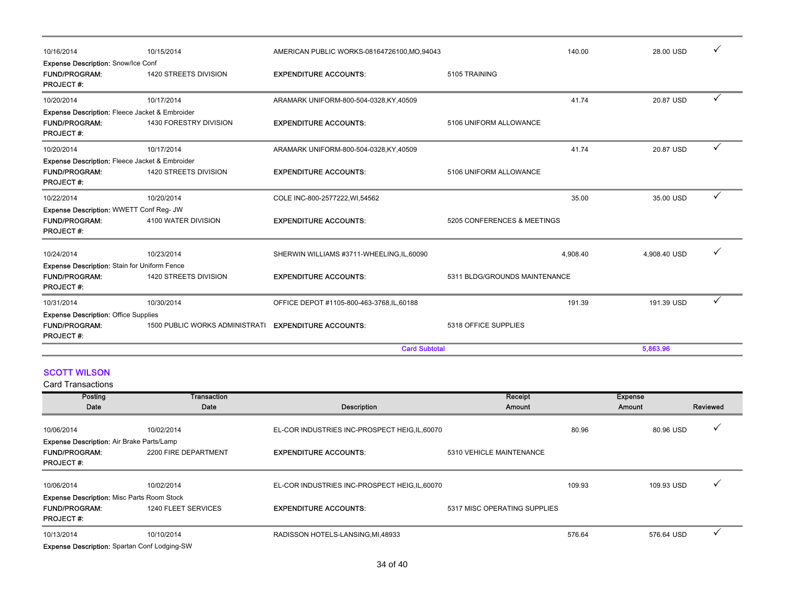| 10/16/2014                                                                                            | 10/15/2014                     | AMERICAN PUBLIC WORKS-08164726100, MO, 94043 |                               | 140.00   | 28.00 USD    |              |
|-------------------------------------------------------------------------------------------------------|--------------------------------|----------------------------------------------|-------------------------------|----------|--------------|--------------|
| <b>Expense Description: Snow/Ice Conf</b><br><b>FUND/PROGRAM:</b><br><b>PROJECT#:</b>                 | 1420 STREETS DIVISION          | <b>EXPENDITURE ACCOUNTS:</b>                 | 5105 TRAINING                 |          |              |              |
| 10/20/2014                                                                                            | 10/17/2014                     | ARAMARK UNIFORM-800-504-0328,KY,40509        |                               | 41.74    | 20.87 USD    | $\checkmark$ |
| Expense Description: Fleece Jacket & Embroider<br><b>FUND/PROGRAM:</b><br><b>PROJECT#:</b>            | 1430 FORESTRY DIVISION         | <b>EXPENDITURE ACCOUNTS:</b>                 | 5106 UNIFORM ALLOWANCE        |          |              |              |
| 10/20/2014                                                                                            | 10/17/2014                     | ARAMARK UNIFORM-800-504-0328,KY,40509        |                               | 41.74    | 20.87 USD    | $\checkmark$ |
| <b>Expense Description: Fleece Jacket &amp; Embroider</b><br><b>FUND/PROGRAM:</b><br><b>PROJECT#:</b> | 1420 STREETS DIVISION          | <b>EXPENDITURE ACCOUNTS:</b>                 | 5106 UNIFORM ALLOWANCE        |          |              |              |
| 10/22/2014                                                                                            | 10/20/2014                     | COLE INC-800-2577222, WI,54562               |                               | 35.00    | 35.00 USD    | $\checkmark$ |
| Expense Description: WWETT Conf Reg- JW<br><b>FUND/PROGRAM:</b><br><b>PROJECT#:</b>                   | 4100 WATER DIVISION            | <b>EXPENDITURE ACCOUNTS:</b>                 | 5205 CONFERENCES & MEETINGS   |          |              |              |
| 10/24/2014                                                                                            | 10/23/2014                     | SHERWIN WILLIAMS #3711-WHEELING, IL, 60090   |                               | 4,908.40 | 4,908.40 USD |              |
| Expense Description: Stain for Uniform Fence                                                          |                                |                                              |                               |          |              |              |
| <b>FUND/PROGRAM:</b><br><b>PROJECT#:</b>                                                              | 1420 STREETS DIVISION          | <b>EXPENDITURE ACCOUNTS:</b>                 | 5311 BLDG/GROUNDS MAINTENANCE |          |              |              |
| 10/31/2014                                                                                            | 10/30/2014                     | OFFICE DEPOT #1105-800-463-3768, IL, 60188   |                               | 191.39   | 191.39 USD   | ✓            |
| <b>Expense Description: Office Supplies</b><br><b>FUND/PROGRAM:</b><br>PROJECT#:                      | 1500 PUBLIC WORKS ADMINISTRATI | <b>EXPENDITURE ACCOUNTS:</b>                 | 5318 OFFICE SUPPLIES          |          |              |              |
|                                                                                                       |                                | <b>Card Subtotal</b>                         |                               |          | 5,863.96     |              |

### SCOTT WILSON

| Posting                                             | Transaction          |                                                | Receipt                      | <b>Expense</b> |               |          |
|-----------------------------------------------------|----------------------|------------------------------------------------|------------------------------|----------------|---------------|----------|
| Date                                                | Date                 | Description                                    | Amount                       |                | <b>Amount</b> | Reviewed |
| 10/06/2014                                          | 10/02/2014           | EL-COR INDUSTRIES INC-PROSPECT HEIG, IL, 60070 |                              | 80.96          | 80.96 USD     |          |
| <b>Expense Description: Air Brake Parts/Lamp</b>    |                      |                                                |                              |                |               |          |
| <b>FUND/PROGRAM:</b><br><b>PROJECT#:</b>            | 2200 FIRE DEPARTMENT | <b>EXPENDITURE ACCOUNTS:</b>                   | 5310 VEHICLE MAINTENANCE     |                |               |          |
| 10/06/2014                                          | 10/02/2014           | EL-COR INDUSTRIES INC-PROSPECT HEIG, IL, 60070 |                              | 109.93         | 109.93 USD    |          |
| <b>Expense Description: Misc Parts Room Stock</b>   |                      |                                                |                              |                |               |          |
| <b>FUND/PROGRAM:</b><br><b>PROJECT#:</b>            | 1240 FLEET SERVICES  | <b>EXPENDITURE ACCOUNTS:</b>                   | 5317 MISC OPERATING SUPPLIES |                |               |          |
| 10/13/2014                                          | 10/10/2014           | RADISSON HOTELS-LANSING, MI, 48933             |                              | 576.64         | 576.64 USD    |          |
| <b>Expense Description: Spartan Conf Lodging-SW</b> |                      |                                                |                              |                |               |          |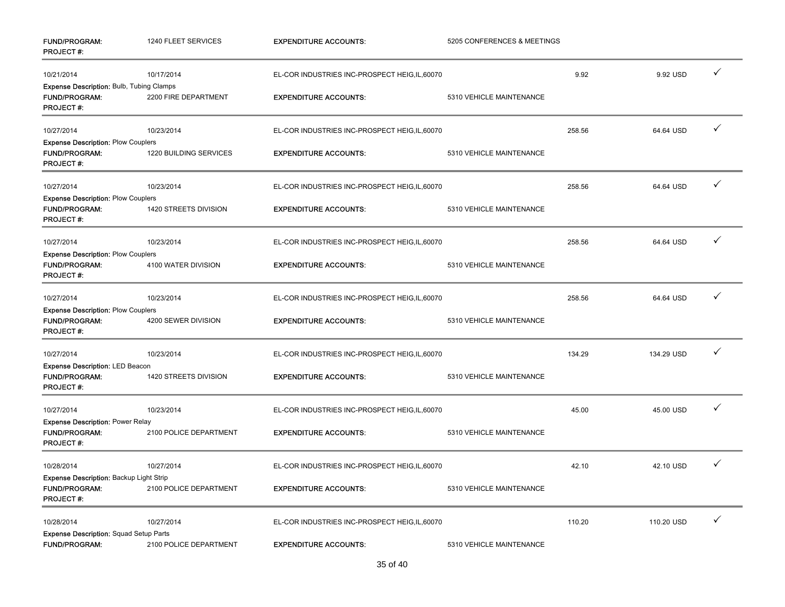| FUND/PROGRAM:<br><b>PROJECT#:</b>                                                   | 1240 FLEET SERVICES    | <b>EXPENDITURE ACCOUNTS:</b>                   | 5205 CONFERENCES & MEETINGS |        |            |              |
|-------------------------------------------------------------------------------------|------------------------|------------------------------------------------|-----------------------------|--------|------------|--------------|
| 10/21/2014                                                                          | 10/17/2014             | EL-COR INDUSTRIES INC-PROSPECT HEIG, IL, 60070 |                             | 9.92   | 9.92 USD   | ✓            |
| Expense Description: Bulb, Tubing Clamps                                            |                        |                                                |                             |        |            |              |
| <b>FUND/PROGRAM:</b><br>PROJECT#:                                                   | 2200 FIRE DEPARTMENT   | <b>EXPENDITURE ACCOUNTS:</b>                   | 5310 VEHICLE MAINTENANCE    |        |            |              |
| 10/27/2014                                                                          | 10/23/2014             | EL-COR INDUSTRIES INC-PROSPECT HEIG, IL, 60070 |                             | 258.56 | 64.64 USD  | ✓            |
| <b>Expense Description: Plow Couplers</b><br>FUND/PROGRAM:<br><b>PROJECT#:</b>      | 1220 BUILDING SERVICES | <b>EXPENDITURE ACCOUNTS:</b>                   | 5310 VEHICLE MAINTENANCE    |        |            |              |
| 10/27/2014                                                                          | 10/23/2014             | EL-COR INDUSTRIES INC-PROSPECT HEIG, IL, 60070 |                             | 258.56 | 64.64 USD  | $\checkmark$ |
| <b>Expense Description: Plow Couplers</b>                                           |                        |                                                |                             |        |            |              |
| FUND/PROGRAM:<br><b>PROJECT#:</b>                                                   | 1420 STREETS DIVISION  | <b>EXPENDITURE ACCOUNTS:</b>                   | 5310 VEHICLE MAINTENANCE    |        |            |              |
| 10/27/2014                                                                          | 10/23/2014             | EL-COR INDUSTRIES INC-PROSPECT HEIG, IL, 60070 |                             | 258.56 | 64.64 USD  | ✓            |
| <b>Expense Description: Plow Couplers</b><br>FUND/PROGRAM:<br><b>PROJECT#:</b>      | 4100 WATER DIVISION    | <b>EXPENDITURE ACCOUNTS:</b>                   | 5310 VEHICLE MAINTENANCE    |        |            |              |
| 10/27/2014                                                                          | 10/23/2014             | EL-COR INDUSTRIES INC-PROSPECT HEIG,IL,60070   |                             | 258.56 | 64.64 USD  | ✓            |
| <b>Expense Description: Plow Couplers</b><br>FUND/PROGRAM:<br><b>PROJECT#:</b>      | 4200 SEWER DIVISION    | <b>EXPENDITURE ACCOUNTS:</b>                   | 5310 VEHICLE MAINTENANCE    |        |            |              |
| 10/27/2014                                                                          | 10/23/2014             | EL-COR INDUSTRIES INC-PROSPECT HEIG, IL, 60070 |                             | 134.29 | 134.29 USD | ✓            |
| Expense Description: LED Beacon<br><b>FUND/PROGRAM:</b>                             | 1420 STREETS DIVISION  | <b>EXPENDITURE ACCOUNTS:</b>                   | 5310 VEHICLE MAINTENANCE    |        |            |              |
| <b>PROJECT#:</b>                                                                    |                        |                                                |                             |        |            |              |
| 10/27/2014                                                                          | 10/23/2014             | EL-COR INDUSTRIES INC-PROSPECT HEIG,IL,60070   |                             | 45.00  | 45.00 USD  | ✓            |
| <b>Expense Description: Power Relay</b><br><b>FUND/PROGRAM:</b><br><b>PROJECT#:</b> | 2100 POLICE DEPARTMENT | <b>EXPENDITURE ACCOUNTS:</b>                   | 5310 VEHICLE MAINTENANCE    |        |            |              |
| 10/28/2014                                                                          | 10/27/2014             | EL-COR INDUSTRIES INC-PROSPECT HEIG, IL, 60070 |                             | 42.10  | 42.10 USD  | ✓            |
| Expense Description: Backup Light Strip                                             |                        |                                                |                             |        |            |              |
| <b>FUND/PROGRAM:</b><br><b>PROJECT#:</b>                                            | 2100 POLICE DEPARTMENT | <b>EXPENDITURE ACCOUNTS:</b>                   | 5310 VEHICLE MAINTENANCE    |        |            |              |
| 10/28/2014                                                                          | 10/27/2014             | EL-COR INDUSTRIES INC-PROSPECT HEIG,IL,60070   |                             | 110.20 | 110.20 USD | $\checkmark$ |
| <b>Expense Description: Squad Setup Parts</b><br><b>FUND/PROGRAM:</b>               | 2100 POLICE DEPARTMENT | <b>EXPENDITURE ACCOUNTS:</b>                   | 5310 VEHICLE MAINTENANCE    |        |            |              |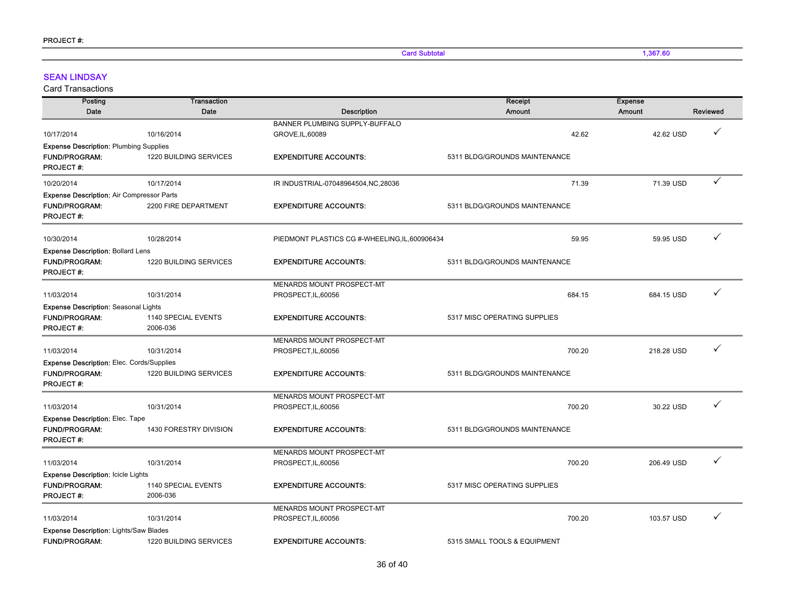**Card Subtotal 1,367.60** 1,367.60

### SEAN LINDSAY

| Posting                                          | <b>Transaction</b>     |                                                | Receipt                       | <b>Expense</b> |                 |
|--------------------------------------------------|------------------------|------------------------------------------------|-------------------------------|----------------|-----------------|
| Date                                             | Date                   | Description                                    | <b>Amount</b>                 | Amount         | <b>Reviewed</b> |
|                                                  |                        | BANNER PLUMBING SUPPLY-BUFFALO                 |                               |                |                 |
| 10/17/2014                                       | 10/16/2014             | GROVE, IL, 60089                               | 42.62                         | 42.62 USD      | ✓               |
| <b>Expense Description: Plumbing Supplies</b>    |                        |                                                |                               |                |                 |
| <b>FUND/PROGRAM:</b>                             | 1220 BUILDING SERVICES | <b>EXPENDITURE ACCOUNTS:</b>                   | 5311 BLDG/GROUNDS MAINTENANCE |                |                 |
| <b>PROJECT#:</b>                                 |                        |                                                |                               |                |                 |
| 10/20/2014                                       | 10/17/2014             | IR INDUSTRIAL-07048964504, NC, 28036           | 71.39                         | 71.39 USD      | ✓               |
| <b>Expense Description: Air Compressor Parts</b> |                        |                                                |                               |                |                 |
| <b>FUND/PROGRAM:</b>                             | 2200 FIRE DEPARTMENT   | <b>EXPENDITURE ACCOUNTS:</b>                   | 5311 BLDG/GROUNDS MAINTENANCE |                |                 |
| <b>PROJECT#:</b>                                 |                        |                                                |                               |                |                 |
| 10/30/2014                                       | 10/28/2014             | PIEDMONT PLASTICS CG #-WHEELING, IL, 600906434 | 59.95                         | 59.95 USD      | ✓               |
| <b>Expense Description: Bollard Lens</b>         |                        |                                                |                               |                |                 |
| FUND/PROGRAM:                                    | 1220 BUILDING SERVICES | <b>EXPENDITURE ACCOUNTS:</b>                   | 5311 BLDG/GROUNDS MAINTENANCE |                |                 |
| <b>PROJECT#:</b>                                 |                        |                                                |                               |                |                 |
|                                                  |                        | MENARDS MOUNT PROSPECT-MT                      |                               |                |                 |
| 11/03/2014                                       | 10/31/2014             | PROSPECT, IL, 60056                            | 684.15                        | 684.15 USD     | ✓               |
| Expense Description: Seasonal Lights             |                        |                                                |                               |                |                 |
| <b>FUND/PROGRAM:</b>                             | 1140 SPECIAL EVENTS    | <b>EXPENDITURE ACCOUNTS:</b>                   | 5317 MISC OPERATING SUPPLIES  |                |                 |
| <b>PROJECT#:</b>                                 | 2006-036               |                                                |                               |                |                 |
|                                                  |                        | MENARDS MOUNT PROSPECT-MT                      |                               |                | ✓               |
| 11/03/2014                                       | 10/31/2014             | PROSPECT, IL, 60056                            | 700.20                        | 218.28 USD     |                 |
| <b>Expense Description: Elec. Cords/Supplies</b> |                        |                                                |                               |                |                 |
| <b>FUND/PROGRAM:</b>                             | 1220 BUILDING SERVICES | <b>EXPENDITURE ACCOUNTS:</b>                   | 5311 BLDG/GROUNDS MAINTENANCE |                |                 |
| <b>PROJECT#:</b>                                 |                        |                                                |                               |                |                 |
|                                                  |                        | MENARDS MOUNT PROSPECT-MT                      |                               |                | ✓               |
| 11/03/2014                                       | 10/31/2014             | PROSPECT, IL, 60056                            | 700.20                        | 30.22 USD      |                 |
| <b>Expense Description: Elec. Tape</b>           |                        |                                                |                               |                |                 |
| <b>FUND/PROGRAM:</b><br><b>PROJECT#:</b>         | 1430 FORESTRY DIVISION | <b>EXPENDITURE ACCOUNTS:</b>                   | 5311 BLDG/GROUNDS MAINTENANCE |                |                 |
|                                                  |                        | MENARDS MOUNT PROSPECT-MT                      |                               |                |                 |
| 11/03/2014                                       | 10/31/2014             | PROSPECT, IL, 60056                            | 700.20                        | 206.49 USD     | ✓               |
| <b>Expense Description: Icicle Lights</b>        |                        |                                                |                               |                |                 |
| <b>FUND/PROGRAM:</b>                             | 1140 SPECIAL EVENTS    | <b>EXPENDITURE ACCOUNTS:</b>                   | 5317 MISC OPERATING SUPPLIES  |                |                 |
| <b>PROJECT#:</b>                                 | 2006-036               |                                                |                               |                |                 |
|                                                  |                        | MENARDS MOUNT PROSPECT-MT                      |                               |                |                 |
| 11/03/2014                                       | 10/31/2014             | PROSPECT, IL, 60056                            | 700.20                        | 103.57 USD     | ✓               |
| <b>Expense Description: Lights/Saw Blades</b>    |                        |                                                |                               |                |                 |
| <b>FUND/PROGRAM:</b>                             | 1220 BUILDING SERVICES | <b>EXPENDITURE ACCOUNTS:</b>                   | 5315 SMALL TOOLS & EQUIPMENT  |                |                 |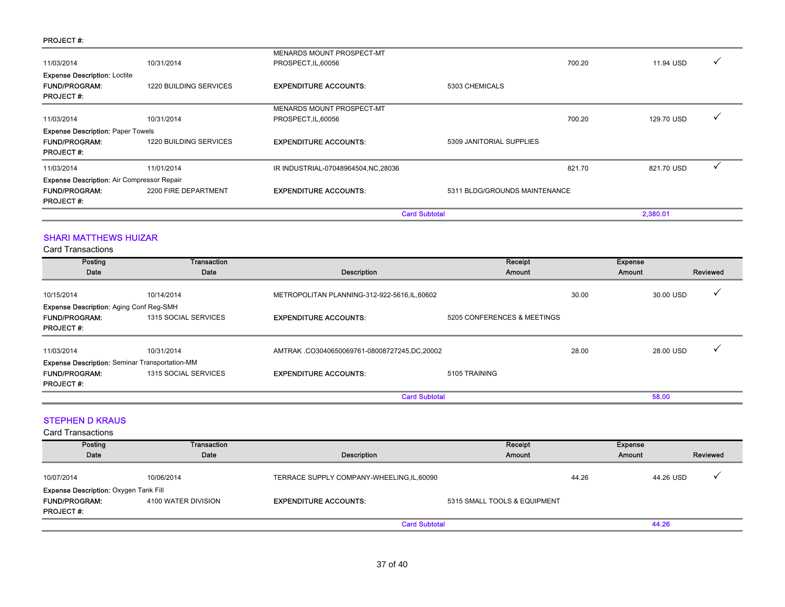#### PROJECT #:

|                                                                                               |                        |                                      | <b>Card Subtotal</b>          | 2,380.01   |  |
|-----------------------------------------------------------------------------------------------|------------------------|--------------------------------------|-------------------------------|------------|--|
| <b>Expense Description: Air Compressor Repair</b><br><b>FUND/PROGRAM:</b><br><b>PROJECT#:</b> | 2200 FIRE DEPARTMENT   | <b>EXPENDITURE ACCOUNTS:</b>         | 5311 BLDG/GROUNDS MAINTENANCE |            |  |
| 11/03/2014                                                                                    | 11/01/2014             | IR INDUSTRIAL-07048964504, NC, 28036 | 821.70                        | 821.70 USD |  |
|                                                                                               |                        |                                      |                               |            |  |
| <b>PROJECT#:</b>                                                                              |                        |                                      |                               |            |  |
| <b>FUND/PROGRAM:</b>                                                                          | 1220 BUILDING SERVICES | <b>EXPENDITURE ACCOUNTS:</b>         | 5309 JANITORIAL SUPPLIES      |            |  |
| <b>Expense Description: Paper Towels</b>                                                      |                        |                                      |                               |            |  |
| 11/03/2014                                                                                    | 10/31/2014             | PROSPECT, IL, 60056                  | 700.20                        | 129.70 USD |  |
|                                                                                               |                        | MENARDS MOUNT PROSPECT-MT            |                               |            |  |
| <b>PROJECT#:</b>                                                                              |                        |                                      |                               |            |  |
| <b>FUND/PROGRAM:</b>                                                                          | 1220 BUILDING SERVICES | <b>EXPENDITURE ACCOUNTS:</b>         | 5303 CHEMICALS                |            |  |
| <b>Expense Description: Loctite</b>                                                           |                        |                                      |                               |            |  |
| 11/03/2014                                                                                    | 10/31/2014             | PROSPECT, IL, 60056                  | 700.20                        | 11.94 USD  |  |
|                                                                                               |                        | MENARDS MOUNT PROSPECT-MT            |                               |            |  |

### SHARI MATTHEWS HUIZAR

Card Transactions

| Posting<br>Date                                                                                   | <b>Transaction</b><br>Date | Description                                   | Receipt<br>Amount           | <b>Expense</b><br>Amount |           | Reviewed |
|---------------------------------------------------------------------------------------------------|----------------------------|-----------------------------------------------|-----------------------------|--------------------------|-----------|----------|
| 10/15/2014                                                                                        | 10/14/2014                 | METROPOLITAN PLANNING-312-922-5616, IL, 60602 |                             | 30.00                    | 30.00 USD |          |
| <b>Expense Description: Aging Conf Reg-SMH</b><br><b>FUND/PROGRAM:</b><br><b>PROJECT#:</b>        | 1315 SOCIAL SERVICES       | <b>EXPENDITURE ACCOUNTS:</b>                  | 5205 CONFERENCES & MEETINGS |                          |           |          |
| 11/03/2014                                                                                        | 10/31/2014                 | AMTRAK.CO3040650069761-08008727245,DC,20002   |                             | 28.00                    | 28.00 USD |          |
| <b>Expense Description: Seminar Transportation-MM</b><br><b>FUND/PROGRAM:</b><br><b>PROJECT#:</b> | 1315 SOCIAL SERVICES       | <b>EXPENDITURE ACCOUNTS:</b>                  | 5105 TRAINING               |                          |           |          |
|                                                                                                   |                            | <b>Card Subtotal</b>                          |                             |                          | 58.00     |          |

### STEPHEN D KRAUS

| Posting<br>Date                              | Transaction<br>Date | Description                                | Receipt<br>Amount            | <b>Expense</b><br>Amount |           | Reviewed |
|----------------------------------------------|---------------------|--------------------------------------------|------------------------------|--------------------------|-----------|----------|
|                                              |                     |                                            |                              |                          |           |          |
| 10/07/2014                                   | 10/06/2014          | TERRACE SUPPLY COMPANY-WHEELING, IL, 60090 |                              | 44.26                    | 44.26 USD |          |
| <b>Expense Description: Oxygen Tank Fill</b> |                     |                                            |                              |                          |           |          |
| <b>FUND/PROGRAM:</b>                         | 4100 WATER DIVISION | <b>EXPENDITURE ACCOUNTS:</b>               | 5315 SMALL TOOLS & EQUIPMENT |                          |           |          |
| <b>PROJECT#:</b>                             |                     |                                            |                              |                          |           |          |
|                                              |                     | <b>Card Subtotal</b>                       |                              |                          | 44.26     |          |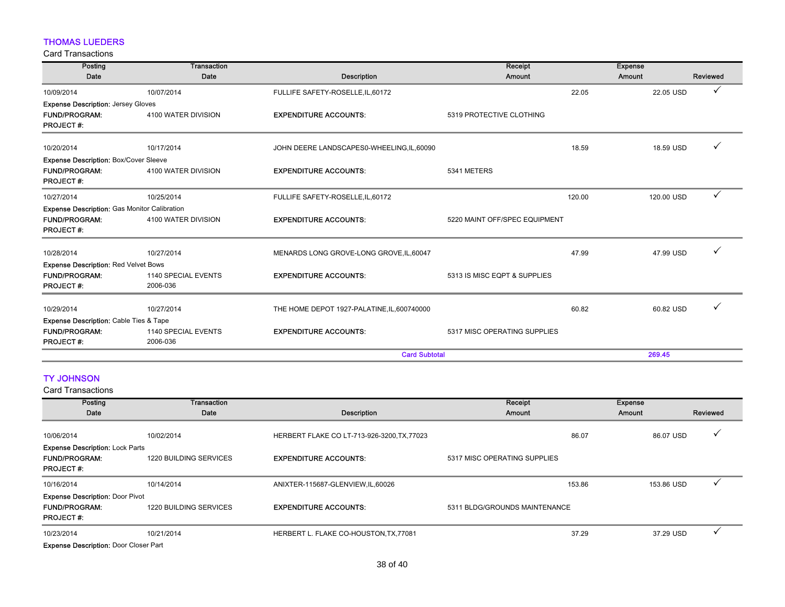## THOMAS LUEDERS

Card Transactions

| Posting                                             | <b>Transaction</b>              |                                             | Receipt                       |        | <b>Expense</b> |              |
|-----------------------------------------------------|---------------------------------|---------------------------------------------|-------------------------------|--------|----------------|--------------|
| Date                                                | Date                            | <b>Description</b>                          | Amount                        |        | Amount         | Reviewed     |
| 10/09/2014                                          | 10/07/2014                      | FULLIFE SAFETY-ROSELLE, IL, 60172           |                               | 22.05  | 22.05 USD      | ✓            |
| <b>Expense Description: Jersey Gloves</b>           |                                 |                                             |                               |        |                |              |
| <b>FUND/PROGRAM:</b><br><b>PROJECT#:</b>            | 4100 WATER DIVISION             | <b>EXPENDITURE ACCOUNTS:</b>                | 5319 PROTECTIVE CLOTHING      |        |                |              |
| 10/20/2014                                          | 10/17/2014                      | JOHN DEERE LANDSCAPES0-WHEELING, IL, 60090  |                               | 18.59  | 18.59 USD      |              |
| <b>Expense Description: Box/Cover Sleeve</b>        |                                 |                                             |                               |        |                |              |
| <b>FUND/PROGRAM:</b><br><b>PROJECT#:</b>            | 4100 WATER DIVISION             | <b>EXPENDITURE ACCOUNTS:</b>                | 5341 METERS                   |        |                |              |
| 10/27/2014                                          | 10/25/2014                      | FULLIFE SAFETY-ROSELLE, IL, 60172           |                               | 120.00 | 120.00 USD     | $\checkmark$ |
| <b>Expense Description:</b> Gas Monitor Calibration |                                 |                                             |                               |        |                |              |
| <b>FUND/PROGRAM:</b><br><b>PROJECT#:</b>            | 4100 WATER DIVISION             | <b>EXPENDITURE ACCOUNTS:</b>                | 5220 MAINT OFF/SPEC EQUIPMENT |        |                |              |
| 10/28/2014                                          | 10/27/2014                      | MENARDS LONG GROVE-LONG GROVE, IL, 60047    |                               | 47.99  | 47.99 USD      |              |
| <b>Expense Description: Red Velvet Bows</b>         |                                 |                                             |                               |        |                |              |
| <b>FUND/PROGRAM:</b><br><b>PROJECT#:</b>            | 1140 SPECIAL EVENTS<br>2006-036 | <b>EXPENDITURE ACCOUNTS:</b>                | 5313 IS MISC EQPT & SUPPLIES  |        |                |              |
| 10/29/2014                                          | 10/27/2014                      | THE HOME DEPOT 1927-PALATINE, IL, 600740000 |                               | 60.82  | 60.82 USD      |              |
| <b>Expense Description: Cable Ties &amp; Tape</b>   |                                 |                                             |                               |        |                |              |
| <b>FUND/PROGRAM:</b><br><b>PROJECT#:</b>            | 1140 SPECIAL EVENTS<br>2006-036 | <b>EXPENDITURE ACCOUNTS:</b>                | 5317 MISC OPERATING SUPPLIES  |        |                |              |
|                                                     |                                 | <b>Card Subtotal</b>                        |                               |        | 269.45         |              |

## TY JOHNSON

| Posting                                                                            | <b>Transaction</b>            |                                             | Receipt                       | <b>Expense</b> |          |  |
|------------------------------------------------------------------------------------|-------------------------------|---------------------------------------------|-------------------------------|----------------|----------|--|
| Date                                                                               | Date                          | Description                                 | Amount                        | Amount         | Reviewed |  |
| 10/06/2014                                                                         | 10/02/2014                    | HERBERT FLAKE CO LT-713-926-3200, TX, 77023 | 86.07                         | 86.07 USD      |          |  |
| <b>Expense Description: Lock Parts</b><br><b>FUND/PROGRAM:</b><br><b>PROJECT#:</b> | <b>1220 BUILDING SERVICES</b> | <b>EXPENDITURE ACCOUNTS:</b>                | 5317 MISC OPERATING SUPPLIES  |                |          |  |
| 10/16/2014                                                                         | 10/14/2014                    | ANIXTER-115687-GLENVIEW,IL,60026            | 153.86                        | 153.86 USD     |          |  |
| <b>Expense Description: Door Pivot</b><br><b>FUND/PROGRAM:</b><br><b>PROJECT#:</b> | <b>1220 BUILDING SERVICES</b> | <b>EXPENDITURE ACCOUNTS:</b>                | 5311 BLDG/GROUNDS MAINTENANCE |                |          |  |
| 10/23/2014                                                                         | 10/21/2014                    | HERBERT L. FLAKE CO-HOUSTON, TX, 77081      | 37.29                         | 37.29 USD      |          |  |
| <b>Expense Description: Door Closer Part</b>                                       |                               |                                             |                               |                |          |  |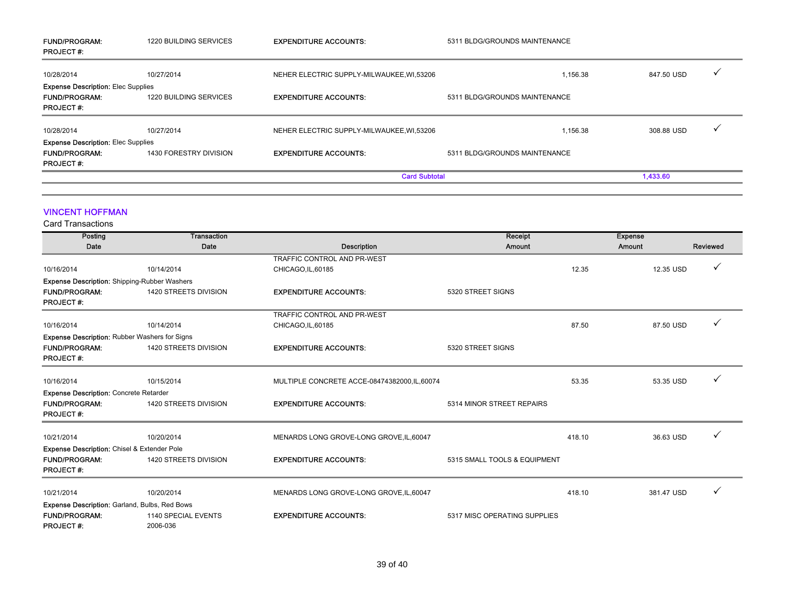| <b>FUND/PROGRAM:</b><br><b>PROJECT#:</b>  | 1220 BUILDING SERVICES | <b>EXPENDITURE ACCOUNTS:</b>              | 5311 BLDG/GROUNDS MAINTENANCE |            |   |
|-------------------------------------------|------------------------|-------------------------------------------|-------------------------------|------------|---|
| 10/28/2014                                | 10/27/2014             | NEHER ELECTRIC SUPPLY-MILWAUKEE, WI,53206 | 1,156.38                      | 847.50 USD | ✓ |
| <b>Expense Description: Elec Supplies</b> |                        |                                           |                               |            |   |
| <b>FUND/PROGRAM:</b>                      | 1220 BUILDING SERVICES | <b>EXPENDITURE ACCOUNTS:</b>              | 5311 BLDG/GROUNDS MAINTENANCE |            |   |
| <b>PROJECT#:</b>                          |                        |                                           |                               |            |   |
| 10/28/2014                                | 10/27/2014             | NEHER ELECTRIC SUPPLY-MILWAUKEE, WI,53206 | 1,156.38                      | 308.88 USD |   |
| <b>Expense Description: Elec Supplies</b> |                        |                                           |                               |            |   |
| <b>FUND/PROGRAM:</b>                      | 1430 FORESTRY DIVISION | <b>EXPENDITURE ACCOUNTS:</b>              | 5311 BLDG/GROUNDS MAINTENANCE |            |   |
| <b>PROJECT#:</b>                          |                        |                                           |                               |            |   |
|                                           |                        | <b>Card Subtotal</b>                      |                               | 1,433.60   |   |

#### VINCENT HOFFMAN

Card Transactions

| Posting                                              | <b>Transaction</b>              |                                               | Receipt                      |        | <b>Expense</b> |          |
|------------------------------------------------------|---------------------------------|-----------------------------------------------|------------------------------|--------|----------------|----------|
| Date                                                 | Date                            | <b>Description</b>                            | Amount                       |        | Amount         | Reviewed |
|                                                      |                                 | TRAFFIC CONTROL AND PR-WEST                   |                              |        |                |          |
| 10/16/2014                                           | 10/14/2014                      | CHICAGO, IL, 60185                            |                              | 12.35  | 12.35 USD      | ✓        |
| <b>Expense Description:</b> Shipping-Rubber Washers  |                                 |                                               |                              |        |                |          |
| <b>FUND/PROGRAM:</b><br><b>PROJECT#:</b>             | 1420 STREETS DIVISION           | <b>EXPENDITURE ACCOUNTS:</b>                  | 5320 STREET SIGNS            |        |                |          |
|                                                      |                                 | TRAFFIC CONTROL AND PR-WEST                   |                              |        |                |          |
| 10/16/2014                                           | 10/14/2014                      | CHICAGO, IL, 60185                            |                              | 87.50  | 87.50 USD      |          |
| <b>Expense Description: Rubber Washers for Signs</b> |                                 |                                               |                              |        |                |          |
| <b>FUND/PROGRAM:</b><br><b>PROJECT#:</b>             | 1420 STREETS DIVISION           | <b>EXPENDITURE ACCOUNTS:</b>                  | 5320 STREET SIGNS            |        |                |          |
| 10/16/2014                                           | 10/15/2014                      | MULTIPLE CONCRETE ACCE-08474382000, IL, 60074 |                              | 53.35  | 53.35 USD      |          |
| <b>Expense Description: Concrete Retarder</b>        |                                 |                                               |                              |        |                |          |
| <b>FUND/PROGRAM:</b><br><b>PROJECT#:</b>             | 1420 STREETS DIVISION           | <b>EXPENDITURE ACCOUNTS:</b>                  | 5314 MINOR STREET REPAIRS    |        |                |          |
| 10/21/2014                                           | 10/20/2014                      | MENARDS LONG GROVE-LONG GROVE, IL, 60047      |                              | 418.10 | 36.63 USD      | ✓        |
| Expense Description: Chisel & Extender Pole          |                                 |                                               |                              |        |                |          |
| <b>FUND/PROGRAM:</b><br><b>PROJECT#:</b>             | 1420 STREETS DIVISION           | <b>EXPENDITURE ACCOUNTS:</b>                  | 5315 SMALL TOOLS & EQUIPMENT |        |                |          |
| 10/21/2014                                           | 10/20/2014                      | MENARDS LONG GROVE-LONG GROVE, IL, 60047      |                              | 418.10 | 381.47 USD     | ✓        |
| Expense Description: Garland, Bulbs, Red Bows        |                                 |                                               |                              |        |                |          |
| <b>FUND/PROGRAM:</b><br><b>PROJECT#:</b>             | 1140 SPECIAL EVENTS<br>2006-036 | <b>EXPENDITURE ACCOUNTS:</b>                  | 5317 MISC OPERATING SUPPLIES |        |                |          |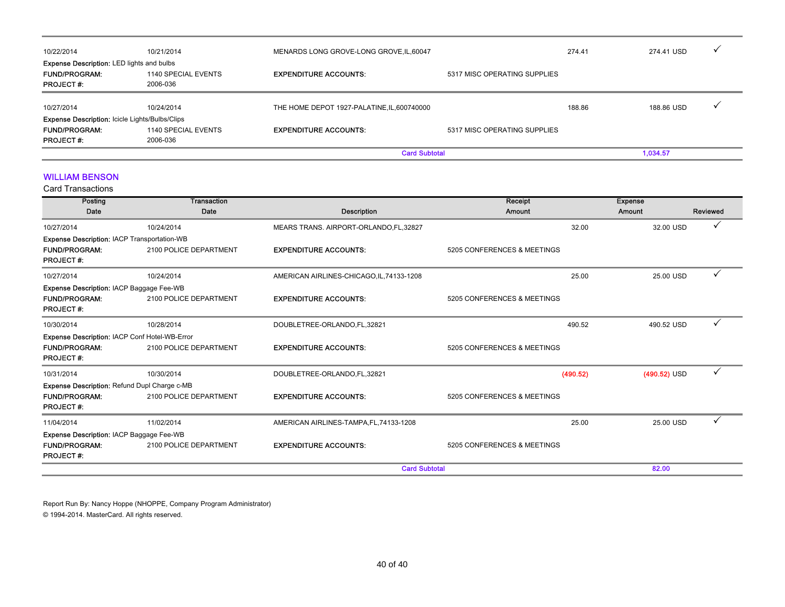|                                                       |                     | <b>Card Subtotal</b>                        |                              |            | 1.034.57   |  |
|-------------------------------------------------------|---------------------|---------------------------------------------|------------------------------|------------|------------|--|
| <b>PROJECT#:</b>                                      | 2006-036            |                                             |                              |            |            |  |
| <b>FUND/PROGRAM:</b>                                  | 1140 SPECIAL EVENTS | <b>EXPENDITURE ACCOUNTS:</b>                | 5317 MISC OPERATING SUPPLIES |            |            |  |
| <b>Expense Description: Icicle Lights/Bulbs/Clips</b> |                     |                                             |                              |            |            |  |
| 10/27/2014                                            | 10/24/2014          | THE HOME DEPOT 1927-PALATINE, IL, 600740000 |                              | 188.86     | 188.86 USD |  |
| <b>PROJECT#:</b>                                      | 2006-036            |                                             |                              |            |            |  |
| <b>FUND/PROGRAM:</b>                                  | 1140 SPECIAL EVENTS | <b>EXPENDITURE ACCOUNTS:</b>                | 5317 MISC OPERATING SUPPLIES |            |            |  |
| <b>Expense Description: LED lights and bulbs</b>      |                     |                                             |                              |            |            |  |
| 10/22/2014                                            | 10/21/2014          | MENARDS LONG GROVE-LONG GROVE, IL, 60047    | 274.41                       | 274.41 USD |            |  |
|                                                       |                     |                                             |                              |            |            |  |

#### WILLIAM BENSON

Card Transactions

| Posting                                            | <b>Transaction</b>     |                                           | Receipt                     | <b>Expense</b> |              |
|----------------------------------------------------|------------------------|-------------------------------------------|-----------------------------|----------------|--------------|
| Date                                               | Date                   | <b>Description</b>                        | Amount                      | Amount         | Reviewed     |
| 10/27/2014                                         | 10/24/2014             | MEARS TRANS. AIRPORT-ORLANDO, FL, 32827   | 32.00                       | 32.00 USD      | ✓            |
| <b>Expense Description: IACP Transportation-WB</b> |                        |                                           |                             |                |              |
| <b>FUND/PROGRAM:</b><br><b>PROJECT#:</b>           | 2100 POLICE DEPARTMENT | <b>EXPENDITURE ACCOUNTS:</b>              | 5205 CONFERENCES & MEETINGS |                |              |
| 10/27/2014                                         | 10/24/2014             | AMERICAN AIRLINES-CHICAGO, IL, 74133-1208 | 25.00                       | 25.00 USD      | $\checkmark$ |
| Expense Description: IACP Baggage Fee-WB           |                        |                                           |                             |                |              |
| <b>FUND/PROGRAM:</b><br><b>PROJECT#:</b>           | 2100 POLICE DEPARTMENT | <b>EXPENDITURE ACCOUNTS:</b>              | 5205 CONFERENCES & MEETINGS |                |              |
| 10/30/2014                                         | 10/28/2014             | DOUBLETREE-ORLANDO,FL,32821               | 490.52                      | 490.52 USD     | ✓            |
| Expense Description: IACP Conf Hotel-WB-Error      |                        |                                           |                             |                |              |
| <b>FUND/PROGRAM:</b><br><b>PROJECT#:</b>           | 2100 POLICE DEPARTMENT | <b>EXPENDITURE ACCOUNTS:</b>              | 5205 CONFERENCES & MEETINGS |                |              |
| 10/31/2014                                         | 10/30/2014             | DOUBLETREE-ORLANDO,FL,32821               | (490.52)                    | $(490.52)$ USD | ✓            |
| Expense Description: Refund Dupl Charge c-MB       |                        |                                           |                             |                |              |
| <b>FUND/PROGRAM:</b><br><b>PROJECT#:</b>           | 2100 POLICE DEPARTMENT | <b>EXPENDITURE ACCOUNTS:</b>              | 5205 CONFERENCES & MEETINGS |                |              |
| 11/04/2014                                         | 11/02/2014             | AMERICAN AIRLINES-TAMPA, FL, 74133-1208   | 25.00                       | 25.00 USD      |              |
| <b>Expense Description: IACP Baggage Fee-WB</b>    |                        |                                           |                             |                |              |
| <b>FUND/PROGRAM:</b><br><b>PROJECT#:</b>           | 2100 POLICE DEPARTMENT | <b>EXPENDITURE ACCOUNTS:</b>              | 5205 CONFERENCES & MEETINGS |                |              |
|                                                    |                        | <b>Card Subtotal</b>                      |                             | 82.00          |              |

Report Run By: Nancy Hoppe (NHOPPE, Company Program Administrator) © 1994-2014. MasterCard. All rights reserved.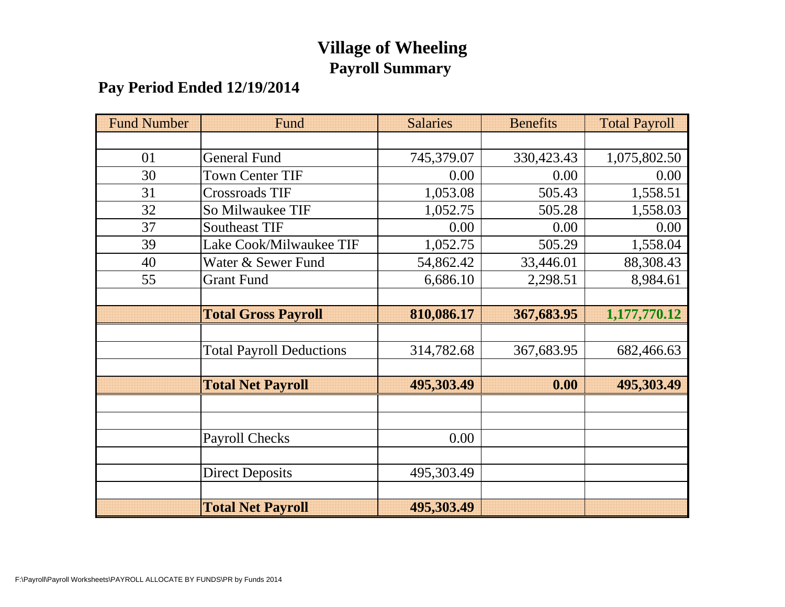## **Village of Wheeling Payroll Summary**

#### **Pay Period Ended 12/19/2014**

| <b>Fund Number</b> | Fund                            | <b>Salaries</b> | <b>Benefits</b> | <b>Total Payroll</b> |
|--------------------|---------------------------------|-----------------|-----------------|----------------------|
|                    |                                 |                 |                 |                      |
| 01                 | <b>General Fund</b>             | 745,379.07      | 330,423.43      | 1,075,802.50         |
| 30                 | <b>Town Center TIF</b>          | 0.00            | 0.00            | 0.00                 |
| 31                 | Crossroads TIF                  | 1,053.08        | 505.43          | 1,558.51             |
| 32                 | So Milwaukee TIF                | 1,052.75        | 505.28          | 1,558.03             |
| 37                 | <b>Southeast TIF</b>            | 0.00            | 0.00            | 0.00                 |
| 39                 | Lake Cook/Milwaukee TIF         | 1,052.75        | 505.29          | 1,558.04             |
| 40                 | Water & Sewer Fund              | 54,862.42       | 33,446.01       | 88,308.43            |
| 55                 | <b>Grant Fund</b>               | 6,686.10        | 2,298.51        | 8,984.61             |
|                    |                                 |                 |                 |                      |
|                    | <b>Total Gross Payroll</b>      | 810,086.17      | 367,683.95      | 1,177,770.12         |
|                    |                                 |                 |                 |                      |
|                    | <b>Total Payroll Deductions</b> | 314,782.68      | 367,683.95      | 682,466.63           |
|                    |                                 |                 |                 |                      |
|                    | <b>Total Net Payroll</b>        | 495,303.49      | 0.00            | 495,303.49           |
|                    |                                 |                 |                 |                      |
|                    |                                 |                 |                 |                      |
|                    | <b>Payroll Checks</b>           | 0.00            |                 |                      |
|                    |                                 |                 |                 |                      |
|                    | <b>Direct Deposits</b>          | 495,303.49      |                 |                      |
|                    |                                 |                 |                 |                      |
|                    | <b>Total Net Payroll</b>        | 495,303.49      |                 |                      |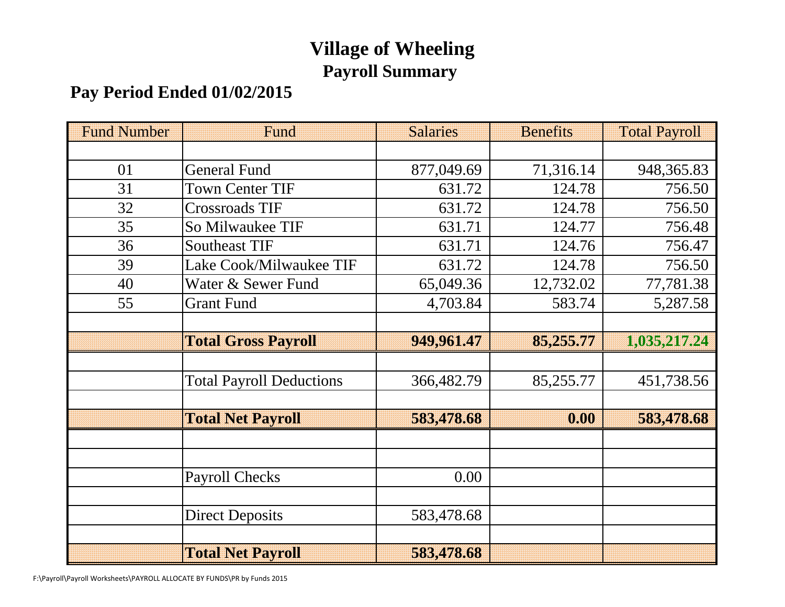# **Village of Wheeling Payroll Summary**

## **Pay Period Ended 01/02/2015**

| <b>Fund Number</b> | Fund                            | <b>Salaries</b> | <b>Benefits</b> | <b>Total Payroll</b> |
|--------------------|---------------------------------|-----------------|-----------------|----------------------|
|                    |                                 |                 |                 |                      |
| 01                 | <b>General Fund</b>             | 877,049.69      | 71,316.14       | 948, 365.83          |
| 31                 | <b>Town Center TIF</b>          | 631.72          | 124.78          | 756.50               |
| 32                 | <b>Crossroads TIF</b>           | 631.72          | 124.78          | 756.50               |
| 35                 | So Milwaukee TIF                | 631.71          | 124.77          | 756.48               |
| 36                 | <b>Southeast TIF</b>            | 631.71          | 124.76          | 756.47               |
| 39                 | Lake Cook/Milwaukee TIF         | 631.72          | 124.78          | 756.50               |
| 40                 | Water & Sewer Fund              | 65,049.36       | 12,732.02       | 77,781.38            |
| 55                 | <b>Grant Fund</b>               | 4,703.84        | 583.74          | 5,287.58             |
|                    |                                 |                 |                 |                      |
|                    | <b>Total Gross Payroll</b>      | 949,961.47      | 85,255.77       | 1,035,217.24         |
|                    |                                 |                 |                 |                      |
|                    | <b>Total Payroll Deductions</b> | 366,482.79      | 85,255.77       | 451,738.56           |
|                    |                                 |                 |                 |                      |
|                    | <b>Total Net Payroll</b>        | 583,478.68      | 0.00            | 583,478.68           |
|                    |                                 |                 |                 |                      |
|                    |                                 |                 |                 |                      |
|                    | <b>Payroll Checks</b>           | 0.00            |                 |                      |
|                    |                                 |                 |                 |                      |
|                    | <b>Direct Deposits</b>          | 583,478.68      |                 |                      |
|                    |                                 |                 |                 |                      |
|                    | <b>Total Net Payroll</b>        | 583,478.68      |                 |                      |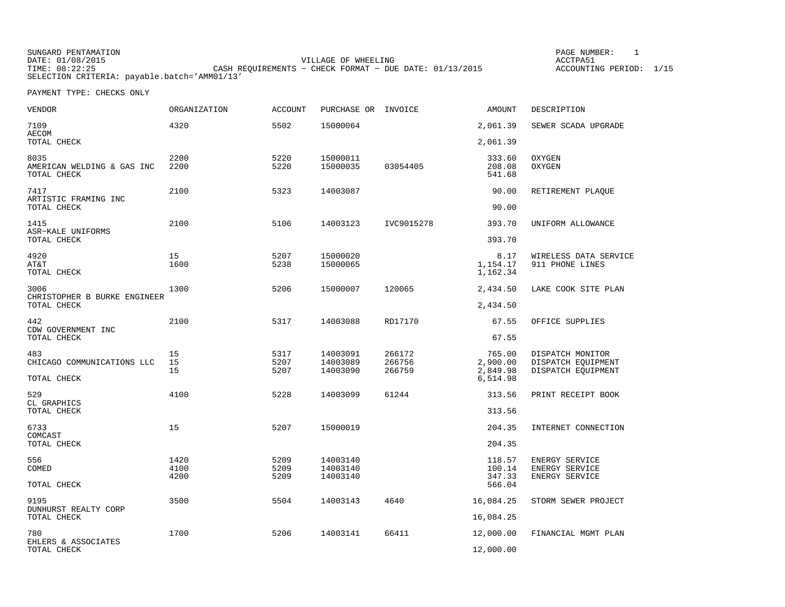SUNGARD PENTAMATION PAGE NUMBER: 1DATE: 01/08/2015 VILLAGE OF WHEELING ACCTPA51TIME: 08:22:25 CASH REQUIREMENTS − CHECK FORMAT − DUE DATE: 01/13/2015 SELECTION CRITERIA: payable.batch='AMM01/13'

ACCOUNTING PERIOD: 1/15

| <b>VENDOR</b>                                     | ORGANIZATION   | <b>ACCOUNT</b>       | PURCHASE OR INVOICE              |                            | AMOUNT                         | DESCRIPTION                                                  |
|---------------------------------------------------|----------------|----------------------|----------------------------------|----------------------------|--------------------------------|--------------------------------------------------------------|
| 7109<br><b>AECOM</b>                              | 4320           | 5502                 | 15000064                         |                            | 2,061.39                       | SEWER SCADA UPGRADE                                          |
| TOTAL CHECK                                       |                |                      |                                  |                            | 2,061.39                       |                                                              |
| 8035<br>AMERICAN WELDING & GAS INC<br>TOTAL CHECK | 2200<br>2200   | 5220<br>5220         | 15000011<br>15000035             | 03054405                   | 333.60<br>208.08<br>541.68     | OXYGEN<br>OXYGEN                                             |
| 7417<br>ARTISTIC FRAMING INC<br>TOTAL CHECK       | 2100           | 5323                 | 14003087                         |                            | 90.00<br>90.00                 | RETIREMENT PLAQUE                                            |
| 1415                                              | 2100           | 5106                 | 14003123                         | IVC9015278                 | 393.70                         | UNIFORM ALLOWANCE                                            |
| ASR-KALE UNIFORMS<br>TOTAL CHECK                  |                |                      |                                  |                            | 393.70                         |                                                              |
| 4920<br>AT&T<br>TOTAL CHECK                       | 15<br>1600     | 5207<br>5238         | 15000020<br>15000065             |                            | 8.17<br>1,154.17<br>1,162.34   | WIRELESS DATA SERVICE<br>911 PHONE LINES                     |
| 3006<br>CHRISTOPHER B BURKE ENGINEER              | 1300           | 5206                 | 15000007                         | 120065                     | 2,434.50                       | LAKE COOK SITE PLAN                                          |
| TOTAL CHECK                                       |                |                      |                                  |                            | 2,434.50                       |                                                              |
| 442<br>CDW GOVERNMENT INC                         | 2100           | 5317                 | 14003088                         | RD17170                    | 67.55                          | OFFICE SUPPLIES                                              |
| TOTAL CHECK                                       |                |                      |                                  |                            | 67.55                          |                                                              |
| 483<br>CHICAGO COMMUNICATIONS LLC                 | 15<br>15<br>15 | 5317<br>5207<br>5207 | 14003091<br>14003089<br>14003090 | 266172<br>266756<br>266759 | 765.00<br>2,900.00<br>2,849.98 | DISPATCH MONITOR<br>DISPATCH EQUIPMENT<br>DISPATCH EQUIPMENT |
| TOTAL CHECK                                       |                |                      |                                  |                            | 6,514.98                       |                                                              |
| 529<br>CL GRAPHICS                                | 4100           | 5228                 | 14003099                         | 61244                      | 313.56                         | PRINT RECEIPT BOOK                                           |
| TOTAL CHECK                                       |                |                      |                                  |                            | 313.56                         |                                                              |
| 6733<br>COMCAST                                   | 15             | 5207                 | 15000019                         |                            | 204.35                         | INTERNET CONNECTION                                          |
| TOTAL CHECK                                       |                |                      |                                  |                            | 204.35                         |                                                              |
| 556<br>COMED                                      | 1420<br>4100   | 5209<br>5209         | 14003140<br>14003140             |                            | 118.57<br>100.14               | ENERGY SERVICE<br>ENERGY SERVICE                             |
| TOTAL CHECK                                       | 4200           | 5209                 | 14003140                         |                            | 347.33<br>566.04               | ENERGY SERVICE                                               |
| 9195<br>DUNHURST REALTY CORP                      | 3500           | 5504                 | 14003143                         | 4640                       | 16,084.25                      | STORM SEWER PROJECT                                          |
| TOTAL CHECK                                       |                |                      |                                  |                            | 16,084.25                      |                                                              |
| 780<br>EHLERS & ASSOCIATES                        | 1700           | 5206                 | 14003141                         | 66411                      | 12,000.00                      | FINANCIAL MGMT PLAN                                          |
| TOTAL CHECK                                       |                |                      |                                  |                            | 12,000.00                      |                                                              |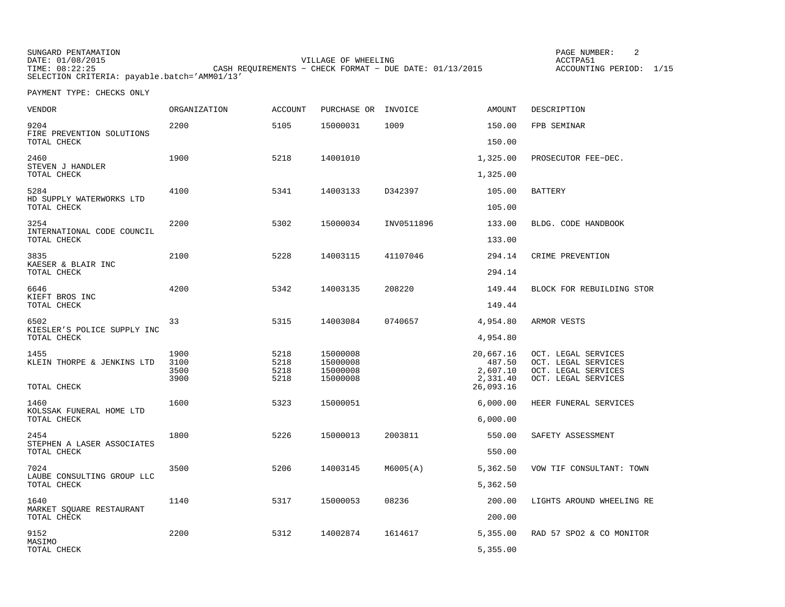| SUNGARD PENTAMATION                          |                                                           | PAGE NUMBER:       |      |
|----------------------------------------------|-----------------------------------------------------------|--------------------|------|
| DATE: 01/08/2015                             | VILLAGE OF WHEELING                                       | ACCTPA5            |      |
| TIME: 08:22:25                               | CASH REOUIREMENTS - CHECK FORMAT - DUE DATE: $01/13/2015$ | ACCOUNTING PERIOD: | 1/15 |
| SELECTION CRITERIA: payable.batch='AMM01/13' |                                                           |                    |      |

| VENDOR                                  | ORGANIZATION                 | <b>ACCOUNT</b>               | PURCHASE OR                                  | INVOICE    | AMOUNT                                      | DESCRIPTION                                                                              |
|-----------------------------------------|------------------------------|------------------------------|----------------------------------------------|------------|---------------------------------------------|------------------------------------------------------------------------------------------|
| 9204<br>FIRE PREVENTION SOLUTIONS       | 2200                         | 5105                         | 15000031                                     | 1009       | 150.00                                      | FPB SEMINAR                                                                              |
| TOTAL CHECK                             |                              |                              |                                              |            | 150.00                                      |                                                                                          |
| 2460<br>STEVEN J HANDLER<br>TOTAL CHECK | 1900                         | 5218                         | 14001010                                     |            | 1,325.00<br>1,325.00                        | PROSECUTOR FEE-DEC.                                                                      |
|                                         |                              |                              |                                              |            |                                             |                                                                                          |
| 5284<br>HD SUPPLY WATERWORKS LTD        | 4100                         | 5341                         | 14003133                                     | D342397    | 105.00                                      | <b>BATTERY</b>                                                                           |
| TOTAL CHECK                             |                              |                              |                                              |            | 105.00                                      |                                                                                          |
| 3254<br>INTERNATIONAL CODE COUNCIL      | 2200                         | 5302                         | 15000034                                     | INV0511896 | 133.00                                      | BLDG. CODE HANDBOOK                                                                      |
| TOTAL CHECK                             |                              |                              |                                              |            | 133.00                                      |                                                                                          |
| 3835<br>KAESER & BLAIR INC              | 2100                         | 5228                         | 14003115                                     | 41107046   | 294.14                                      | CRIME PREVENTION                                                                         |
| TOTAL CHECK                             |                              |                              |                                              |            | 294.14                                      |                                                                                          |
| 6646                                    | 4200                         | 5342                         | 14003135                                     | 208220     | 149.44                                      | BLOCK FOR REBUILDING STOR                                                                |
| KIEFT BROS INC<br>TOTAL CHECK           |                              |                              |                                              |            | 149.44                                      |                                                                                          |
| 6502<br>KIESLER'S POLICE SUPPLY INC     | 33                           | 5315                         | 14003084                                     | 0740657    | 4,954.80                                    | ARMOR VESTS                                                                              |
| TOTAL CHECK                             |                              |                              |                                              |            | 4,954.80                                    |                                                                                          |
| 1455<br>KLEIN THORPE & JENKINS LTD      | 1900<br>3100<br>3500<br>3900 | 5218<br>5218<br>5218<br>5218 | 15000008<br>15000008<br>15000008<br>15000008 |            | 20,667.16<br>487.50<br>2,607.10<br>2,331.40 | OCT. LEGAL SERVICES<br>OCT. LEGAL SERVICES<br>OCT. LEGAL SERVICES<br>OCT. LEGAL SERVICES |
| TOTAL CHECK                             |                              |                              |                                              |            | 26,093.16                                   |                                                                                          |
| 1460<br>KOLSSAK FUNERAL HOME LTD        | 1600                         | 5323                         | 15000051                                     |            | 6,000.00                                    | HEER FUNERAL SERVICES                                                                    |
| TOTAL CHECK                             |                              |                              |                                              |            | 6,000.00                                    |                                                                                          |
| 2454<br>STEPHEN A LASER ASSOCIATES      | 1800                         | 5226                         | 15000013                                     | 2003811    | 550.00                                      | SAFETY ASSESSMENT                                                                        |
| TOTAL CHECK                             |                              |                              |                                              |            | 550.00                                      |                                                                                          |
| 7024<br>LAUBE CONSULTING GROUP LLC      | 3500                         | 5206                         | 14003145                                     | M6005(A)   | 5,362.50                                    | VOW TIF CONSULTANT: TOWN                                                                 |
| TOTAL CHECK                             |                              |                              |                                              |            | 5,362.50                                    |                                                                                          |
| 1640                                    | 1140                         | 5317                         | 15000053                                     | 08236      | 200.00                                      | LIGHTS AROUND WHEELING RE                                                                |
| MARKET SQUARE RESTAURANT<br>TOTAL CHECK |                              |                              |                                              |            | 200.00                                      |                                                                                          |
| 9152                                    | 2200                         | 5312                         | 14002874                                     | 1614617    | 5,355.00                                    | RAD 57 SPO2 & CO MONITOR                                                                 |
| MASIMO<br>TOTAL CHECK                   |                              |                              |                                              |            | 5,355.00                                    |                                                                                          |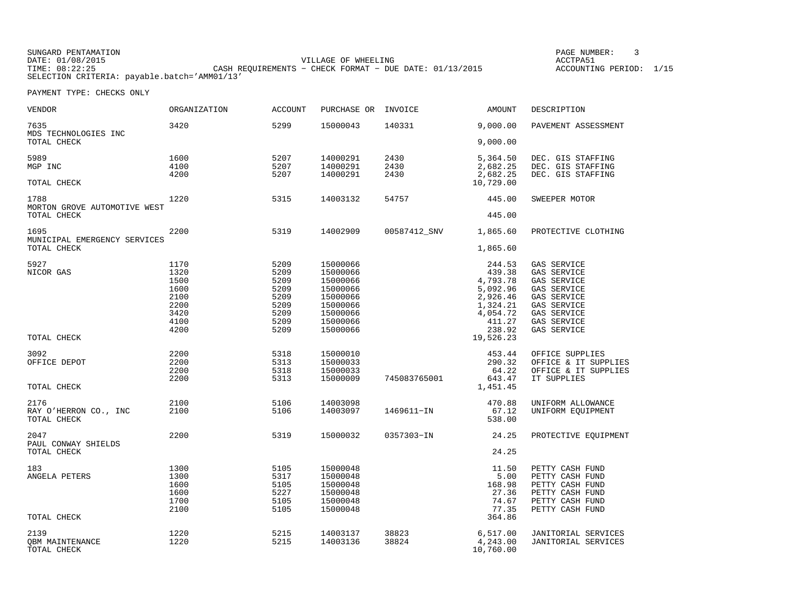| SUNGARD PENTAMATION                          |                                                         | PAGE NUMBER:            |  |
|----------------------------------------------|---------------------------------------------------------|-------------------------|--|
| DATE: 01/08/2015                             | VILLAGE OF WHEELING                                     | ACCTPA51                |  |
| TIME: 08:22:25                               | CASH REOUIREMENTS - CHECK FORMAT - DUE DATE: 01/13/2015 | ACCOUNTING PERIOD: 1/15 |  |
| SELECTION CRITERIA: payable.batch='AMM01/13' |                                                         |                         |  |

| VENDOR                               | <b>ORGANIZATION</b> | <b>ACCOUNT</b> | PURCHASE OR          | INVOICE        | AMOUNT                | DESCRIPTION                                       |
|--------------------------------------|---------------------|----------------|----------------------|----------------|-----------------------|---------------------------------------------------|
| 7635<br>MDS TECHNOLOGIES INC         | 3420                | 5299           | 15000043             | 140331         | 9,000.00              | PAVEMENT ASSESSMENT                               |
| TOTAL CHECK                          |                     |                |                      |                | 9,000.00              |                                                   |
| 5989                                 | 1600                | 5207           | 14000291             | 2430           | 5,364.50              | DEC. GIS STAFFING                                 |
| MGP INC                              | 4100                | 5207           | 14000291             | 2430           | 2,682.25              | DEC. GIS STAFFING                                 |
| TOTAL CHECK                          | 4200                | 5207           | 14000291             | 2430           | 2,682.25<br>10,729.00 | DEC. GIS STAFFING                                 |
| 1788<br>MORTON GROVE AUTOMOTIVE WEST | 1220                | 5315           | 14003132             | 54757          | 445.00                | SWEEPER MOTOR                                     |
| TOTAL CHECK                          |                     |                |                      |                | 445.00                |                                                   |
| 1695<br>MUNICIPAL EMERGENCY SERVICES | 2200                | 5319           | 14002909             | 00587412_SNV   | 1,865.60              | PROTECTIVE CLOTHING                               |
| TOTAL CHECK                          |                     |                |                      |                | 1,865.60              |                                                   |
| 5927                                 | 1170                | 5209           | 15000066             |                | 244.53                | GAS SERVICE                                       |
| NICOR GAS                            | 1320                | 5209           | 15000066             |                | 439.38                | GAS SERVICE                                       |
|                                      | 1500<br>1600        | 5209<br>5209   | 15000066<br>15000066 |                | 4,793.78<br>5,092.96  | GAS SERVICE<br>GAS SERVICE                        |
|                                      | 2100                | 5209           | 15000066             |                | 2,926.46              | GAS SERVICE                                       |
|                                      | 2200                | 5209           | 15000066             |                | 1,324.21              | GAS SERVICE                                       |
|                                      | 3420                | 5209           | 15000066             |                | 4,054.72              | GAS SERVICE                                       |
|                                      | 4100                | 5209           | 15000066             |                | 411.27                | GAS SERVICE                                       |
|                                      | 4200                | 5209           | 15000066             |                | 238.92                | GAS SERVICE                                       |
| TOTAL CHECK                          |                     |                |                      |                | 19,526.23             |                                                   |
| 3092                                 | 2200                | 5318           | 15000010             |                | 453.44                | OFFICE SUPPLIES                                   |
| OFFICE DEPOT                         | 2200                | 5313           | 15000033             |                | 290.32                | OFFICE & IT SUPPLIES                              |
|                                      | 2200                | 5318           | 15000033             |                | 64.22                 | OFFICE & IT SUPPLIES                              |
|                                      | 2200                | 5313           | 15000009             | 745083765001   | 643.47                | IT SUPPLIES                                       |
| TOTAL CHECK                          |                     |                |                      |                | 1,451.45              |                                                   |
| 2176                                 | 2100                | 5106           | 14003098             |                | 470.88                | UNIFORM ALLOWANCE                                 |
| RAY O'HERRON CO., INC                | 2100                | 5106           | 14003097             | 1469611-IN     | 67.12                 | UNIFORM EQUIPMENT                                 |
| TOTAL CHECK                          |                     |                |                      |                | 538.00                |                                                   |
| 2047<br>PAUL CONWAY SHIELDS          | 2200                | 5319           | 15000032             | 0357303-IN     | 24.25                 | PROTECTIVE EQUIPMENT                              |
| TOTAL CHECK                          |                     |                |                      |                | 24.25                 |                                                   |
| 183                                  | 1300                | 5105           | 15000048             |                | 11.50                 | PETTY CASH FUND                                   |
| ANGELA PETERS                        | 1300                | 5317           | 15000048             |                | 5.00                  | PETTY CASH FUND                                   |
|                                      | 1600                | 5105           | 15000048             |                | 168.98                | PETTY CASH FUND                                   |
|                                      | 1600                | 5227           | 15000048             |                | 27.36                 | PETTY CASH FUND                                   |
|                                      | 1700<br>2100        | 5105<br>5105   | 15000048<br>15000048 |                | 74.67<br>77.35        | PETTY CASH FUND<br>PETTY CASH FUND                |
| TOTAL CHECK                          |                     |                |                      |                | 364.86                |                                                   |
| 2139                                 |                     |                |                      |                |                       |                                                   |
| OBM MAINTENANCE                      | 1220<br>1220        | 5215<br>5215   | 14003137<br>14003136 | 38823<br>38824 | 6,517.00<br>4,243.00  | <b>JANITORIAL SERVICES</b><br>JANITORIAL SERVICES |
| TOTAL CHECK                          |                     |                |                      |                | 10,760.00             |                                                   |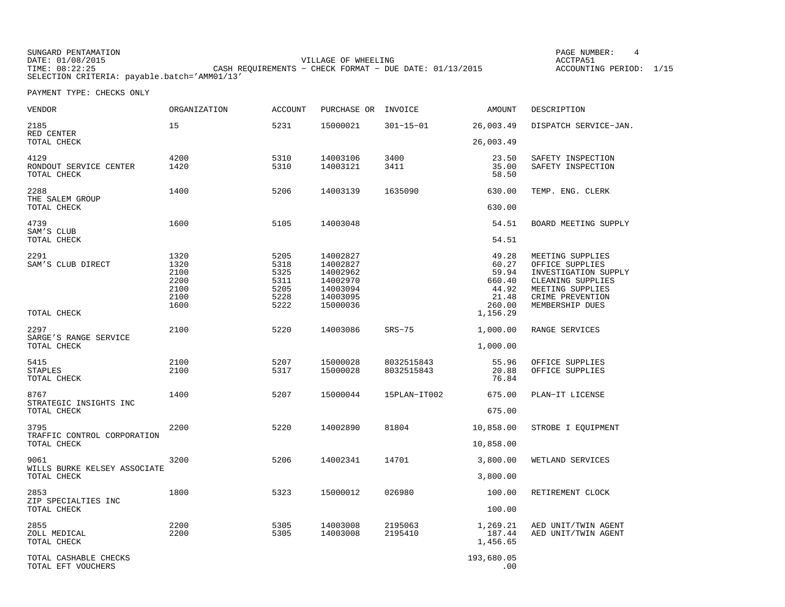SUNGARD PENTAMATION PAGE NUMBER: 4 DATE: 01/08/2015 VILLAGE OF WHEELING ACCTPA51ACCOUNTING PERIOD: 1/15 TIME: 08:22:25 CASH REQUIREMENTS − CHECK FORMAT – DUE DATE: 01/13/2015 SELECTION CRITERIA: payable.batch='AMM01/13'

| <b>VENDOR</b>                                 | ORGANIZATION                                         | <b>ACCOUNT</b>                                       | PURCHASE OR                                                                      | INVOICE                  | AMOUNT                                                                    | DESCRIPTION                                                                                                                                 |
|-----------------------------------------------|------------------------------------------------------|------------------------------------------------------|----------------------------------------------------------------------------------|--------------------------|---------------------------------------------------------------------------|---------------------------------------------------------------------------------------------------------------------------------------------|
| 2185<br>RED CENTER                            | 15                                                   | 5231                                                 | 15000021                                                                         | $301 - 15 - 01$          | 26,003.49                                                                 | DISPATCH SERVICE-JAN.                                                                                                                       |
| TOTAL CHECK                                   |                                                      |                                                      |                                                                                  |                          | 26,003.49                                                                 |                                                                                                                                             |
| 4129<br>RONDOUT SERVICE CENTER<br>TOTAL CHECK | 4200<br>1420                                         | 5310<br>5310                                         | 14003106<br>14003121                                                             | 3400<br>3411             | 23.50<br>35.00<br>58.50                                                   | SAFETY INSPECTION<br>SAFETY INSPECTION                                                                                                      |
| 2288<br>THE SALEM GROUP<br>TOTAL CHECK        | 1400                                                 | 5206                                                 | 14003139                                                                         | 1635090                  | 630.00<br>630.00                                                          | TEMP. ENG. CLERK                                                                                                                            |
| 4739                                          | 1600                                                 | 5105                                                 | 14003048                                                                         |                          | 54.51                                                                     | BOARD MEETING SUPPLY                                                                                                                        |
| SAM'S CLUB<br>TOTAL CHECK                     |                                                      |                                                      |                                                                                  |                          | 54.51                                                                     |                                                                                                                                             |
| 2291<br>SAM'S CLUB DIRECT<br>TOTAL CHECK      | 1320<br>1320<br>2100<br>2200<br>2100<br>2100<br>1600 | 5205<br>5318<br>5325<br>5311<br>5205<br>5228<br>5222 | 14002827<br>14002827<br>14002962<br>14002970<br>14003094<br>14003095<br>15000036 |                          | 49.28<br>60.27<br>59.94<br>660.40<br>44.92<br>21.48<br>260.00<br>1,156.29 | MEETING SUPPLIES<br>OFFICE SUPPLIES<br>INVESTIGATION SUPPLY<br>CLEANING SUPPLIES<br>MEETING SUPPLIES<br>CRIME PREVENTION<br>MEMBERSHIP DUES |
| 2297<br>SARGE'S RANGE SERVICE                 | 2100                                                 | 5220                                                 | 14003086                                                                         | $SRS-75$                 | 1,000.00                                                                  | RANGE SERVICES                                                                                                                              |
| TOTAL CHECK                                   |                                                      |                                                      |                                                                                  |                          | 1,000.00                                                                  |                                                                                                                                             |
| 5415<br>STAPLES<br>TOTAL CHECK                | 2100<br>2100                                         | 5207<br>5317                                         | 15000028<br>15000028                                                             | 8032515843<br>8032515843 | 55.96<br>20.88<br>76.84                                                   | OFFICE SUPPLIES<br>OFFICE SUPPLIES                                                                                                          |
| 8767                                          | 1400                                                 | 5207                                                 | 15000044                                                                         | 15PLAN-IT002             | 675.00                                                                    | PLAN-IT LICENSE                                                                                                                             |
| STRATEGIC INSIGHTS INC<br>TOTAL CHECK         |                                                      |                                                      |                                                                                  |                          | 675.00                                                                    |                                                                                                                                             |
| 3795                                          | 2200                                                 | 5220                                                 | 14002890                                                                         | 81804                    | 10,858.00                                                                 | STROBE I EQUIPMENT                                                                                                                          |
| TRAFFIC CONTROL CORPORATION<br>TOTAL CHECK    |                                                      |                                                      |                                                                                  |                          | 10,858.00                                                                 |                                                                                                                                             |
| 9061                                          | 3200                                                 | 5206                                                 | 14002341                                                                         | 14701                    | 3,800.00                                                                  | WETLAND SERVICES                                                                                                                            |
| WILLS BURKE KELSEY ASSOCIATE<br>TOTAL CHECK   |                                                      |                                                      |                                                                                  |                          | 3,800.00                                                                  |                                                                                                                                             |
| 2853                                          | 1800                                                 | 5323                                                 | 15000012                                                                         | 026980                   | 100.00                                                                    | RETIREMENT CLOCK                                                                                                                            |
| ZIP SPECIALTIES INC<br>TOTAL CHECK            |                                                      |                                                      |                                                                                  |                          | 100.00                                                                    |                                                                                                                                             |
| 2855<br>ZOLL MEDICAL<br>TOTAL CHECK           | 2200<br>2200                                         | 5305<br>5305                                         | 14003008<br>14003008                                                             | 2195063<br>2195410       | 1,269.21<br>187.44<br>1,456.65                                            | AED UNIT/TWIN AGENT<br>AED UNIT/TWIN AGENT                                                                                                  |
| TOTAL CASHABLE CHECKS<br>TOTAL EFT VOUCHERS   |                                                      |                                                      |                                                                                  |                          | 193,680.05<br>.00                                                         |                                                                                                                                             |